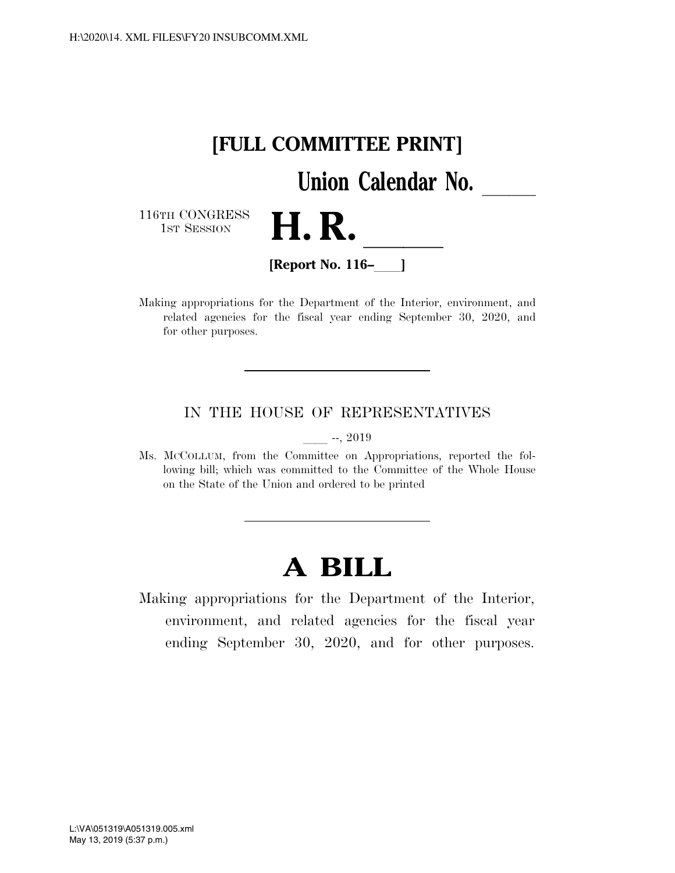

Making appropriations for the Department of the Interior, environment, and related agencies for the fiscal year ending September 30, 2020, and for other purposes.

# IN THE HOUSE OF REPRESENTATIVES

 $-$ , 2019

Ms. MCCOLLUM, from the Committee on Appropriations, reported the following bill; which was committed to the Committee of the Whole House on the State of the Union and ordered to be printed

# **A BILL**

Making appropriations for the Department of the Interior, environment, and related agencies for the fiscal year ending September 30, 2020, and for other purposes.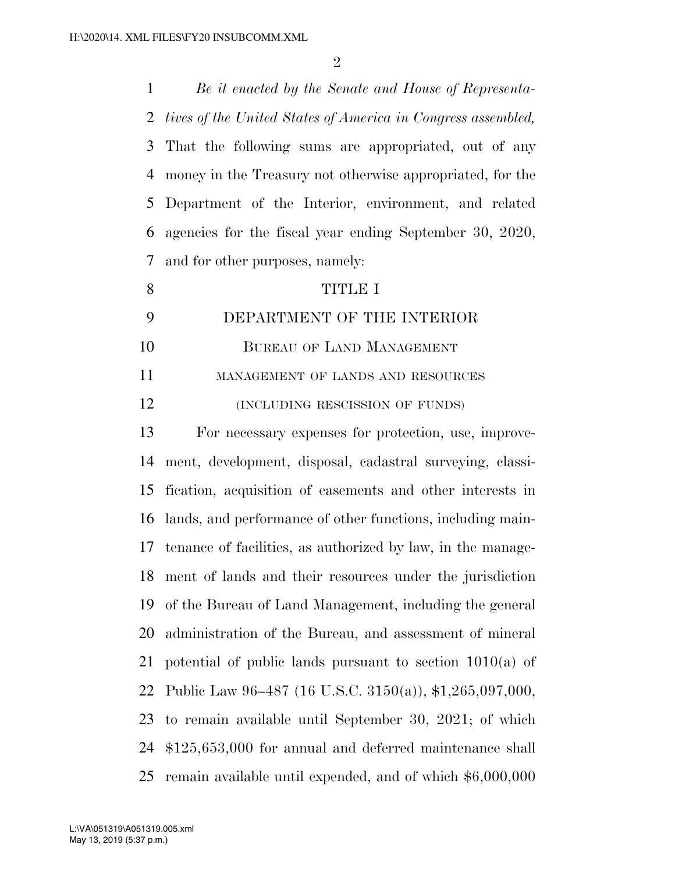*Be it enacted by the Senate and House of Representa- tives of the United States of America in Congress assembled,*  That the following sums are appropriated, out of any money in the Treasury not otherwise appropriated, for the Department of the Interior, environment, and related agencies for the fiscal year ending September 30, 2020, and for other purposes, namely: TITLE I DEPARTMENT OF THE INTERIOR BUREAU OF LAND MANAGEMENT 11 MANAGEMENT OF LANDS AND RESOURCES **(INCLUDING RESCISSION OF FUNDS)**  For necessary expenses for protection, use, improve- ment, development, disposal, cadastral surveying, classi- fication, acquisition of easements and other interests in lands, and performance of other functions, including main- tenance of facilities, as authorized by law, in the manage- ment of lands and their resources under the jurisdiction of the Bureau of Land Management, including the general administration of the Bureau, and assessment of mineral potential of public lands pursuant to section 1010(a) of Public Law 96–487 (16 U.S.C. 3150(a)), \$1,265,097,000, to remain available until September 30, 2021; of which \$125,653,000 for annual and deferred maintenance shall remain available until expended, and of which \$6,000,000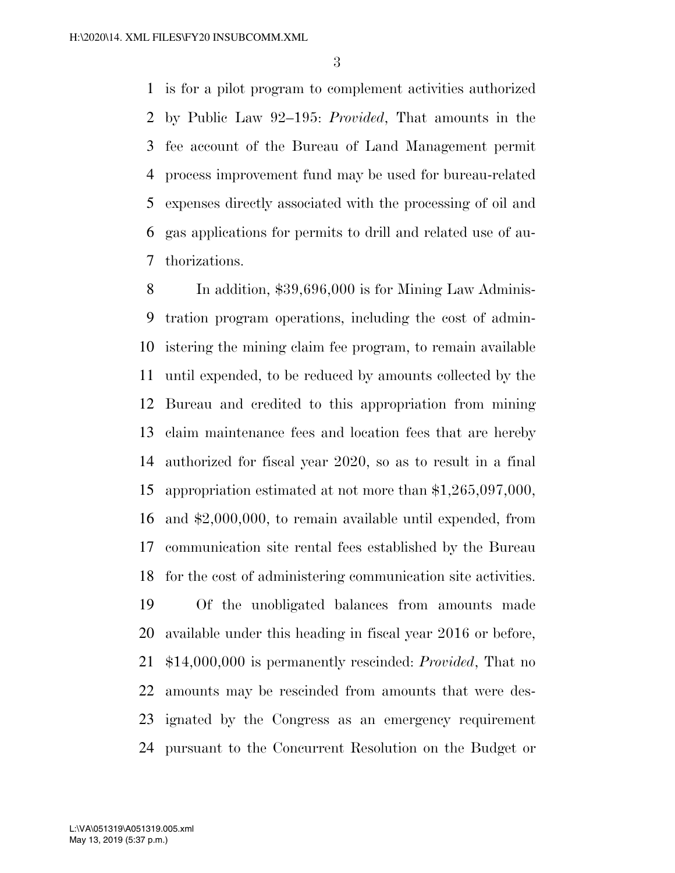is for a pilot program to complement activities authorized by Public Law 92–195: *Provided*, That amounts in the fee account of the Bureau of Land Management permit process improvement fund may be used for bureau-related expenses directly associated with the processing of oil and gas applications for permits to drill and related use of au-thorizations.

 In addition, \$39,696,000 is for Mining Law Adminis- tration program operations, including the cost of admin- istering the mining claim fee program, to remain available until expended, to be reduced by amounts collected by the Bureau and credited to this appropriation from mining claim maintenance fees and location fees that are hereby authorized for fiscal year 2020, so as to result in a final appropriation estimated at not more than \$1,265,097,000, and \$2,000,000, to remain available until expended, from communication site rental fees established by the Bureau for the cost of administering communication site activities.

 Of the unobligated balances from amounts made available under this heading in fiscal year 2016 or before, \$14,000,000 is permanently rescinded: *Provided*, That no amounts may be rescinded from amounts that were des- ignated by the Congress as an emergency requirement pursuant to the Concurrent Resolution on the Budget or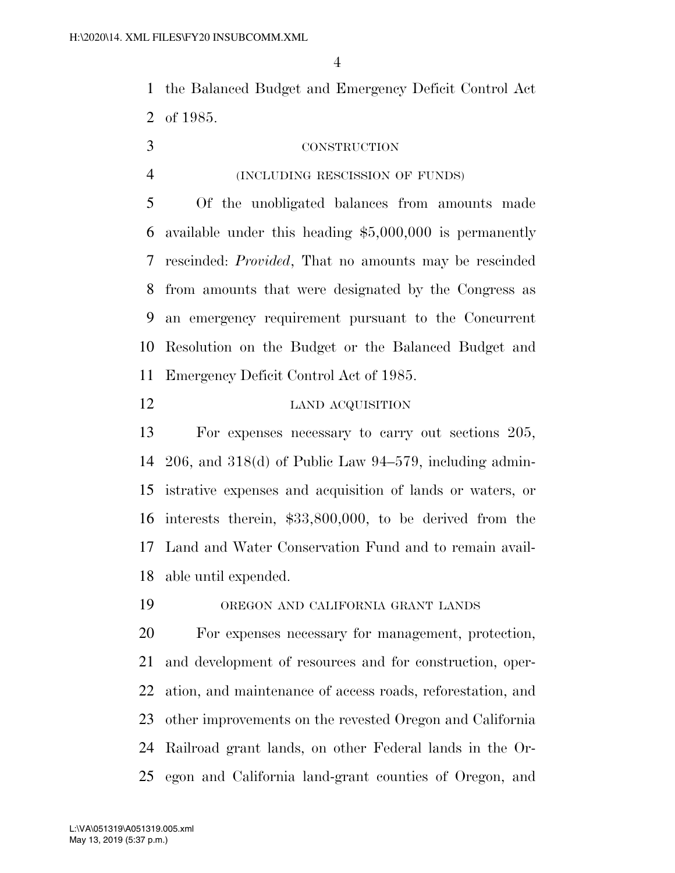the Balanced Budget and Emergency Deficit Control Act of 1985.

- CONSTRUCTION
- 

#### (INCLUDING RESCISSION OF FUNDS)

 Of the unobligated balances from amounts made available under this heading \$5,000,000 is permanently rescinded: *Provided*, That no amounts may be rescinded from amounts that were designated by the Congress as an emergency requirement pursuant to the Concurrent Resolution on the Budget or the Balanced Budget and Emergency Deficit Control Act of 1985.

# 12 LAND ACQUISITION

 For expenses necessary to carry out sections 205, 206, and 318(d) of Public Law 94–579, including admin- istrative expenses and acquisition of lands or waters, or interests therein, \$33,800,000, to be derived from the Land and Water Conservation Fund and to remain avail-able until expended.

OREGON AND CALIFORNIA GRANT LANDS

 For expenses necessary for management, protection, and development of resources and for construction, oper- ation, and maintenance of access roads, reforestation, and other improvements on the revested Oregon and California Railroad grant lands, on other Federal lands in the Or-egon and California land-grant counties of Oregon, and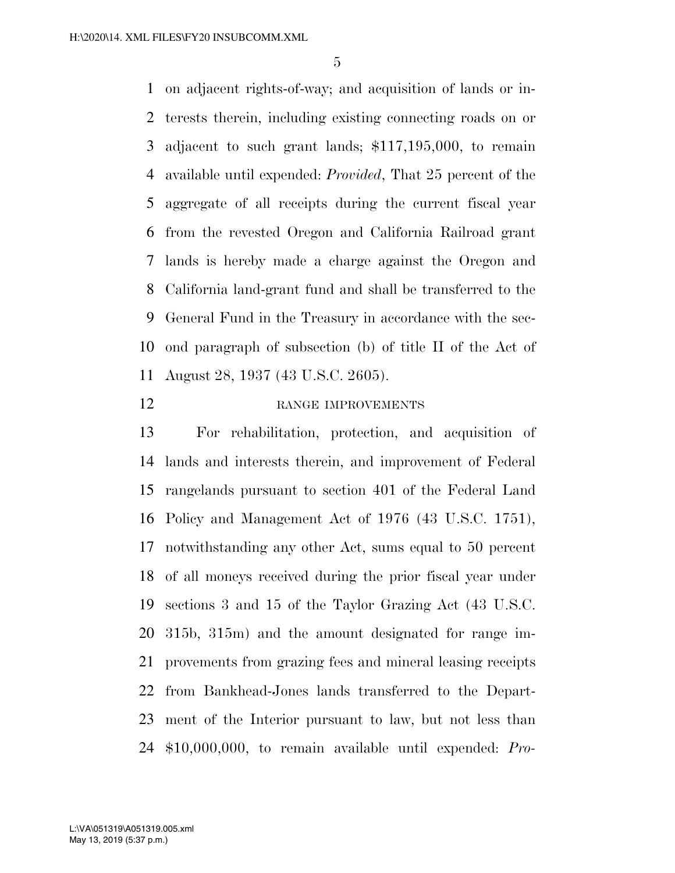on adjacent rights-of-way; and acquisition of lands or in- terests therein, including existing connecting roads on or adjacent to such grant lands; \$117,195,000, to remain available until expended: *Provided*, That 25 percent of the aggregate of all receipts during the current fiscal year from the revested Oregon and California Railroad grant lands is hereby made a charge against the Oregon and California land-grant fund and shall be transferred to the General Fund in the Treasury in accordance with the sec- ond paragraph of subsection (b) of title II of the Act of August 28, 1937 (43 U.S.C. 2605).

# 12 RANGE IMPROVEMENTS

 For rehabilitation, protection, and acquisition of lands and interests therein, and improvement of Federal rangelands pursuant to section 401 of the Federal Land Policy and Management Act of 1976 (43 U.S.C. 1751), notwithstanding any other Act, sums equal to 50 percent of all moneys received during the prior fiscal year under sections 3 and 15 of the Taylor Grazing Act (43 U.S.C. 315b, 315m) and the amount designated for range im- provements from grazing fees and mineral leasing receipts from Bankhead-Jones lands transferred to the Depart- ment of the Interior pursuant to law, but not less than \$10,000,000, to remain available until expended: *Pro-*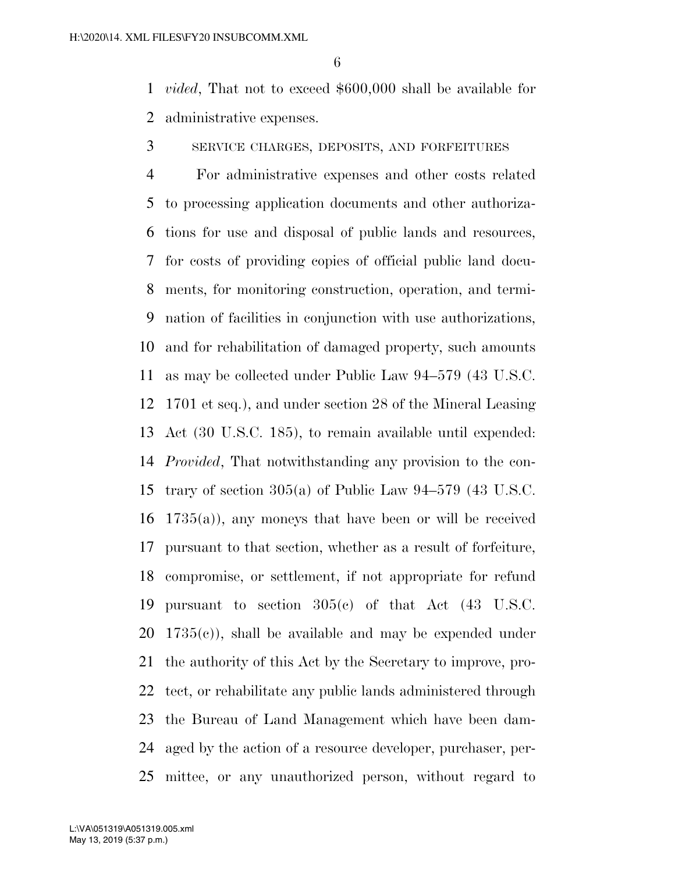*vided*, That not to exceed \$600,000 shall be available for administrative expenses.

SERVICE CHARGES, DEPOSITS, AND FORFEITURES

 For administrative expenses and other costs related to processing application documents and other authoriza- tions for use and disposal of public lands and resources, for costs of providing copies of official public land docu- ments, for monitoring construction, operation, and termi- nation of facilities in conjunction with use authorizations, and for rehabilitation of damaged property, such amounts as may be collected under Public Law 94–579 (43 U.S.C. 1701 et seq.), and under section 28 of the Mineral Leasing Act (30 U.S.C. 185), to remain available until expended: *Provided*, That notwithstanding any provision to the con- trary of section 305(a) of Public Law 94–579 (43 U.S.C.  $16 \quad 1735(a)$ , any moneys that have been or will be received pursuant to that section, whether as a result of forfeiture, compromise, or settlement, if not appropriate for refund pursuant to section 305(c) of that Act (43 U.S.C.  $20 \text{ } 1735(c)$ , shall be available and may be expended under the authority of this Act by the Secretary to improve, pro- tect, or rehabilitate any public lands administered through the Bureau of Land Management which have been dam- aged by the action of a resource developer, purchaser, per-mittee, or any unauthorized person, without regard to

May 13, 2019 (5:37 p.m.) L:\VA\051319\A051319.005.xml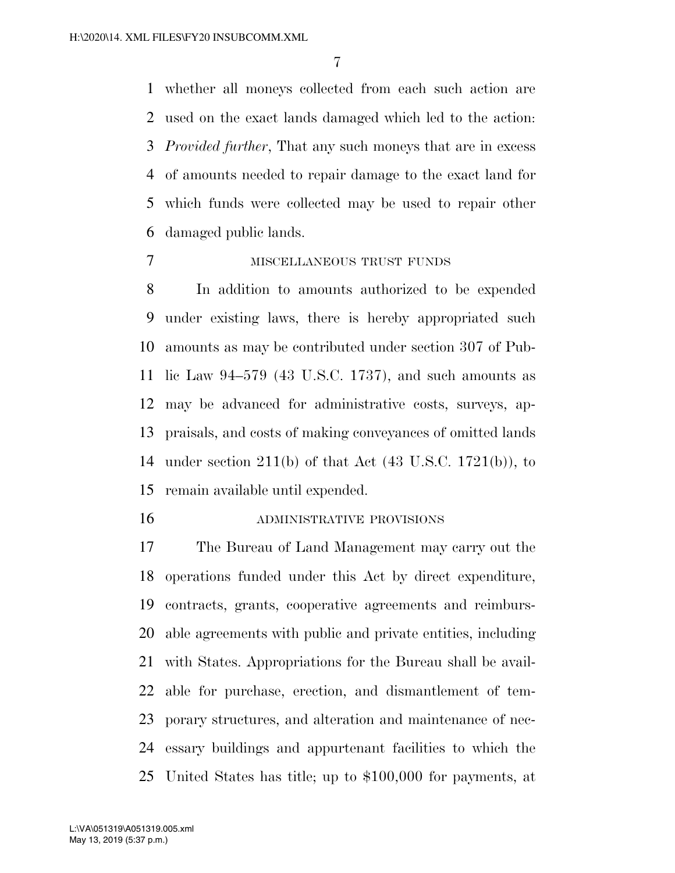whether all moneys collected from each such action are used on the exact lands damaged which led to the action: *Provided further*, That any such moneys that are in excess of amounts needed to repair damage to the exact land for which funds were collected may be used to repair other damaged public lands.

## MISCELLANEOUS TRUST FUNDS

 In addition to amounts authorized to be expended under existing laws, there is hereby appropriated such amounts as may be contributed under section 307 of Pub- lic Law 94–579 (43 U.S.C. 1737), and such amounts as may be advanced for administrative costs, surveys, ap- praisals, and costs of making conveyances of omitted lands under section 211(b) of that Act (43 U.S.C. 1721(b)), to remain available until expended.

ADMINISTRATIVE PROVISIONS

 The Bureau of Land Management may carry out the operations funded under this Act by direct expenditure, contracts, grants, cooperative agreements and reimburs- able agreements with public and private entities, including with States. Appropriations for the Bureau shall be avail- able for purchase, erection, and dismantlement of tem- porary structures, and alteration and maintenance of nec- essary buildings and appurtenant facilities to which the United States has title; up to \$100,000 for payments, at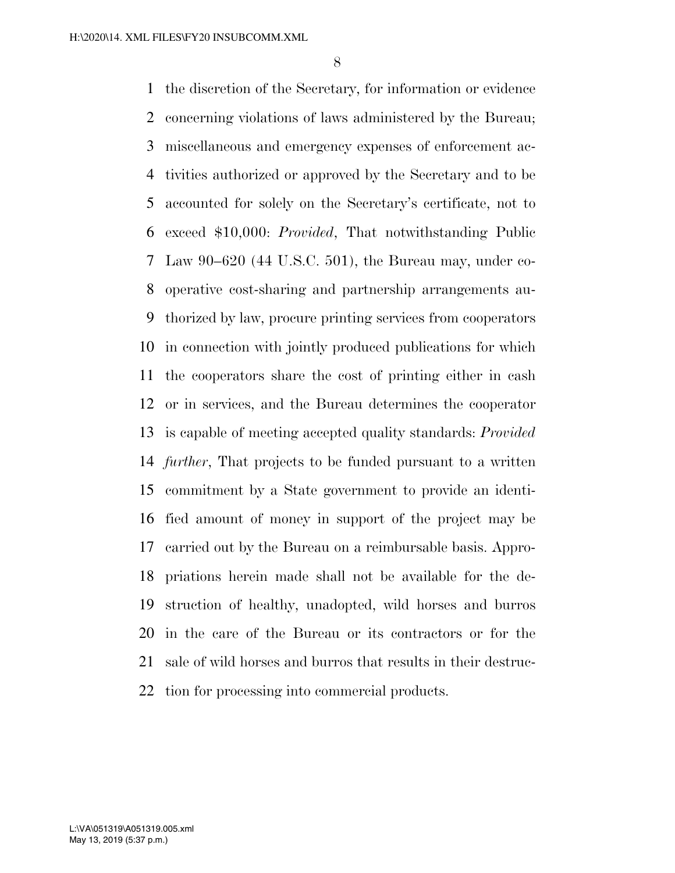the discretion of the Secretary, for information or evidence concerning violations of laws administered by the Bureau; miscellaneous and emergency expenses of enforcement ac- tivities authorized or approved by the Secretary and to be accounted for solely on the Secretary's certificate, not to exceed \$10,000: *Provided*, That notwithstanding Public Law 90–620 (44 U.S.C. 501), the Bureau may, under co- operative cost-sharing and partnership arrangements au- thorized by law, procure printing services from cooperators in connection with jointly produced publications for which the cooperators share the cost of printing either in cash or in services, and the Bureau determines the cooperator is capable of meeting accepted quality standards: *Provided further*, That projects to be funded pursuant to a written commitment by a State government to provide an identi- fied amount of money in support of the project may be carried out by the Bureau on a reimbursable basis. Appro- priations herein made shall not be available for the de- struction of healthy, unadopted, wild horses and burros in the care of the Bureau or its contractors or for the sale of wild horses and burros that results in their destruc-tion for processing into commercial products.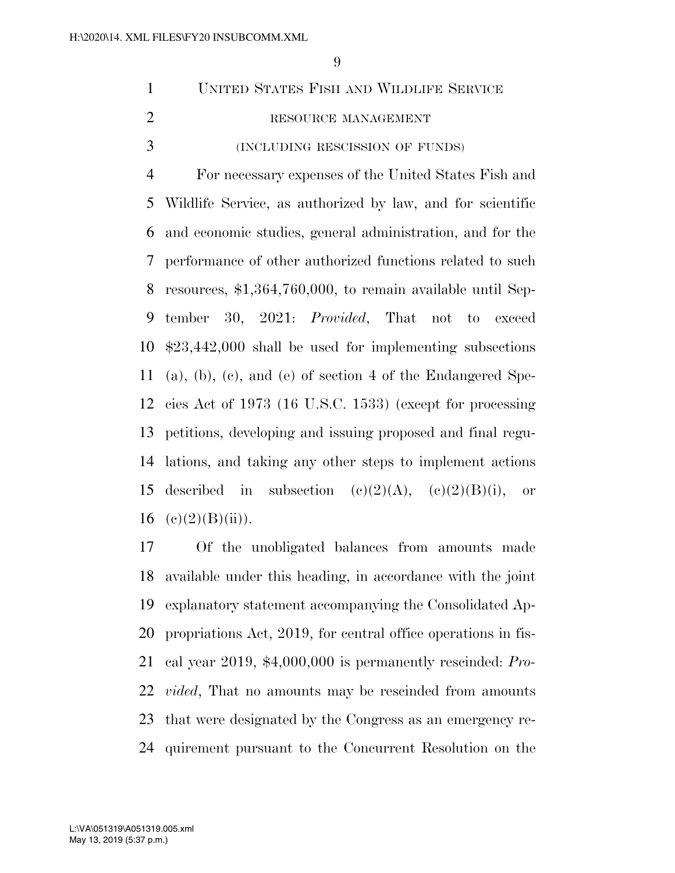| $1 -$ | UNITED STATES FISH AND WILDLIFE SERVICE |
|-------|-----------------------------------------|
| 2     | RESOURCE MANAGEMENT                     |
| 3     | (INCLUDING RESCISSION OF FUNDS)         |

 For necessary expenses of the United States Fish and Wildlife Service, as authorized by law, and for scientific and economic studies, general administration, and for the performance of other authorized functions related to such resources, \$1,364,760,000, to remain available until Sep- tember 30, 2021: *Provided*, That not to exceed \$23,442,000 shall be used for implementing subsections (a), (b), (c), and (e) of section 4 of the Endangered Spe- cies Act of 1973 (16 U.S.C. 1533) (except for processing petitions, developing and issuing proposed and final regu- lations, and taking any other steps to implement actions 15 described in subsection  $(c)(2)(A)$ ,  $(c)(2)(B)(i)$ , or 16 (e) $(2)(B)(ii)$ ).

 Of the unobligated balances from amounts made available under this heading, in accordance with the joint explanatory statement accompanying the Consolidated Ap- propriations Act, 2019, for central office operations in fis- cal year 2019, \$4,000,000 is permanently rescinded: *Pro- vided*, That no amounts may be rescinded from amounts that were designated by the Congress as an emergency re-quirement pursuant to the Concurrent Resolution on the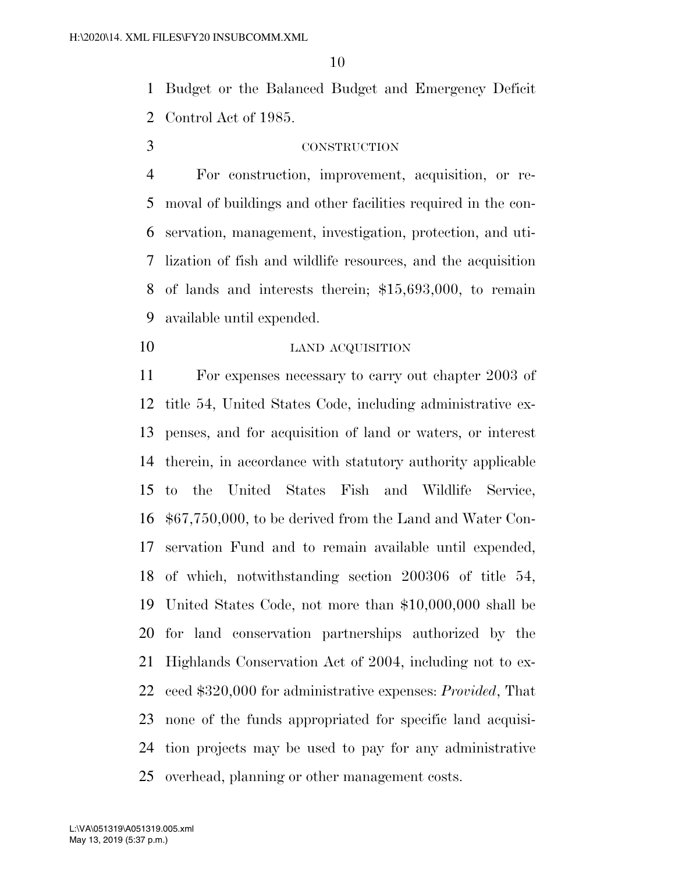Budget or the Balanced Budget and Emergency Deficit Control Act of 1985.

## CONSTRUCTION

 For construction, improvement, acquisition, or re- moval of buildings and other facilities required in the con- servation, management, investigation, protection, and uti- lization of fish and wildlife resources, and the acquisition of lands and interests therein; \$15,693,000, to remain available until expended.

10 LAND ACQUISITION

 For expenses necessary to carry out chapter 2003 of title 54, United States Code, including administrative ex- penses, and for acquisition of land or waters, or interest therein, in accordance with statutory authority applicable to the United States Fish and Wildlife Service, \$67,750,000, to be derived from the Land and Water Con- servation Fund and to remain available until expended, of which, notwithstanding section 200306 of title 54, United States Code, not more than \$10,000,000 shall be for land conservation partnerships authorized by the Highlands Conservation Act of 2004, including not to ex- ceed \$320,000 for administrative expenses: *Provided*, That none of the funds appropriated for specific land acquisi- tion projects may be used to pay for any administrative overhead, planning or other management costs.

May 13, 2019 (5:37 p.m.) L:\VA\051319\A051319.005.xml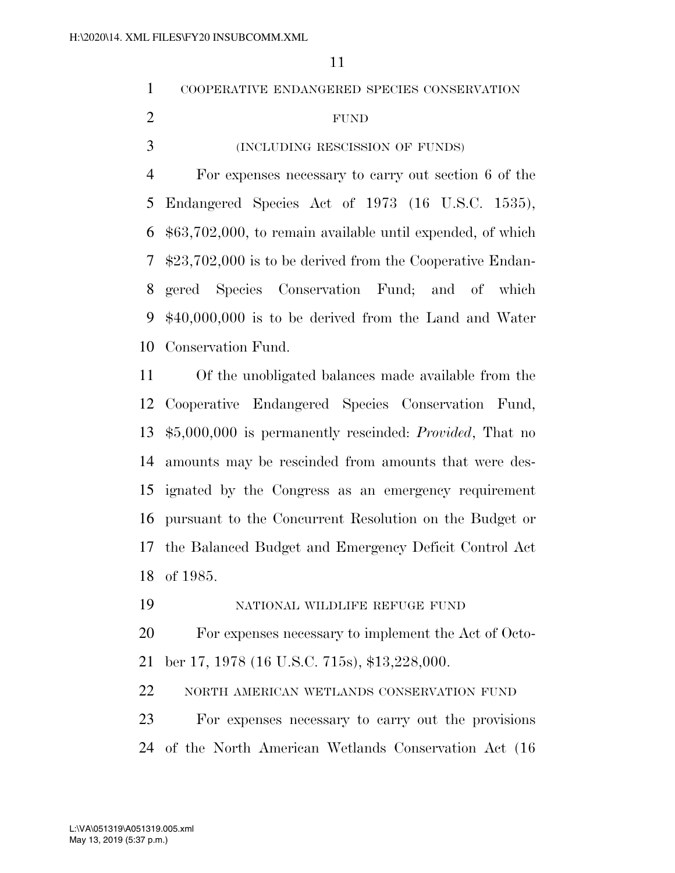|   | COOPERATIVE ENDANGERED SPECIES CONSERVATION                      |
|---|------------------------------------------------------------------|
| 2 | <b>FUND</b>                                                      |
| 3 | (INCLUDING RESCISSION OF FUNDS)                                  |
| 4 | For expenses necessary to carry out section 6 of the             |
|   | 5 Endangered Species Act of 1973 (16 U.S.C. 1535),               |
|   | $6\,$ \$63,702,000, to remain available until expended, of which |
|   | $$23,702,000$ is to be derived from the Cooperative Endan-       |
|   | 8 gered Species Conservation Fund; and of which                  |

 \$40,000,000 is to be derived from the Land and Water Conservation Fund.

 Of the unobligated balances made available from the Cooperative Endangered Species Conservation Fund, \$5,000,000 is permanently rescinded: *Provided*, That no amounts may be rescinded from amounts that were des- ignated by the Congress as an emergency requirement pursuant to the Concurrent Resolution on the Budget or the Balanced Budget and Emergency Deficit Control Act of 1985.

NATIONAL WILDLIFE REFUGE FUND

 For expenses necessary to implement the Act of Octo-ber 17, 1978 (16 U.S.C. 715s), \$13,228,000.

NORTH AMERICAN WETLANDS CONSERVATION FUND

 For expenses necessary to carry out the provisions of the North American Wetlands Conservation Act (16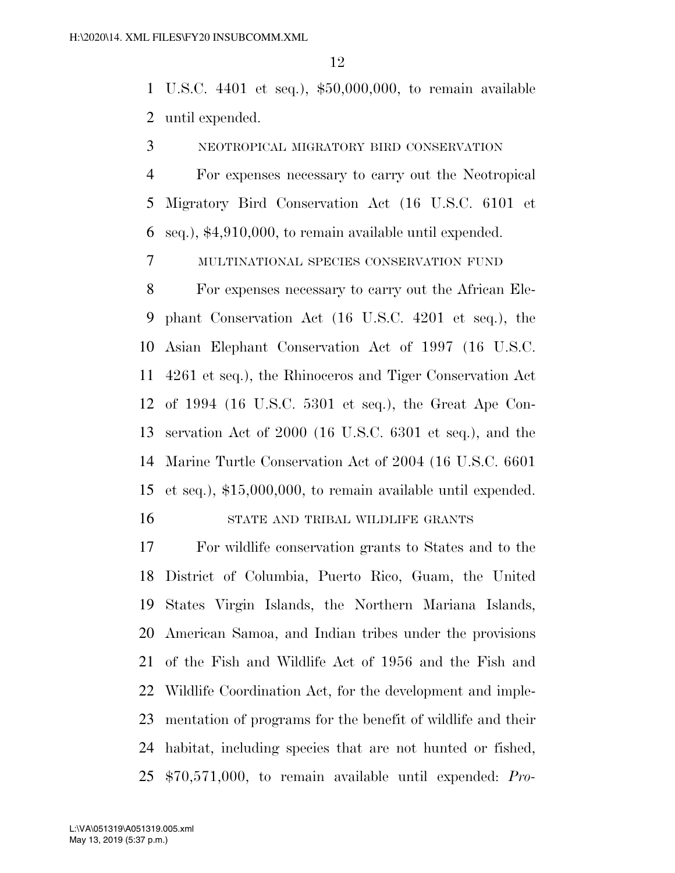U.S.C. 4401 et seq.), \$50,000,000, to remain available until expended.

NEOTROPICAL MIGRATORY BIRD CONSERVATION

 For expenses necessary to carry out the Neotropical Migratory Bird Conservation Act (16 U.S.C. 6101 et seq.), \$4,910,000, to remain available until expended.

MULTINATIONAL SPECIES CONSERVATION FUND

 For expenses necessary to carry out the African Ele- phant Conservation Act (16 U.S.C. 4201 et seq.), the Asian Elephant Conservation Act of 1997 (16 U.S.C. 4261 et seq.), the Rhinoceros and Tiger Conservation Act of 1994 (16 U.S.C. 5301 et seq.), the Great Ape Con- servation Act of 2000 (16 U.S.C. 6301 et seq.), and the Marine Turtle Conservation Act of 2004 (16 U.S.C. 6601 et seq.), \$15,000,000, to remain available until expended. STATE AND TRIBAL WILDLIFE GRANTS

 For wildlife conservation grants to States and to the District of Columbia, Puerto Rico, Guam, the United States Virgin Islands, the Northern Mariana Islands, American Samoa, and Indian tribes under the provisions of the Fish and Wildlife Act of 1956 and the Fish and Wildlife Coordination Act, for the development and imple- mentation of programs for the benefit of wildlife and their habitat, including species that are not hunted or fished, \$70,571,000, to remain available until expended: *Pro-*

May 13, 2019 (5:37 p.m.) L:\VA\051319\A051319.005.xml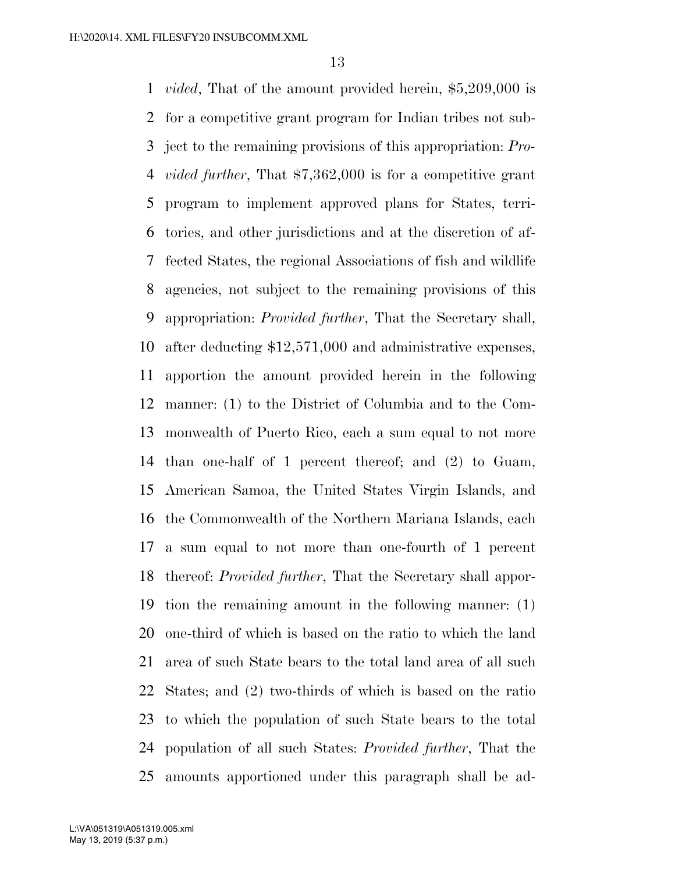*vided*, That of the amount provided herein, \$5,209,000 is for a competitive grant program for Indian tribes not sub- ject to the remaining provisions of this appropriation: *Pro- vided further*, That \$7,362,000 is for a competitive grant program to implement approved plans for States, terri- tories, and other jurisdictions and at the discretion of af- fected States, the regional Associations of fish and wildlife agencies, not subject to the remaining provisions of this appropriation: *Provided further*, That the Secretary shall, after deducting \$12,571,000 and administrative expenses, apportion the amount provided herein in the following manner: (1) to the District of Columbia and to the Com- monwealth of Puerto Rico, each a sum equal to not more than one-half of 1 percent thereof; and (2) to Guam, American Samoa, the United States Virgin Islands, and the Commonwealth of the Northern Mariana Islands, each a sum equal to not more than one-fourth of 1 percent thereof: *Provided further*, That the Secretary shall appor- tion the remaining amount in the following manner: (1) one-third of which is based on the ratio to which the land area of such State bears to the total land area of all such States; and (2) two-thirds of which is based on the ratio to which the population of such State bears to the total population of all such States: *Provided further*, That the amounts apportioned under this paragraph shall be ad-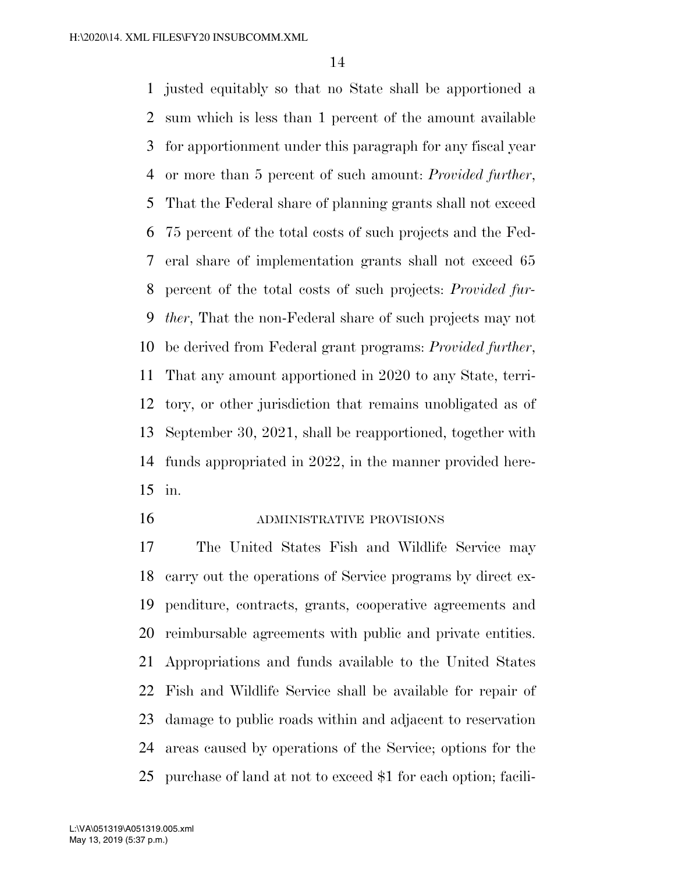justed equitably so that no State shall be apportioned a sum which is less than 1 percent of the amount available for apportionment under this paragraph for any fiscal year or more than 5 percent of such amount: *Provided further*, That the Federal share of planning grants shall not exceed 75 percent of the total costs of such projects and the Fed- eral share of implementation grants shall not exceed 65 percent of the total costs of such projects: *Provided fur- ther*, That the non-Federal share of such projects may not be derived from Federal grant programs: *Provided further*, That any amount apportioned in 2020 to any State, terri- tory, or other jurisdiction that remains unobligated as of September 30, 2021, shall be reapportioned, together with funds appropriated in 2022, in the manner provided here-in.

#### ADMINISTRATIVE PROVISIONS

 The United States Fish and Wildlife Service may carry out the operations of Service programs by direct ex- penditure, contracts, grants, cooperative agreements and reimbursable agreements with public and private entities. Appropriations and funds available to the United States Fish and Wildlife Service shall be available for repair of damage to public roads within and adjacent to reservation areas caused by operations of the Service; options for the purchase of land at not to exceed \$1 for each option; facili-

May 13, 2019 (5:37 p.m.) L:\VA\051319\A051319.005.xml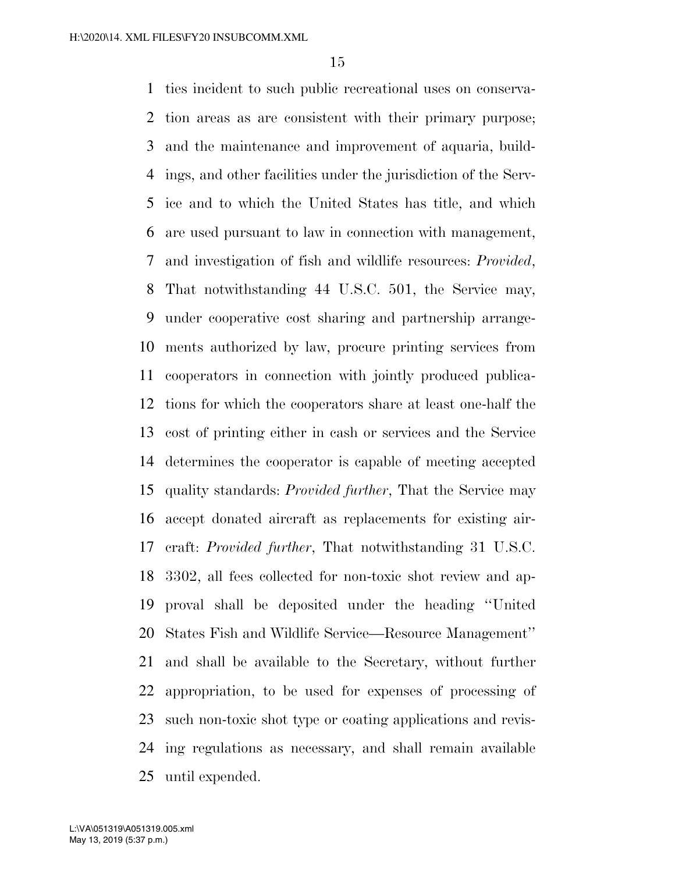ties incident to such public recreational uses on conserva- tion areas as are consistent with their primary purpose; and the maintenance and improvement of aquaria, build- ings, and other facilities under the jurisdiction of the Serv- ice and to which the United States has title, and which are used pursuant to law in connection with management, and investigation of fish and wildlife resources: *Provided*, That notwithstanding 44 U.S.C. 501, the Service may, under cooperative cost sharing and partnership arrange- ments authorized by law, procure printing services from cooperators in connection with jointly produced publica- tions for which the cooperators share at least one-half the cost of printing either in cash or services and the Service determines the cooperator is capable of meeting accepted quality standards: *Provided further*, That the Service may accept donated aircraft as replacements for existing air- craft: *Provided further*, That notwithstanding 31 U.S.C. 3302, all fees collected for non-toxic shot review and ap- proval shall be deposited under the heading ''United States Fish and Wildlife Service—Resource Management'' and shall be available to the Secretary, without further appropriation, to be used for expenses of processing of such non-toxic shot type or coating applications and revis- ing regulations as necessary, and shall remain available until expended.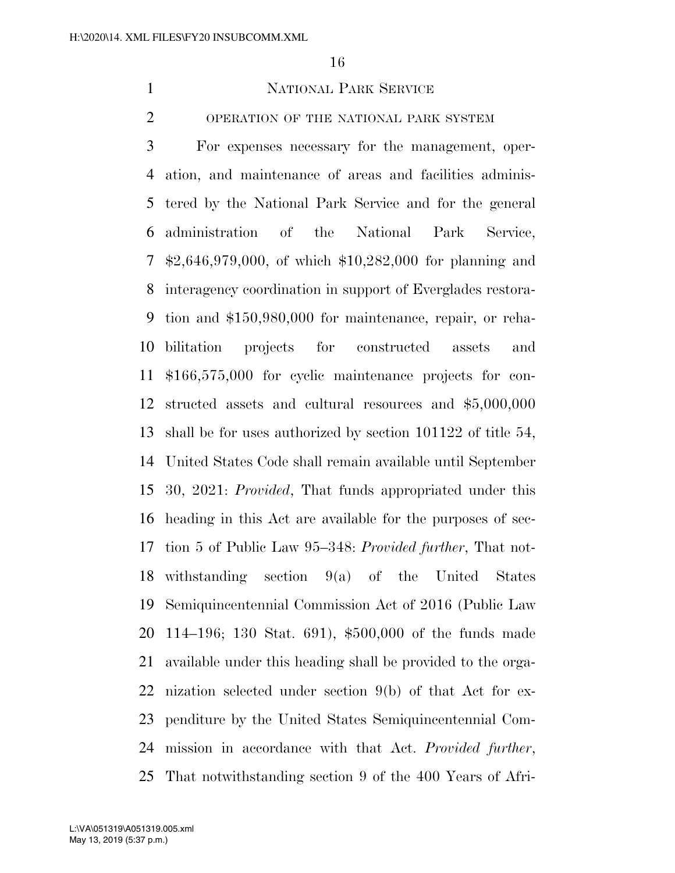### NATIONAL PARK SERVICE

OPERATION OF THE NATIONAL PARK SYSTEM

 For expenses necessary for the management, oper- ation, and maintenance of areas and facilities adminis- tered by the National Park Service and for the general administration of the National Park Service, \$2,646,979,000, of which \$10,282,000 for planning and interagency coordination in support of Everglades restora- tion and \$150,980,000 for maintenance, repair, or reha- bilitation projects for constructed assets and \$166,575,000 for cyclic maintenance projects for con- structed assets and cultural resources and \$5,000,000 shall be for uses authorized by section 101122 of title 54, United States Code shall remain available until September 30, 2021: *Provided*, That funds appropriated under this heading in this Act are available for the purposes of sec- tion 5 of Public Law 95–348: *Provided further*, That not- withstanding section 9(a) of the United States Semiquincentennial Commission Act of 2016 (Public Law 114–196; 130 Stat. 691), \$500,000 of the funds made available under this heading shall be provided to the orga- nization selected under section 9(b) of that Act for ex- penditure by the United States Semiquincentennial Com- mission in accordance with that Act. *Provided further*, That notwithstanding section 9 of the 400 Years of Afri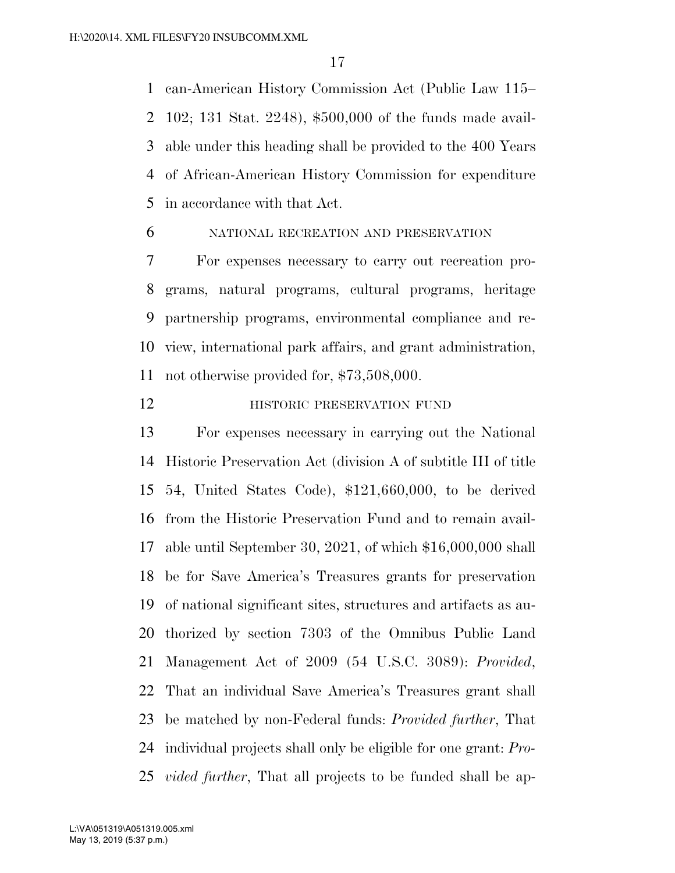can-American History Commission Act (Public Law 115– 102; 131 Stat. 2248), \$500,000 of the funds made avail- able under this heading shall be provided to the 400 Years of African-American History Commission for expenditure in accordance with that Act.

# NATIONAL RECREATION AND PRESERVATION

 For expenses necessary to carry out recreation pro- grams, natural programs, cultural programs, heritage partnership programs, environmental compliance and re- view, international park affairs, and grant administration, not otherwise provided for, \$73,508,000.

# **HISTORIC PRESERVATION FUND**

 For expenses necessary in carrying out the National Historic Preservation Act (division A of subtitle III of title 54, United States Code), \$121,660,000, to be derived from the Historic Preservation Fund and to remain avail- able until September 30, 2021, of which \$16,000,000 shall be for Save America's Treasures grants for preservation of national significant sites, structures and artifacts as au- thorized by section 7303 of the Omnibus Public Land Management Act of 2009 (54 U.S.C. 3089): *Provided*, That an individual Save America's Treasures grant shall be matched by non-Federal funds: *Provided further*, That individual projects shall only be eligible for one grant: *Pro-vided further*, That all projects to be funded shall be ap-

May 13, 2019 (5:37 p.m.) L:\VA\051319\A051319.005.xml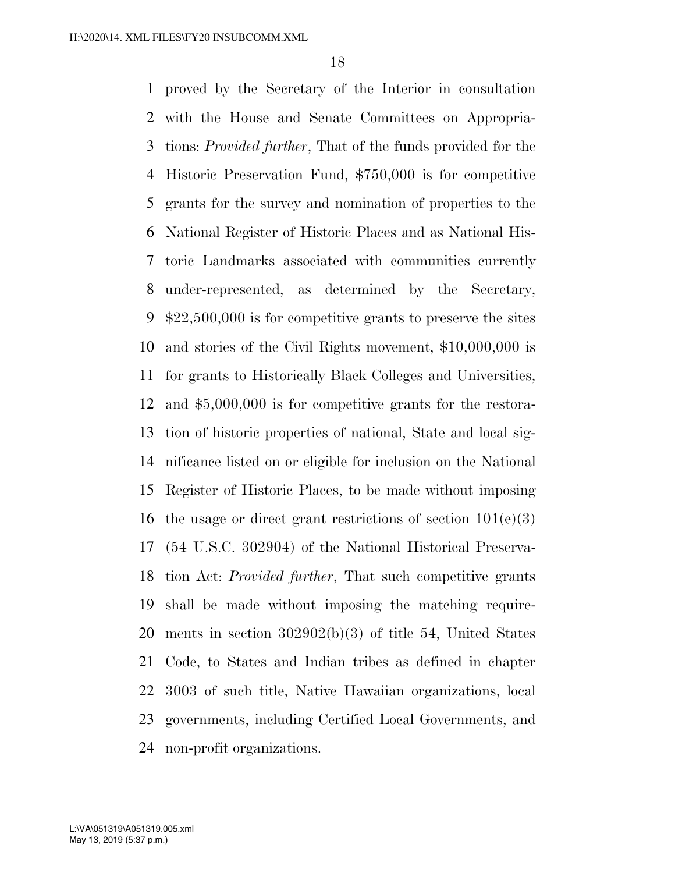proved by the Secretary of the Interior in consultation with the House and Senate Committees on Appropria- tions: *Provided further*, That of the funds provided for the Historic Preservation Fund, \$750,000 is for competitive grants for the survey and nomination of properties to the National Register of Historic Places and as National His- toric Landmarks associated with communities currently under-represented, as determined by the Secretary, \$22,500,000 is for competitive grants to preserve the sites and stories of the Civil Rights movement, \$10,000,000 is for grants to Historically Black Colleges and Universities, and \$5,000,000 is for competitive grants for the restora- tion of historic properties of national, State and local sig- nificance listed on or eligible for inclusion on the National Register of Historic Places, to be made without imposing 16 the usage or direct grant restrictions of section  $101(e)(3)$  (54 U.S.C. 302904) of the National Historical Preserva- tion Act: *Provided further*, That such competitive grants shall be made without imposing the matching require- ments in section 302902(b)(3) of title 54, United States Code, to States and Indian tribes as defined in chapter 3003 of such title, Native Hawaiian organizations, local governments, including Certified Local Governments, and non-profit organizations.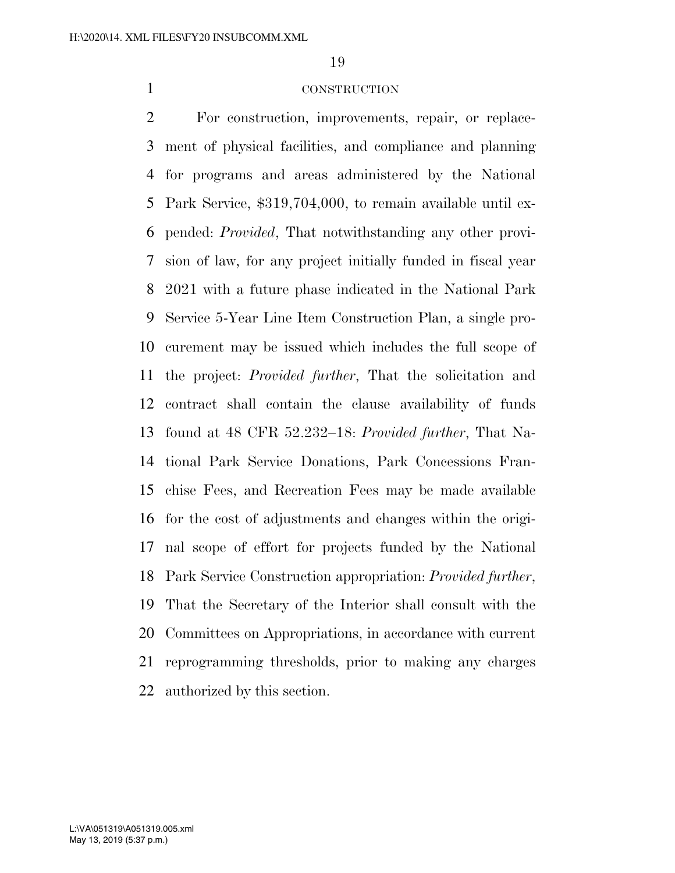#### CONSTRUCTION

 For construction, improvements, repair, or replace- ment of physical facilities, and compliance and planning for programs and areas administered by the National Park Service, \$319,704,000, to remain available until ex- pended: *Provided*, That notwithstanding any other provi- sion of law, for any project initially funded in fiscal year 2021 with a future phase indicated in the National Park Service 5-Year Line Item Construction Plan, a single pro- curement may be issued which includes the full scope of the project: *Provided further*, That the solicitation and contract shall contain the clause availability of funds found at 48 CFR 52.232–18: *Provided further*, That Na- tional Park Service Donations, Park Concessions Fran- chise Fees, and Recreation Fees may be made available for the cost of adjustments and changes within the origi- nal scope of effort for projects funded by the National Park Service Construction appropriation: *Provided further*, That the Secretary of the Interior shall consult with the Committees on Appropriations, in accordance with current reprogramming thresholds, prior to making any charges authorized by this section.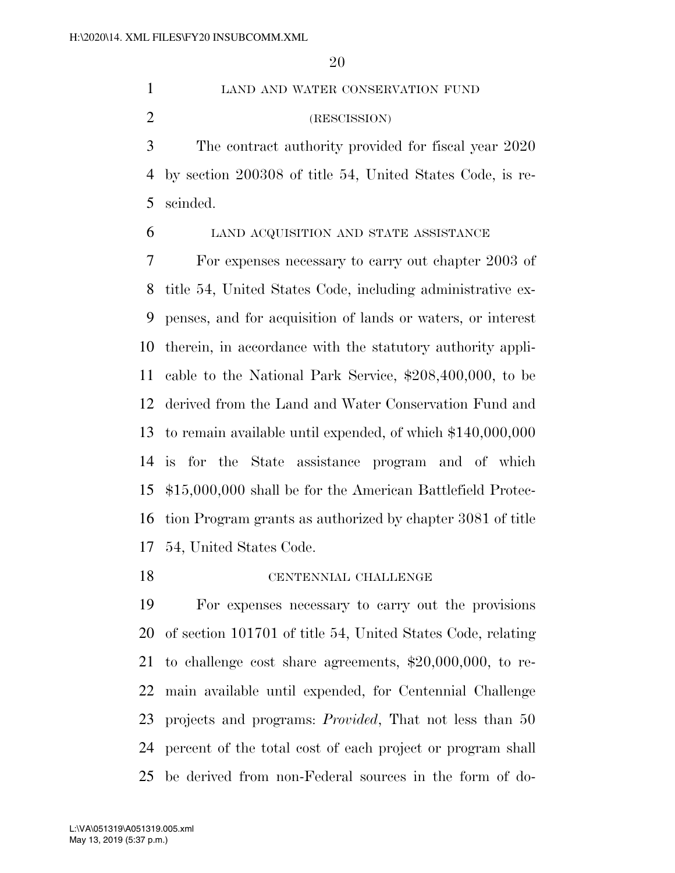LAND AND WATER CONSERVATION FUND (RESCISSION)

 The contract authority provided for fiscal year 2020 by section 200308 of title 54, United States Code, is re-scinded.

LAND ACQUISITION AND STATE ASSISTANCE

 For expenses necessary to carry out chapter 2003 of title 54, United States Code, including administrative ex- penses, and for acquisition of lands or waters, or interest therein, in accordance with the statutory authority appli- cable to the National Park Service, \$208,400,000, to be derived from the Land and Water Conservation Fund and to remain available until expended, of which \$140,000,000 is for the State assistance program and of which \$15,000,000 shall be for the American Battlefield Protec- tion Program grants as authorized by chapter 3081 of title 54, United States Code.

#### CENTENNIAL CHALLENGE

 For expenses necessary to carry out the provisions of section 101701 of title 54, United States Code, relating to challenge cost share agreements, \$20,000,000, to re- main available until expended, for Centennial Challenge projects and programs: *Provided*, That not less than 50 percent of the total cost of each project or program shall be derived from non-Federal sources in the form of do-

May 13, 2019 (5:37 p.m.) L:\VA\051319\A051319.005.xml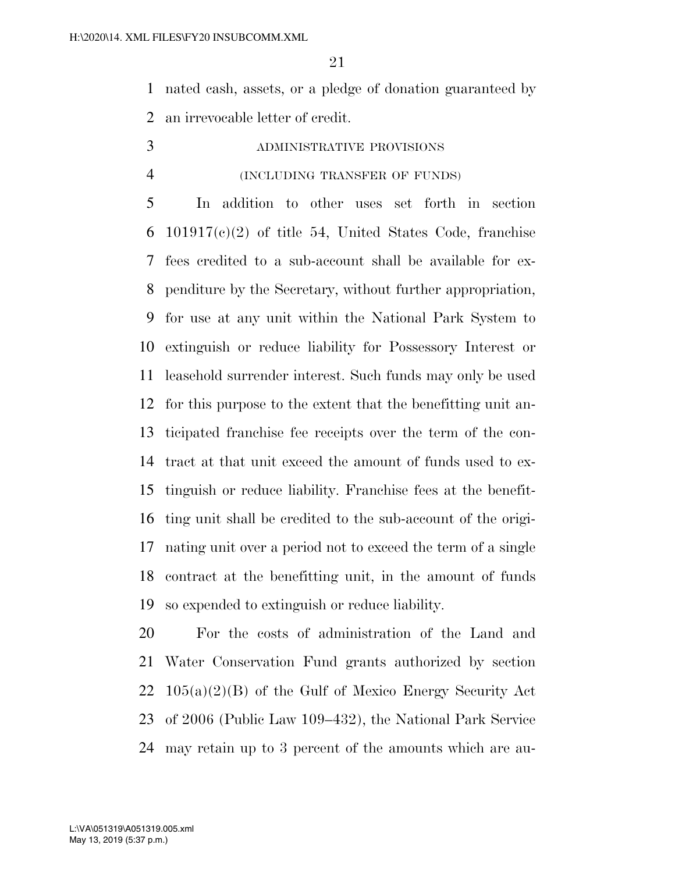nated cash, assets, or a pledge of donation guaranteed by an irrevocable letter of credit.

# ADMINISTRATIVE PROVISIONS

#### (INCLUDING TRANSFER OF FUNDS)

 In addition to other uses set forth in section 6 101917(c)(2) of title 54, United States Code, franchise fees credited to a sub-account shall be available for ex- penditure by the Secretary, without further appropriation, for use at any unit within the National Park System to extinguish or reduce liability for Possessory Interest or leasehold surrender interest. Such funds may only be used for this purpose to the extent that the benefitting unit an- ticipated franchise fee receipts over the term of the con- tract at that unit exceed the amount of funds used to ex- tinguish or reduce liability. Franchise fees at the benefit- ting unit shall be credited to the sub-account of the origi- nating unit over a period not to exceed the term of a single contract at the benefitting unit, in the amount of funds so expended to extinguish or reduce liability.

 For the costs of administration of the Land and Water Conservation Fund grants authorized by section  $22 \quad 105(a)(2)(B)$  of the Gulf of Mexico Energy Security Act of 2006 (Public Law 109–432), the National Park Service may retain up to 3 percent of the amounts which are au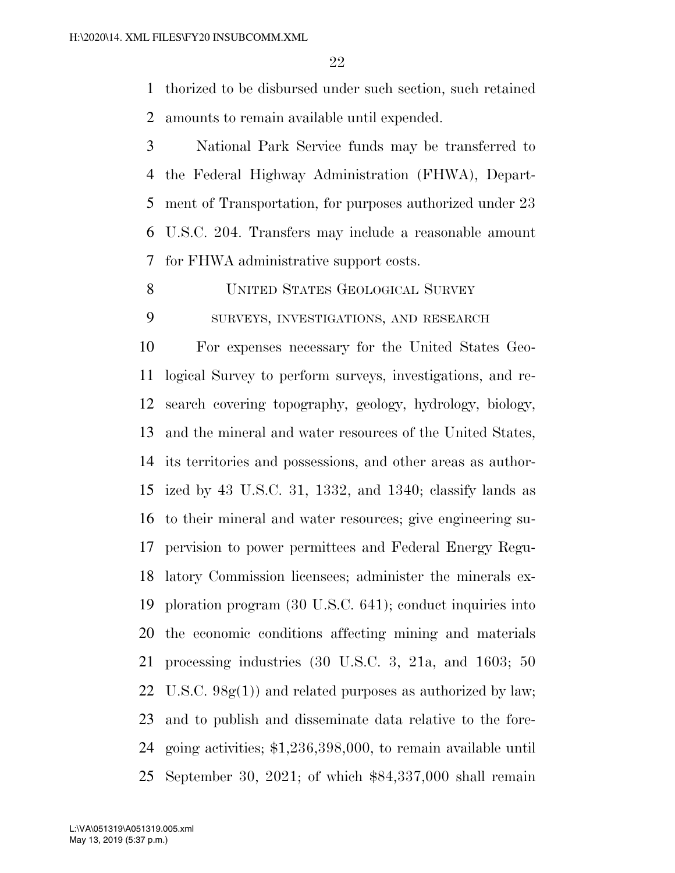thorized to be disbursed under such section, such retained amounts to remain available until expended.

 National Park Service funds may be transferred to the Federal Highway Administration (FHWA), Depart- ment of Transportation, for purposes authorized under 23 U.S.C. 204. Transfers may include a reasonable amount for FHWA administrative support costs.

UNITED STATES GEOLOGICAL SURVEY

SURVEYS, INVESTIGATIONS, AND RESEARCH

 For expenses necessary for the United States Geo- logical Survey to perform surveys, investigations, and re- search covering topography, geology, hydrology, biology, and the mineral and water resources of the United States, its territories and possessions, and other areas as author- ized by 43 U.S.C. 31, 1332, and 1340; classify lands as to their mineral and water resources; give engineering su- pervision to power permittees and Federal Energy Regu- latory Commission licensees; administer the minerals ex- ploration program (30 U.S.C. 641); conduct inquiries into the economic conditions affecting mining and materials processing industries (30 U.S.C. 3, 21a, and 1603; 50 U.S.C. 98g(1)) and related purposes as authorized by law; and to publish and disseminate data relative to the fore- going activities; \$1,236,398,000, to remain available until September 30, 2021; of which \$84,337,000 shall remain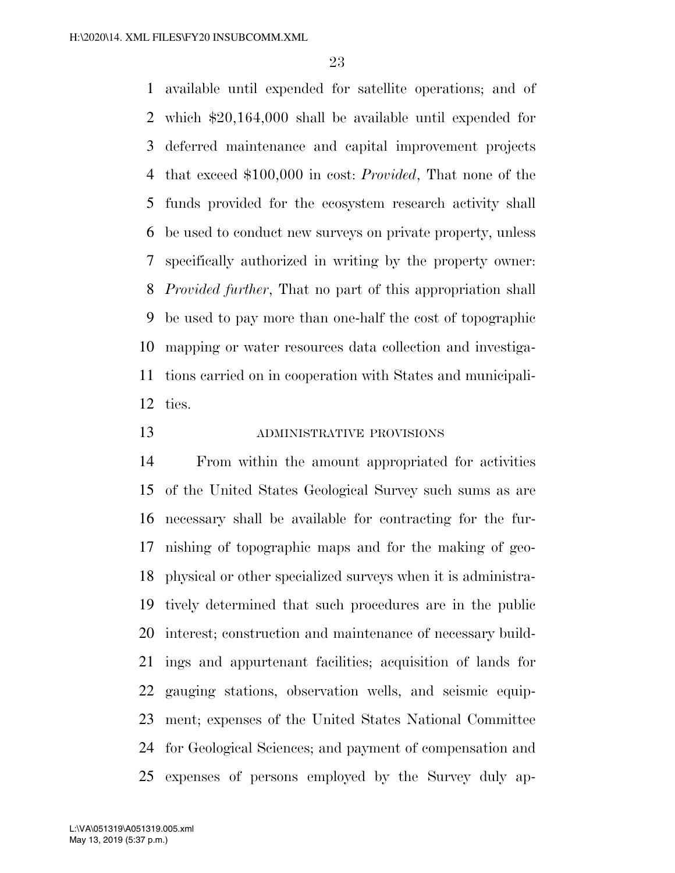available until expended for satellite operations; and of which \$20,164,000 shall be available until expended for deferred maintenance and capital improvement projects that exceed \$100,000 in cost: *Provided*, That none of the funds provided for the ecosystem research activity shall be used to conduct new surveys on private property, unless specifically authorized in writing by the property owner: *Provided further*, That no part of this appropriation shall be used to pay more than one-half the cost of topographic mapping or water resources data collection and investiga- tions carried on in cooperation with States and municipali-ties.

# ADMINISTRATIVE PROVISIONS

 From within the amount appropriated for activities of the United States Geological Survey such sums as are necessary shall be available for contracting for the fur- nishing of topographic maps and for the making of geo- physical or other specialized surveys when it is administra- tively determined that such procedures are in the public interest; construction and maintenance of necessary build- ings and appurtenant facilities; acquisition of lands for gauging stations, observation wells, and seismic equip- ment; expenses of the United States National Committee for Geological Sciences; and payment of compensation and expenses of persons employed by the Survey duly ap-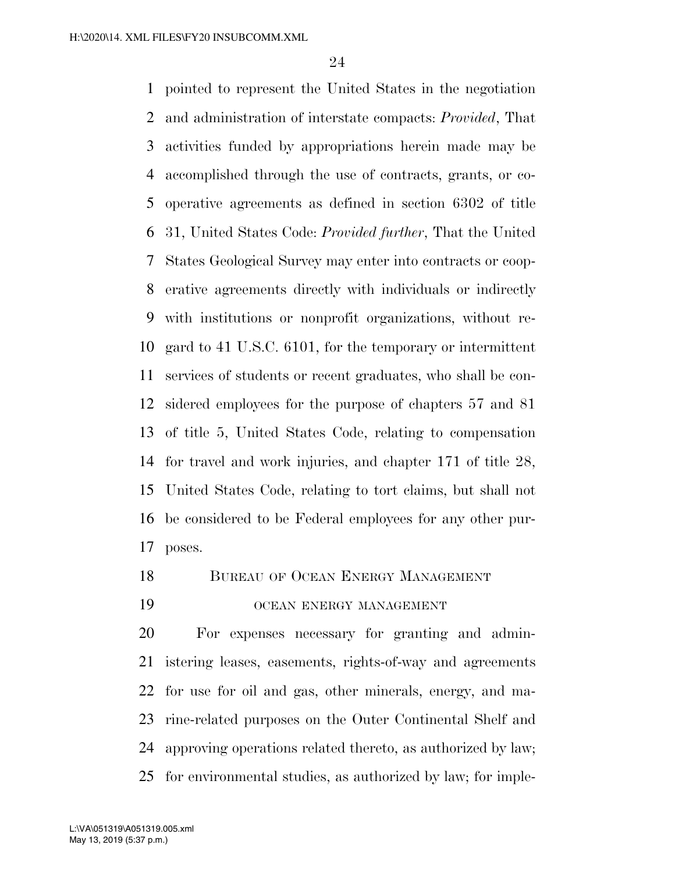pointed to represent the United States in the negotiation and administration of interstate compacts: *Provided*, That activities funded by appropriations herein made may be accomplished through the use of contracts, grants, or co- operative agreements as defined in section 6302 of title 31, United States Code: *Provided further*, That the United States Geological Survey may enter into contracts or coop- erative agreements directly with individuals or indirectly with institutions or nonprofit organizations, without re- gard to 41 U.S.C. 6101, for the temporary or intermittent services of students or recent graduates, who shall be con- sidered employees for the purpose of chapters 57 and 81 of title 5, United States Code, relating to compensation for travel and work injuries, and chapter 171 of title 28, United States Code, relating to tort claims, but shall not be considered to be Federal employees for any other pur-poses.

- 18 BUREAU OF OCEAN ENERGY MANAGEMENT
- OCEAN ENERGY MANAGEMENT

 For expenses necessary for granting and admin- istering leases, easements, rights-of-way and agreements for use for oil and gas, other minerals, energy, and ma- rine-related purposes on the Outer Continental Shelf and approving operations related thereto, as authorized by law; for environmental studies, as authorized by law; for imple-

May 13, 2019 (5:37 p.m.) L:\VA\051319\A051319.005.xml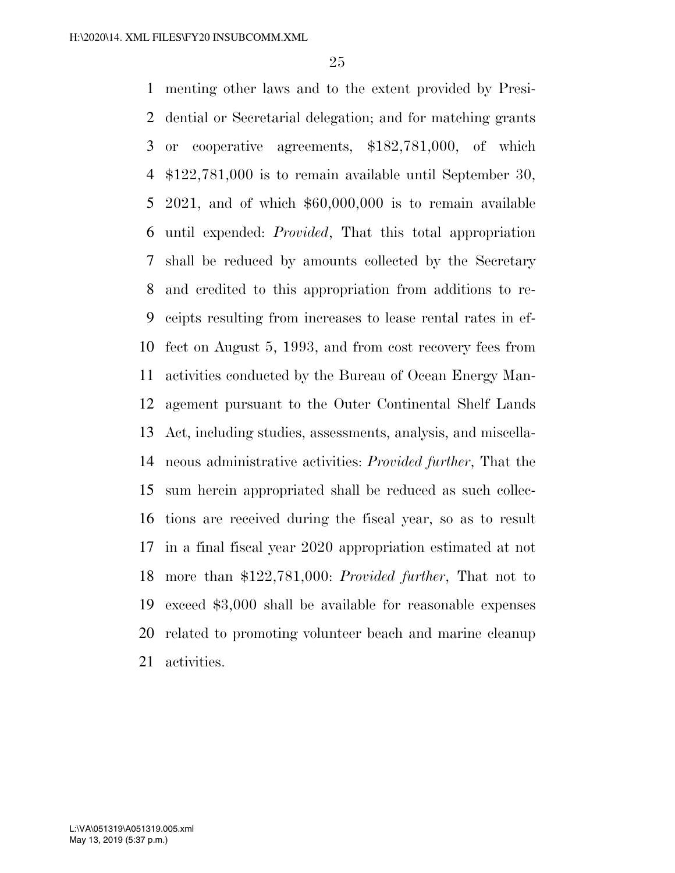menting other laws and to the extent provided by Presi- dential or Secretarial delegation; and for matching grants or cooperative agreements, \$182,781,000, of which \$122,781,000 is to remain available until September 30, 2021, and of which \$60,000,000 is to remain available until expended: *Provided*, That this total appropriation shall be reduced by amounts collected by the Secretary and credited to this appropriation from additions to re- ceipts resulting from increases to lease rental rates in ef- fect on August 5, 1993, and from cost recovery fees from activities conducted by the Bureau of Ocean Energy Man- agement pursuant to the Outer Continental Shelf Lands Act, including studies, assessments, analysis, and miscella- neous administrative activities: *Provided further*, That the sum herein appropriated shall be reduced as such collec- tions are received during the fiscal year, so as to result in a final fiscal year 2020 appropriation estimated at not more than \$122,781,000: *Provided further*, That not to exceed \$3,000 shall be available for reasonable expenses related to promoting volunteer beach and marine cleanup activities.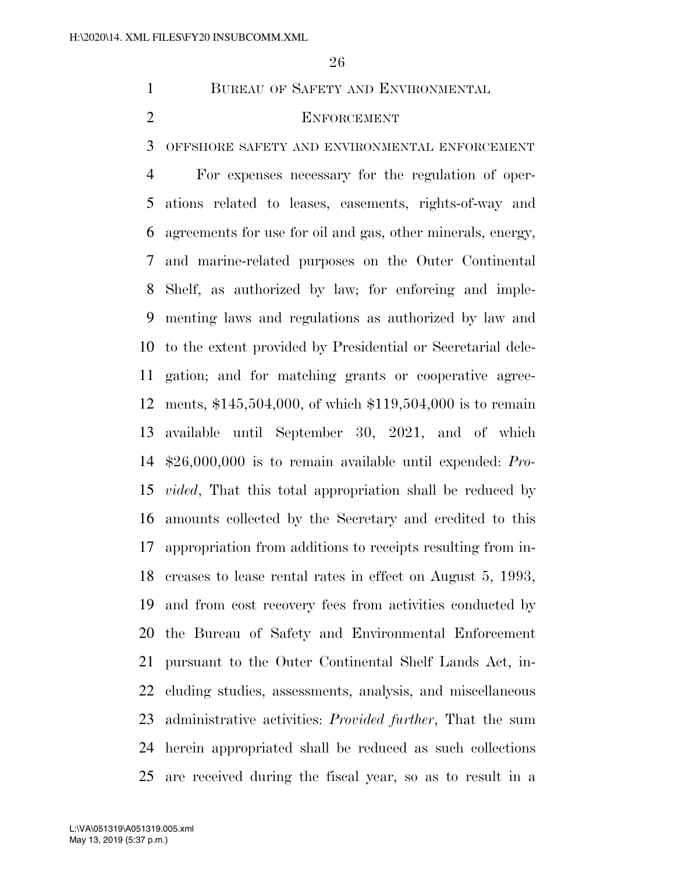1 BUREAU OF SAFETY AND ENVIRONMENTAL

# ENFORCEMENT

OFFSHORE SAFETY AND ENVIRONMENTAL ENFORCEMENT

 For expenses necessary for the regulation of oper- ations related to leases, easements, rights-of-way and agreements for use for oil and gas, other minerals, energy, and marine-related purposes on the Outer Continental Shelf, as authorized by law; for enforcing and imple- menting laws and regulations as authorized by law and to the extent provided by Presidential or Secretarial dele- gation; and for matching grants or cooperative agree- ments, \$145,504,000, of which \$119,504,000 is to remain available until September 30, 2021, and of which \$26,000,000 is to remain available until expended: *Pro- vided*, That this total appropriation shall be reduced by amounts collected by the Secretary and credited to this appropriation from additions to receipts resulting from in- creases to lease rental rates in effect on August 5, 1993, and from cost recovery fees from activities conducted by the Bureau of Safety and Environmental Enforcement pursuant to the Outer Continental Shelf Lands Act, in- cluding studies, assessments, analysis, and miscellaneous administrative activities: *Provided further*, That the sum herein appropriated shall be reduced as such collections are received during the fiscal year, so as to result in a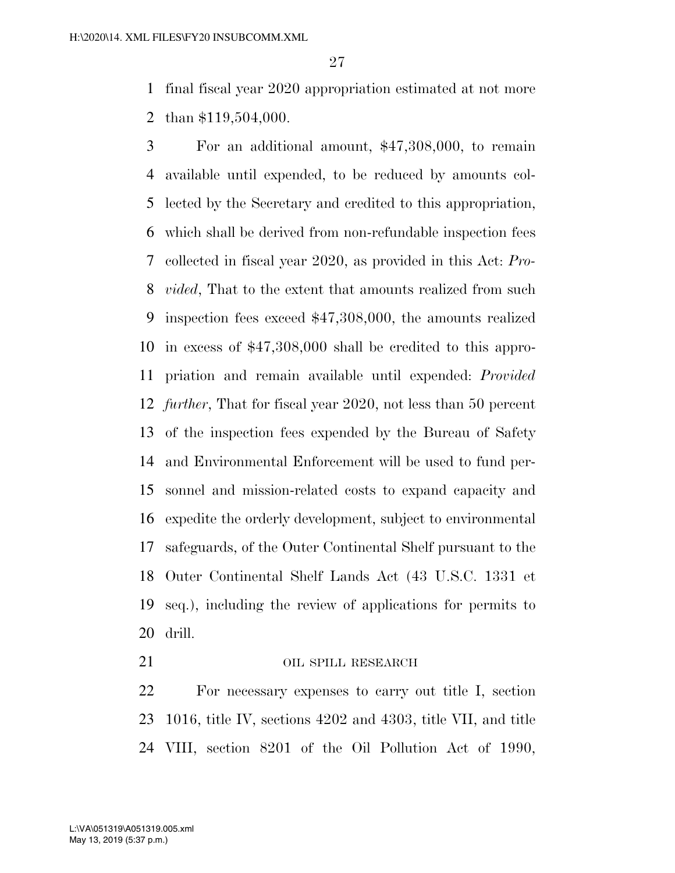final fiscal year 2020 appropriation estimated at not more than \$119,504,000.

 For an additional amount, \$47,308,000, to remain available until expended, to be reduced by amounts col- lected by the Secretary and credited to this appropriation, which shall be derived from non-refundable inspection fees collected in fiscal year 2020, as provided in this Act: *Pro- vided*, That to the extent that amounts realized from such inspection fees exceed \$47,308,000, the amounts realized in excess of \$47,308,000 shall be credited to this appro- priation and remain available until expended: *Provided further*, That for fiscal year 2020, not less than 50 percent of the inspection fees expended by the Bureau of Safety and Environmental Enforcement will be used to fund per- sonnel and mission-related costs to expand capacity and expedite the orderly development, subject to environmental safeguards, of the Outer Continental Shelf pursuant to the Outer Continental Shelf Lands Act (43 U.S.C. 1331 et seq.), including the review of applications for permits to drill.

### 21 OIL SPILL RESEARCH

 For necessary expenses to carry out title I, section 1016, title IV, sections 4202 and 4303, title VII, and title VIII, section 8201 of the Oil Pollution Act of 1990,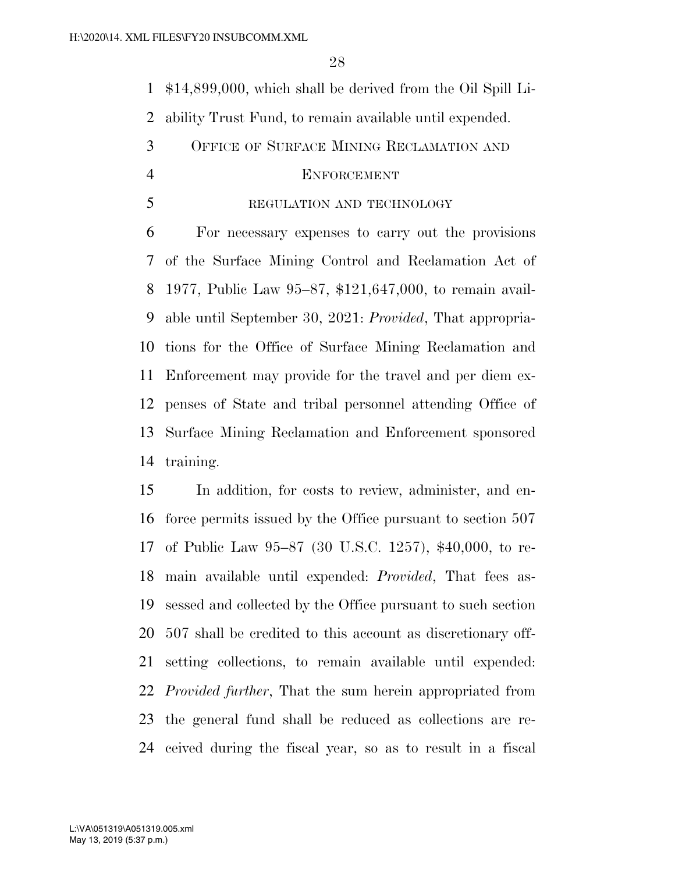\$14,899,000, which shall be derived from the Oil Spill Li-

ability Trust Fund, to remain available until expended.

OFFICE OF SURFACE MINING RECLAMATION AND

#### ENFORCEMENT

# 5 REGULATION AND TECHNOLOGY

 For necessary expenses to carry out the provisions of the Surface Mining Control and Reclamation Act of 1977, Public Law 95–87, \$121,647,000, to remain avail- able until September 30, 2021: *Provided*, That appropria- tions for the Office of Surface Mining Reclamation and Enforcement may provide for the travel and per diem ex- penses of State and tribal personnel attending Office of Surface Mining Reclamation and Enforcement sponsored training.

 In addition, for costs to review, administer, and en- force permits issued by the Office pursuant to section 507 of Public Law 95–87 (30 U.S.C. 1257), \$40,000, to re- main available until expended: *Provided*, That fees as- sessed and collected by the Office pursuant to such section 507 shall be credited to this account as discretionary off- setting collections, to remain available until expended: *Provided further*, That the sum herein appropriated from the general fund shall be reduced as collections are re-ceived during the fiscal year, so as to result in a fiscal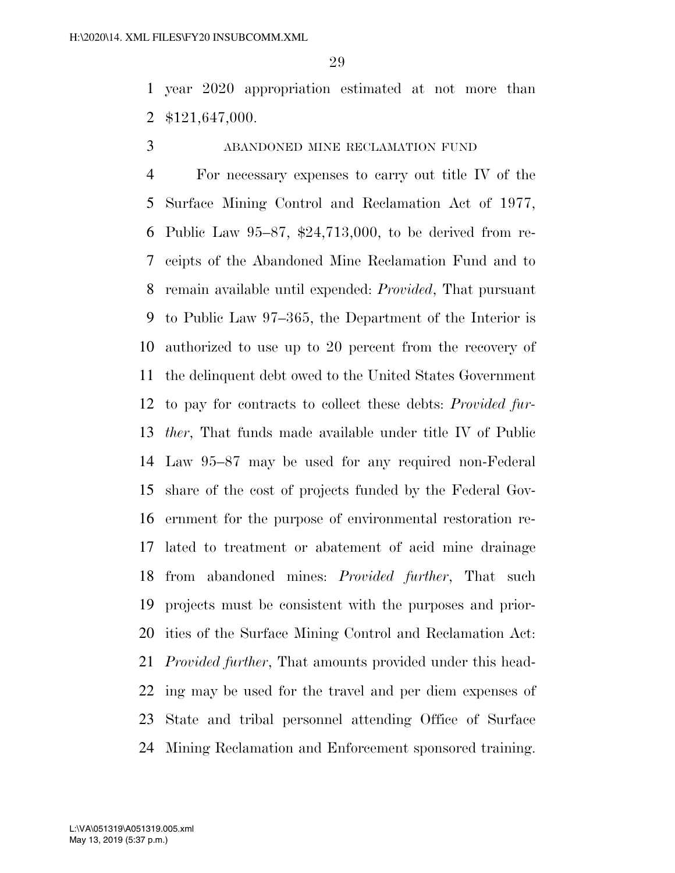year 2020 appropriation estimated at not more than \$121,647,000.

ABANDONED MINE RECLAMATION FUND

 For necessary expenses to carry out title IV of the Surface Mining Control and Reclamation Act of 1977, Public Law 95–87, \$24,713,000, to be derived from re- ceipts of the Abandoned Mine Reclamation Fund and to remain available until expended: *Provided*, That pursuant to Public Law 97–365, the Department of the Interior is authorized to use up to 20 percent from the recovery of the delinquent debt owed to the United States Government to pay for contracts to collect these debts: *Provided fur- ther*, That funds made available under title IV of Public Law 95–87 may be used for any required non-Federal share of the cost of projects funded by the Federal Gov- ernment for the purpose of environmental restoration re- lated to treatment or abatement of acid mine drainage from abandoned mines: *Provided further*, That such projects must be consistent with the purposes and prior- ities of the Surface Mining Control and Reclamation Act: *Provided further*, That amounts provided under this head- ing may be used for the travel and per diem expenses of State and tribal personnel attending Office of Surface Mining Reclamation and Enforcement sponsored training.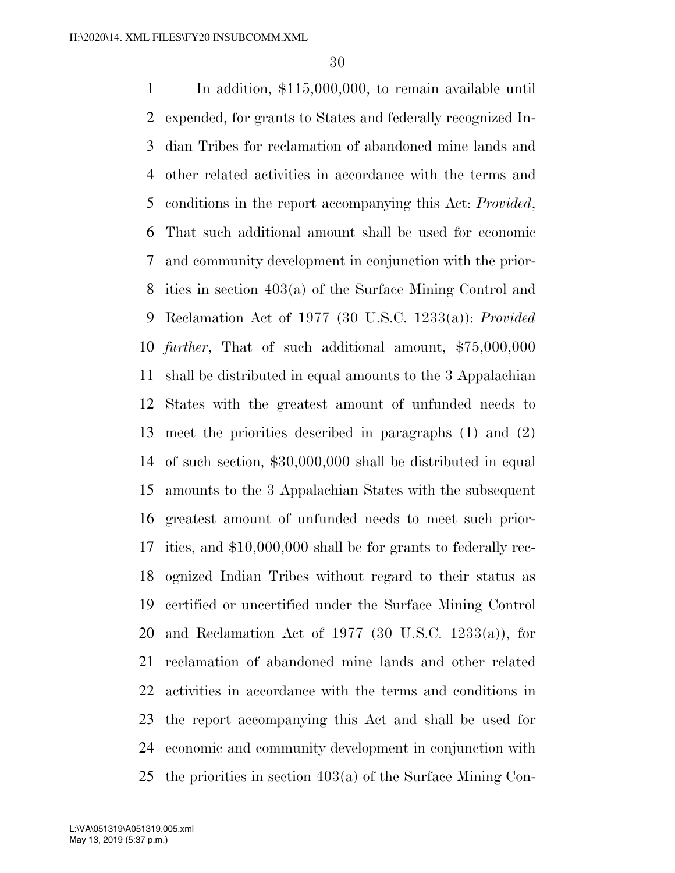In addition, \$115,000,000, to remain available until expended, for grants to States and federally recognized In- dian Tribes for reclamation of abandoned mine lands and other related activities in accordance with the terms and conditions in the report accompanying this Act: *Provided*, That such additional amount shall be used for economic and community development in conjunction with the prior- ities in section 403(a) of the Surface Mining Control and Reclamation Act of 1977 (30 U.S.C. 1233(a)): *Provided further*, That of such additional amount, \$75,000,000 shall be distributed in equal amounts to the 3 Appalachian States with the greatest amount of unfunded needs to meet the priorities described in paragraphs (1) and (2) of such section, \$30,000,000 shall be distributed in equal amounts to the 3 Appalachian States with the subsequent greatest amount of unfunded needs to meet such prior- ities, and \$10,000,000 shall be for grants to federally rec- ognized Indian Tribes without regard to their status as certified or uncertified under the Surface Mining Control and Reclamation Act of 1977 (30 U.S.C. 1233(a)), for reclamation of abandoned mine lands and other related activities in accordance with the terms and conditions in the report accompanying this Act and shall be used for economic and community development in conjunction with the priorities in section 403(a) of the Surface Mining Con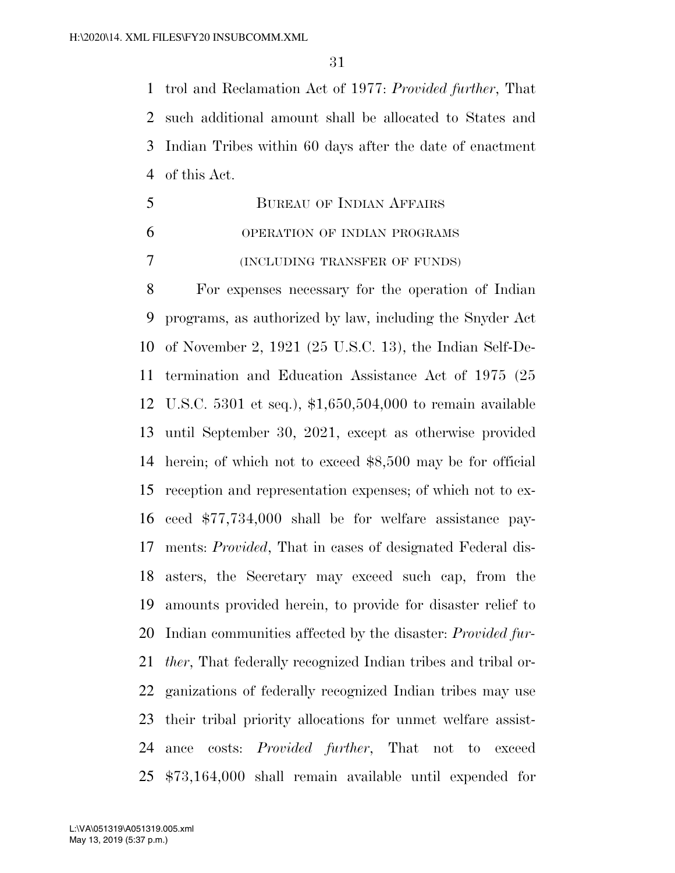trol and Reclamation Act of 1977: *Provided further*, That such additional amount shall be allocated to States and Indian Tribes within 60 days after the date of enactment of this Act.

 BUREAU OF INDIAN AFFAIRS OPERATION OF INDIAN PROGRAMS (INCLUDING TRANSFER OF FUNDS)

 For expenses necessary for the operation of Indian programs, as authorized by law, including the Snyder Act of November 2, 1921 (25 U.S.C. 13), the Indian Self-De- termination and Education Assistance Act of 1975 (25 U.S.C. 5301 et seq.), \$1,650,504,000 to remain available until September 30, 2021, except as otherwise provided herein; of which not to exceed \$8,500 may be for official reception and representation expenses; of which not to ex- ceed \$77,734,000 shall be for welfare assistance pay- ments: *Provided*, That in cases of designated Federal dis- asters, the Secretary may exceed such cap, from the amounts provided herein, to provide for disaster relief to Indian communities affected by the disaster: *Provided fur- ther*, That federally recognized Indian tribes and tribal or- ganizations of federally recognized Indian tribes may use their tribal priority allocations for unmet welfare assist- ance costs: *Provided further*, That not to exceed \$73,164,000 shall remain available until expended for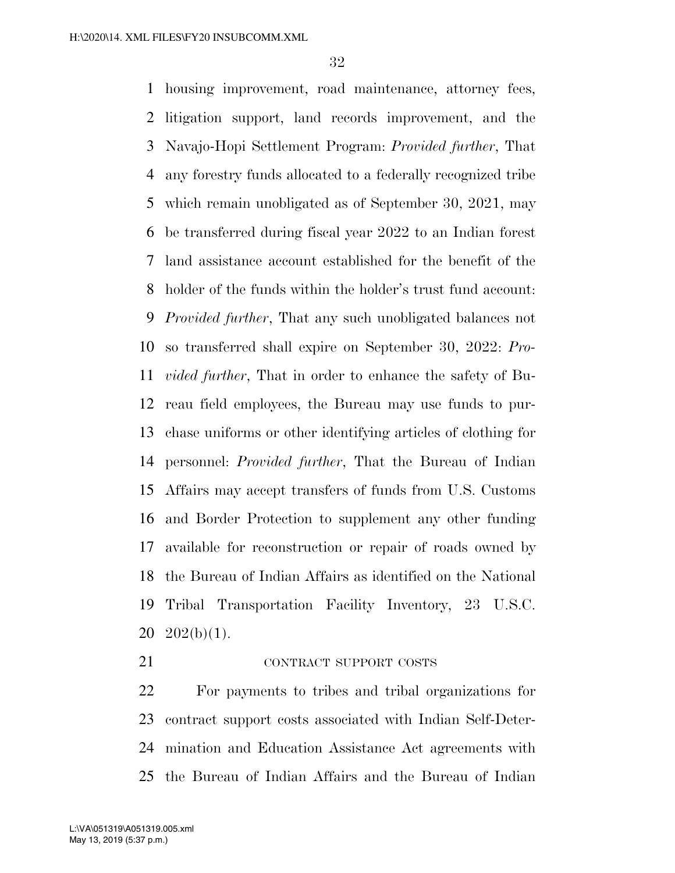housing improvement, road maintenance, attorney fees, litigation support, land records improvement, and the Navajo-Hopi Settlement Program: *Provided further*, That any forestry funds allocated to a federally recognized tribe which remain unobligated as of September 30, 2021, may be transferred during fiscal year 2022 to an Indian forest land assistance account established for the benefit of the holder of the funds within the holder's trust fund account: *Provided further*, That any such unobligated balances not so transferred shall expire on September 30, 2022: *Pro- vided further*, That in order to enhance the safety of Bu- reau field employees, the Bureau may use funds to pur- chase uniforms or other identifying articles of clothing for personnel: *Provided further*, That the Bureau of Indian Affairs may accept transfers of funds from U.S. Customs and Border Protection to supplement any other funding available for reconstruction or repair of roads owned by the Bureau of Indian Affairs as identified on the National Tribal Transportation Facility Inventory, 23 U.S.C.  $20 \quad 202(b)(1)$ .

# 21 CONTRACT SUPPORT COSTS

 For payments to tribes and tribal organizations for contract support costs associated with Indian Self-Deter- mination and Education Assistance Act agreements with the Bureau of Indian Affairs and the Bureau of Indian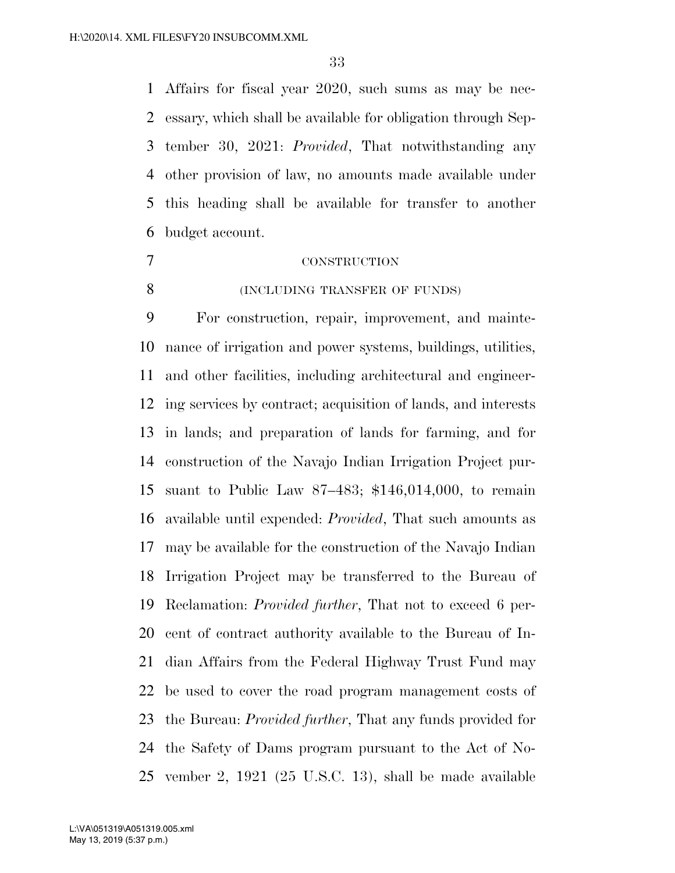Affairs for fiscal year 2020, such sums as may be nec- essary, which shall be available for obligation through Sep- tember 30, 2021: *Provided*, That notwithstanding any other provision of law, no amounts made available under this heading shall be available for transfer to another budget account.

# CONSTRUCTION

8 (INCLUDING TRANSFER OF FUNDS)

 For construction, repair, improvement, and mainte- nance of irrigation and power systems, buildings, utilities, and other facilities, including architectural and engineer- ing services by contract; acquisition of lands, and interests in lands; and preparation of lands for farming, and for construction of the Navajo Indian Irrigation Project pur- suant to Public Law 87–483; \$146,014,000, to remain available until expended: *Provided*, That such amounts as may be available for the construction of the Navajo Indian Irrigation Project may be transferred to the Bureau of Reclamation: *Provided further*, That not to exceed 6 per- cent of contract authority available to the Bureau of In- dian Affairs from the Federal Highway Trust Fund may be used to cover the road program management costs of the Bureau: *Provided further*, That any funds provided for the Safety of Dams program pursuant to the Act of No-vember 2, 1921 (25 U.S.C. 13), shall be made available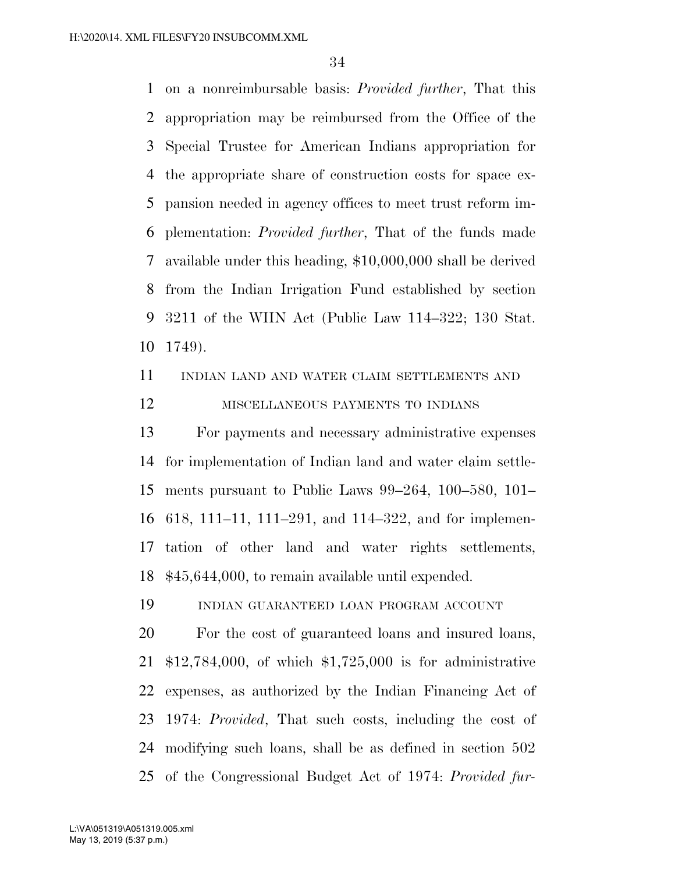on a nonreimbursable basis: *Provided further*, That this appropriation may be reimbursed from the Office of the Special Trustee for American Indians appropriation for the appropriate share of construction costs for space ex- pansion needed in agency offices to meet trust reform im- plementation: *Provided further*, That of the funds made available under this heading, \$10,000,000 shall be derived from the Indian Irrigation Fund established by section 3211 of the WIIN Act (Public Law 114–322; 130 Stat. 1749).

INDIAN LAND AND WATER CLAIM SETTLEMENTS AND

# MISCELLANEOUS PAYMENTS TO INDIANS

 For payments and necessary administrative expenses for implementation of Indian land and water claim settle- ments pursuant to Public Laws 99–264, 100–580, 101– 618, 111–11, 111–291, and 114–322, and for implemen- tation of other land and water rights settlements, \$45,644,000, to remain available until expended.

INDIAN GUARANTEED LOAN PROGRAM ACCOUNT

 For the cost of guaranteed loans and insured loans, \$12,784,000, of which \$1,725,000 is for administrative expenses, as authorized by the Indian Financing Act of 1974: *Provided*, That such costs, including the cost of modifying such loans, shall be as defined in section 502 of the Congressional Budget Act of 1974: *Provided fur-*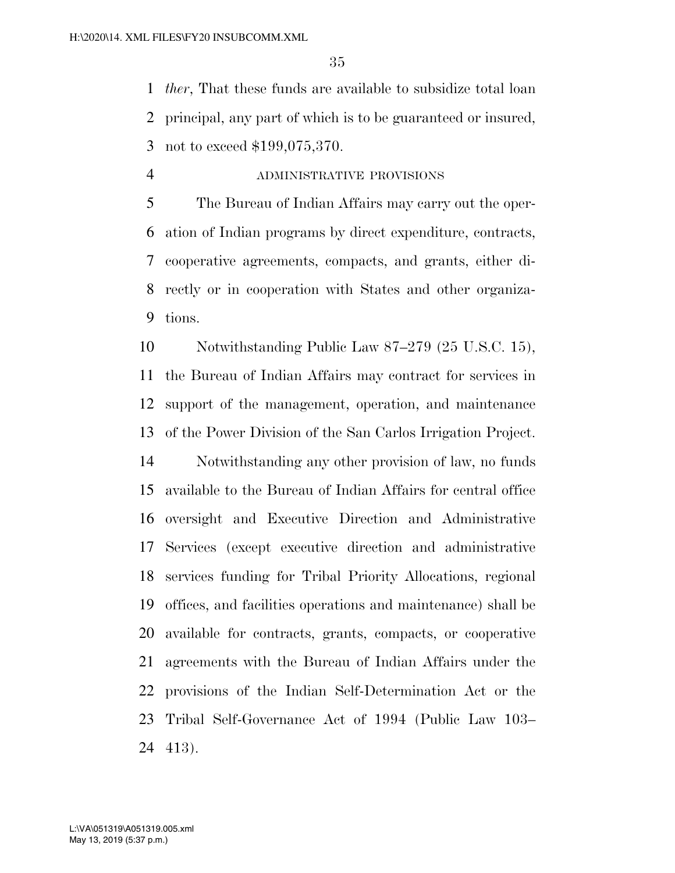*ther*, That these funds are available to subsidize total loan principal, any part of which is to be guaranteed or insured, not to exceed \$199,075,370.

ADMINISTRATIVE PROVISIONS

 The Bureau of Indian Affairs may carry out the oper- ation of Indian programs by direct expenditure, contracts, cooperative agreements, compacts, and grants, either di- rectly or in cooperation with States and other organiza-tions.

 Notwithstanding Public Law 87–279 (25 U.S.C. 15), the Bureau of Indian Affairs may contract for services in support of the management, operation, and maintenance of the Power Division of the San Carlos Irrigation Project.

 Notwithstanding any other provision of law, no funds available to the Bureau of Indian Affairs for central office oversight and Executive Direction and Administrative Services (except executive direction and administrative services funding for Tribal Priority Allocations, regional offices, and facilities operations and maintenance) shall be available for contracts, grants, compacts, or cooperative agreements with the Bureau of Indian Affairs under the provisions of the Indian Self-Determination Act or the Tribal Self-Governance Act of 1994 (Public Law 103– 413).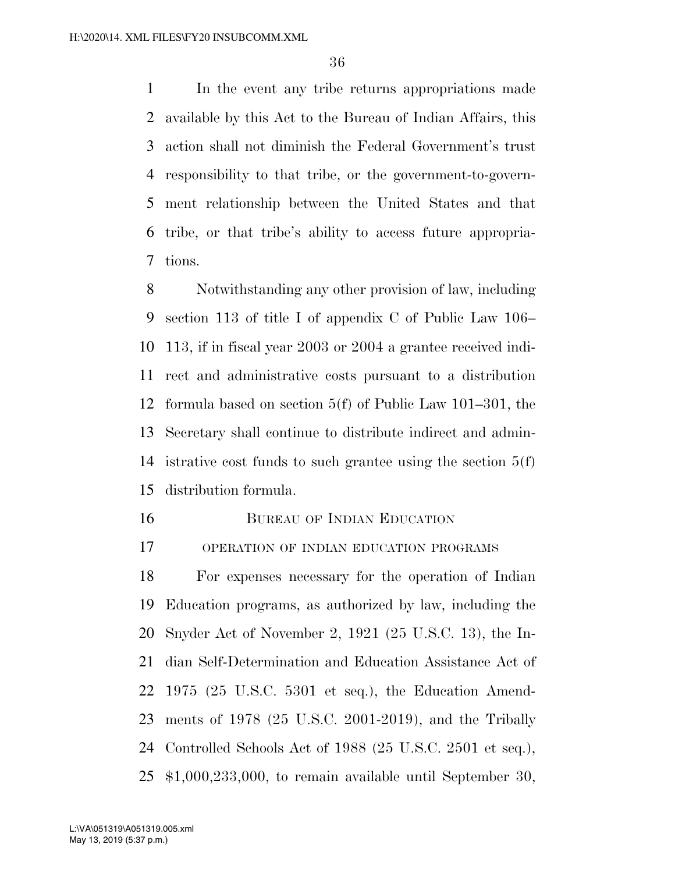In the event any tribe returns appropriations made available by this Act to the Bureau of Indian Affairs, this action shall not diminish the Federal Government's trust responsibility to that tribe, or the government-to-govern- ment relationship between the United States and that tribe, or that tribe's ability to access future appropria-tions.

 Notwithstanding any other provision of law, including section 113 of title I of appendix C of Public Law 106– 113, if in fiscal year 2003 or 2004 a grantee received indi- rect and administrative costs pursuant to a distribution formula based on section 5(f) of Public Law 101–301, the Secretary shall continue to distribute indirect and admin- istrative cost funds to such grantee using the section 5(f) distribution formula.

BUREAU OF INDIAN EDUCATION

OPERATION OF INDIAN EDUCATION PROGRAMS

 For expenses necessary for the operation of Indian Education programs, as authorized by law, including the Snyder Act of November 2, 1921 (25 U.S.C. 13), the In- dian Self-Determination and Education Assistance Act of 1975 (25 U.S.C. 5301 et seq.), the Education Amend- ments of 1978 (25 U.S.C. 2001-2019), and the Tribally Controlled Schools Act of 1988 (25 U.S.C. 2501 et seq.), \$1,000,233,000, to remain available until September 30,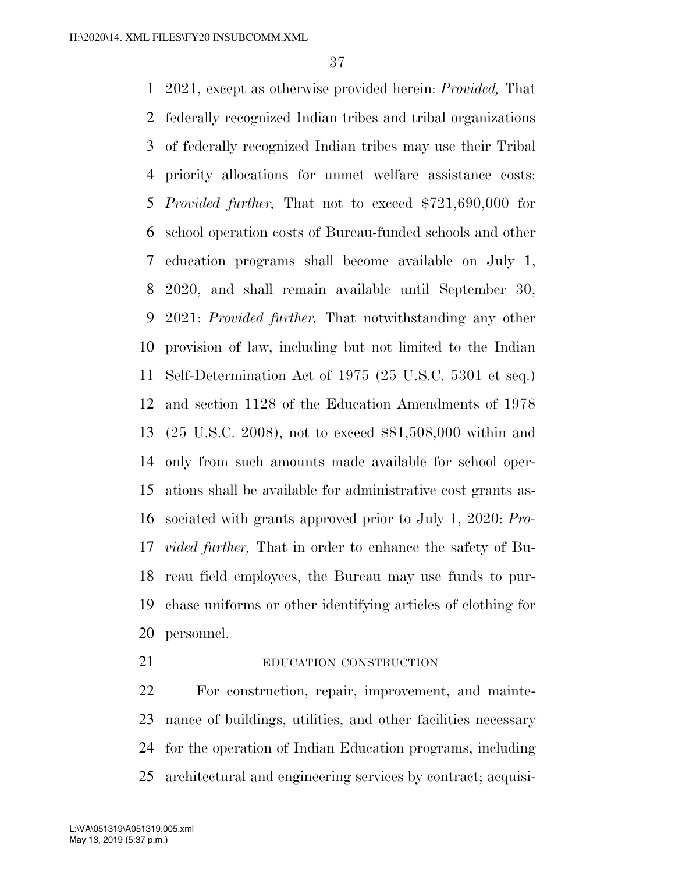2021, except as otherwise provided herein: *Provided,* That federally recognized Indian tribes and tribal organizations of federally recognized Indian tribes may use their Tribal priority allocations for unmet welfare assistance costs: *Provided further,* That not to exceed \$721,690,000 for school operation costs of Bureau-funded schools and other education programs shall become available on July 1, 2020, and shall remain available until September 30, 2021: *Provided further,* That notwithstanding any other provision of law, including but not limited to the Indian Self-Determination Act of 1975 (25 U.S.C. 5301 et seq.) and section 1128 of the Education Amendments of 1978 (25 U.S.C. 2008), not to exceed \$81,508,000 within and only from such amounts made available for school oper- ations shall be available for administrative cost grants as- sociated with grants approved prior to July 1, 2020: *Pro- vided further,* That in order to enhance the safety of Bu- reau field employees, the Bureau may use funds to pur- chase uniforms or other identifying articles of clothing for personnel.

21 EDUCATION CONSTRUCTION

 For construction, repair, improvement, and mainte- nance of buildings, utilities, and other facilities necessary for the operation of Indian Education programs, including architectural and engineering services by contract; acquisi-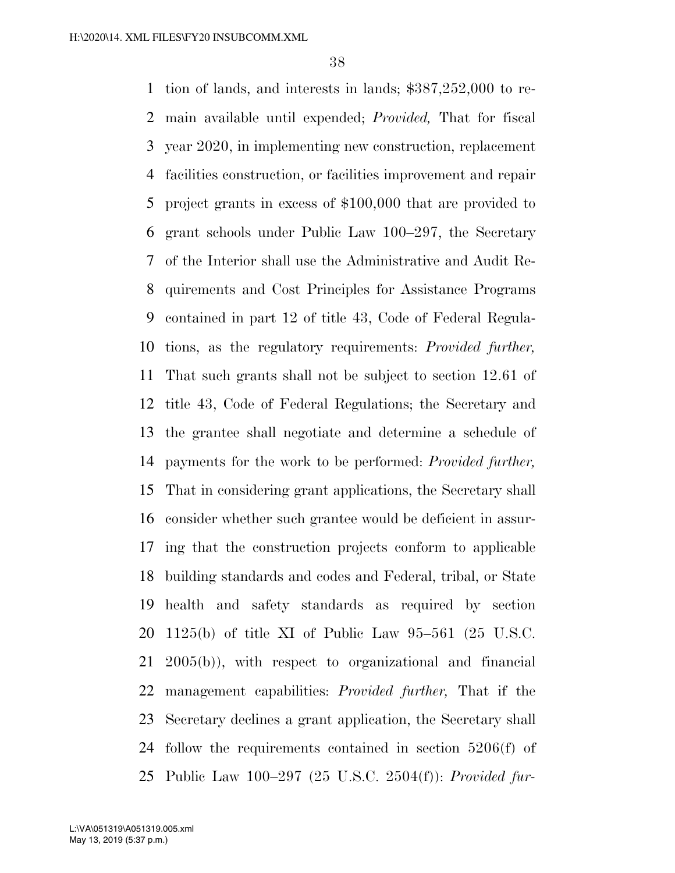tion of lands, and interests in lands; \$387,252,000 to re- main available until expended; *Provided,* That for fiscal year 2020, in implementing new construction, replacement facilities construction, or facilities improvement and repair project grants in excess of \$100,000 that are provided to grant schools under Public Law 100–297, the Secretary of the Interior shall use the Administrative and Audit Re- quirements and Cost Principles for Assistance Programs contained in part 12 of title 43, Code of Federal Regula- tions, as the regulatory requirements: *Provided further,*  That such grants shall not be subject to section 12.61 of title 43, Code of Federal Regulations; the Secretary and the grantee shall negotiate and determine a schedule of payments for the work to be performed: *Provided further,*  That in considering grant applications, the Secretary shall consider whether such grantee would be deficient in assur- ing that the construction projects conform to applicable building standards and codes and Federal, tribal, or State health and safety standards as required by section 1125(b) of title XI of Public Law 95–561 (25 U.S.C. 2005(b)), with respect to organizational and financial management capabilities: *Provided further,* That if the Secretary declines a grant application, the Secretary shall follow the requirements contained in section 5206(f) of Public Law 100–297 (25 U.S.C. 2504(f)): *Provided fur-*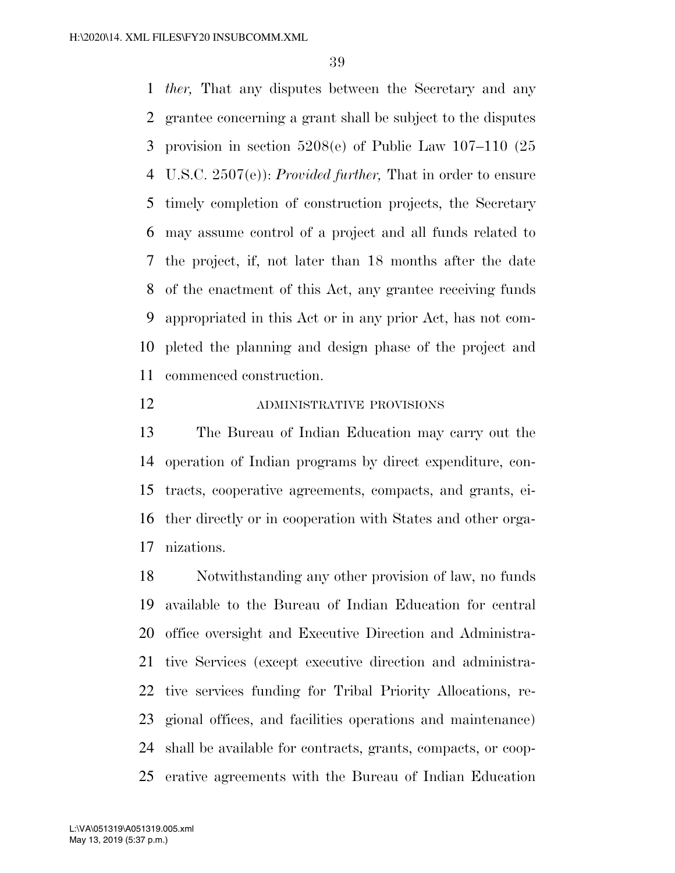*ther,* That any disputes between the Secretary and any grantee concerning a grant shall be subject to the disputes provision in section 5208(e) of Public Law 107–110 (25 U.S.C. 2507(e)): *Provided further,* That in order to ensure timely completion of construction projects, the Secretary may assume control of a project and all funds related to the project, if, not later than 18 months after the date of the enactment of this Act, any grantee receiving funds appropriated in this Act or in any prior Act, has not com- pleted the planning and design phase of the project and commenced construction.

## ADMINISTRATIVE PROVISIONS

 The Bureau of Indian Education may carry out the operation of Indian programs by direct expenditure, con- tracts, cooperative agreements, compacts, and grants, ei- ther directly or in cooperation with States and other orga-nizations.

 Notwithstanding any other provision of law, no funds available to the Bureau of Indian Education for central office oversight and Executive Direction and Administra- tive Services (except executive direction and administra- tive services funding for Tribal Priority Allocations, re- gional offices, and facilities operations and maintenance) shall be available for contracts, grants, compacts, or coop-erative agreements with the Bureau of Indian Education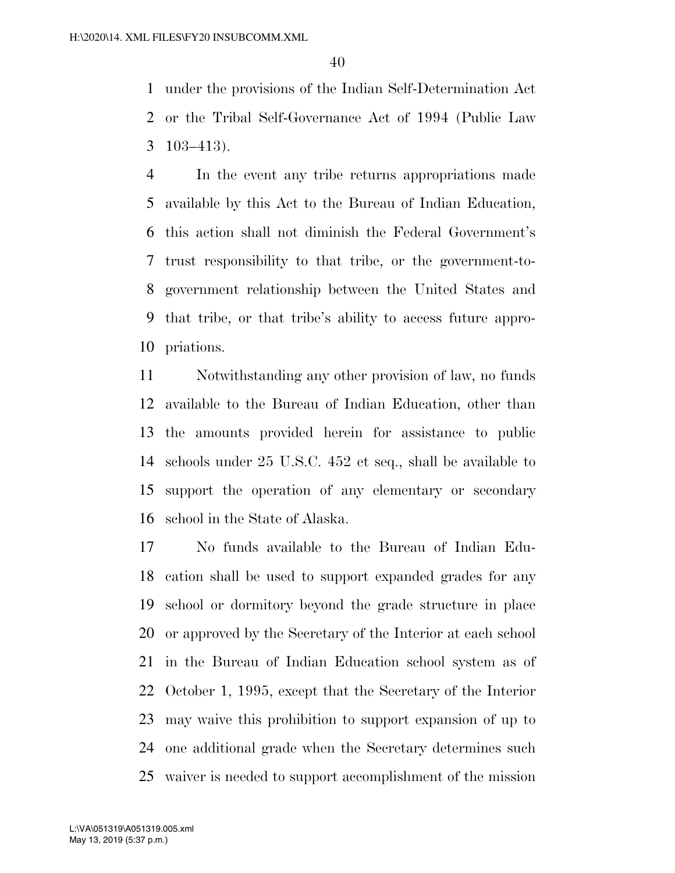under the provisions of the Indian Self-Determination Act or the Tribal Self-Governance Act of 1994 (Public Law 103–413).

 In the event any tribe returns appropriations made available by this Act to the Bureau of Indian Education, this action shall not diminish the Federal Government's trust responsibility to that tribe, or the government-to- government relationship between the United States and that tribe, or that tribe's ability to access future appro-priations.

 Notwithstanding any other provision of law, no funds available to the Bureau of Indian Education, other than the amounts provided herein for assistance to public schools under 25 U.S.C. 452 et seq., shall be available to support the operation of any elementary or secondary school in the State of Alaska.

 No funds available to the Bureau of Indian Edu- cation shall be used to support expanded grades for any school or dormitory beyond the grade structure in place or approved by the Secretary of the Interior at each school in the Bureau of Indian Education school system as of October 1, 1995, except that the Secretary of the Interior may waive this prohibition to support expansion of up to one additional grade when the Secretary determines such waiver is needed to support accomplishment of the mission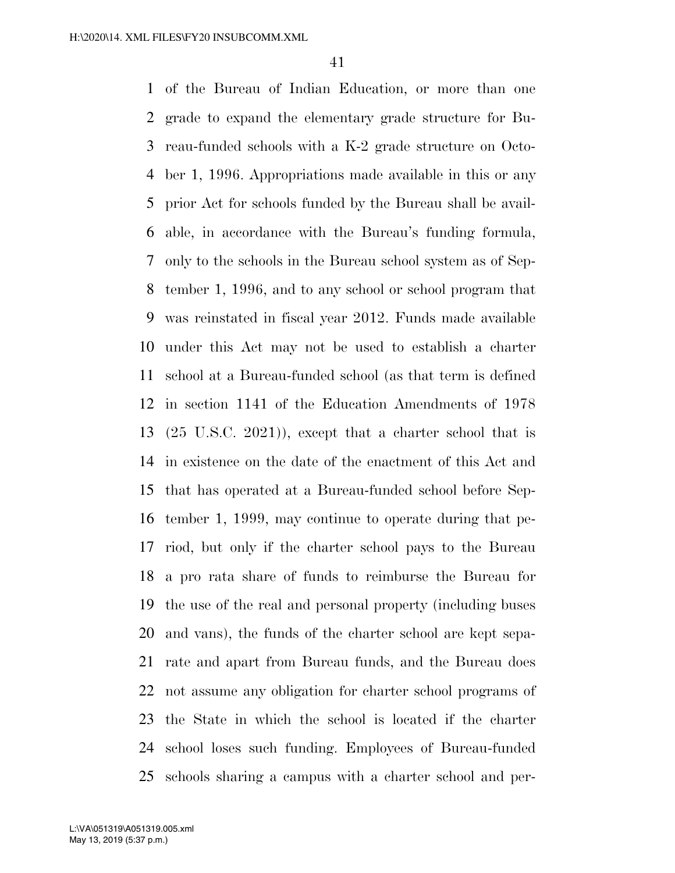of the Bureau of Indian Education, or more than one grade to expand the elementary grade structure for Bu- reau-funded schools with a K-2 grade structure on Octo- ber 1, 1996. Appropriations made available in this or any prior Act for schools funded by the Bureau shall be avail- able, in accordance with the Bureau's funding formula, only to the schools in the Bureau school system as of Sep- tember 1, 1996, and to any school or school program that was reinstated in fiscal year 2012. Funds made available under this Act may not be used to establish a charter school at a Bureau-funded school (as that term is defined in section 1141 of the Education Amendments of 1978 (25 U.S.C. 2021)), except that a charter school that is in existence on the date of the enactment of this Act and that has operated at a Bureau-funded school before Sep- tember 1, 1999, may continue to operate during that pe- riod, but only if the charter school pays to the Bureau a pro rata share of funds to reimburse the Bureau for the use of the real and personal property (including buses and vans), the funds of the charter school are kept sepa- rate and apart from Bureau funds, and the Bureau does not assume any obligation for charter school programs of the State in which the school is located if the charter school loses such funding. Employees of Bureau-funded schools sharing a campus with a charter school and per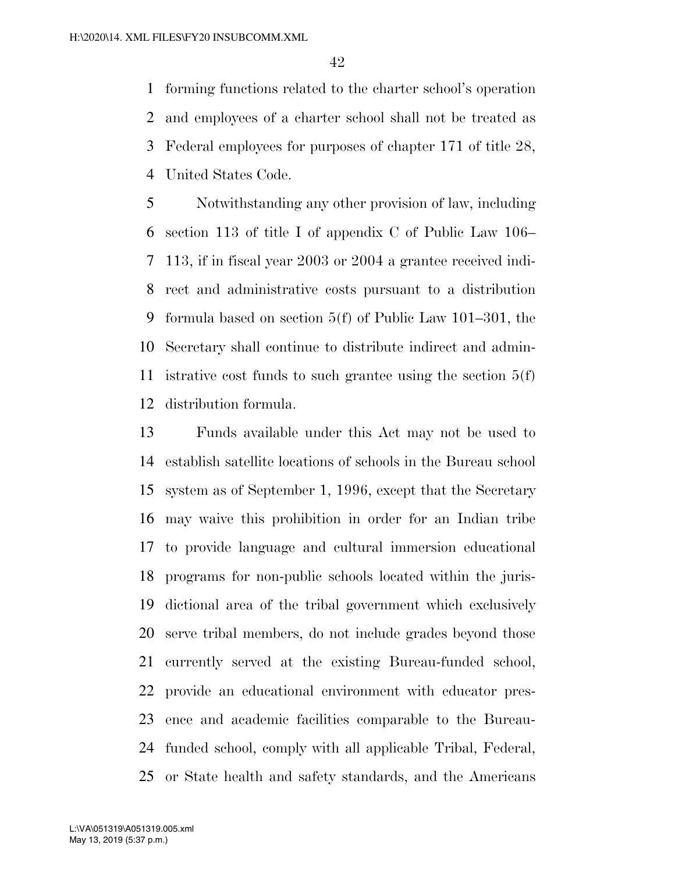forming functions related to the charter school's operation and employees of a charter school shall not be treated as Federal employees for purposes of chapter 171 of title 28, United States Code.

 Notwithstanding any other provision of law, including section 113 of title I of appendix C of Public Law 106– 113, if in fiscal year 2003 or 2004 a grantee received indi- rect and administrative costs pursuant to a distribution formula based on section 5(f) of Public Law 101–301, the Secretary shall continue to distribute indirect and admin- istrative cost funds to such grantee using the section 5(f) distribution formula.

 Funds available under this Act may not be used to establish satellite locations of schools in the Bureau school system as of September 1, 1996, except that the Secretary may waive this prohibition in order for an Indian tribe to provide language and cultural immersion educational programs for non-public schools located within the juris- dictional area of the tribal government which exclusively serve tribal members, do not include grades beyond those currently served at the existing Bureau-funded school, provide an educational environment with educator pres- ence and academic facilities comparable to the Bureau- funded school, comply with all applicable Tribal, Federal, or State health and safety standards, and the Americans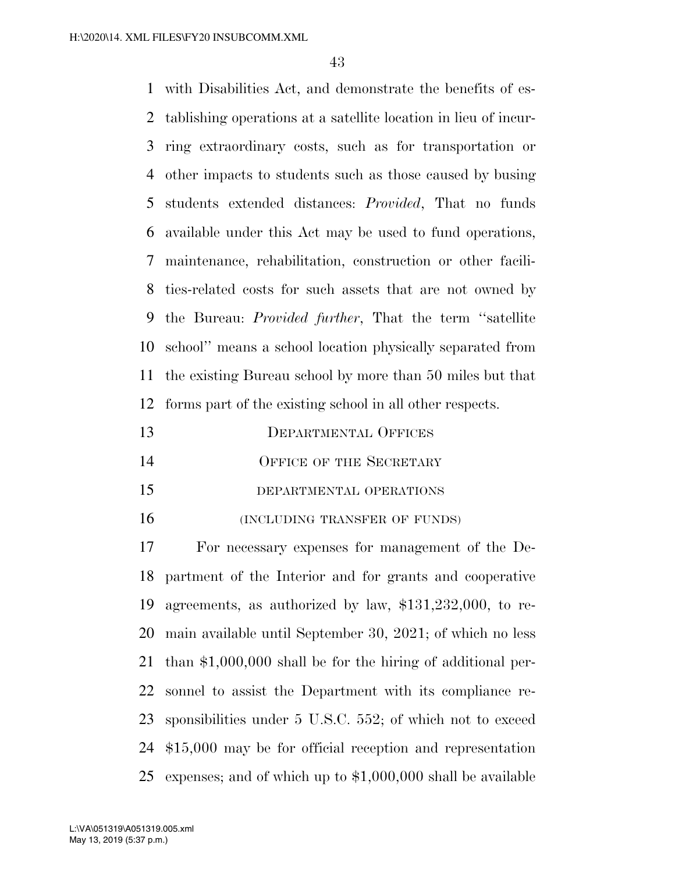with Disabilities Act, and demonstrate the benefits of es- tablishing operations at a satellite location in lieu of incur- ring extraordinary costs, such as for transportation or other impacts to students such as those caused by busing students extended distances: *Provided*, That no funds available under this Act may be used to fund operations, maintenance, rehabilitation, construction or other facili- ties-related costs for such assets that are not owned by the Bureau: *Provided further*, That the term ''satellite school'' means a school location physically separated from the existing Bureau school by more than 50 miles but that forms part of the existing school in all other respects.

- 14 OFFICE OF THE SECRETARY
- DEPARTMENTAL OPERATIONS
- 16 (INCLUDING TRANSFER OF FUNDS)

 For necessary expenses for management of the De- partment of the Interior and for grants and cooperative agreements, as authorized by law, \$131,232,000, to re- main available until September 30, 2021; of which no less than \$1,000,000 shall be for the hiring of additional per- sonnel to assist the Department with its compliance re- sponsibilities under 5 U.S.C. 552; of which not to exceed \$15,000 may be for official reception and representation expenses; and of which up to \$1,000,000 shall be available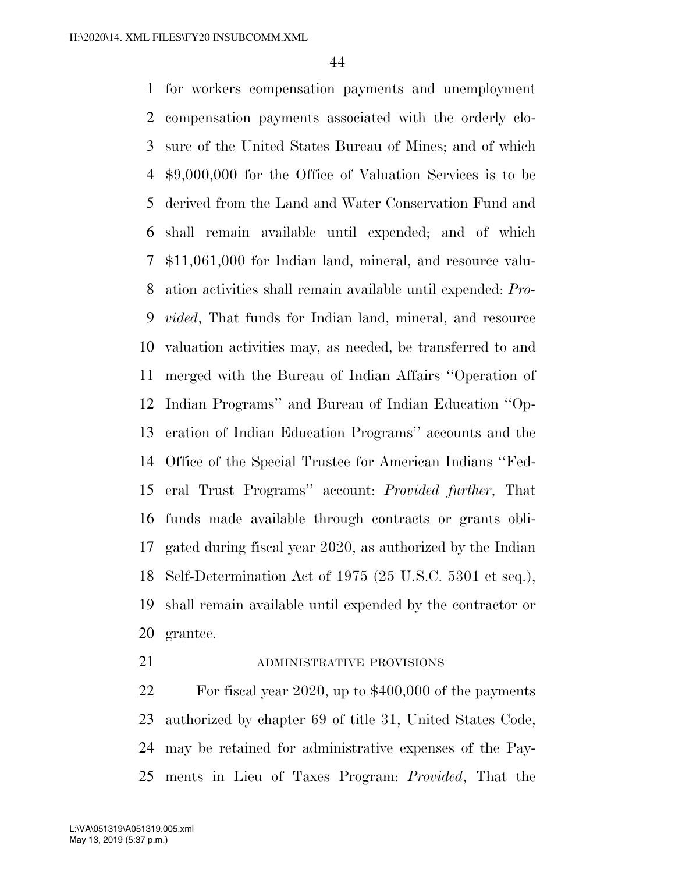for workers compensation payments and unemployment compensation payments associated with the orderly clo- sure of the United States Bureau of Mines; and of which \$9,000,000 for the Office of Valuation Services is to be derived from the Land and Water Conservation Fund and shall remain available until expended; and of which \$11,061,000 for Indian land, mineral, and resource valu- ation activities shall remain available until expended: *Pro- vided*, That funds for Indian land, mineral, and resource valuation activities may, as needed, be transferred to and merged with the Bureau of Indian Affairs ''Operation of Indian Programs'' and Bureau of Indian Education ''Op- eration of Indian Education Programs'' accounts and the Office of the Special Trustee for American Indians ''Fed- eral Trust Programs'' account: *Provided further*, That funds made available through contracts or grants obli- gated during fiscal year 2020, as authorized by the Indian Self-Determination Act of 1975 (25 U.S.C. 5301 et seq.), shall remain available until expended by the contractor or grantee.

## 21 ADMINISTRATIVE PROVISIONS

 For fiscal year 2020, up to \$400,000 of the payments authorized by chapter 69 of title 31, United States Code, may be retained for administrative expenses of the Pay-ments in Lieu of Taxes Program: *Provided*, That the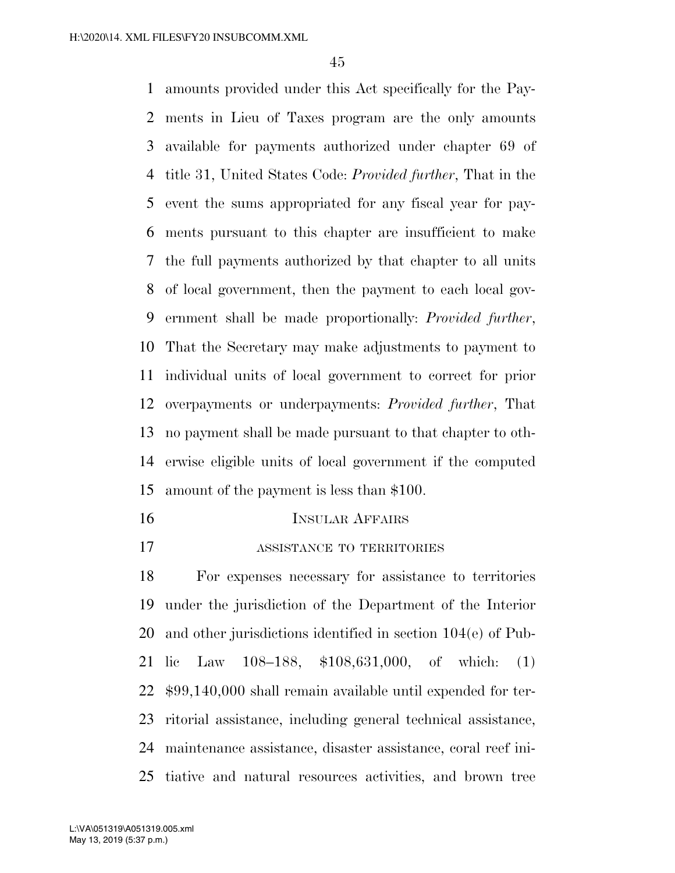amounts provided under this Act specifically for the Pay- ments in Lieu of Taxes program are the only amounts available for payments authorized under chapter 69 of title 31, United States Code: *Provided further*, That in the event the sums appropriated for any fiscal year for pay- ments pursuant to this chapter are insufficient to make the full payments authorized by that chapter to all units of local government, then the payment to each local gov- ernment shall be made proportionally: *Provided further*, That the Secretary may make adjustments to payment to individual units of local government to correct for prior overpayments or underpayments: *Provided further*, That no payment shall be made pursuant to that chapter to oth- erwise eligible units of local government if the computed amount of the payment is less than \$100.

- INSULAR AFFAIRS
- **ASSISTANCE TO TERRITORIES**

 For expenses necessary for assistance to territories under the jurisdiction of the Department of the Interior and other jurisdictions identified in section 104(e) of Pub- lic Law 108–188, \$108,631,000, of which: (1) \$99,140,000 shall remain available until expended for ter- ritorial assistance, including general technical assistance, maintenance assistance, disaster assistance, coral reef ini-tiative and natural resources activities, and brown tree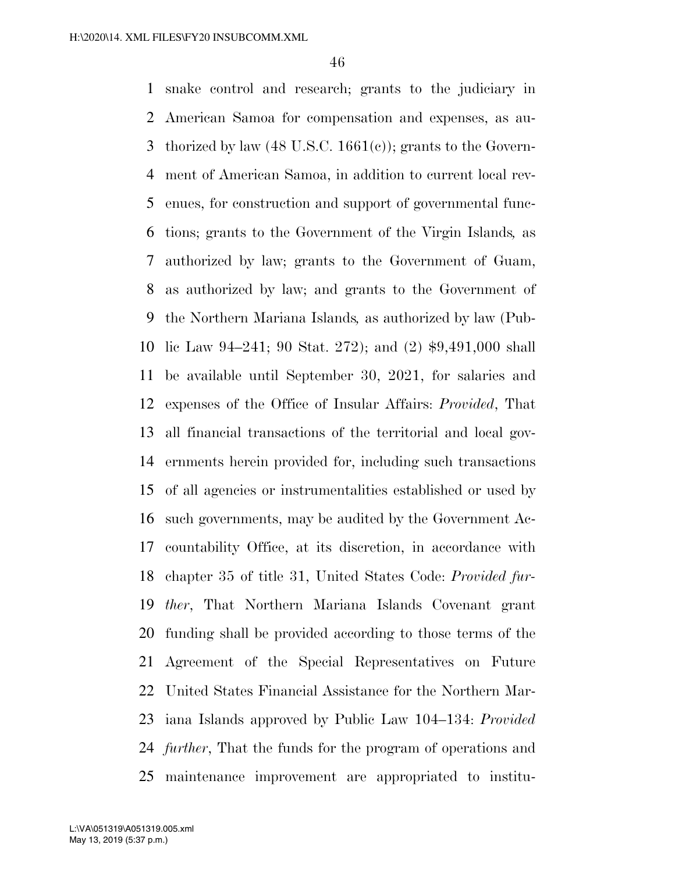snake control and research; grants to the judiciary in American Samoa for compensation and expenses, as au- thorized by law (48 U.S.C. 1661(c)); grants to the Govern- ment of American Samoa, in addition to current local rev- enues, for construction and support of governmental func- tions; grants to the Government of the Virgin Islands*,* as authorized by law; grants to the Government of Guam, as authorized by law; and grants to the Government of the Northern Mariana Islands*,* as authorized by law (Pub- lic Law 94–241; 90 Stat. 272); and (2) \$9,491,000 shall be available until September 30, 2021, for salaries and expenses of the Office of Insular Affairs: *Provided*, That all financial transactions of the territorial and local gov- ernments herein provided for, including such transactions of all agencies or instrumentalities established or used by such governments, may be audited by the Government Ac- countability Office, at its discretion, in accordance with chapter 35 of title 31, United States Code: *Provided fur- ther*, That Northern Mariana Islands Covenant grant funding shall be provided according to those terms of the Agreement of the Special Representatives on Future United States Financial Assistance for the Northern Mar- iana Islands approved by Public Law 104–134: *Provided further*, That the funds for the program of operations and maintenance improvement are appropriated to institu-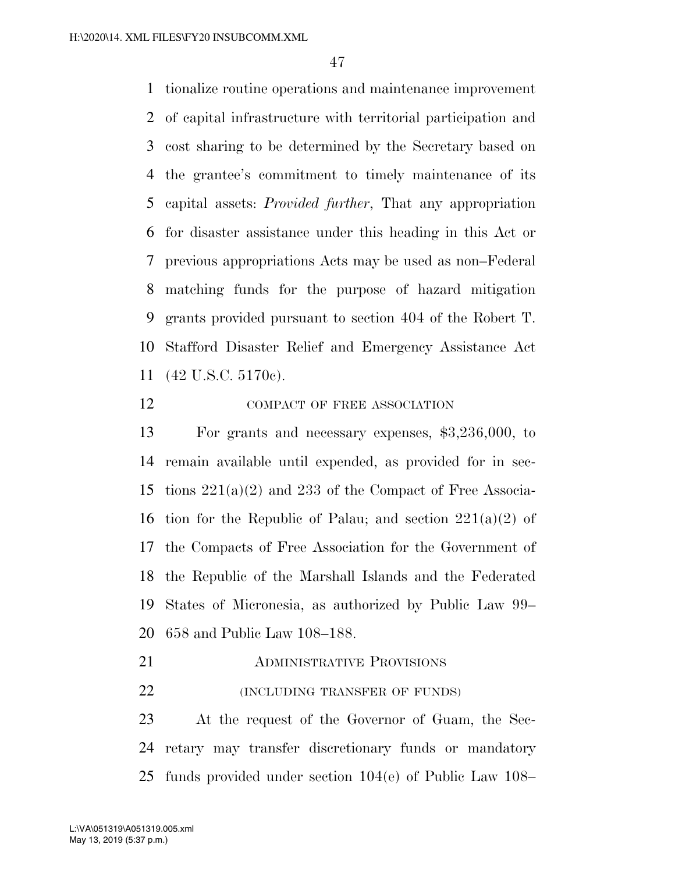tionalize routine operations and maintenance improvement of capital infrastructure with territorial participation and cost sharing to be determined by the Secretary based on the grantee's commitment to timely maintenance of its capital assets: *Provided further*, That any appropriation for disaster assistance under this heading in this Act or previous appropriations Acts may be used as non–Federal matching funds for the purpose of hazard mitigation grants provided pursuant to section 404 of the Robert T. Stafford Disaster Relief and Emergency Assistance Act (42 U.S.C. 5170c).

## 12 COMPACT OF FREE ASSOCIATION

 For grants and necessary expenses, \$3,236,000, to remain available until expended, as provided for in sec-15 tions  $221(a)(2)$  and  $233$  of the Compact of Free Associa-16 tion for the Republic of Palau; and section  $221(a)(2)$  of the Compacts of Free Association for the Government of the Republic of the Marshall Islands and the Federated States of Micronesia, as authorized by Public Law 99– 658 and Public Law 108–188.

- **ADMINISTRATIVE PROVISIONS**
- **(INCLUDING TRANSFER OF FUNDS)**

 At the request of the Governor of Guam, the Sec- retary may transfer discretionary funds or mandatory funds provided under section 104(e) of Public Law 108–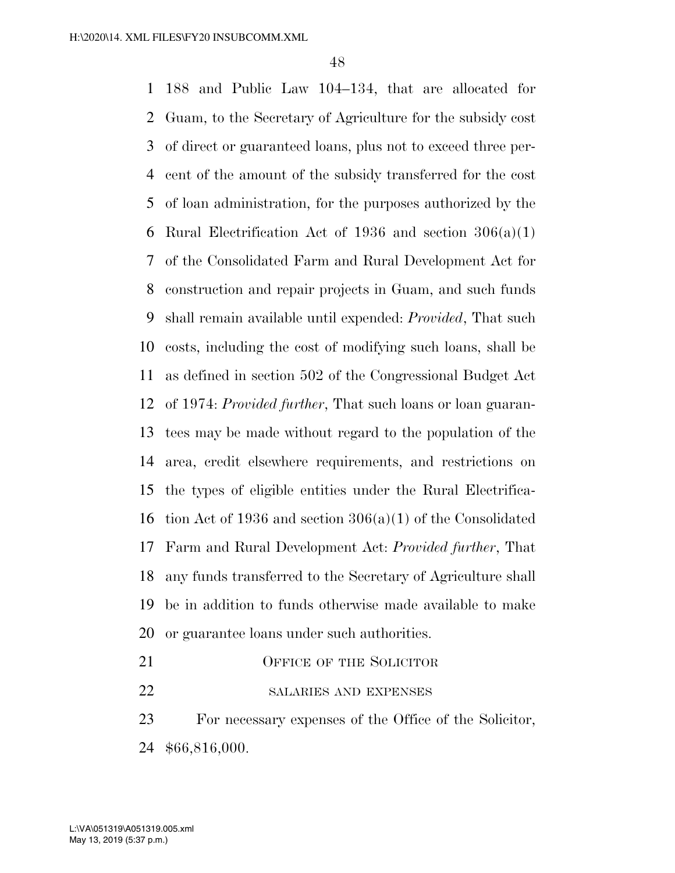188 and Public Law 104–134, that are allocated for Guam, to the Secretary of Agriculture for the subsidy cost of direct or guaranteed loans, plus not to exceed three per- cent of the amount of the subsidy transferred for the cost of loan administration, for the purposes authorized by the 6 Rural Electrification Act of 1936 and section  $306(a)(1)$  of the Consolidated Farm and Rural Development Act for construction and repair projects in Guam, and such funds shall remain available until expended: *Provided*, That such costs, including the cost of modifying such loans, shall be as defined in section 502 of the Congressional Budget Act of 1974: *Provided further*, That such loans or loan guaran- tees may be made without regard to the population of the area, credit elsewhere requirements, and restrictions on the types of eligible entities under the Rural Electrifica- tion Act of 1936 and section 306(a)(1) of the Consolidated Farm and Rural Development Act: *Provided further*, That any funds transferred to the Secretary of Agriculture shall be in addition to funds otherwise made available to make or guarantee loans under such authorities.

- 21 OFFICE OF THE SOLICITOR
- 22 SALARIES AND EXPENSES

 For necessary expenses of the Office of the Solicitor, \$66,816,000.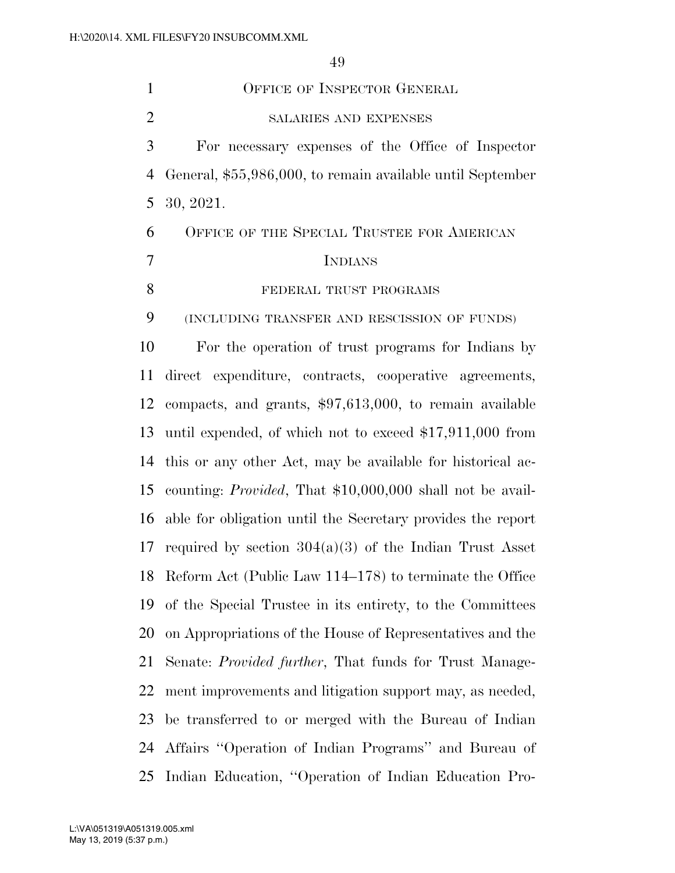OFFICE OF INSPECTOR GENERAL SALARIES AND EXPENSES For necessary expenses of the Office of Inspector General, \$55,986,000, to remain available until September 30, 2021. OFFICE OF THE SPECIAL TRUSTEE FOR AMERICAN INDIANS 8 FEDERAL TRUST PROGRAMS (INCLUDING TRANSFER AND RESCISSION OF FUNDS) For the operation of trust programs for Indians by direct expenditure, contracts, cooperative agreements, compacts, and grants, \$97,613,000, to remain available until expended, of which not to exceed \$17,911,000 from this or any other Act, may be available for historical ac- counting: *Provided*, That \$10,000,000 shall not be avail- able for obligation until the Secretary provides the report required by section 304(a)(3) of the Indian Trust Asset Reform Act (Public Law 114–178) to terminate the Office of the Special Trustee in its entirety, to the Committees on Appropriations of the House of Representatives and the Senate: *Provided further*, That funds for Trust Manage- ment improvements and litigation support may, as needed, be transferred to or merged with the Bureau of Indian Affairs ''Operation of Indian Programs'' and Bureau of Indian Education, ''Operation of Indian Education Pro-

May 13, 2019 (5:37 p.m.) L:\VA\051319\A051319.005.xml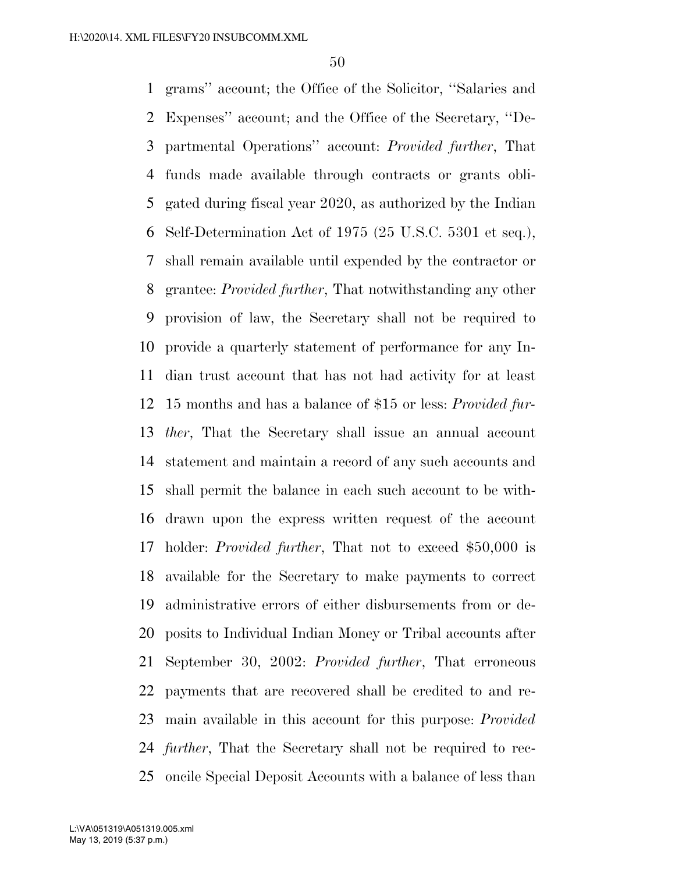grams'' account; the Office of the Solicitor, ''Salaries and Expenses'' account; and the Office of the Secretary, ''De- partmental Operations'' account: *Provided further*, That funds made available through contracts or grants obli- gated during fiscal year 2020, as authorized by the Indian Self-Determination Act of 1975 (25 U.S.C. 5301 et seq.), shall remain available until expended by the contractor or grantee: *Provided further*, That notwithstanding any other provision of law, the Secretary shall not be required to provide a quarterly statement of performance for any In- dian trust account that has not had activity for at least 15 months and has a balance of \$15 or less: *Provided fur- ther*, That the Secretary shall issue an annual account statement and maintain a record of any such accounts and shall permit the balance in each such account to be with- drawn upon the express written request of the account holder: *Provided further*, That not to exceed \$50,000 is available for the Secretary to make payments to correct administrative errors of either disbursements from or de- posits to Individual Indian Money or Tribal accounts after September 30, 2002: *Provided further*, That erroneous payments that are recovered shall be credited to and re- main available in this account for this purpose: *Provided further*, That the Secretary shall not be required to rec-oncile Special Deposit Accounts with a balance of less than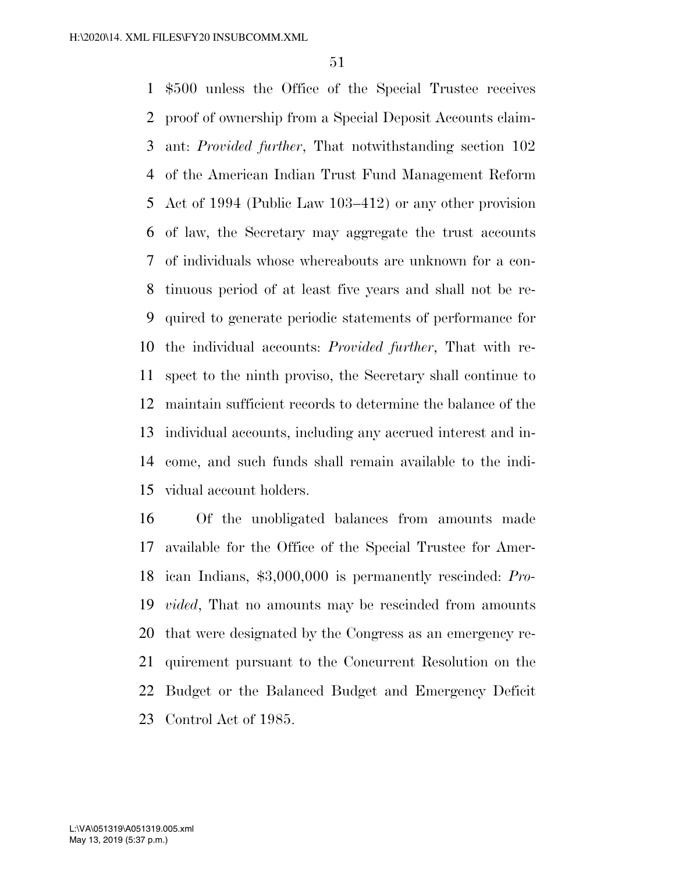\$500 unless the Office of the Special Trustee receives proof of ownership from a Special Deposit Accounts claim- ant: *Provided further*, That notwithstanding section 102 of the American Indian Trust Fund Management Reform Act of 1994 (Public Law 103–412) or any other provision of law, the Secretary may aggregate the trust accounts of individuals whose whereabouts are unknown for a con- tinuous period of at least five years and shall not be re- quired to generate periodic statements of performance for the individual accounts: *Provided further*, That with re- spect to the ninth proviso, the Secretary shall continue to maintain sufficient records to determine the balance of the individual accounts, including any accrued interest and in- come, and such funds shall remain available to the indi-vidual account holders.

 Of the unobligated balances from amounts made available for the Office of the Special Trustee for Amer- ican Indians, \$3,000,000 is permanently rescinded: *Pro- vided*, That no amounts may be rescinded from amounts that were designated by the Congress as an emergency re- quirement pursuant to the Concurrent Resolution on the Budget or the Balanced Budget and Emergency Deficit Control Act of 1985.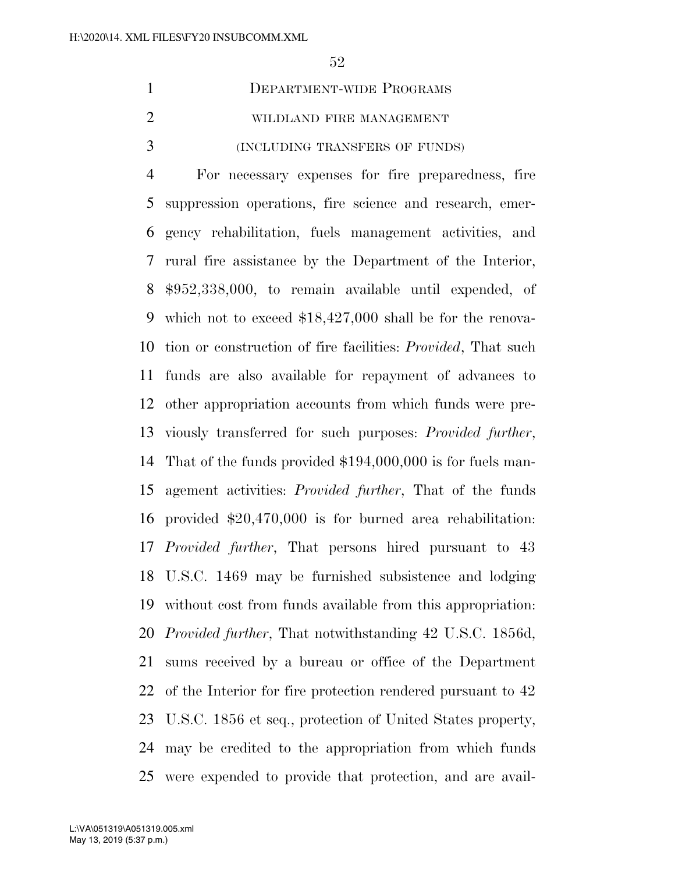| DEPARTMENT-WIDE PROGRAMS       |
|--------------------------------|
| WILDLAND FIRE MANAGEMENT       |
| (INCLUDING TRANSFERS OF FUNDS) |

 For necessary expenses for fire preparedness, fire suppression operations, fire science and research, emer- gency rehabilitation, fuels management activities, and rural fire assistance by the Department of the Interior, \$952,338,000, to remain available until expended, of which not to exceed \$18,427,000 shall be for the renova- tion or construction of fire facilities: *Provided*, That such funds are also available for repayment of advances to other appropriation accounts from which funds were pre- viously transferred for such purposes: *Provided further*, That of the funds provided \$194,000,000 is for fuels man- agement activities: *Provided further*, That of the funds provided \$20,470,000 is for burned area rehabilitation: *Provided further*, That persons hired pursuant to 43 U.S.C. 1469 may be furnished subsistence and lodging without cost from funds available from this appropriation: *Provided further*, That notwithstanding 42 U.S.C. 1856d, sums received by a bureau or office of the Department of the Interior for fire protection rendered pursuant to 42 U.S.C. 1856 et seq., protection of United States property, may be credited to the appropriation from which funds were expended to provide that protection, and are avail-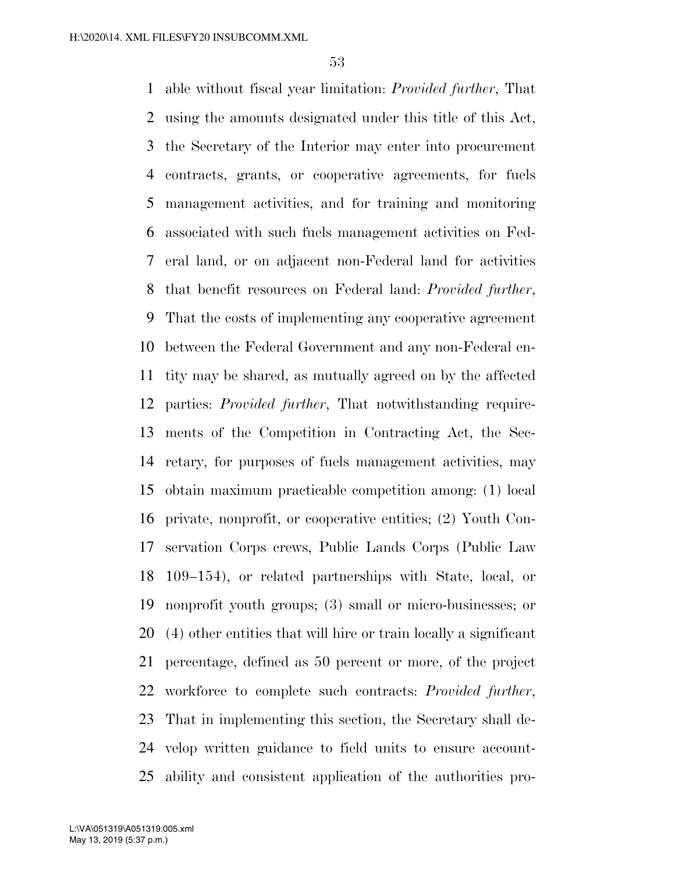able without fiscal year limitation: *Provided further*, That using the amounts designated under this title of this Act, the Secretary of the Interior may enter into procurement contracts, grants, or cooperative agreements, for fuels management activities, and for training and monitoring associated with such fuels management activities on Fed- eral land, or on adjacent non-Federal land for activities that benefit resources on Federal land: *Provided further*, That the costs of implementing any cooperative agreement between the Federal Government and any non-Federal en- tity may be shared, as mutually agreed on by the affected parties: *Provided further*, That notwithstanding require- ments of the Competition in Contracting Act, the Sec- retary, for purposes of fuels management activities, may obtain maximum practicable competition among: (1) local private, nonprofit, or cooperative entities; (2) Youth Con- servation Corps crews, Public Lands Corps (Public Law 109–154), or related partnerships with State, local, or nonprofit youth groups; (3) small or micro-businesses; or (4) other entities that will hire or train locally a significant percentage, defined as 50 percent or more, of the project workforce to complete such contracts: *Provided further*, That in implementing this section, the Secretary shall de- velop written guidance to field units to ensure account-ability and consistent application of the authorities pro-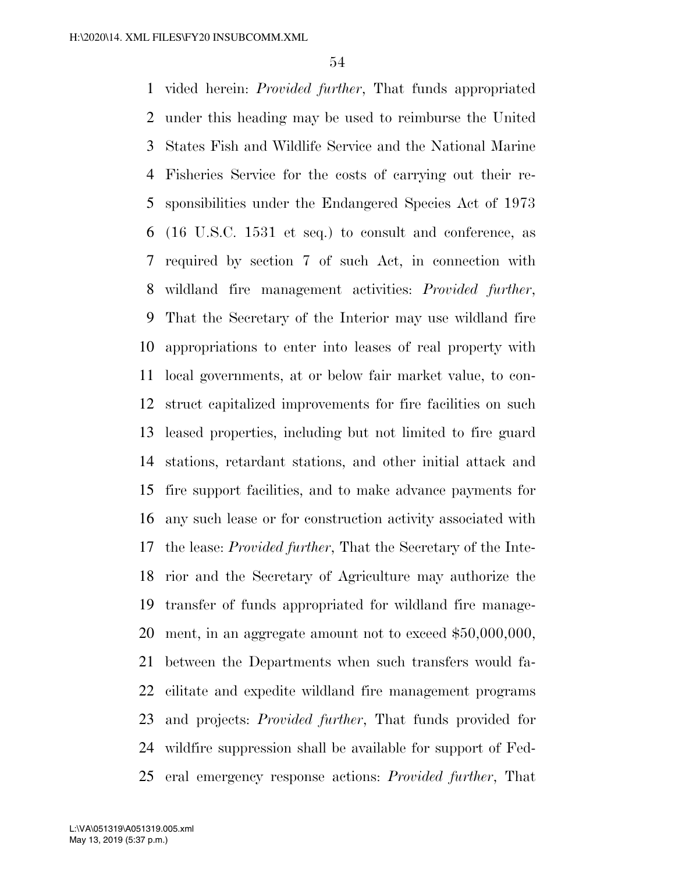vided herein: *Provided further*, That funds appropriated under this heading may be used to reimburse the United States Fish and Wildlife Service and the National Marine Fisheries Service for the costs of carrying out their re- sponsibilities under the Endangered Species Act of 1973 (16 U.S.C. 1531 et seq.) to consult and conference, as required by section 7 of such Act, in connection with wildland fire management activities: *Provided further*, That the Secretary of the Interior may use wildland fire appropriations to enter into leases of real property with local governments, at or below fair market value, to con- struct capitalized improvements for fire facilities on such leased properties, including but not limited to fire guard stations, retardant stations, and other initial attack and fire support facilities, and to make advance payments for any such lease or for construction activity associated with the lease: *Provided further*, That the Secretary of the Inte- rior and the Secretary of Agriculture may authorize the transfer of funds appropriated for wildland fire manage- ment, in an aggregate amount not to exceed \$50,000,000, between the Departments when such transfers would fa- cilitate and expedite wildland fire management programs and projects: *Provided further*, That funds provided for wildfire suppression shall be available for support of Fed-eral emergency response actions: *Provided further*, That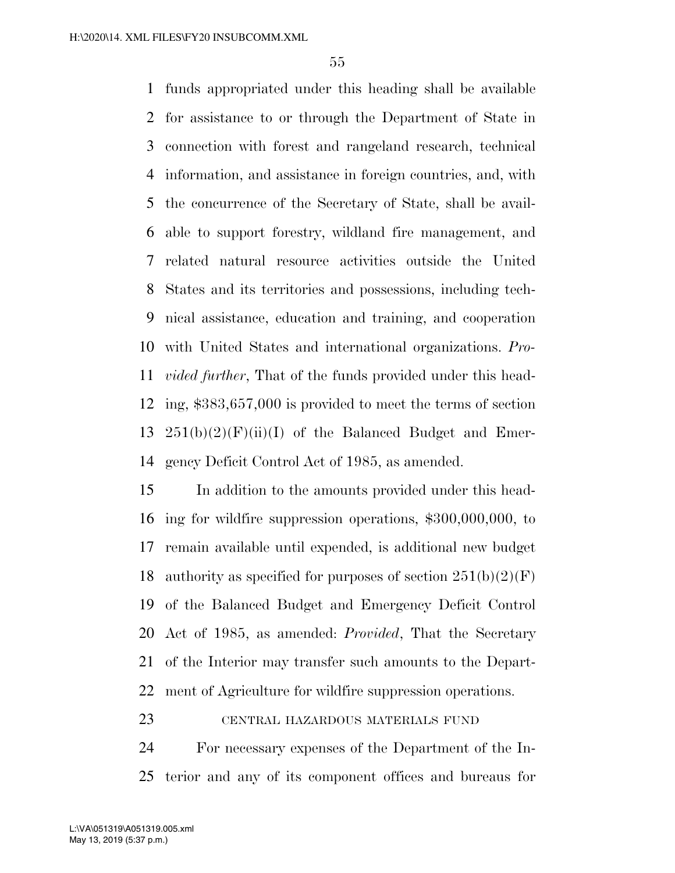funds appropriated under this heading shall be available for assistance to or through the Department of State in connection with forest and rangeland research, technical information, and assistance in foreign countries, and, with the concurrence of the Secretary of State, shall be avail- able to support forestry, wildland fire management, and related natural resource activities outside the United States and its territories and possessions, including tech- nical assistance, education and training, and cooperation with United States and international organizations. *Pro- vided further*, That of the funds provided under this head- ing, \$383,657,000 is provided to meet the terms of section  $251(b)(2)(F)(ii)(I)$  of the Balanced Budget and Emer-gency Deficit Control Act of 1985, as amended.

 In addition to the amounts provided under this head- ing for wildfire suppression operations, \$300,000,000, to remain available until expended, is additional new budget 18 authority as specified for purposes of section  $251(b)(2)(F)$  of the Balanced Budget and Emergency Deficit Control Act of 1985, as amended: *Provided*, That the Secretary of the Interior may transfer such amounts to the Depart-ment of Agriculture for wildfire suppression operations.

# CENTRAL HAZARDOUS MATERIALS FUND

 For necessary expenses of the Department of the In-terior and any of its component offices and bureaus for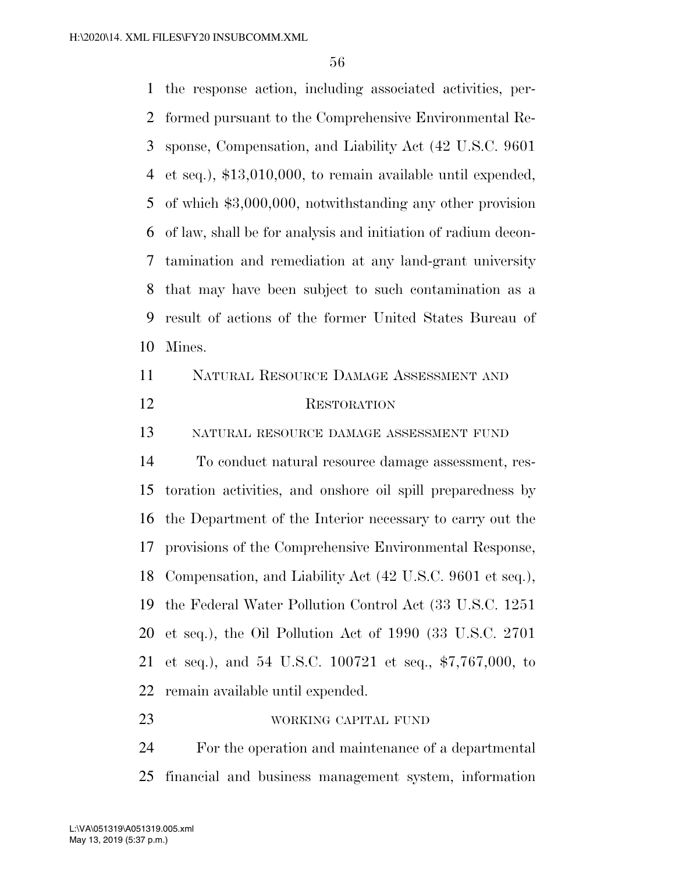the response action, including associated activities, per- formed pursuant to the Comprehensive Environmental Re- sponse, Compensation, and Liability Act (42 U.S.C. 9601 et seq.), \$13,010,000, to remain available until expended, of which \$3,000,000, notwithstanding any other provision of law, shall be for analysis and initiation of radium decon- tamination and remediation at any land-grant university that may have been subject to such contamination as a result of actions of the former United States Bureau of Mines. NATURAL RESOURCE DAMAGE ASSESSMENT AND RESTORATION NATURAL RESOURCE DAMAGE ASSESSMENT FUND To conduct natural resource damage assessment, res- toration activities, and onshore oil spill preparedness by the Department of the Interior necessary to carry out the provisions of the Comprehensive Environmental Response, Compensation, and Liability Act (42 U.S.C. 9601 et seq.), the Federal Water Pollution Control Act (33 U.S.C. 1251 et seq.), the Oil Pollution Act of 1990 (33 U.S.C. 2701 et seq.), and 54 U.S.C. 100721 et seq., \$7,767,000, to remain available until expended. WORKING CAPITAL FUND

 For the operation and maintenance of a departmental financial and business management system, information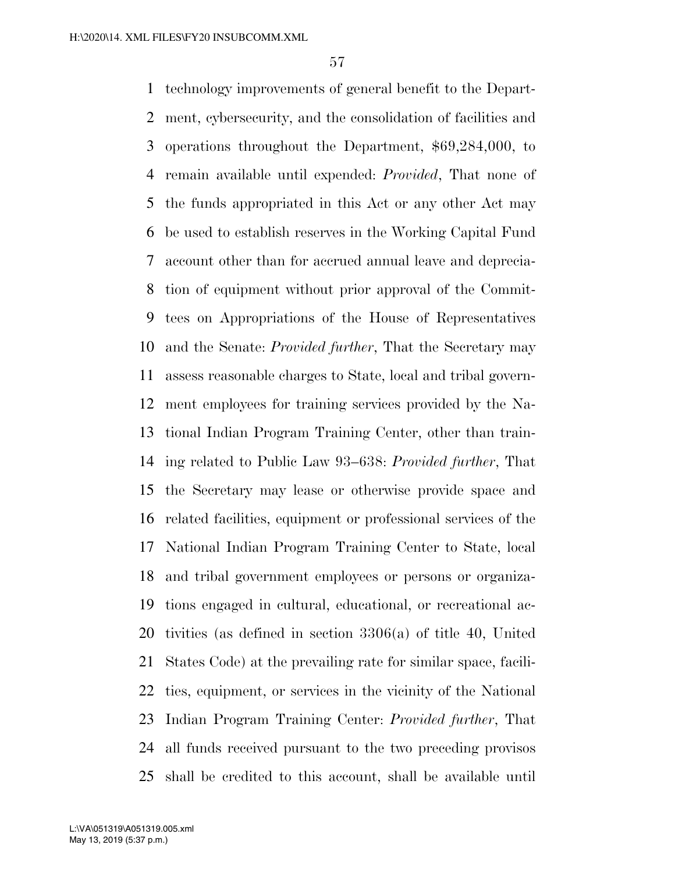technology improvements of general benefit to the Depart- ment, cybersecurity, and the consolidation of facilities and operations throughout the Department, \$69,284,000, to remain available until expended: *Provided*, That none of the funds appropriated in this Act or any other Act may be used to establish reserves in the Working Capital Fund account other than for accrued annual leave and deprecia- tion of equipment without prior approval of the Commit- tees on Appropriations of the House of Representatives and the Senate: *Provided further*, That the Secretary may assess reasonable charges to State, local and tribal govern- ment employees for training services provided by the Na- tional Indian Program Training Center, other than train- ing related to Public Law 93–638: *Provided further*, That the Secretary may lease or otherwise provide space and related facilities, equipment or professional services of the National Indian Program Training Center to State, local and tribal government employees or persons or organiza- tions engaged in cultural, educational, or recreational ac- tivities (as defined in section 3306(a) of title 40, United States Code) at the prevailing rate for similar space, facili- ties, equipment, or services in the vicinity of the National Indian Program Training Center: *Provided further*, That all funds received pursuant to the two preceding provisos shall be credited to this account, shall be available until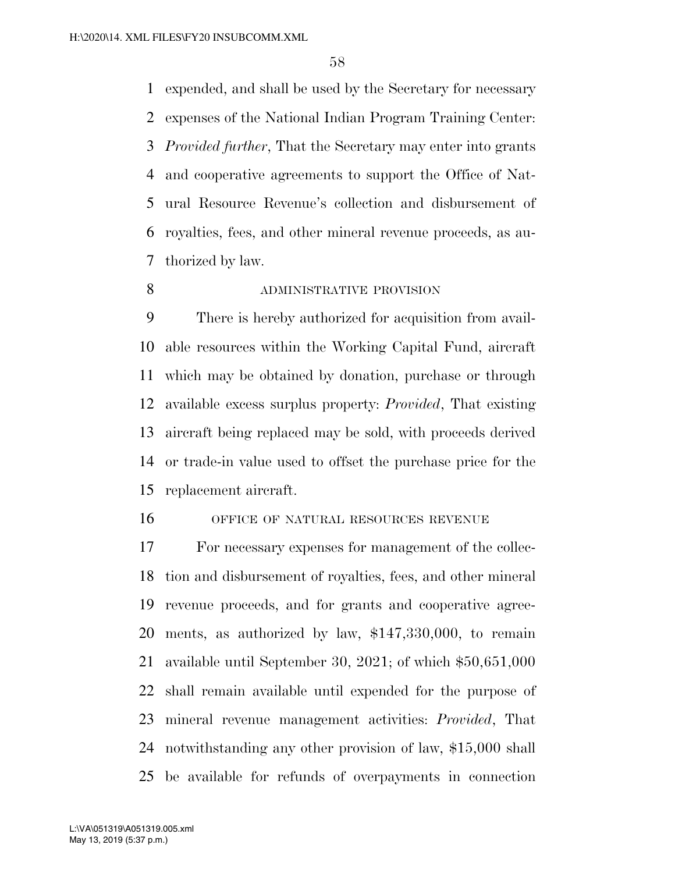expended, and shall be used by the Secretary for necessary expenses of the National Indian Program Training Center: *Provided further*, That the Secretary may enter into grants and cooperative agreements to support the Office of Nat- ural Resource Revenue's collection and disbursement of royalties, fees, and other mineral revenue proceeds, as au-thorized by law.

**ADMINISTRATIVE PROVISION** 

 There is hereby authorized for acquisition from avail- able resources within the Working Capital Fund, aircraft which may be obtained by donation, purchase or through available excess surplus property: *Provided*, That existing aircraft being replaced may be sold, with proceeds derived or trade-in value used to offset the purchase price for the replacement aircraft.

OFFICE OF NATURAL RESOURCES REVENUE

 For necessary expenses for management of the collec- tion and disbursement of royalties, fees, and other mineral revenue proceeds, and for grants and cooperative agree- ments, as authorized by law, \$147,330,000, to remain available until September 30, 2021; of which \$50,651,000 shall remain available until expended for the purpose of mineral revenue management activities: *Provided*, That notwithstanding any other provision of law, \$15,000 shall be available for refunds of overpayments in connection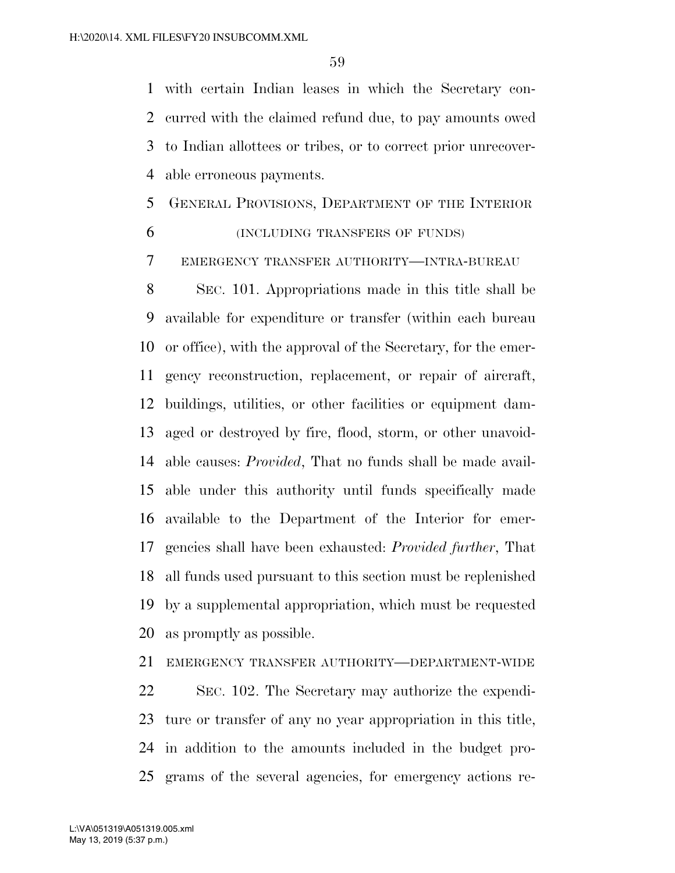with certain Indian leases in which the Secretary con- curred with the claimed refund due, to pay amounts owed to Indian allottees or tribes, or to correct prior unrecover-able erroneous payments.

# GENERAL PROVISIONS, DEPARTMENT OF THE INTERIOR (INCLUDING TRANSFERS OF FUNDS)

EMERGENCY TRANSFER AUTHORITY—INTRA-BUREAU

 SEC. 101. Appropriations made in this title shall be available for expenditure or transfer (within each bureau or office), with the approval of the Secretary, for the emer- gency reconstruction, replacement, or repair of aircraft, buildings, utilities, or other facilities or equipment dam- aged or destroyed by fire, flood, storm, or other unavoid- able causes: *Provided*, That no funds shall be made avail- able under this authority until funds specifically made available to the Department of the Interior for emer- gencies shall have been exhausted: *Provided further*, That all funds used pursuant to this section must be replenished by a supplemental appropriation, which must be requested as promptly as possible.

 EMERGENCY TRANSFER AUTHORITY—DEPARTMENT-WIDE SEC. 102. The Secretary may authorize the expendi-

 ture or transfer of any no year appropriation in this title, in addition to the amounts included in the budget pro-grams of the several agencies, for emergency actions re-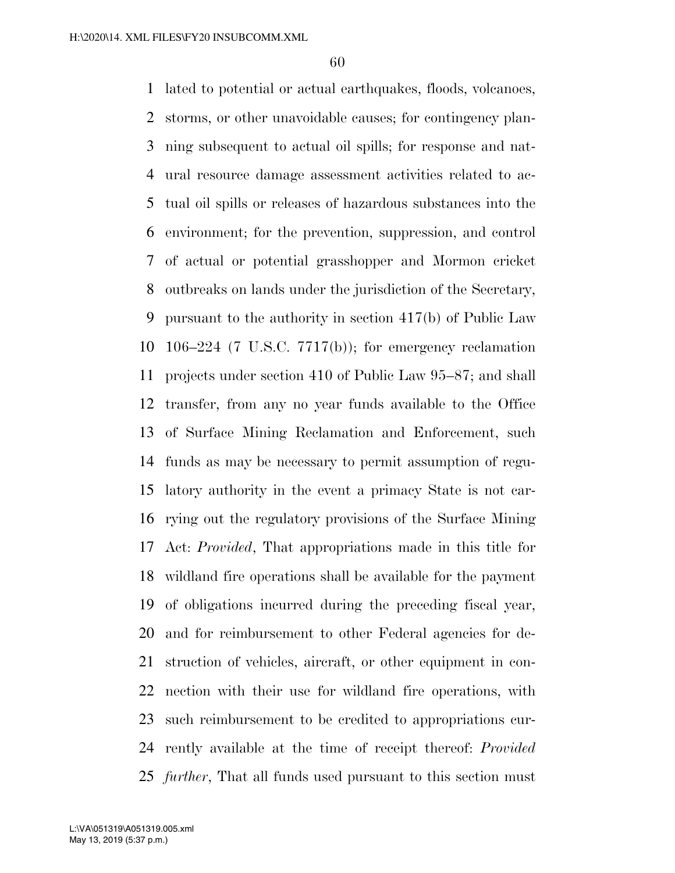lated to potential or actual earthquakes, floods, volcanoes, storms, or other unavoidable causes; for contingency plan- ning subsequent to actual oil spills; for response and nat- ural resource damage assessment activities related to ac- tual oil spills or releases of hazardous substances into the environment; for the prevention, suppression, and control of actual or potential grasshopper and Mormon cricket outbreaks on lands under the jurisdiction of the Secretary, pursuant to the authority in section 417(b) of Public Law 106–224 (7 U.S.C. 7717(b)); for emergency reclamation projects under section 410 of Public Law 95–87; and shall transfer, from any no year funds available to the Office of Surface Mining Reclamation and Enforcement, such funds as may be necessary to permit assumption of regu- latory authority in the event a primacy State is not car- rying out the regulatory provisions of the Surface Mining Act: *Provided*, That appropriations made in this title for wildland fire operations shall be available for the payment of obligations incurred during the preceding fiscal year, and for reimbursement to other Federal agencies for de- struction of vehicles, aircraft, or other equipment in con- nection with their use for wildland fire operations, with such reimbursement to be credited to appropriations cur- rently available at the time of receipt thereof: *Provided further*, That all funds used pursuant to this section must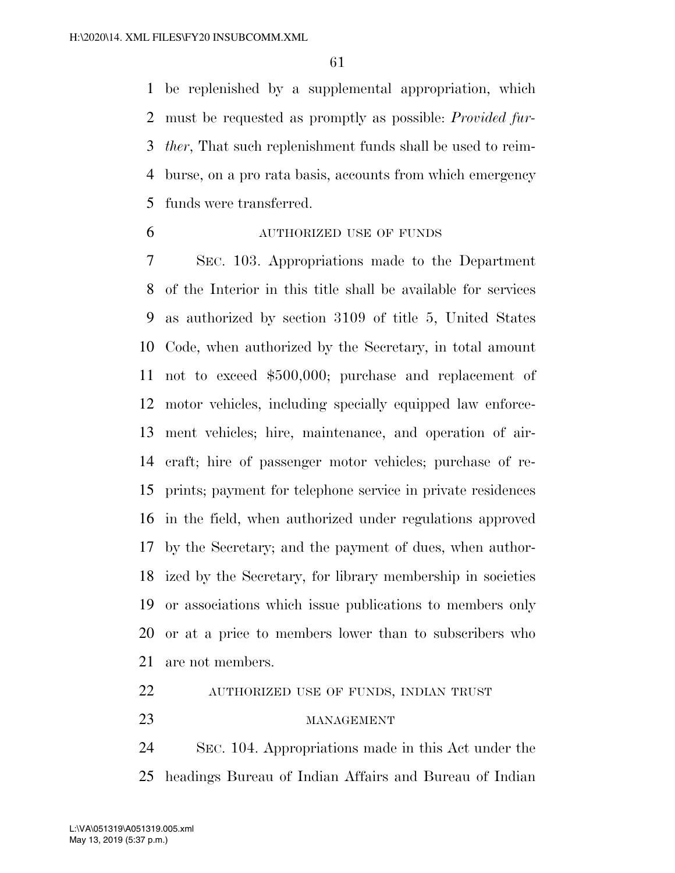be replenished by a supplemental appropriation, which must be requested as promptly as possible: *Provided fur- ther*, That such replenishment funds shall be used to reim- burse, on a pro rata basis, accounts from which emergency funds were transferred.

AUTHORIZED USE OF FUNDS

 SEC. 103. Appropriations made to the Department of the Interior in this title shall be available for services as authorized by section 3109 of title 5, United States Code, when authorized by the Secretary, in total amount not to exceed \$500,000; purchase and replacement of motor vehicles, including specially equipped law enforce- ment vehicles; hire, maintenance, and operation of air- craft; hire of passenger motor vehicles; purchase of re- prints; payment for telephone service in private residences in the field, when authorized under regulations approved by the Secretary; and the payment of dues, when author- ized by the Secretary, for library membership in societies or associations which issue publications to members only or at a price to members lower than to subscribers who are not members.

- AUTHORIZED USE OF FUNDS, INDIAN TRUST
- 23 MANAGEMENT

SEC. 104. Appropriations made in this Act under the

headings Bureau of Indian Affairs and Bureau of Indian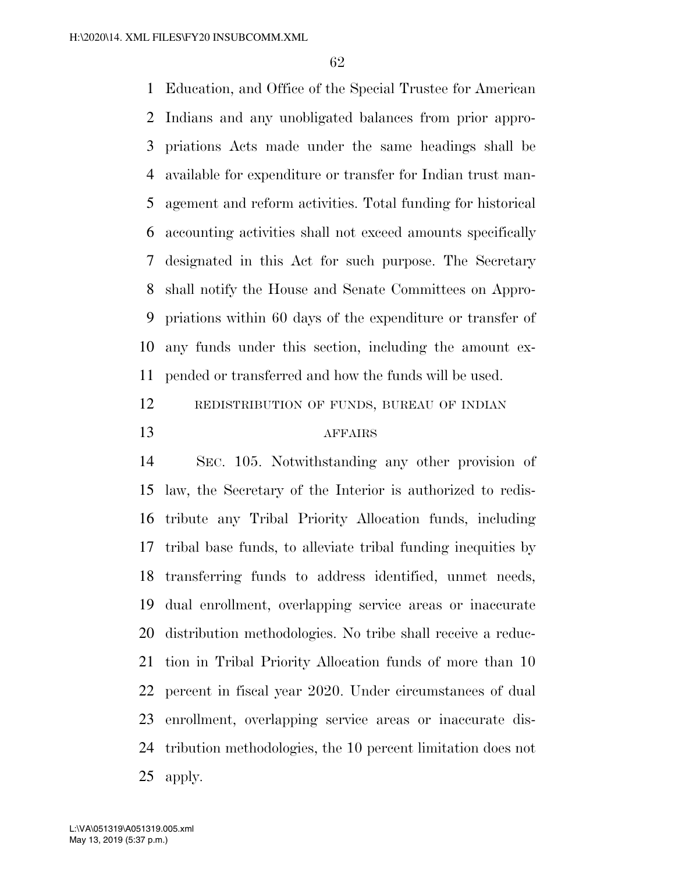Education, and Office of the Special Trustee for American Indians and any unobligated balances from prior appro- priations Acts made under the same headings shall be available for expenditure or transfer for Indian trust man- agement and reform activities. Total funding for historical accounting activities shall not exceed amounts specifically designated in this Act for such purpose. The Secretary shall notify the House and Senate Committees on Appro- priations within 60 days of the expenditure or transfer of any funds under this section, including the amount ex-pended or transferred and how the funds will be used.

 REDISTRIBUTION OF FUNDS, BUREAU OF INDIAN AFFAIRS

 SEC. 105. Notwithstanding any other provision of law, the Secretary of the Interior is authorized to redis- tribute any Tribal Priority Allocation funds, including tribal base funds, to alleviate tribal funding inequities by transferring funds to address identified, unmet needs, dual enrollment, overlapping service areas or inaccurate distribution methodologies. No tribe shall receive a reduc- tion in Tribal Priority Allocation funds of more than 10 percent in fiscal year 2020. Under circumstances of dual enrollment, overlapping service areas or inaccurate dis- tribution methodologies, the 10 percent limitation does not apply.

May 13, 2019 (5:37 p.m.) L:\VA\051319\A051319.005.xml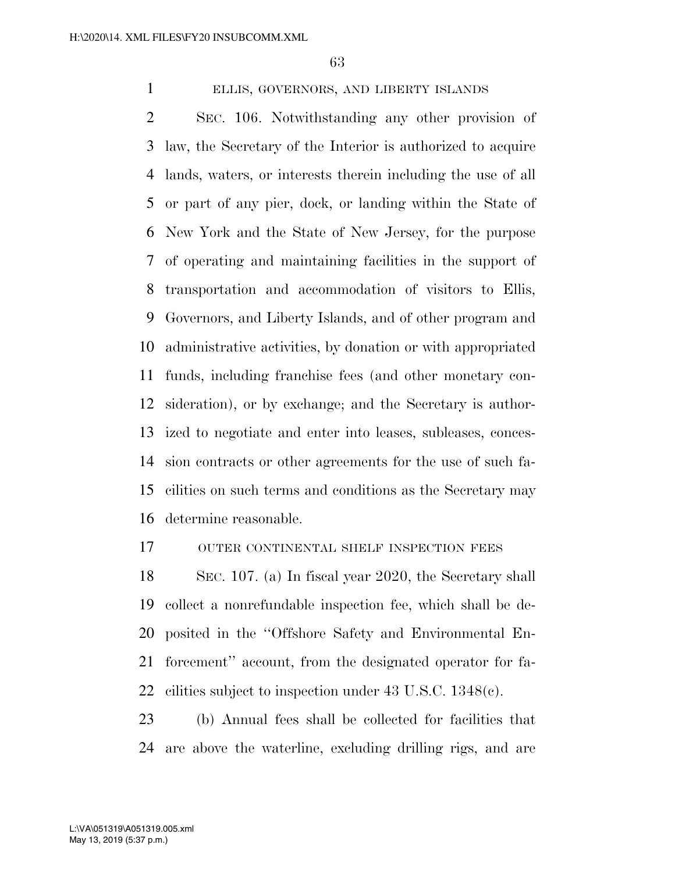# ELLIS, GOVERNORS, AND LIBERTY ISLANDS

 SEC. 106. Notwithstanding any other provision of law, the Secretary of the Interior is authorized to acquire lands, waters, or interests therein including the use of all or part of any pier, dock, or landing within the State of New York and the State of New Jersey, for the purpose of operating and maintaining facilities in the support of transportation and accommodation of visitors to Ellis, Governors, and Liberty Islands, and of other program and administrative activities, by donation or with appropriated funds, including franchise fees (and other monetary con- sideration), or by exchange; and the Secretary is author- ized to negotiate and enter into leases, subleases, conces- sion contracts or other agreements for the use of such fa- cilities on such terms and conditions as the Secretary may determine reasonable.

# OUTER CONTINENTAL SHELF INSPECTION FEES

 SEC. 107. (a) In fiscal year 2020, the Secretary shall collect a nonrefundable inspection fee, which shall be de- posited in the ''Offshore Safety and Environmental En- forcement'' account, from the designated operator for fa-cilities subject to inspection under 43 U.S.C. 1348(c).

 (b) Annual fees shall be collected for facilities that are above the waterline, excluding drilling rigs, and are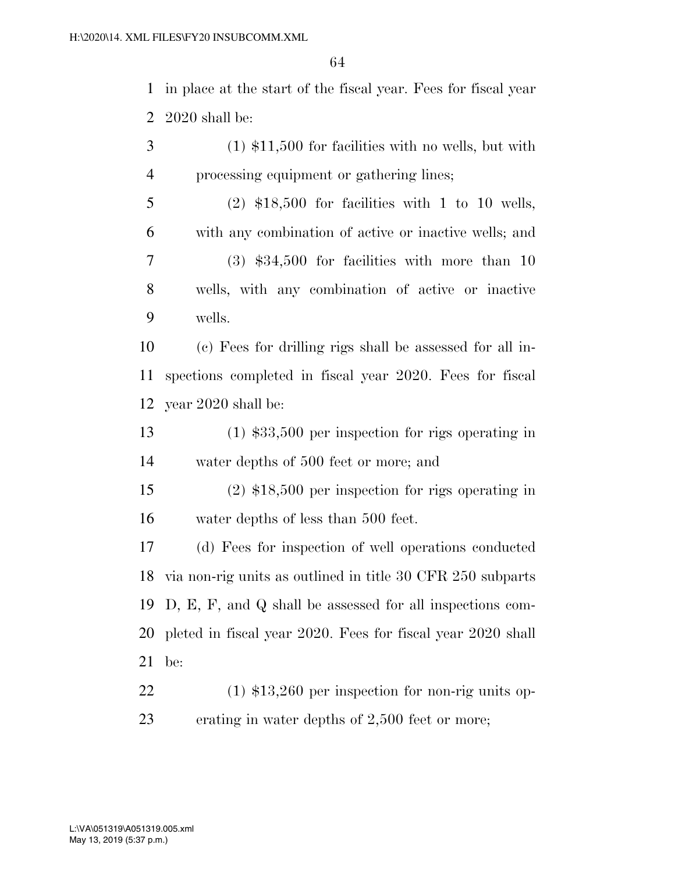in place at the start of the fiscal year. Fees for fiscal year 2020 shall be:

 (1) \$11,500 for facilities with no wells, but with processing equipment or gathering lines;

 (2) \$18,500 for facilities with 1 to 10 wells, with any combination of active or inactive wells; and (3) \$34,500 for facilities with more than 10 wells, with any combination of active or inactive wells.

 (c) Fees for drilling rigs shall be assessed for all in- spections completed in fiscal year 2020. Fees for fiscal year 2020 shall be:

 (1) \$33,500 per inspection for rigs operating in water depths of 500 feet or more; and

 (2) \$18,500 per inspection for rigs operating in water depths of less than 500 feet.

 (d) Fees for inspection of well operations conducted via non-rig units as outlined in title 30 CFR 250 subparts D, E, F, and Q shall be assessed for all inspections com- pleted in fiscal year 2020. Fees for fiscal year 2020 shall be:

 (1) \$13,260 per inspection for non-rig units op-erating in water depths of 2,500 feet or more;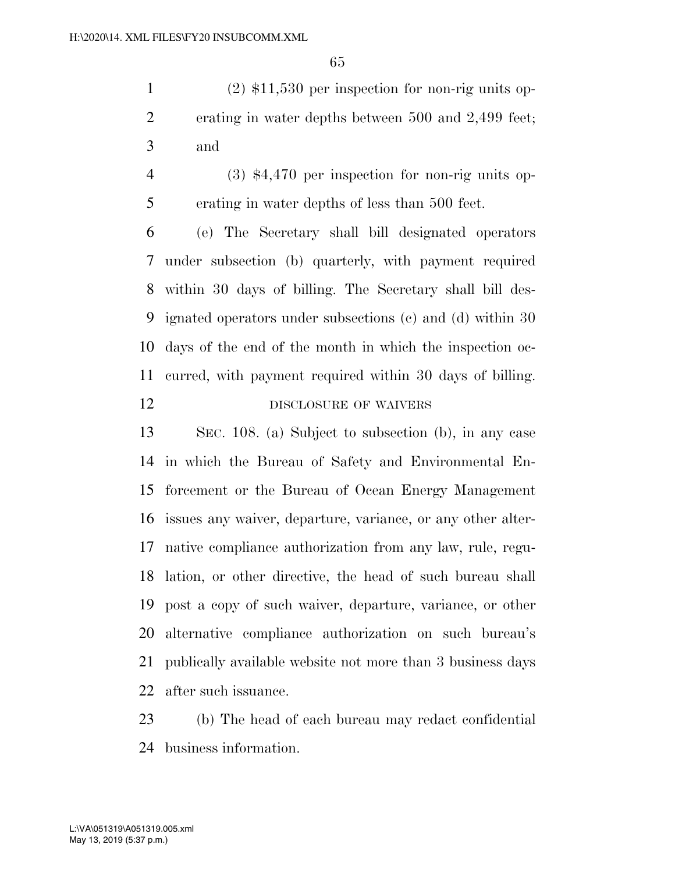(2) \$11,530 per inspection for non-rig units op- erating in water depths between 500 and 2,499 feet; and

 (3) \$4,470 per inspection for non-rig units op-erating in water depths of less than 500 feet.

 (e) The Secretary shall bill designated operators under subsection (b) quarterly, with payment required within 30 days of billing. The Secretary shall bill des- ignated operators under subsections (c) and (d) within 30 days of the end of the month in which the inspection oc- curred, with payment required within 30 days of billing. 12 DISCLOSURE OF WAIVERS

 SEC. 108. (a) Subject to subsection (b), in any case in which the Bureau of Safety and Environmental En- forcement or the Bureau of Ocean Energy Management issues any waiver, departure, variance, or any other alter- native compliance authorization from any law, rule, regu- lation, or other directive, the head of such bureau shall post a copy of such waiver, departure, variance, or other alternative compliance authorization on such bureau's publically available website not more than 3 business days after such issuance.

 (b) The head of each bureau may redact confidential business information.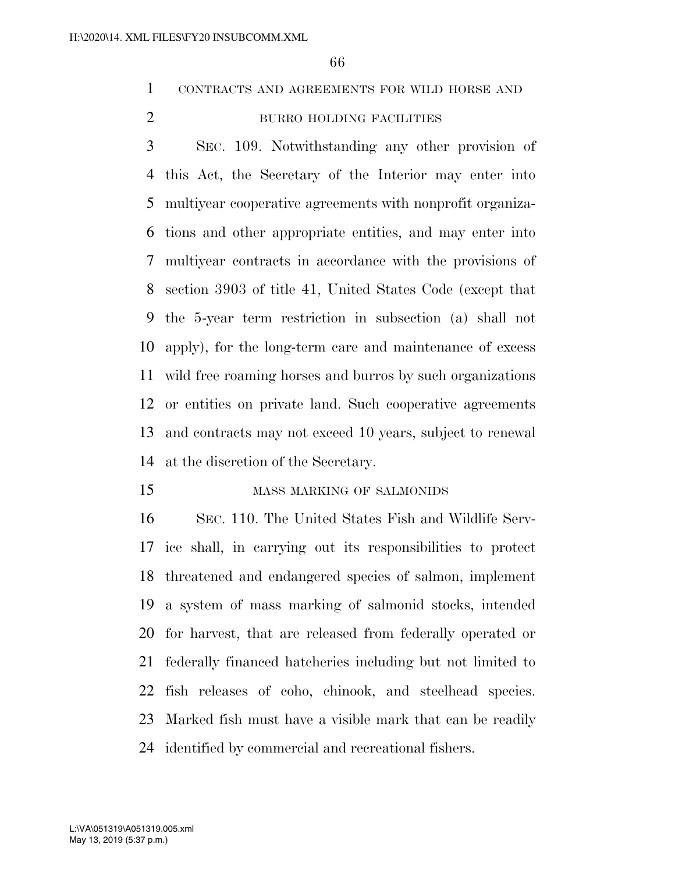CONTRACTS AND AGREEMENTS FOR WILD HORSE AND

# 2 BURRO HOLDING FACILITIES

 SEC. 109. Notwithstanding any other provision of this Act, the Secretary of the Interior may enter into multiyear cooperative agreements with nonprofit organiza- tions and other appropriate entities, and may enter into multiyear contracts in accordance with the provisions of section 3903 of title 41, United States Code (except that the 5-year term restriction in subsection (a) shall not apply), for the long-term care and maintenance of excess wild free roaming horses and burros by such organizations or entities on private land. Such cooperative agreements and contracts may not exceed 10 years, subject to renewal at the discretion of the Secretary.

#### 15 MASS MARKING OF SALMONIDS

 SEC. 110. The United States Fish and Wildlife Serv- ice shall, in carrying out its responsibilities to protect threatened and endangered species of salmon, implement a system of mass marking of salmonid stocks, intended for harvest, that are released from federally operated or federally financed hatcheries including but not limited to fish releases of coho, chinook, and steelhead species. Marked fish must have a visible mark that can be readily identified by commercial and recreational fishers.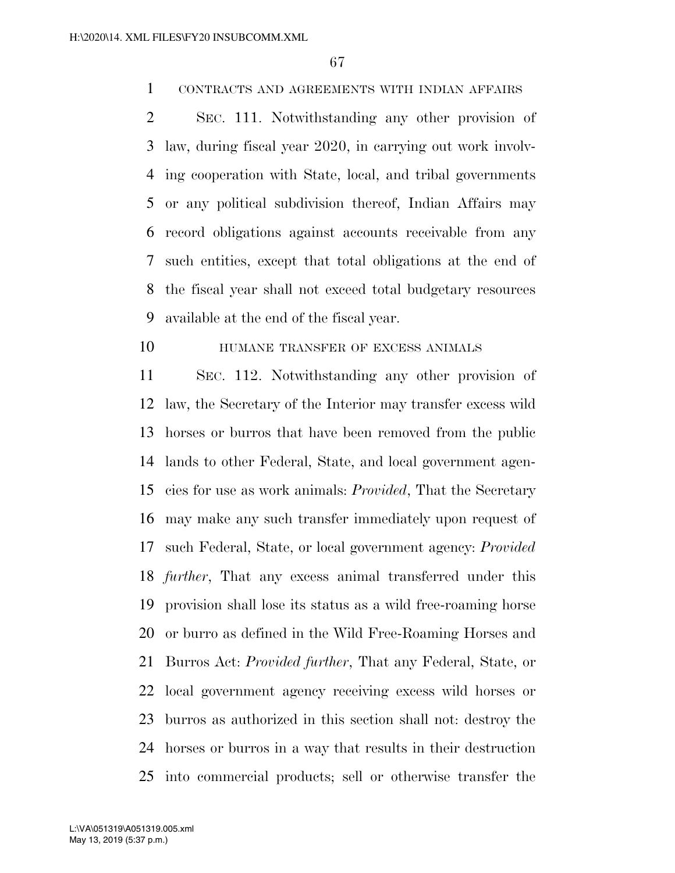# CONTRACTS AND AGREEMENTS WITH INDIAN AFFAIRS

 SEC. 111. Notwithstanding any other provision of law, during fiscal year 2020, in carrying out work involv- ing cooperation with State, local, and tribal governments or any political subdivision thereof, Indian Affairs may record obligations against accounts receivable from any such entities, except that total obligations at the end of the fiscal year shall not exceed total budgetary resources available at the end of the fiscal year.

# **HUMANE TRANSFER OF EXCESS ANIMALS**

 SEC. 112. Notwithstanding any other provision of law, the Secretary of the Interior may transfer excess wild horses or burros that have been removed from the public lands to other Federal, State, and local government agen- cies for use as work animals: *Provided*, That the Secretary may make any such transfer immediately upon request of such Federal, State, or local government agency: *Provided further*, That any excess animal transferred under this provision shall lose its status as a wild free-roaming horse or burro as defined in the Wild Free-Roaming Horses and Burros Act: *Provided further*, That any Federal, State, or local government agency receiving excess wild horses or burros as authorized in this section shall not: destroy the horses or burros in a way that results in their destruction into commercial products; sell or otherwise transfer the

May 13, 2019 (5:37 p.m.) L:\VA\051319\A051319.005.xml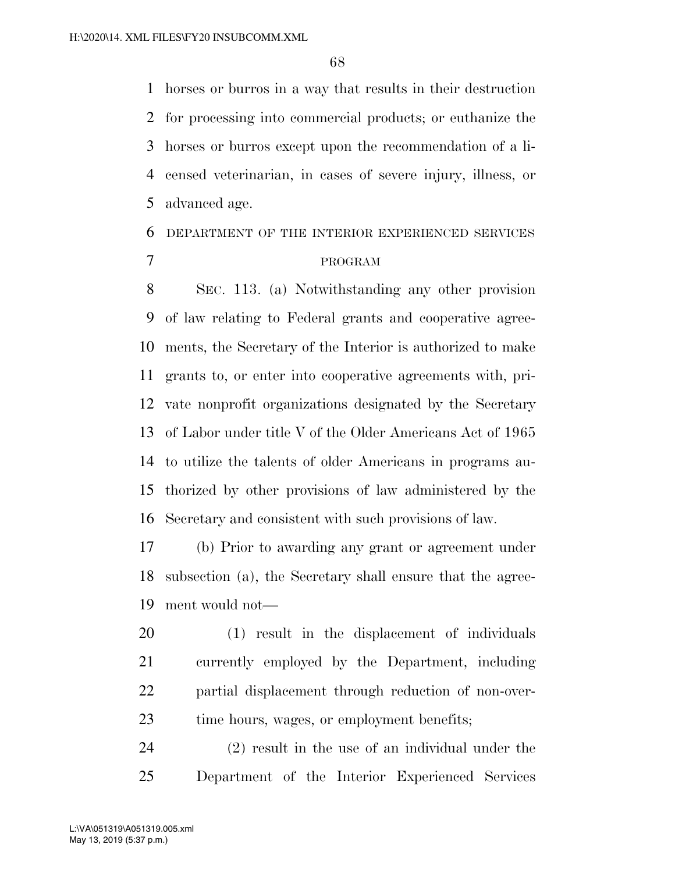horses or burros in a way that results in their destruction for processing into commercial products; or euthanize the horses or burros except upon the recommendation of a li- censed veterinarian, in cases of severe injury, illness, or advanced age.

# DEPARTMENT OF THE INTERIOR EXPERIENCED SERVICES PROGRAM

 SEC. 113. (a) Notwithstanding any other provision of law relating to Federal grants and cooperative agree- ments, the Secretary of the Interior is authorized to make grants to, or enter into cooperative agreements with, pri- vate nonprofit organizations designated by the Secretary of Labor under title V of the Older Americans Act of 1965 to utilize the talents of older Americans in programs au- thorized by other provisions of law administered by the Secretary and consistent with such provisions of law.

 (b) Prior to awarding any grant or agreement under subsection (a), the Secretary shall ensure that the agree-ment would not—

 (1) result in the displacement of individuals currently employed by the Department, including partial displacement through reduction of non-over-23 time hours, wages, or employment benefits;

 (2) result in the use of an individual under the Department of the Interior Experienced Services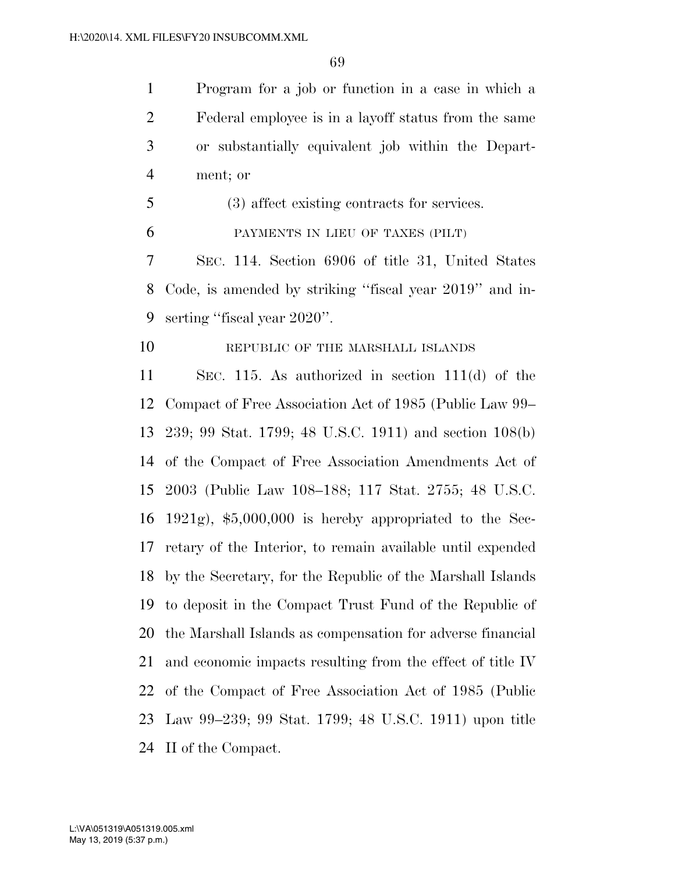Program for a job or function in a case in which a Federal employee is in a layoff status from the same or substantially equivalent job within the Depart-ment; or

(3) affect existing contracts for services.

PAYMENTS IN LIEU OF TAXES (PILT)

 SEC. 114. Section 6906 of title 31, United States Code, is amended by striking ''fiscal year 2019'' and in-serting ''fiscal year 2020''.

10 REPUBLIC OF THE MARSHALL ISLANDS

 SEC. 115. As authorized in section 111(d) of the Compact of Free Association Act of 1985 (Public Law 99– 239; 99 Stat. 1799; 48 U.S.C. 1911) and section 108(b) of the Compact of Free Association Amendments Act of 2003 (Public Law 108–188; 117 Stat. 2755; 48 U.S.C. 1921g), \$5,000,000 is hereby appropriated to the Sec- retary of the Interior, to remain available until expended by the Secretary, for the Republic of the Marshall Islands to deposit in the Compact Trust Fund of the Republic of the Marshall Islands as compensation for adverse financial and economic impacts resulting from the effect of title IV of the Compact of Free Association Act of 1985 (Public Law 99–239; 99 Stat. 1799; 48 U.S.C. 1911) upon title II of the Compact.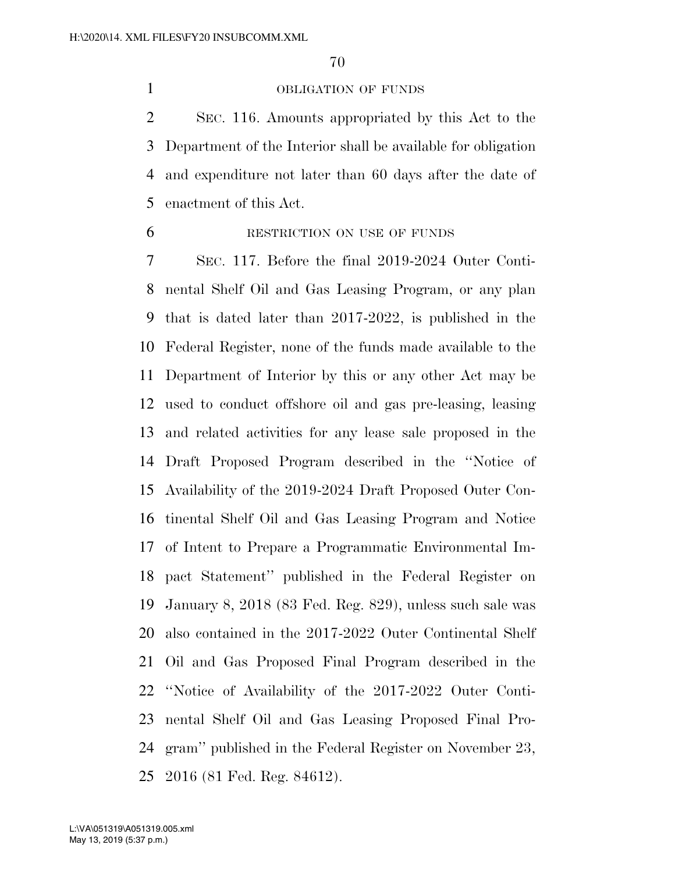## OBLIGATION OF FUNDS

 SEC. 116. Amounts appropriated by this Act to the Department of the Interior shall be available for obligation and expenditure not later than 60 days after the date of enactment of this Act.

RESTRICTION ON USE OF FUNDS

 SEC. 117. Before the final 2019-2024 Outer Conti- nental Shelf Oil and Gas Leasing Program, or any plan that is dated later than 2017-2022, is published in the Federal Register, none of the funds made available to the Department of Interior by this or any other Act may be used to conduct offshore oil and gas pre-leasing, leasing and related activities for any lease sale proposed in the Draft Proposed Program described in the ''Notice of Availability of the 2019-2024 Draft Proposed Outer Con- tinental Shelf Oil and Gas Leasing Program and Notice of Intent to Prepare a Programmatic Environmental Im- pact Statement'' published in the Federal Register on January 8, 2018 (83 Fed. Reg. 829), unless such sale was also contained in the 2017-2022 Outer Continental Shelf Oil and Gas Proposed Final Program described in the ''Notice of Availability of the 2017-2022 Outer Conti- nental Shelf Oil and Gas Leasing Proposed Final Pro- gram'' published in the Federal Register on November 23, 2016 (81 Fed. Reg. 84612).

May 13, 2019 (5:37 p.m.) L:\VA\051319\A051319.005.xml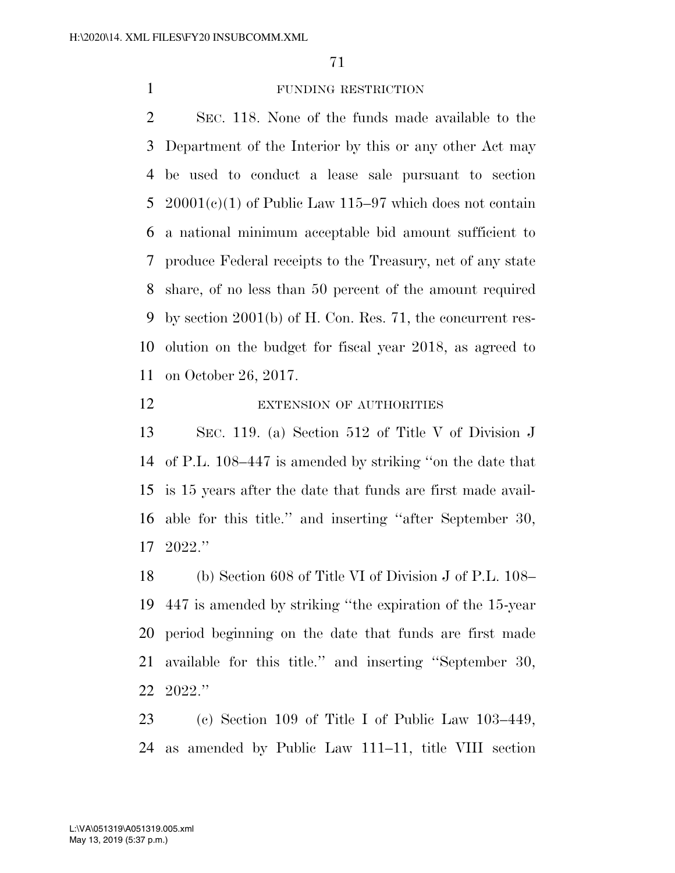# FUNDING RESTRICTION

 SEC. 118. None of the funds made available to the Department of the Interior by this or any other Act may be used to conduct a lease sale pursuant to section 5 20001(c)(1) of Public Law 115–97 which does not contain a national minimum acceptable bid amount sufficient to produce Federal receipts to the Treasury, net of any state share, of no less than 50 percent of the amount required by section 2001(b) of H. Con. Res. 71, the concurrent res- olution on the budget for fiscal year 2018, as agreed to on October 26, 2017.

#### 12 EXTENSION OF AUTHORITIES

 SEC. 119. (a) Section 512 of Title V of Division J of P.L. 108–447 is amended by striking ''on the date that is 15 years after the date that funds are first made avail- able for this title.'' and inserting ''after September 30, 2022.''

 (b) Section 608 of Title VI of Division J of P.L. 108– 447 is amended by striking ''the expiration of the 15-year period beginning on the date that funds are first made available for this title.'' and inserting ''September 30, 2022.''

 (c) Section 109 of Title I of Public Law 103–449, as amended by Public Law 111–11, title VIII section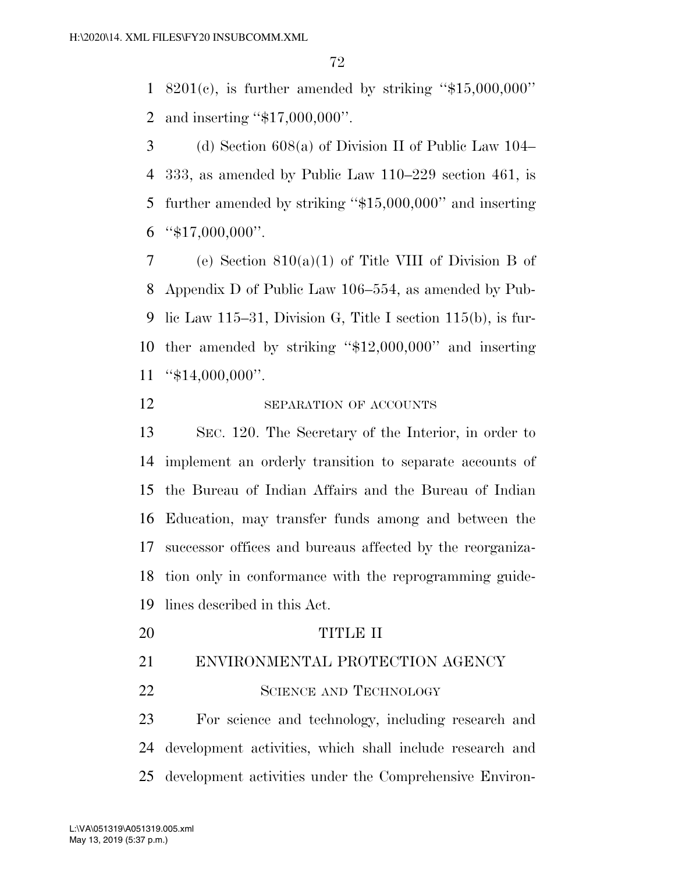8201(c), is further amended by striking ''\$15,000,000'' and inserting ''\$17,000,000''.

 (d) Section 608(a) of Division II of Public Law 104– 333, as amended by Public Law 110–229 section 461, is further amended by striking ''\$15,000,000'' and inserting " $$17,000,000$ ".

 (e) Section 810(a)(1) of Title VIII of Division B of Appendix D of Public Law 106–554, as amended by Pub- lic Law 115–31, Division G, Title I section 115(b), is fur- ther amended by striking ''\$12,000,000'' and inserting "\$14,000,000".

# 12 SEPARATION OF ACCOUNTS

 SEC. 120. The Secretary of the Interior, in order to implement an orderly transition to separate accounts of the Bureau of Indian Affairs and the Bureau of Indian Education, may transfer funds among and between the successor offices and bureaus affected by the reorganiza- tion only in conformance with the reprogramming guide-lines described in this Act.

TITLE II

ENVIRONMENTAL PROTECTION AGENCY

22 SCIENCE AND TECHNOLOGY

 For science and technology, including research and development activities, which shall include research and development activities under the Comprehensive Environ-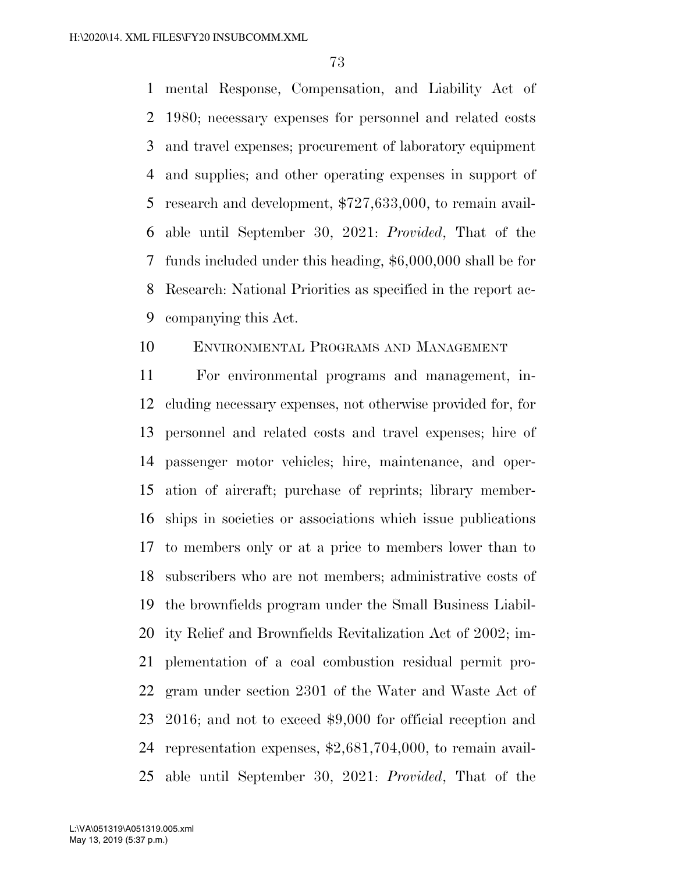mental Response, Compensation, and Liability Act of 1980; necessary expenses for personnel and related costs and travel expenses; procurement of laboratory equipment and supplies; and other operating expenses in support of research and development, \$727,633,000, to remain avail- able until September 30, 2021: *Provided*, That of the funds included under this heading, \$6,000,000 shall be for Research: National Priorities as specified in the report ac-companying this Act.

# ENVIRONMENTAL PROGRAMS AND MANAGEMENT

 For environmental programs and management, in- cluding necessary expenses, not otherwise provided for, for personnel and related costs and travel expenses; hire of passenger motor vehicles; hire, maintenance, and oper- ation of aircraft; purchase of reprints; library member- ships in societies or associations which issue publications to members only or at a price to members lower than to subscribers who are not members; administrative costs of the brownfields program under the Small Business Liabil- ity Relief and Brownfields Revitalization Act of 2002; im- plementation of a coal combustion residual permit pro- gram under section 2301 of the Water and Waste Act of 2016; and not to exceed \$9,000 for official reception and representation expenses, \$2,681,704,000, to remain avail-able until September 30, 2021: *Provided*, That of the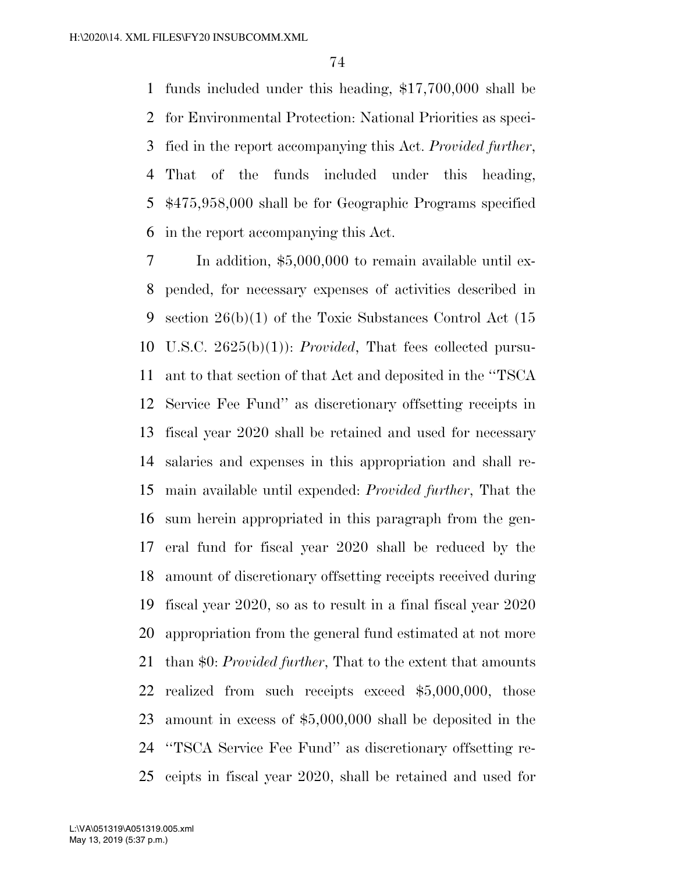funds included under this heading, \$17,700,000 shall be for Environmental Protection: National Priorities as speci- fied in the report accompanying this Act. *Provided further*, That of the funds included under this heading, \$475,958,000 shall be for Geographic Programs specified in the report accompanying this Act.

 In addition, \$5,000,000 to remain available until ex- pended, for necessary expenses of activities described in section 26(b)(1) of the Toxic Substances Control Act (15 U.S.C. 2625(b)(1)): *Provided*, That fees collected pursu- ant to that section of that Act and deposited in the ''TSCA Service Fee Fund'' as discretionary offsetting receipts in fiscal year 2020 shall be retained and used for necessary salaries and expenses in this appropriation and shall re- main available until expended: *Provided further*, That the sum herein appropriated in this paragraph from the gen- eral fund for fiscal year 2020 shall be reduced by the amount of discretionary offsetting receipts received during fiscal year 2020, so as to result in a final fiscal year 2020 appropriation from the general fund estimated at not more than \$0: *Provided further*, That to the extent that amounts realized from such receipts exceed \$5,000,000, those amount in excess of \$5,000,000 shall be deposited in the ''TSCA Service Fee Fund'' as discretionary offsetting re-ceipts in fiscal year 2020, shall be retained and used for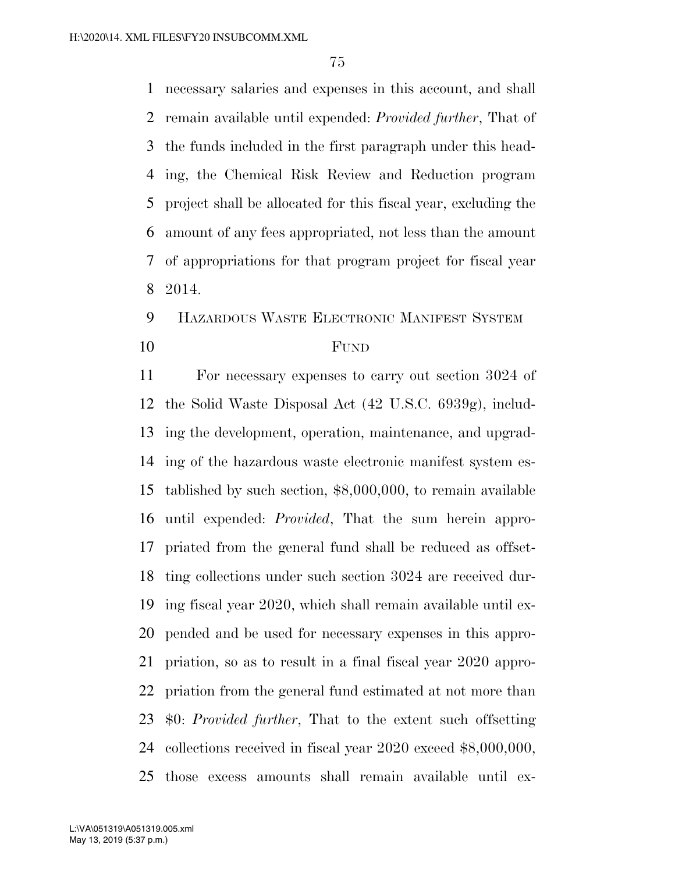necessary salaries and expenses in this account, and shall remain available until expended: *Provided further*, That of the funds included in the first paragraph under this head- ing, the Chemical Risk Review and Reduction program project shall be allocated for this fiscal year, excluding the amount of any fees appropriated, not less than the amount of appropriations for that program project for fiscal year 2014.

# HAZARDOUS WASTE ELECTRONIC MANIFEST SYSTEM FUND

 For necessary expenses to carry out section 3024 of the Solid Waste Disposal Act (42 U.S.C. 6939g), includ- ing the development, operation, maintenance, and upgrad- ing of the hazardous waste electronic manifest system es- tablished by such section, \$8,000,000, to remain available until expended: *Provided*, That the sum herein appro- priated from the general fund shall be reduced as offset- ting collections under such section 3024 are received dur- ing fiscal year 2020, which shall remain available until ex- pended and be used for necessary expenses in this appro- priation, so as to result in a final fiscal year 2020 appro- priation from the general fund estimated at not more than \$0: *Provided further*, That to the extent such offsetting collections received in fiscal year 2020 exceed \$8,000,000, those excess amounts shall remain available until ex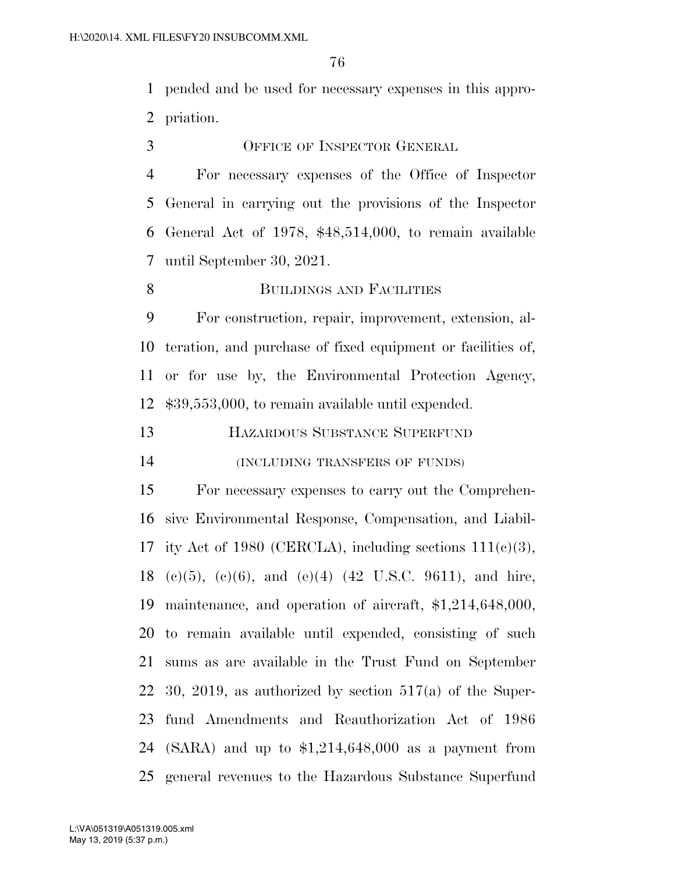pended and be used for necessary expenses in this appro-priation.

OFFICE OF INSPECTOR GENERAL

 For necessary expenses of the Office of Inspector General in carrying out the provisions of the Inspector General Act of 1978, \$48,514,000, to remain available until September 30, 2021.

8 BUILDINGS AND FACILITIES

 For construction, repair, improvement, extension, al- teration, and purchase of fixed equipment or facilities of, or for use by, the Environmental Protection Agency, \$39,553,000, to remain available until expended.

HAZARDOUS SUBSTANCE SUPERFUND

(INCLUDING TRANSFERS OF FUNDS)

 For necessary expenses to carry out the Comprehen- sive Environmental Response, Compensation, and Liabil-17 ity Act of 1980 (CERCLA), including sections  $111(c)(3)$ , 18 (c)(5), (e)(6), and (e)(4) (42 U.S.C. 9611), and hire, maintenance, and operation of aircraft, \$1,214,648,000, to remain available until expended, consisting of such sums as are available in the Trust Fund on September 30, 2019, as authorized by section 517(a) of the Super- fund Amendments and Reauthorization Act of 1986 (SARA) and up to \$1,214,648,000 as a payment from general revenues to the Hazardous Substance Superfund

May 13, 2019 (5:37 p.m.) L:\VA\051319\A051319.005.xml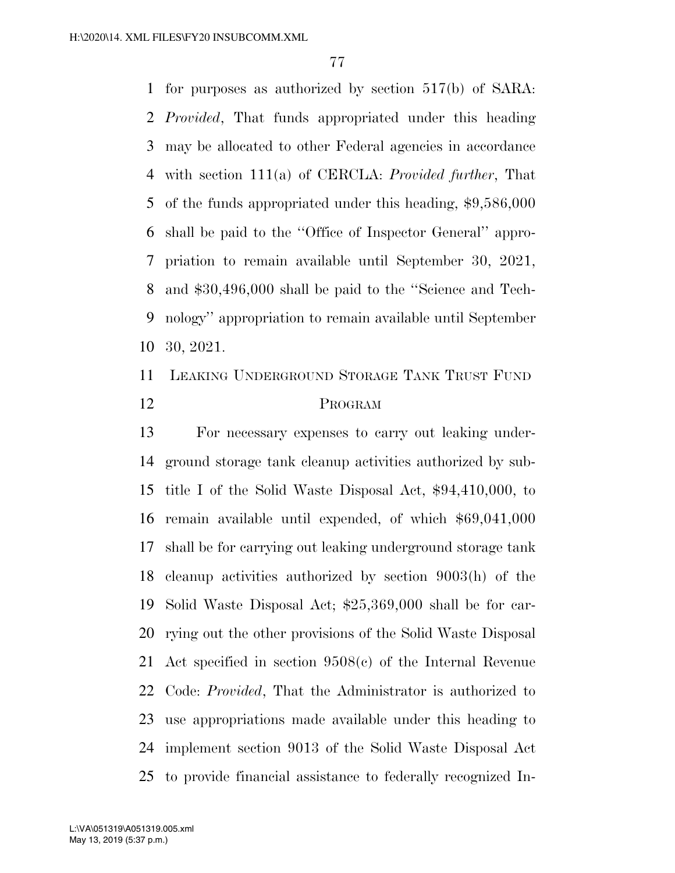for purposes as authorized by section 517(b) of SARA: *Provided*, That funds appropriated under this heading may be allocated to other Federal agencies in accordance with section 111(a) of CERCLA: *Provided further*, That of the funds appropriated under this heading, \$9,586,000 shall be paid to the ''Office of Inspector General'' appro- priation to remain available until September 30, 2021, and \$30,496,000 shall be paid to the ''Science and Tech- nology'' appropriation to remain available until September 30, 2021.

# LEAKING UNDERGROUND STORAGE TANK TRUST FUND PROGRAM

 For necessary expenses to carry out leaking under- ground storage tank cleanup activities authorized by sub- title I of the Solid Waste Disposal Act, \$94,410,000, to remain available until expended, of which \$69,041,000 shall be for carrying out leaking underground storage tank cleanup activities authorized by section 9003(h) of the Solid Waste Disposal Act; \$25,369,000 shall be for car- rying out the other provisions of the Solid Waste Disposal Act specified in section 9508(c) of the Internal Revenue Code: *Provided*, That the Administrator is authorized to use appropriations made available under this heading to implement section 9013 of the Solid Waste Disposal Act to provide financial assistance to federally recognized In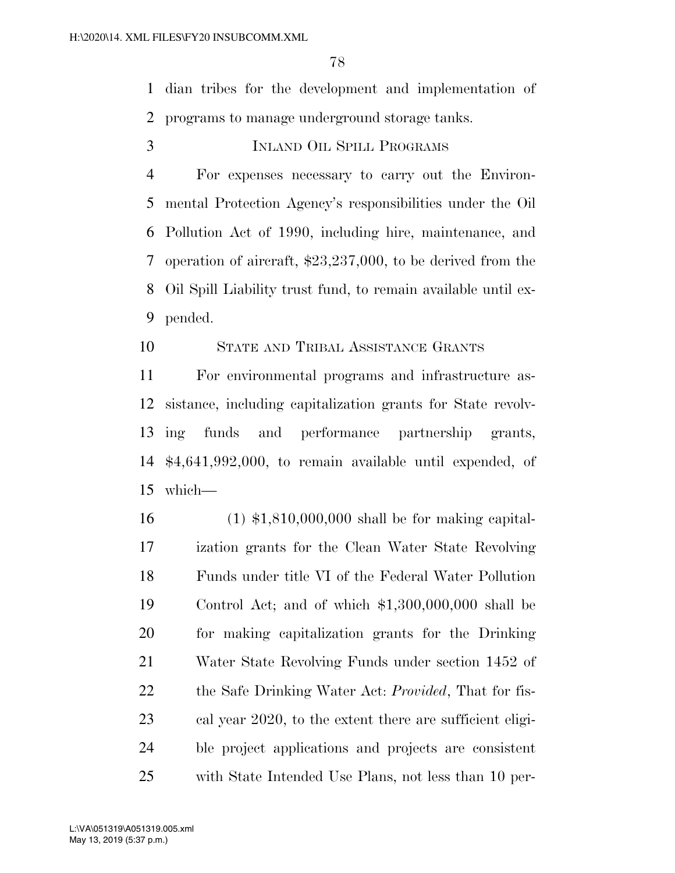dian tribes for the development and implementation of programs to manage underground storage tanks.

INLAND OIL SPILL PROGRAMS

 For expenses necessary to carry out the Environ- mental Protection Agency's responsibilities under the Oil Pollution Act of 1990, including hire, maintenance, and operation of aircraft, \$23,237,000, to be derived from the Oil Spill Liability trust fund, to remain available until ex-pended.

### STATE AND TRIBAL ASSISTANCE GRANTS

 For environmental programs and infrastructure as- sistance, including capitalization grants for State revolv- ing funds and performance partnership grants, \$4,641,992,000, to remain available until expended, of which—

 (1) \$1,810,000,000 shall be for making capital- ization grants for the Clean Water State Revolving Funds under title VI of the Federal Water Pollution Control Act; and of which \$1,300,000,000 shall be for making capitalization grants for the Drinking Water State Revolving Funds under section 1452 of the Safe Drinking Water Act: *Provided*, That for fis- cal year 2020, to the extent there are sufficient eligi- ble project applications and projects are consistent with State Intended Use Plans, not less than 10 per-

May 13, 2019 (5:37 p.m.) L:\VA\051319\A051319.005.xml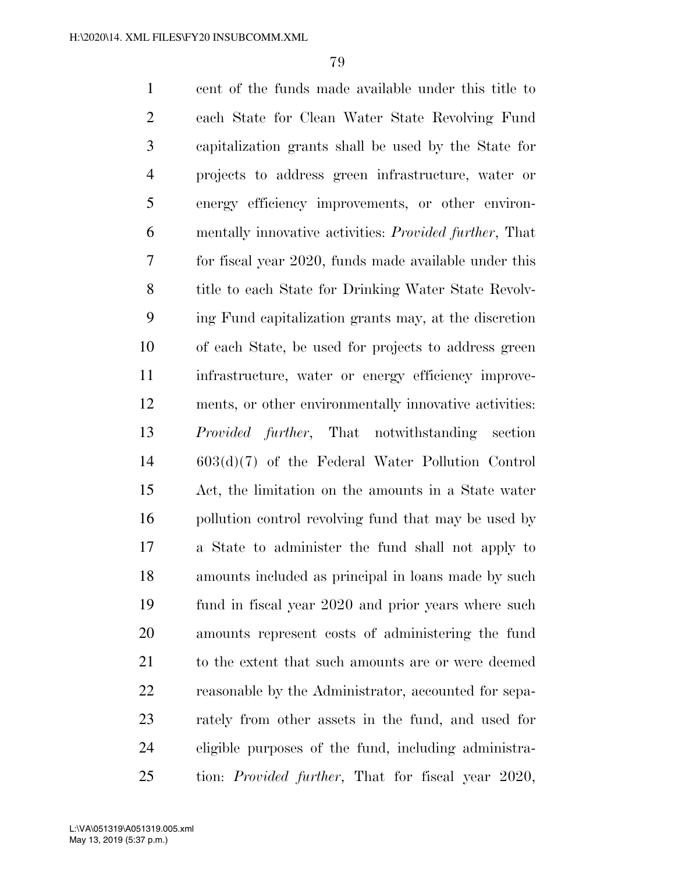cent of the funds made available under this title to each State for Clean Water State Revolving Fund capitalization grants shall be used by the State for projects to address green infrastructure, water or energy efficiency improvements, or other environ- mentally innovative activities: *Provided further*, That for fiscal year 2020, funds made available under this title to each State for Drinking Water State Revolv- ing Fund capitalization grants may, at the discretion of each State, be used for projects to address green infrastructure, water or energy efficiency improve- ments, or other environmentally innovative activities: *Provided further*, That notwithstanding section 603(d)(7) of the Federal Water Pollution Control Act, the limitation on the amounts in a State water pollution control revolving fund that may be used by a State to administer the fund shall not apply to amounts included as principal in loans made by such fund in fiscal year 2020 and prior years where such amounts represent costs of administering the fund 21 to the extent that such amounts are or were deemed reasonable by the Administrator, accounted for sepa- rately from other assets in the fund, and used for eligible purposes of the fund, including administra-tion: *Provided further*, That for fiscal year 2020,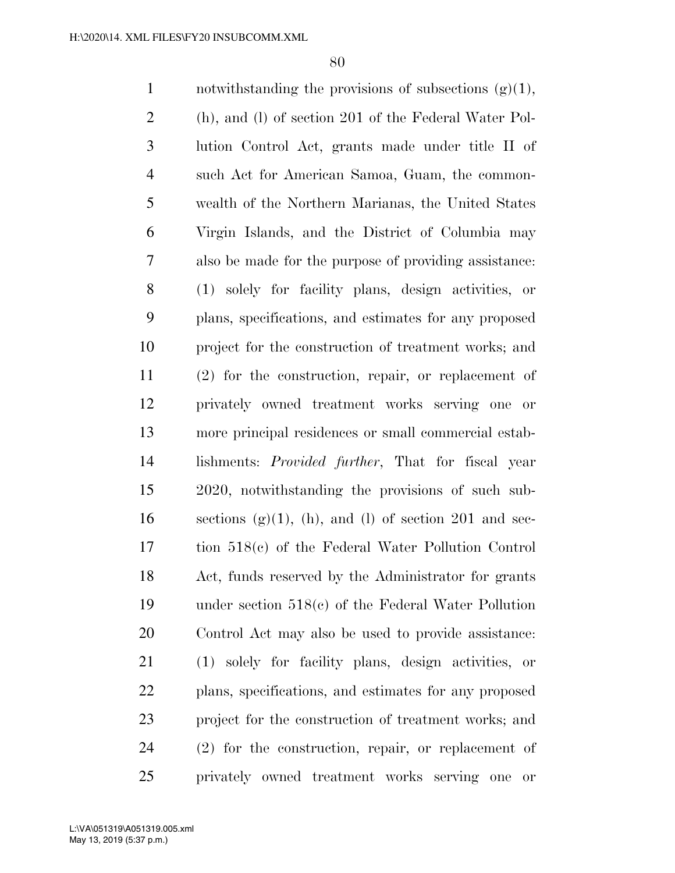| $\mathbf{1}$   | notwithstanding the provisions of subsections $(g)(1)$ ,            |
|----------------|---------------------------------------------------------------------|
| $\overline{2}$ | (h), and (l) of section 201 of the Federal Water Pol-               |
| 3              | lution Control Act, grants made under title II of                   |
| $\overline{4}$ | such Act for American Samoa, Guam, the common-                      |
| 5              | wealth of the Northern Marianas, the United States                  |
| 6              | Virgin Islands, and the District of Columbia may                    |
| 7              | also be made for the purpose of providing assistance:               |
| 8              | (1) solely for facility plans, design activities, or                |
| 9              | plans, specifications, and estimates for any proposed               |
| 10             | project for the construction of treatment works; and                |
| 11             | (2) for the construction, repair, or replacement of                 |
| 12             | privately owned treatment works serving one or                      |
| 13             | more principal residences or small commercial estab-                |
| 14             | lishments: <i>Provided further</i> , That for fiscal year           |
| 15             | 2020, notwithstanding the provisions of such sub-                   |
| 16             | sections $(g)(1)$ , (h), and (l) of section 201 and sec-            |
| 17             | tion 518(c) of the Federal Water Pollution Control                  |
| 18             | Act, funds reserved by the Administrator for grants                 |
| 19             | under section $518(c)$ of the Federal Water Pollution               |
| 20             | Control Act may also be used to provide assistance:                 |
| 21             | (1) solely for facility plans, design activities, or                |
| 22             | plans, specifications, and estimates for any proposed               |
| 23             | project for the construction of treatment works; and                |
| 24             | $(2)$ for the construction, repair, or replacement of               |
| 25             | privately owned treatment works serving one<br>$\hbox{or}\hskip2pt$ |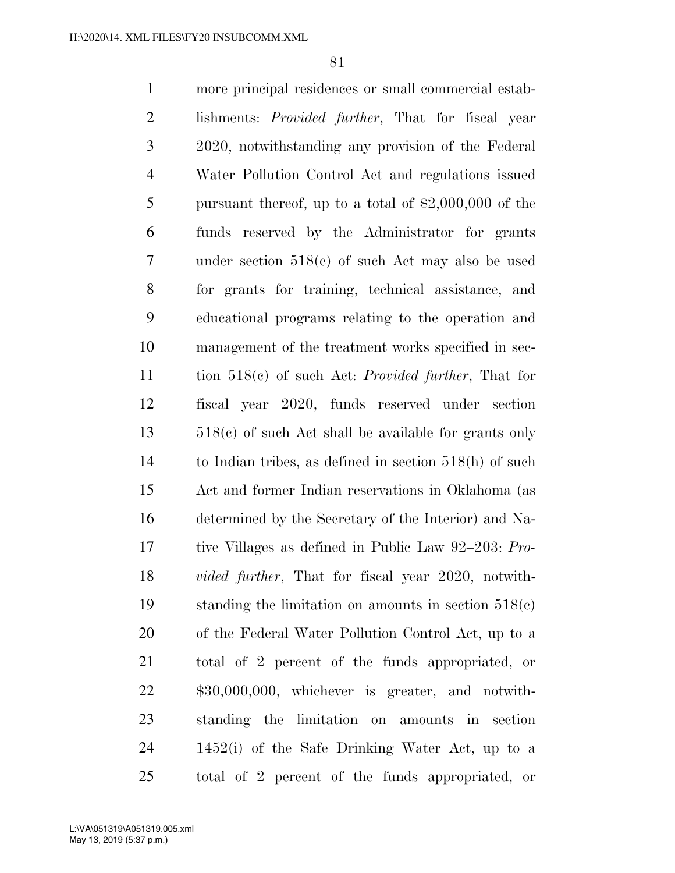more principal residences or small commercial estab- lishments: *Provided further*, That for fiscal year 2020, notwithstanding any provision of the Federal Water Pollution Control Act and regulations issued pursuant thereof, up to a total of \$2,000,000 of the funds reserved by the Administrator for grants under section 518(c) of such Act may also be used for grants for training, technical assistance, and educational programs relating to the operation and management of the treatment works specified in sec- tion 518(c) of such Act: *Provided further*, That for fiscal year 2020, funds reserved under section 518(c) of such Act shall be available for grants only to Indian tribes, as defined in section 518(h) of such Act and former Indian reservations in Oklahoma (as determined by the Secretary of the Interior) and Na- tive Villages as defined in Public Law 92–203: *Pro- vided further*, That for fiscal year 2020, notwith- standing the limitation on amounts in section 518(c) of the Federal Water Pollution Control Act, up to a total of 2 percent of the funds appropriated, or \$30,000,000, whichever is greater, and notwith- standing the limitation on amounts in section 1452(i) of the Safe Drinking Water Act, up to a total of 2 percent of the funds appropriated, or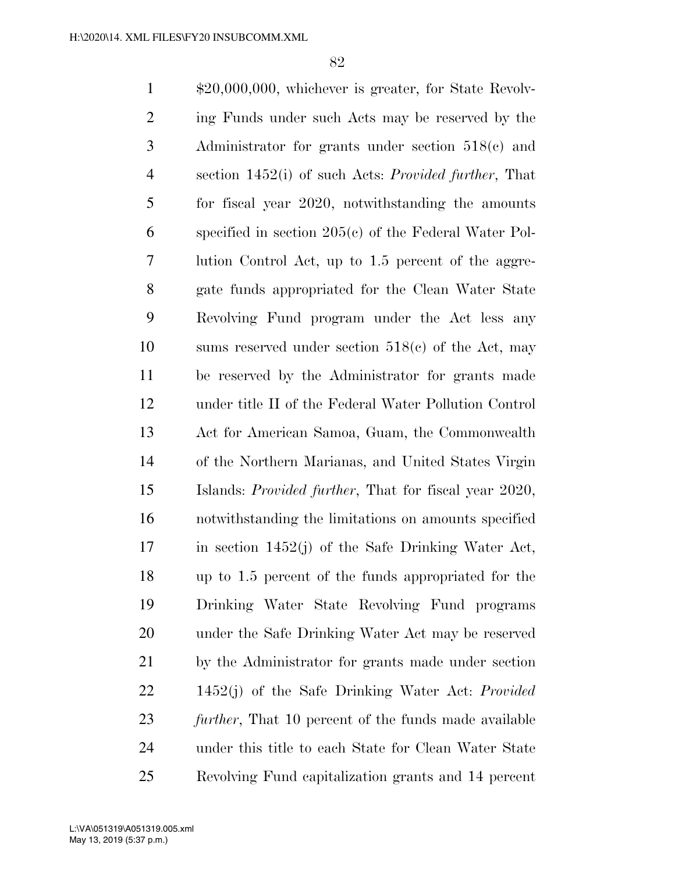\$20,000,000, whichever is greater, for State Revolv- ing Funds under such Acts may be reserved by the Administrator for grants under section 518(c) and section 1452(i) of such Acts: *Provided further*, That for fiscal year 2020, notwithstanding the amounts specified in section 205(c) of the Federal Water Pol- lution Control Act, up to 1.5 percent of the aggre- gate funds appropriated for the Clean Water State Revolving Fund program under the Act less any sums reserved under section 518(c) of the Act, may be reserved by the Administrator for grants made under title II of the Federal Water Pollution Control Act for American Samoa, Guam, the Commonwealth of the Northern Marianas, and United States Virgin Islands: *Provided further*, That for fiscal year 2020, notwithstanding the limitations on amounts specified in section 1452(j) of the Safe Drinking Water Act, up to 1.5 percent of the funds appropriated for the Drinking Water State Revolving Fund programs under the Safe Drinking Water Act may be reserved by the Administrator for grants made under section 1452(j) of the Safe Drinking Water Act: *Provided further*, That 10 percent of the funds made available under this title to each State for Clean Water State Revolving Fund capitalization grants and 14 percent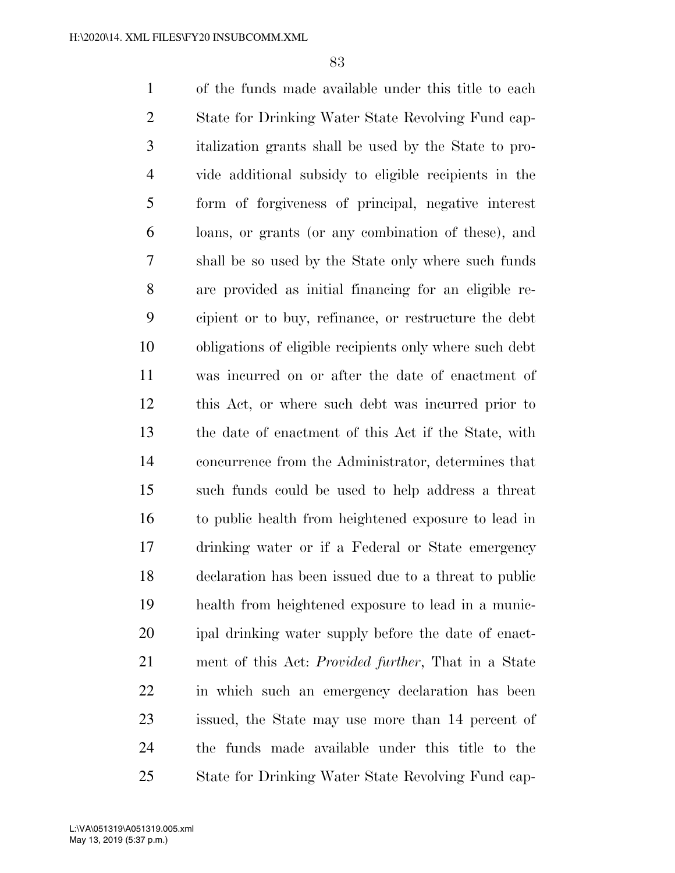of the funds made available under this title to each State for Drinking Water State Revolving Fund cap- italization grants shall be used by the State to pro- vide additional subsidy to eligible recipients in the form of forgiveness of principal, negative interest loans, or grants (or any combination of these), and shall be so used by the State only where such funds are provided as initial financing for an eligible re- cipient or to buy, refinance, or restructure the debt obligations of eligible recipients only where such debt was incurred on or after the date of enactment of this Act, or where such debt was incurred prior to the date of enactment of this Act if the State, with concurrence from the Administrator, determines that such funds could be used to help address a threat to public health from heightened exposure to lead in drinking water or if a Federal or State emergency declaration has been issued due to a threat to public health from heightened exposure to lead in a munic- ipal drinking water supply before the date of enact- ment of this Act: *Provided further*, That in a State in which such an emergency declaration has been issued, the State may use more than 14 percent of the funds made available under this title to the State for Drinking Water State Revolving Fund cap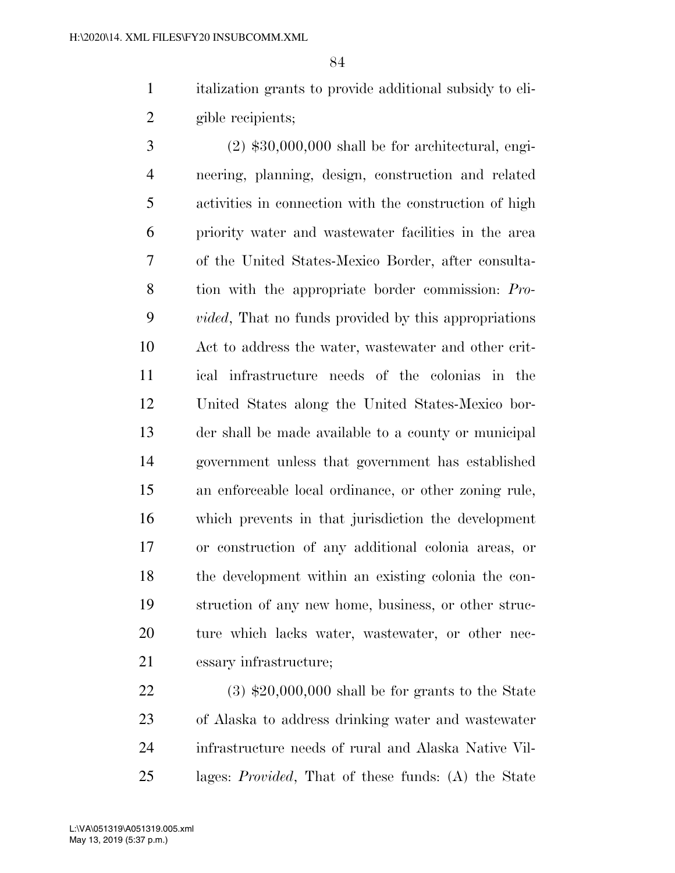italization grants to provide additional subsidy to eli-gible recipients;

 (2) \$30,000,000 shall be for architectural, engi- neering, planning, design, construction and related activities in connection with the construction of high priority water and wastewater facilities in the area of the United States-Mexico Border, after consulta- tion with the appropriate border commission: *Pro- vided*, That no funds provided by this appropriations Act to address the water, wastewater and other crit- ical infrastructure needs of the colonias in the United States along the United States-Mexico bor- der shall be made available to a county or municipal government unless that government has established an enforceable local ordinance, or other zoning rule, which prevents in that jurisdiction the development or construction of any additional colonia areas, or the development within an existing colonia the con- struction of any new home, business, or other struc- ture which lacks water, wastewater, or other nec-essary infrastructure;

 (3) \$20,000,000 shall be for grants to the State of Alaska to address drinking water and wastewater infrastructure needs of rural and Alaska Native Vil-lages: *Provided*, That of these funds: (A) the State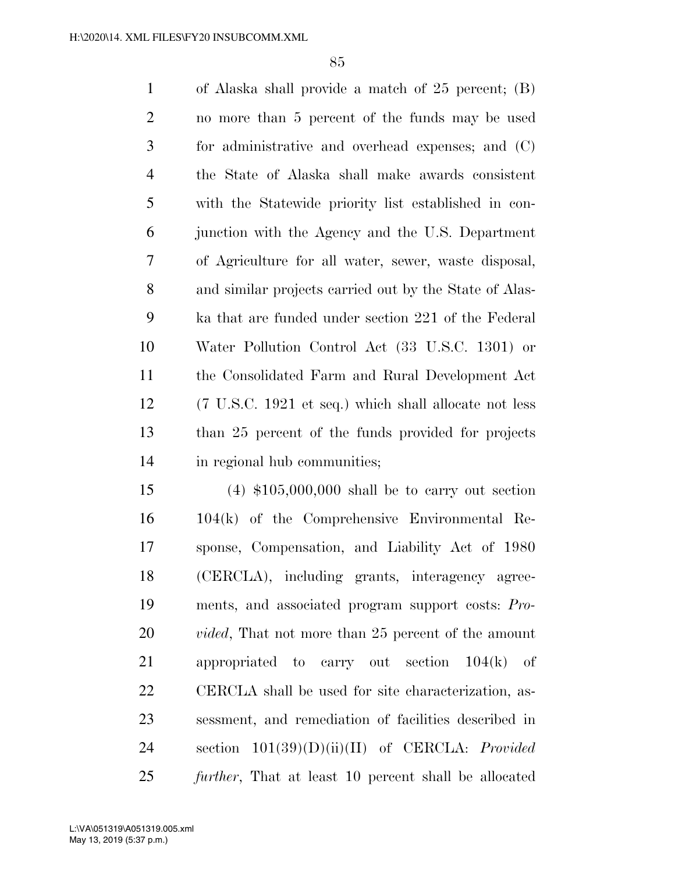of Alaska shall provide a match of 25 percent; (B) no more than 5 percent of the funds may be used for administrative and overhead expenses; and (C) the State of Alaska shall make awards consistent with the Statewide priority list established in con- junction with the Agency and the U.S. Department of Agriculture for all water, sewer, waste disposal, and similar projects carried out by the State of Alas- ka that are funded under section 221 of the Federal Water Pollution Control Act (33 U.S.C. 1301) or the Consolidated Farm and Rural Development Act (7 U.S.C. 1921 et seq.) which shall allocate not less than 25 percent of the funds provided for projects in regional hub communities;

 (4) \$105,000,000 shall be to carry out section 104(k) of the Comprehensive Environmental Re- sponse, Compensation, and Liability Act of 1980 (CERCLA), including grants, interagency agree- ments, and associated program support costs: *Pro- vided*, That not more than 25 percent of the amount appropriated to carry out section 104(k) of CERCLA shall be used for site characterization, as- sessment, and remediation of facilities described in section 101(39)(D)(ii)(II) of CERCLA: *Provided further*, That at least 10 percent shall be allocated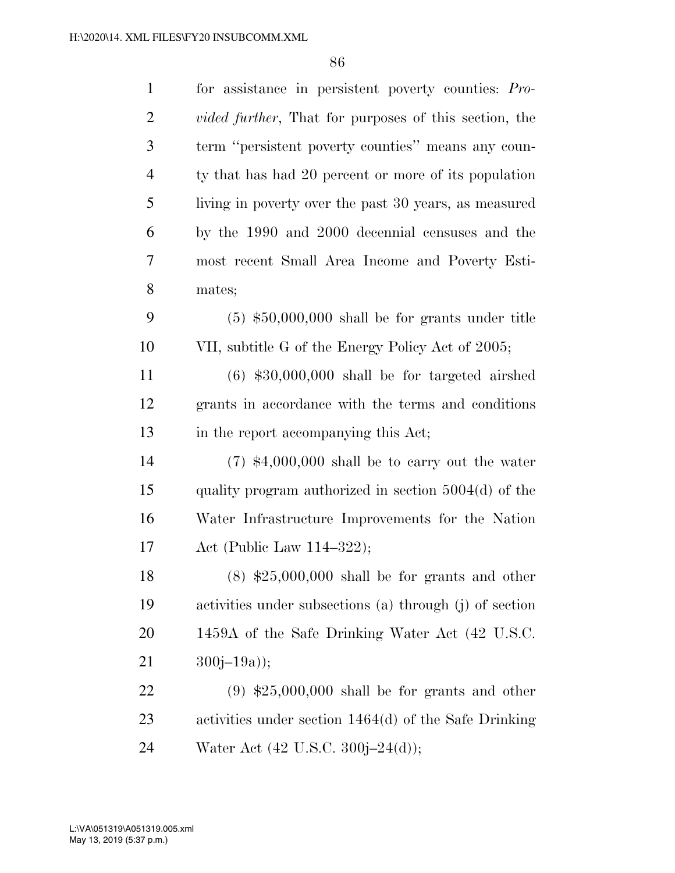| $\mathbf{1}$   | for assistance in persistent poverty counties: Pro-           |
|----------------|---------------------------------------------------------------|
| $\overline{2}$ | <i>vided further</i> , That for purposes of this section, the |
| 3              | term "persistent poverty counties" means any coun-            |
| $\overline{4}$ | ty that has had 20 percent or more of its population          |
| 5              | living in poverty over the past 30 years, as measured         |
| 6              | by the 1990 and 2000 decennial censuses and the               |
| 7              | most recent Small Area Income and Poverty Esti-               |
| 8              | mates;                                                        |
| 9              | $(5)$ \$50,000,000 shall be for grants under title            |
| 10             | VII, subtitle G of the Energy Policy Act of 2005;             |
| 11             | $(6)$ \$30,000,000 shall be for targeted airshed              |
| 12             | grants in accordance with the terms and conditions            |
| 13             | in the report accompanying this Act;                          |
| 14             | $(7)$ \$4,000,000 shall be to carry out the water             |
|                |                                                               |
| 15             | quality program authorized in section $5004(d)$ of the        |
| 16             | Water Infrastructure Improvements for the Nation              |
| 17             | Act (Public Law $114-322$ );                                  |
| 18             | $(8)$ \$25,000,000 shall be for grants and other              |
| 19             | activities under subsections (a) through (j) of section       |
| 20             | 1459A of the Safe Drinking Water Act (42 U.S.C.               |
| 21             | $300j - 19a$ ;                                                |
| 22             | $(9)$ \$25,000,000 shall be for grants and other              |
| 23             | activities under section $1464(d)$ of the Safe Drinking       |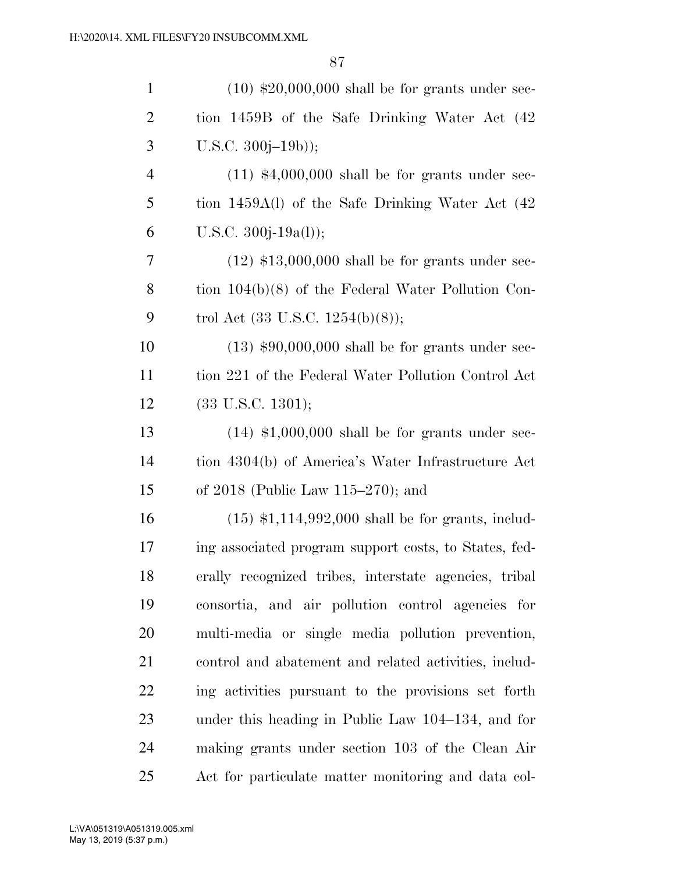| $\mathbf{1}$   | $(10)$ \$20,000,000 shall be for grants under sec-    |
|----------------|-------------------------------------------------------|
| $\overline{2}$ | tion 1459B of the Safe Drinking Water Act (42)        |
| 3              | $U.S.C. 300j-19b)$ ;                                  |
| $\overline{4}$ | $(11)$ \$4,000,000 shall be for grants under sec-     |
| 5              | tion $1459A(l)$ of the Safe Drinking Water Act $(42)$ |
| 6              | U.S.C. 300j-19a(l));                                  |
| 7              | $(12)$ \$13,000,000 shall be for grants under sec-    |
| 8              | tion $104(b)(8)$ of the Federal Water Pollution Con-  |
| 9              | trol Act $(33 \text{ U.S.C. } 1254(b)(8));$           |
| 10             | $(13)$ \$90,000,000 shall be for grants under sec-    |
| 11             | tion 221 of the Federal Water Pollution Control Act   |
| 12             | $(33 \text{ U.S.C. } 1301);$                          |
| 13             | $(14)$ \$1,000,000 shall be for grants under sec-     |
| 14             | tion 4304(b) of America's Water Infrastructure Act    |
| 15             | of $2018$ (Public Law $115-270$ ); and                |
| 16             | $(15)$ \$1,114,992,000 shall be for grants, includ-   |
| 17             | ing associated program support costs, to States, fed- |
| 18             | erally recognized tribes, interstate agencies, tribal |
| 19             | consortia, and air pollution control agencies for     |
| 20             | multi-media or single media pollution prevention,     |
| 21             | control and abatement and related activities, includ- |
| 22             | ing activities pursuant to the provisions set forth   |
| 23             | under this heading in Public Law 104–134, and for     |
| 24             | making grants under section 103 of the Clean Air      |
| 25             | Act for particulate matter monitoring and data col-   |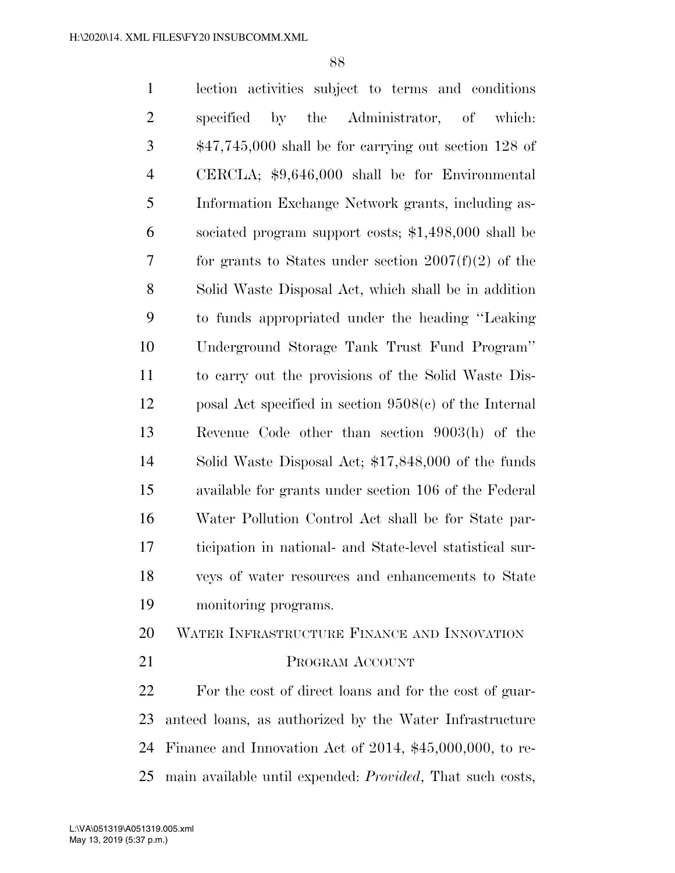lection activities subject to terms and conditions specified by the Administrator, of which: \$47,745,000 shall be for carrying out section 128 of CERCLA; \$9,646,000 shall be for Environmental Information Exchange Network grants, including as- sociated program support costs; \$1,498,000 shall be for grants to States under section 2007(f)(2) of the Solid Waste Disposal Act, which shall be in addition to funds appropriated under the heading ''Leaking Underground Storage Tank Trust Fund Program'' to carry out the provisions of the Solid Waste Dis- posal Act specified in section 9508(c) of the Internal Revenue Code other than section 9003(h) of the Solid Waste Disposal Act; \$17,848,000 of the funds available for grants under section 106 of the Federal Water Pollution Control Act shall be for State par- ticipation in national- and State-level statistical sur- veys of water resources and enhancements to State monitoring programs. WATER INFRASTRUCTURE FINANCE AND INNOVATION 21 PROGRAM ACCOUNT

 For the cost of direct loans and for the cost of guar- anteed loans, as authorized by the Water Infrastructure Finance and Innovation Act of 2014, \$45,000,000, to re-main available until expended: *Provided*, That such costs,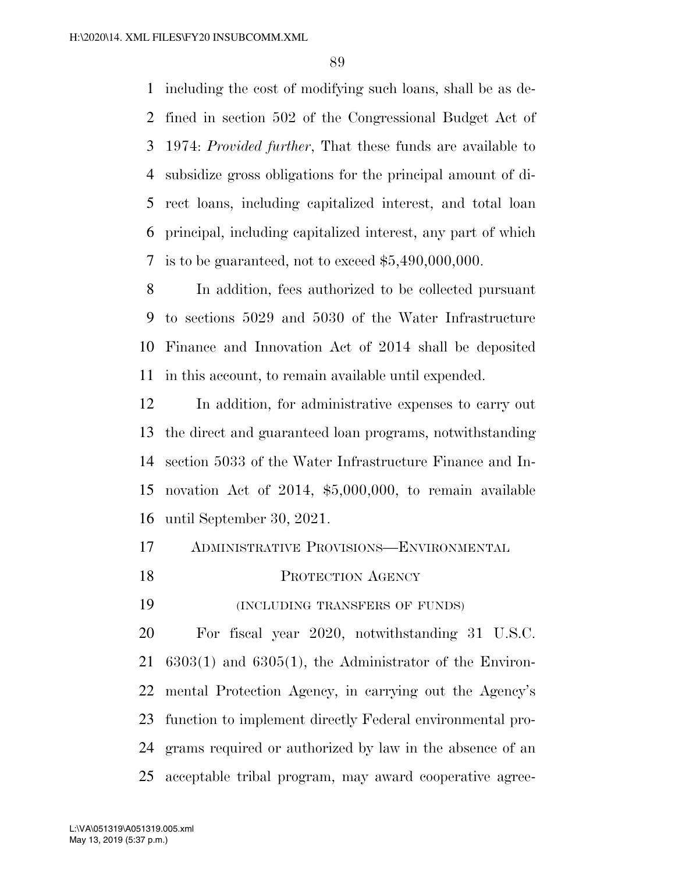including the cost of modifying such loans, shall be as de- fined in section 502 of the Congressional Budget Act of 1974: *Provided further*, That these funds are available to subsidize gross obligations for the principal amount of di- rect loans, including capitalized interest, and total loan principal, including capitalized interest, any part of which 7 is to be guaranteed, not to exceed  $$5,490,000,000$ .

 In addition, fees authorized to be collected pursuant to sections 5029 and 5030 of the Water Infrastructure Finance and Innovation Act of 2014 shall be deposited in this account, to remain available until expended.

 In addition, for administrative expenses to carry out the direct and guaranteed loan programs, notwithstanding section 5033 of the Water Infrastructure Finance and In- novation Act of 2014, \$5,000,000, to remain available until September 30, 2021.

| 17 |  | ADMINISTRATIVE PROVISIONS-ENVIRONMENTAL |
|----|--|-----------------------------------------|
|    |  |                                         |

18 PROTECTION AGENCY

(INCLUDING TRANSFERS OF FUNDS)

 For fiscal year 2020, notwithstanding 31 U.S.C. 6303(1) and 6305(1), the Administrator of the Environ- mental Protection Agency, in carrying out the Agency's function to implement directly Federal environmental pro- grams required or authorized by law in the absence of an acceptable tribal program, may award cooperative agree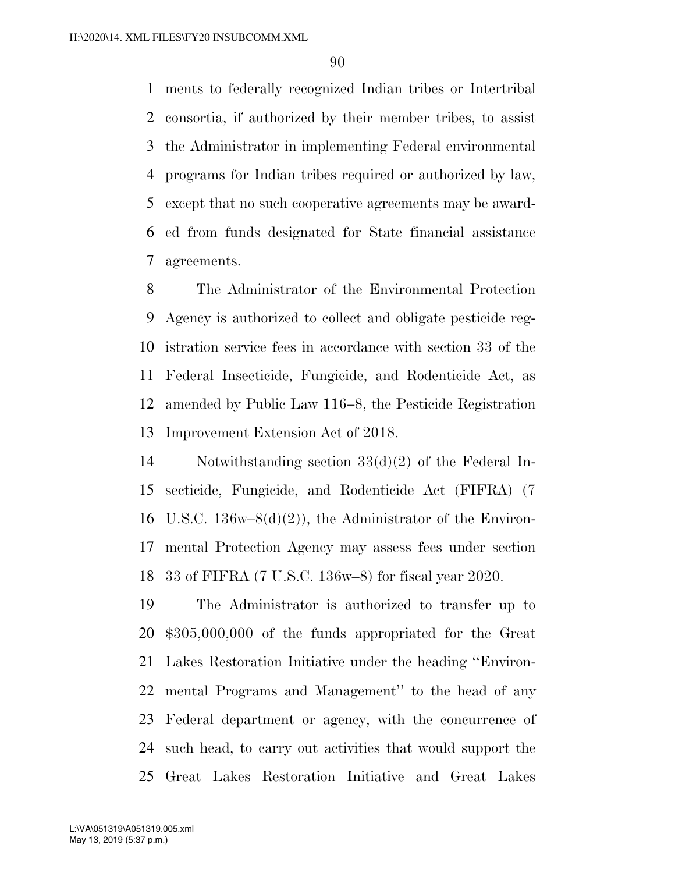ments to federally recognized Indian tribes or Intertribal consortia, if authorized by their member tribes, to assist the Administrator in implementing Federal environmental programs for Indian tribes required or authorized by law, except that no such cooperative agreements may be award- ed from funds designated for State financial assistance agreements.

 The Administrator of the Environmental Protection Agency is authorized to collect and obligate pesticide reg- istration service fees in accordance with section 33 of the Federal Insecticide, Fungicide, and Rodenticide Act, as amended by Public Law 116–8, the Pesticide Registration Improvement Extension Act of 2018.

 Notwithstanding section 33(d)(2) of the Federal In- secticide, Fungicide, and Rodenticide Act (FIFRA) (7 16 U.S.C. 136w–8 $(d)(2)$ , the Administrator of the Environ- mental Protection Agency may assess fees under section 33 of FIFRA (7 U.S.C. 136w–8) for fiscal year 2020.

 The Administrator is authorized to transfer up to \$305,000,000 of the funds appropriated for the Great Lakes Restoration Initiative under the heading ''Environ- mental Programs and Management'' to the head of any Federal department or agency, with the concurrence of such head, to carry out activities that would support the Great Lakes Restoration Initiative and Great Lakes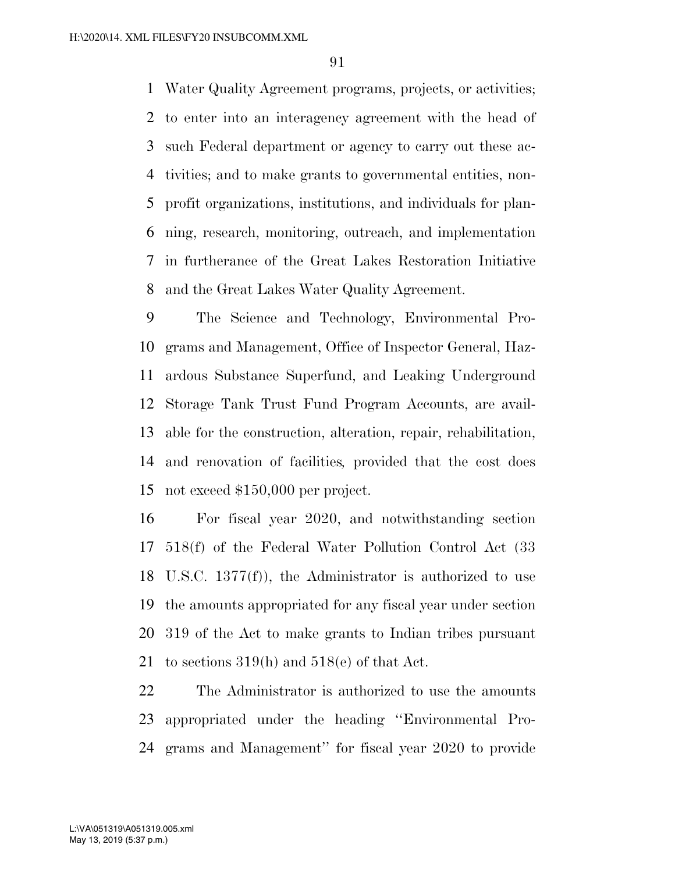Water Quality Agreement programs, projects, or activities; to enter into an interagency agreement with the head of such Federal department or agency to carry out these ac- tivities; and to make grants to governmental entities, non- profit organizations, institutions, and individuals for plan- ning, research, monitoring, outreach, and implementation in furtherance of the Great Lakes Restoration Initiative and the Great Lakes Water Quality Agreement.

 The Science and Technology, Environmental Pro- grams and Management, Office of Inspector General, Haz- ardous Substance Superfund, and Leaking Underground Storage Tank Trust Fund Program Accounts, are avail- able for the construction, alteration, repair, rehabilitation, and renovation of facilities*,* provided that the cost does not exceed \$150,000 per project.

 For fiscal year 2020, and notwithstanding section 518(f) of the Federal Water Pollution Control Act (33 U.S.C. 1377(f)), the Administrator is authorized to use the amounts appropriated for any fiscal year under section 319 of the Act to make grants to Indian tribes pursuant to sections 319(h) and 518(e) of that Act.

 The Administrator is authorized to use the amounts appropriated under the heading ''Environmental Pro-grams and Management'' for fiscal year 2020 to provide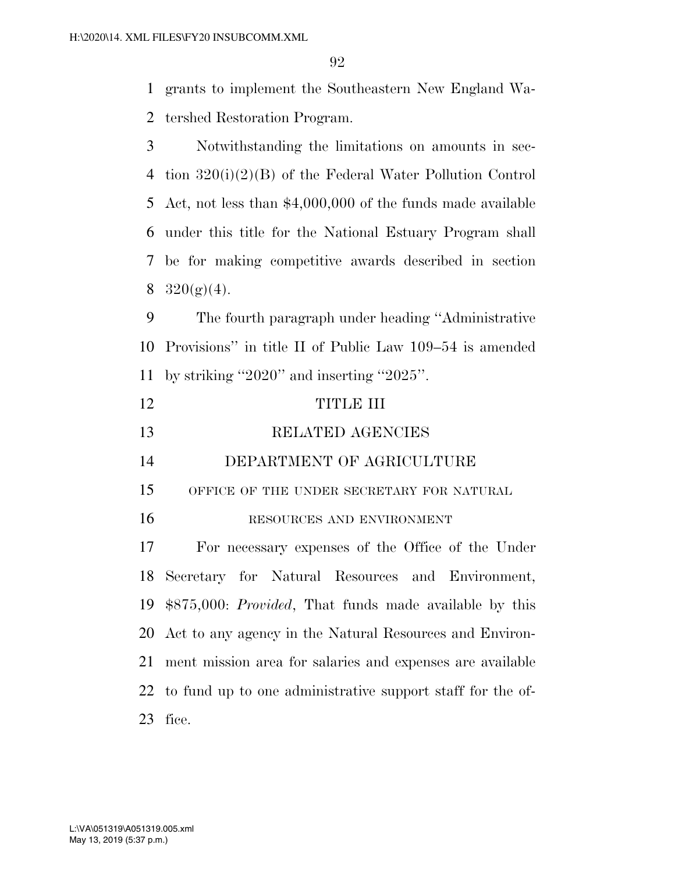grants to implement the Southeastern New England Wa-

tershed Restoration Program.

 Notwithstanding the limitations on amounts in sec- tion 320(i)(2)(B) of the Federal Water Pollution Control Act, not less than \$4,000,000 of the funds made available under this title for the National Estuary Program shall be for making competitive awards described in section  $320(g)(4)$ .

 The fourth paragraph under heading ''Administrative Provisions'' in title II of Public Law 109–54 is amended by striking ''2020'' and inserting ''2025''.

| 12 | TITLE III                                           |
|----|-----------------------------------------------------|
| 13 | RELATED AGENCIES                                    |
| 14 | DEPARTMENT OF AGRICULTURE                           |
| 15 | OFFICE OF THE UNDER SECRETARY FOR NATURAL           |
| 16 | RESOURCES AND ENVIRONMENT                           |
| 17 | For necessary expenses of the Office of the Under   |
|    | 18 Secretary for Natural Resources and Environment, |

 \$875,000: *Provided*, That funds made available by this Act to any agency in the Natural Resources and Environ- ment mission area for salaries and expenses are available to fund up to one administrative support staff for the of-fice.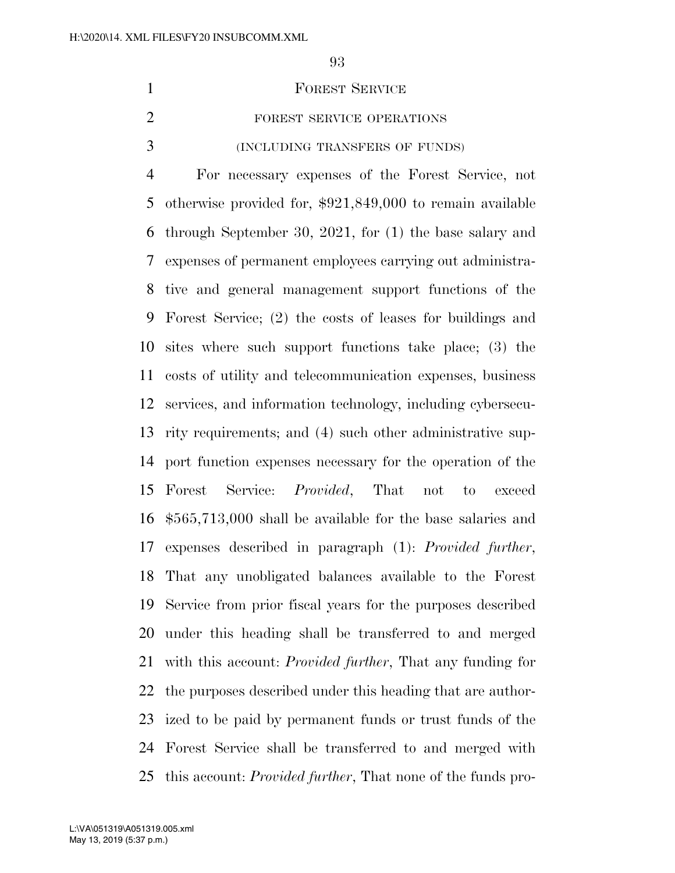| <b>FOREST SERVICE</b>          |
|--------------------------------|
| FOREST SERVICE OPERATIONS      |
| (INCLUDING TRANSFERS OF FUNDS) |

 For necessary expenses of the Forest Service, not otherwise provided for, \$921,849,000 to remain available through September 30, 2021, for (1) the base salary and expenses of permanent employees carrying out administra- tive and general management support functions of the Forest Service; (2) the costs of leases for buildings and sites where such support functions take place; (3) the costs of utility and telecommunication expenses, business services, and information technology, including cybersecu- rity requirements; and (4) such other administrative sup- port function expenses necessary for the operation of the Forest Service: *Provided*, That not to exceed \$565,713,000 shall be available for the base salaries and expenses described in paragraph (1): *Provided further*, That any unobligated balances available to the Forest Service from prior fiscal years for the purposes described under this heading shall be transferred to and merged with this account: *Provided further*, That any funding for the purposes described under this heading that are author- ized to be paid by permanent funds or trust funds of the Forest Service shall be transferred to and merged with this account: *Provided further*, That none of the funds pro-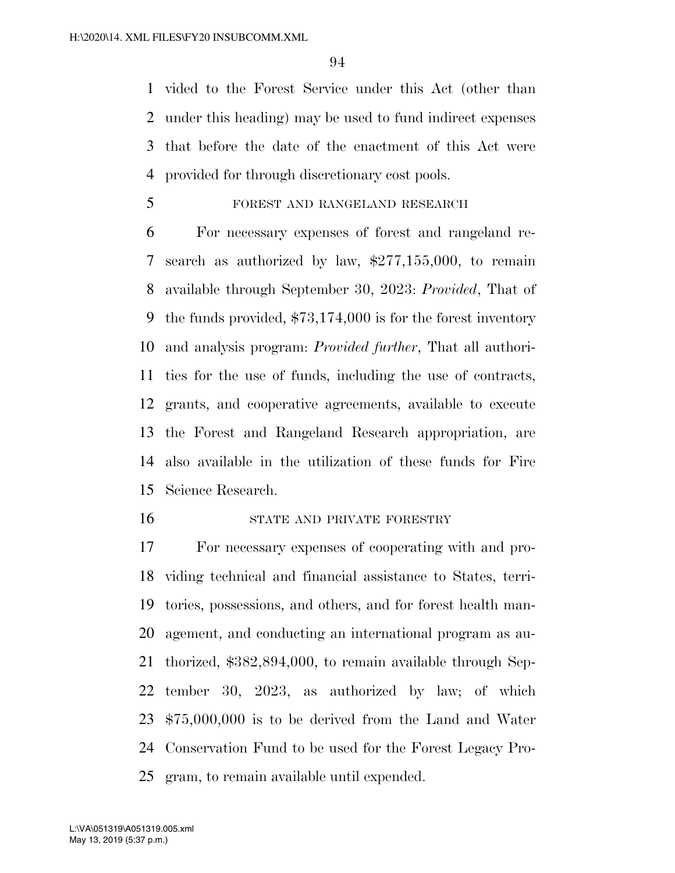vided to the Forest Service under this Act (other than under this heading) may be used to fund indirect expenses that before the date of the enactment of this Act were provided for through discretionary cost pools.

FOREST AND RANGELAND RESEARCH

 For necessary expenses of forest and rangeland re- search as authorized by law, \$277,155,000, to remain available through September 30, 2023: *Provided*, That of the funds provided, \$73,174,000 is for the forest inventory and analysis program: *Provided further*, That all authori- ties for the use of funds, including the use of contracts, grants, and cooperative agreements, available to execute the Forest and Rangeland Research appropriation, are also available in the utilization of these funds for Fire Science Research.

#### STATE AND PRIVATE FORESTRY

 For necessary expenses of cooperating with and pro- viding technical and financial assistance to States, terri- tories, possessions, and others, and for forest health man- agement, and conducting an international program as au- thorized, \$382,894,000, to remain available through Sep- tember 30, 2023, as authorized by law; of which \$75,000,000 is to be derived from the Land and Water Conservation Fund to be used for the Forest Legacy Pro-gram, to remain available until expended.

May 13, 2019 (5:37 p.m.) L:\VA\051319\A051319.005.xml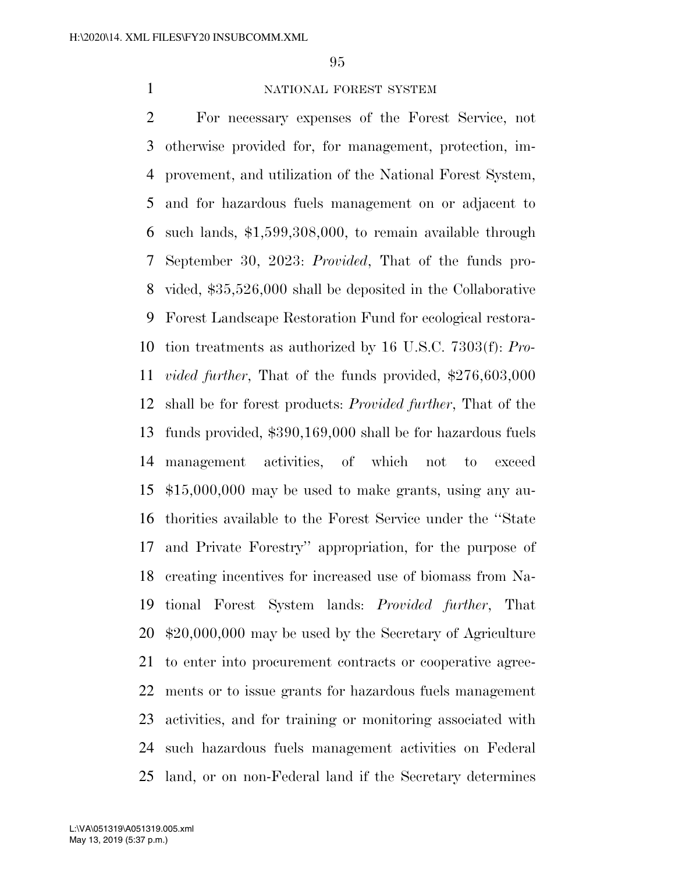#### 1 NATIONAL FOREST SYSTEM

 For necessary expenses of the Forest Service, not otherwise provided for, for management, protection, im- provement, and utilization of the National Forest System, and for hazardous fuels management on or adjacent to such lands, \$1,599,308,000, to remain available through September 30, 2023: *Provided*, That of the funds pro- vided, \$35,526,000 shall be deposited in the Collaborative Forest Landscape Restoration Fund for ecological restora- tion treatments as authorized by 16 U.S.C. 7303(f): *Pro- vided further*, That of the funds provided, \$276,603,000 shall be for forest products: *Provided further*, That of the funds provided, \$390,169,000 shall be for hazardous fuels management activities, of which not to exceed \$15,000,000 may be used to make grants, using any au- thorities available to the Forest Service under the ''State and Private Forestry'' appropriation, for the purpose of creating incentives for increased use of biomass from Na- tional Forest System lands: *Provided further*, That \$20,000,000 may be used by the Secretary of Agriculture to enter into procurement contracts or cooperative agree- ments or to issue grants for hazardous fuels management activities, and for training or monitoring associated with such hazardous fuels management activities on Federal land, or on non-Federal land if the Secretary determines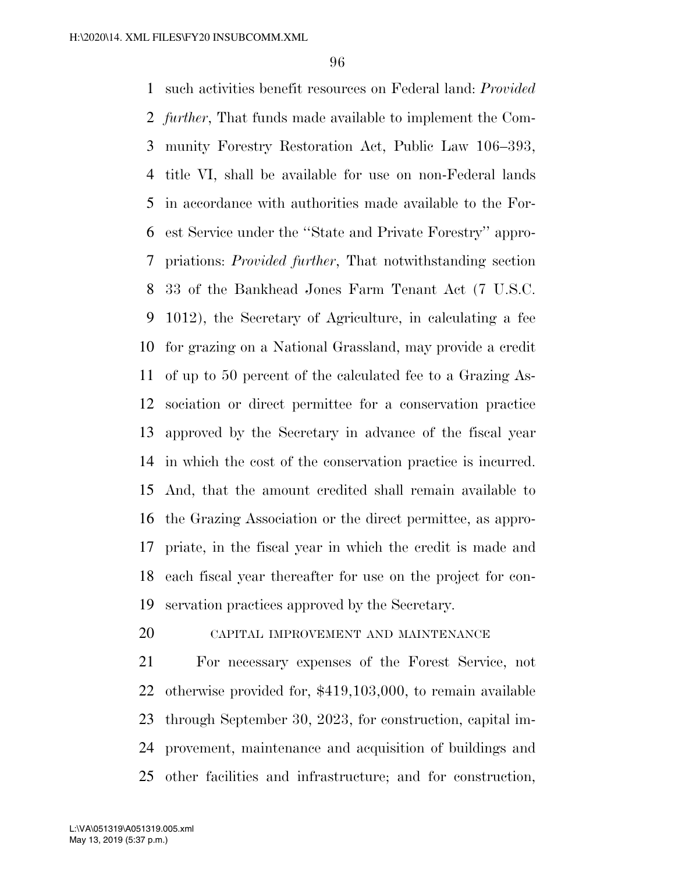such activities benefit resources on Federal land: *Provided further*, That funds made available to implement the Com- munity Forestry Restoration Act, Public Law 106–393, title VI, shall be available for use on non-Federal lands in accordance with authorities made available to the For- est Service under the ''State and Private Forestry'' appro- priations: *Provided further*, That notwithstanding section 33 of the Bankhead Jones Farm Tenant Act (7 U.S.C. 1012), the Secretary of Agriculture, in calculating a fee for grazing on a National Grassland, may provide a credit of up to 50 percent of the calculated fee to a Grazing As- sociation or direct permittee for a conservation practice approved by the Secretary in advance of the fiscal year in which the cost of the conservation practice is incurred. And, that the amount credited shall remain available to the Grazing Association or the direct permittee, as appro- priate, in the fiscal year in which the credit is made and each fiscal year thereafter for use on the project for con-servation practices approved by the Secretary.

# CAPITAL IMPROVEMENT AND MAINTENANCE

 For necessary expenses of the Forest Service, not otherwise provided for, \$419,103,000, to remain available through September 30, 2023, for construction, capital im- provement, maintenance and acquisition of buildings and other facilities and infrastructure; and for construction,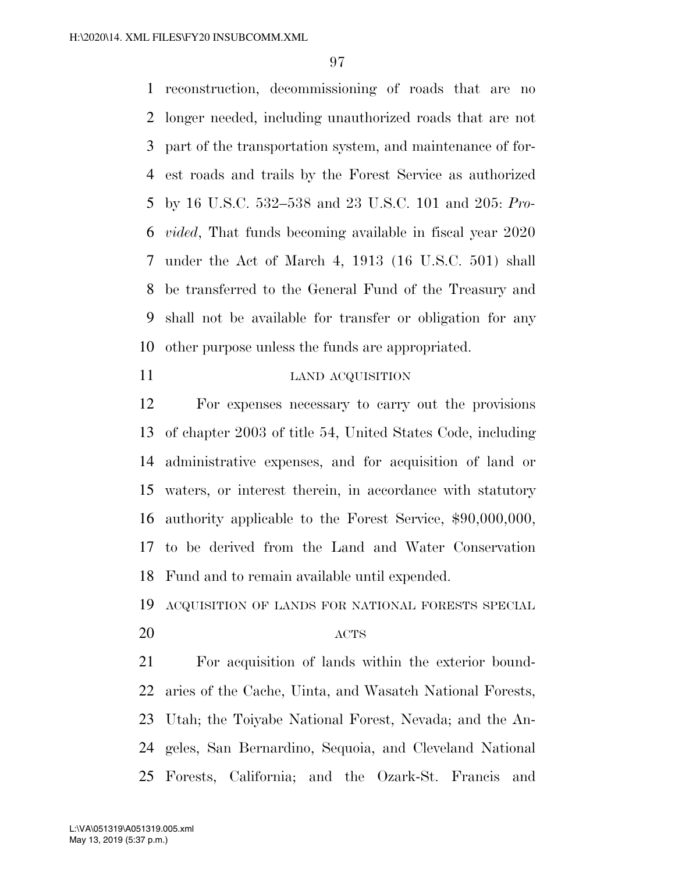reconstruction, decommissioning of roads that are no longer needed, including unauthorized roads that are not part of the transportation system, and maintenance of for- est roads and trails by the Forest Service as authorized by 16 U.S.C. 532–538 and 23 U.S.C. 101 and 205: *Pro- vided*, That funds becoming available in fiscal year 2020 under the Act of March 4, 1913 (16 U.S.C. 501) shall be transferred to the General Fund of the Treasury and shall not be available for transfer or obligation for any other purpose unless the funds are appropriated.

#### 11 LAND ACQUISITION

 For expenses necessary to carry out the provisions of chapter 2003 of title 54, United States Code, including administrative expenses, and for acquisition of land or waters, or interest therein, in accordance with statutory authority applicable to the Forest Service, \$90,000,000, to be derived from the Land and Water Conservation Fund and to remain available until expended.

ACQUISITION OF LANDS FOR NATIONAL FORESTS SPECIAL

# 20 ACTS

 For acquisition of lands within the exterior bound- aries of the Cache, Uinta, and Wasatch National Forests, Utah; the Toiyabe National Forest, Nevada; and the An- geles, San Bernardino, Sequoia, and Cleveland National Forests, California; and the Ozark-St. Francis and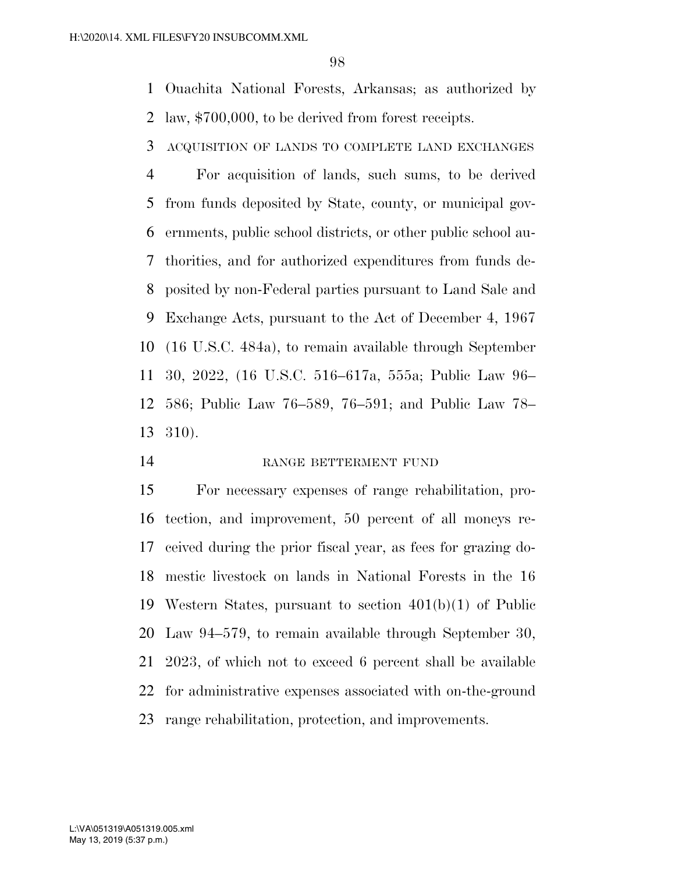Ouachita National Forests, Arkansas; as authorized by law, \$700,000, to be derived from forest receipts.

ACQUISITION OF LANDS TO COMPLETE LAND EXCHANGES

 For acquisition of lands, such sums, to be derived from funds deposited by State, county, or municipal gov- ernments, public school districts, or other public school au- thorities, and for authorized expenditures from funds de- posited by non-Federal parties pursuant to Land Sale and Exchange Acts, pursuant to the Act of December 4, 1967 (16 U.S.C. 484a), to remain available through September 30, 2022, (16 U.S.C. 516–617a, 555a; Public Law 96– 586; Public Law 76–589, 76–591; and Public Law 78– 310).

14 RANGE BETTERMENT FUND

 For necessary expenses of range rehabilitation, pro- tection, and improvement, 50 percent of all moneys re- ceived during the prior fiscal year, as fees for grazing do- mestic livestock on lands in National Forests in the 16 Western States, pursuant to section 401(b)(1) of Public Law 94–579, to remain available through September 30, 2023, of which not to exceed 6 percent shall be available for administrative expenses associated with on-the-ground range rehabilitation, protection, and improvements.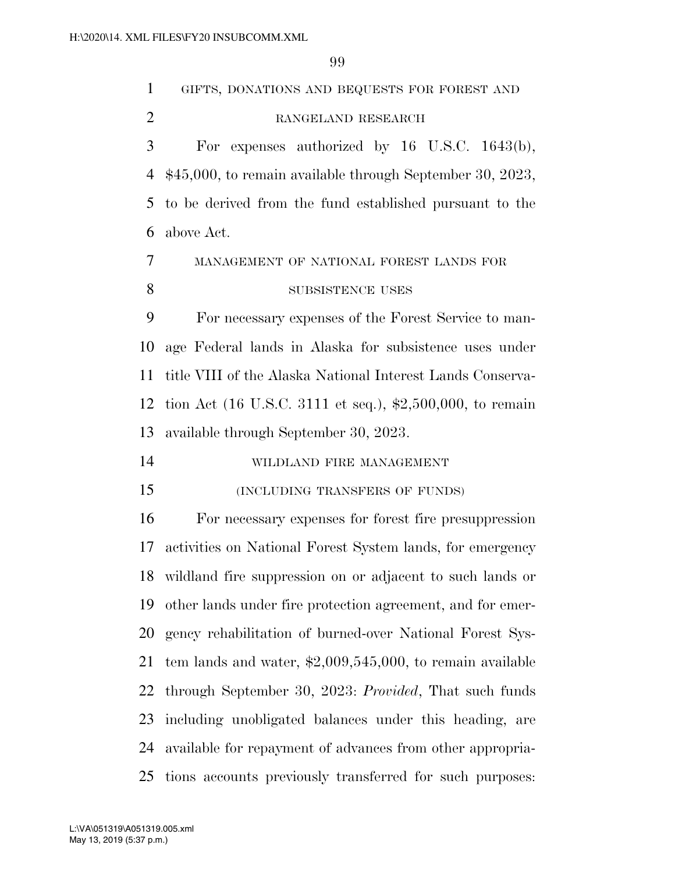| $\mathbf{1}$   | GIFTS, DONATIONS AND BEQUESTS FOR FOREST AND                       |
|----------------|--------------------------------------------------------------------|
| $\overline{2}$ | RANGELAND RESEARCH                                                 |
| 3              | For expenses authorized by $16$ U.S.C. $1643(b)$ ,                 |
| 4              | $$45,000$ , to remain available through September 30, 2023,        |
| 5              | to be derived from the fund established pursuant to the            |
| 6              | above Act.                                                         |
| 7              | MANAGEMENT OF NATIONAL FOREST LANDS FOR                            |
| 8              | SUBSISTENCE USES                                                   |
| 9              | For necessary expenses of the Forest Service to man-               |
| 10             | age Federal lands in Alaska for subsistence uses under             |
| 11             | title VIII of the Alaska National Interest Lands Conserva-         |
| 12             | tion Act (16 U.S.C. 3111 et seq.), $\text{$2,500,000}$ , to remain |
| 13             | available through September 30, 2023.                              |
| 14             | WILDLAND FIRE MANAGEMENT                                           |
| 15             | (INCLUDING TRANSFERS OF FUNDS)                                     |
| 16             | For necessary expenses for forest fire presuppression              |
| 17             | activities on National Forest System lands, for emergency          |
| 18             | wildland fire suppression on or adjacent to such lands or          |
| 19             | other lands under fire protection agreement, and for emer-         |
| 20             | gency rehabilitation of burned-over National Forest Sys-           |
| 21             | tem lands and water, $\text{$2,009,545,000}$ , to remain available |
| 22             | through September 30, 2023: Provided, That such funds              |
| 23             | including unobligated balances under this heading, are             |
| 24             | available for repayment of advances from other appropria-          |
| 25             | tions accounts previously transferred for such purposes:           |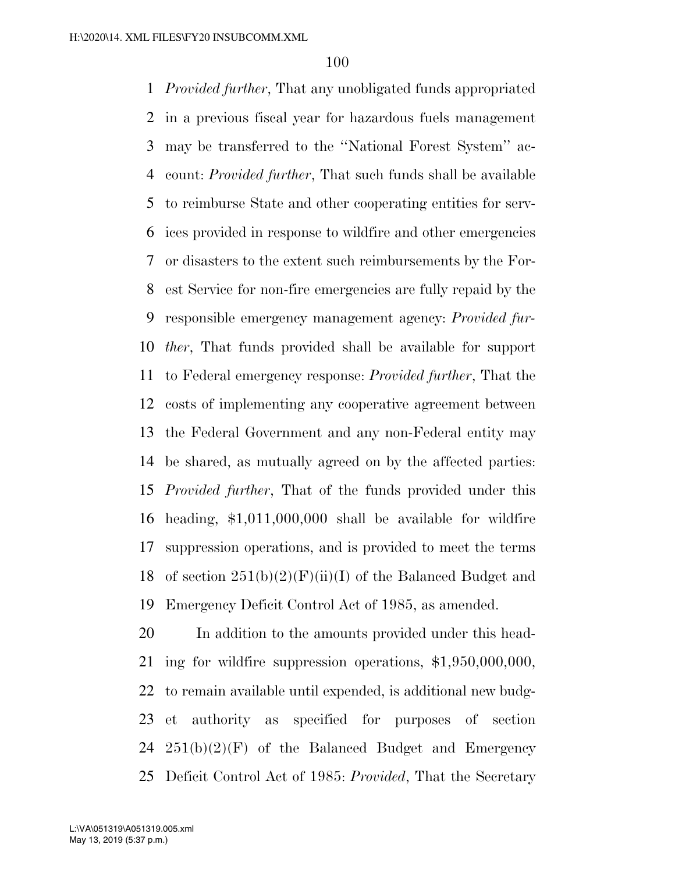*Provided further*, That any unobligated funds appropriated in a previous fiscal year for hazardous fuels management may be transferred to the ''National Forest System'' ac- count: *Provided further*, That such funds shall be available to reimburse State and other cooperating entities for serv- ices provided in response to wildfire and other emergencies or disasters to the extent such reimbursements by the For- est Service for non-fire emergencies are fully repaid by the responsible emergency management agency: *Provided fur- ther*, That funds provided shall be available for support to Federal emergency response: *Provided further*, That the costs of implementing any cooperative agreement between the Federal Government and any non-Federal entity may be shared, as mutually agreed on by the affected parties: *Provided further*, That of the funds provided under this heading, \$1,011,000,000 shall be available for wildfire suppression operations, and is provided to meet the terms 18 of section  $251(b)(2)(F)(ii)(I)$  of the Balanced Budget and Emergency Deficit Control Act of 1985, as amended.

 In addition to the amounts provided under this head- ing for wildfire suppression operations, \$1,950,000,000, to remain available until expended, is additional new budg- et authority as specified for purposes of section  $251(b)(2)(F)$  of the Balanced Budget and Emergency Deficit Control Act of 1985: *Provided*, That the Secretary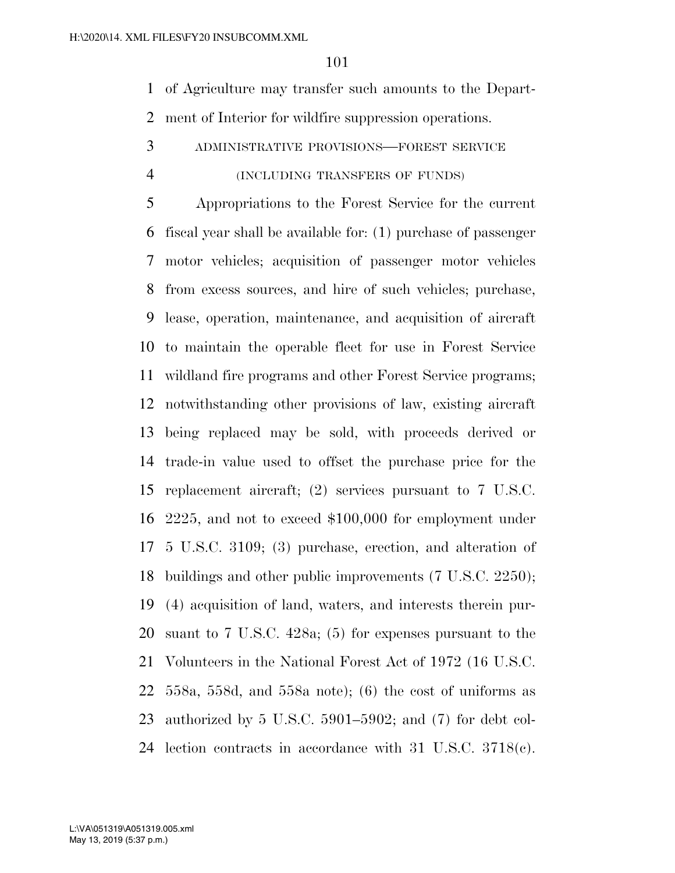of Agriculture may transfer such amounts to the Depart-ment of Interior for wildfire suppression operations.

ADMINISTRATIVE PROVISIONS—FOREST SERVICE

#### (INCLUDING TRANSFERS OF FUNDS)

 Appropriations to the Forest Service for the current fiscal year shall be available for: (1) purchase of passenger motor vehicles; acquisition of passenger motor vehicles from excess sources, and hire of such vehicles; purchase, lease, operation, maintenance, and acquisition of aircraft to maintain the operable fleet for use in Forest Service wildland fire programs and other Forest Service programs; notwithstanding other provisions of law, existing aircraft being replaced may be sold, with proceeds derived or trade-in value used to offset the purchase price for the replacement aircraft; (2) services pursuant to 7 U.S.C. 2225, and not to exceed \$100,000 for employment under 5 U.S.C. 3109; (3) purchase, erection, and alteration of buildings and other public improvements (7 U.S.C. 2250); (4) acquisition of land, waters, and interests therein pur- suant to 7 U.S.C. 428a; (5) for expenses pursuant to the Volunteers in the National Forest Act of 1972 (16 U.S.C. 558a, 558d, and 558a note); (6) the cost of uniforms as authorized by 5 U.S.C. 5901–5902; and (7) for debt col-lection contracts in accordance with 31 U.S.C. 3718(c).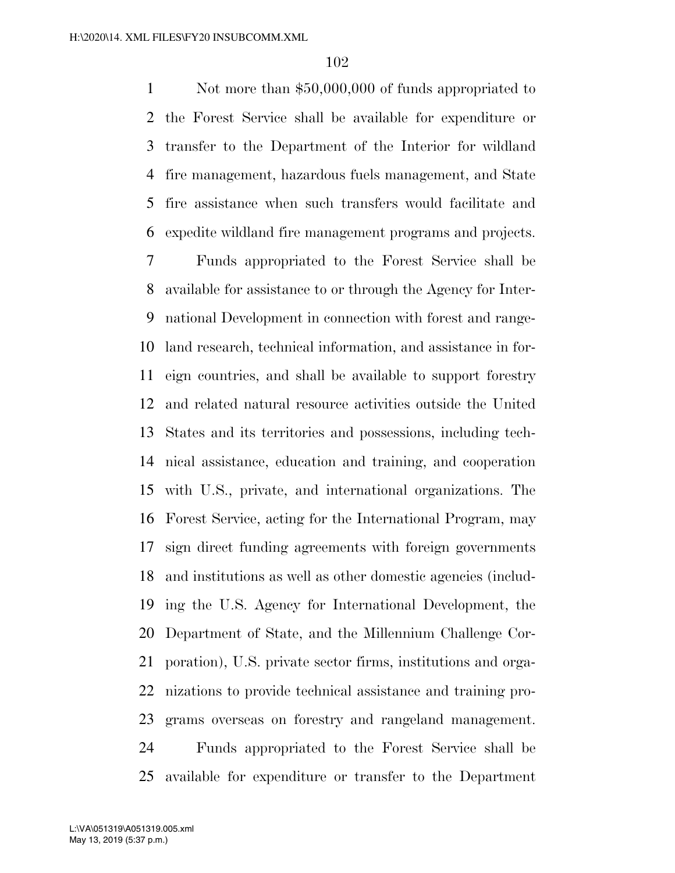1 Not more than \$50,000,000 of funds appropriated to the Forest Service shall be available for expenditure or transfer to the Department of the Interior for wildland fire management, hazardous fuels management, and State fire assistance when such transfers would facilitate and expedite wildland fire management programs and projects.

 Funds appropriated to the Forest Service shall be available for assistance to or through the Agency for Inter- national Development in connection with forest and range- land research, technical information, and assistance in for- eign countries, and shall be available to support forestry and related natural resource activities outside the United States and its territories and possessions, including tech- nical assistance, education and training, and cooperation with U.S., private, and international organizations. The Forest Service, acting for the International Program, may sign direct funding agreements with foreign governments and institutions as well as other domestic agencies (includ- ing the U.S. Agency for International Development, the Department of State, and the Millennium Challenge Cor- poration), U.S. private sector firms, institutions and orga- nizations to provide technical assistance and training pro- grams overseas on forestry and rangeland management. Funds appropriated to the Forest Service shall be available for expenditure or transfer to the Department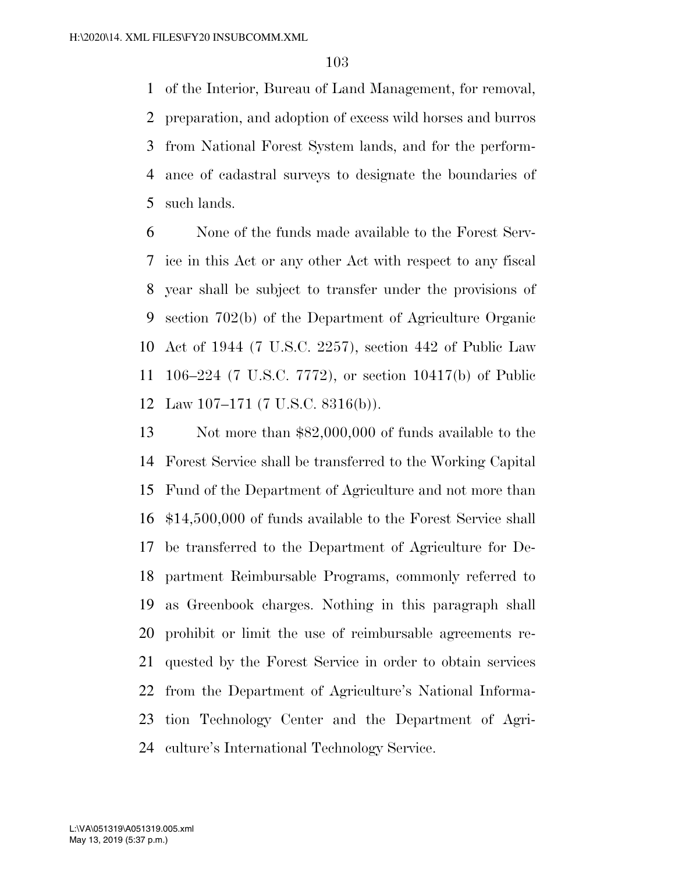of the Interior, Bureau of Land Management, for removal, preparation, and adoption of excess wild horses and burros from National Forest System lands, and for the perform- ance of cadastral surveys to designate the boundaries of such lands.

 None of the funds made available to the Forest Serv- ice in this Act or any other Act with respect to any fiscal year shall be subject to transfer under the provisions of section 702(b) of the Department of Agriculture Organic Act of 1944 (7 U.S.C. 2257), section 442 of Public Law 106–224 (7 U.S.C. 7772), or section 10417(b) of Public Law 107–171 (7 U.S.C. 8316(b)).

 Not more than \$82,000,000 of funds available to the Forest Service shall be transferred to the Working Capital Fund of the Department of Agriculture and not more than \$14,500,000 of funds available to the Forest Service shall be transferred to the Department of Agriculture for De- partment Reimbursable Programs, commonly referred to as Greenbook charges. Nothing in this paragraph shall prohibit or limit the use of reimbursable agreements re- quested by the Forest Service in order to obtain services from the Department of Agriculture's National Informa- tion Technology Center and the Department of Agri-culture's International Technology Service.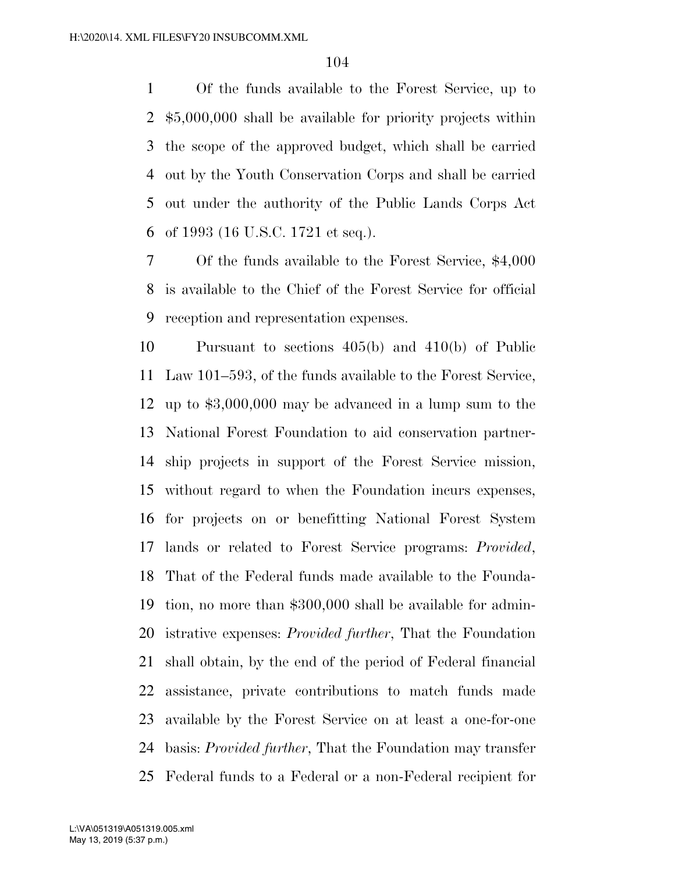Of the funds available to the Forest Service, up to \$5,000,000 shall be available for priority projects within the scope of the approved budget, which shall be carried out by the Youth Conservation Corps and shall be carried out under the authority of the Public Lands Corps Act of 1993 (16 U.S.C. 1721 et seq.).

 Of the funds available to the Forest Service, \$4,000 is available to the Chief of the Forest Service for official reception and representation expenses.

 Pursuant to sections 405(b) and 410(b) of Public Law 101–593, of the funds available to the Forest Service, up to \$3,000,000 may be advanced in a lump sum to the National Forest Foundation to aid conservation partner- ship projects in support of the Forest Service mission, without regard to when the Foundation incurs expenses, for projects on or benefitting National Forest System lands or related to Forest Service programs: *Provided*, That of the Federal funds made available to the Founda- tion, no more than \$300,000 shall be available for admin- istrative expenses: *Provided further*, That the Foundation shall obtain, by the end of the period of Federal financial assistance, private contributions to match funds made available by the Forest Service on at least a one-for-one basis: *Provided further*, That the Foundation may transfer Federal funds to a Federal or a non-Federal recipient for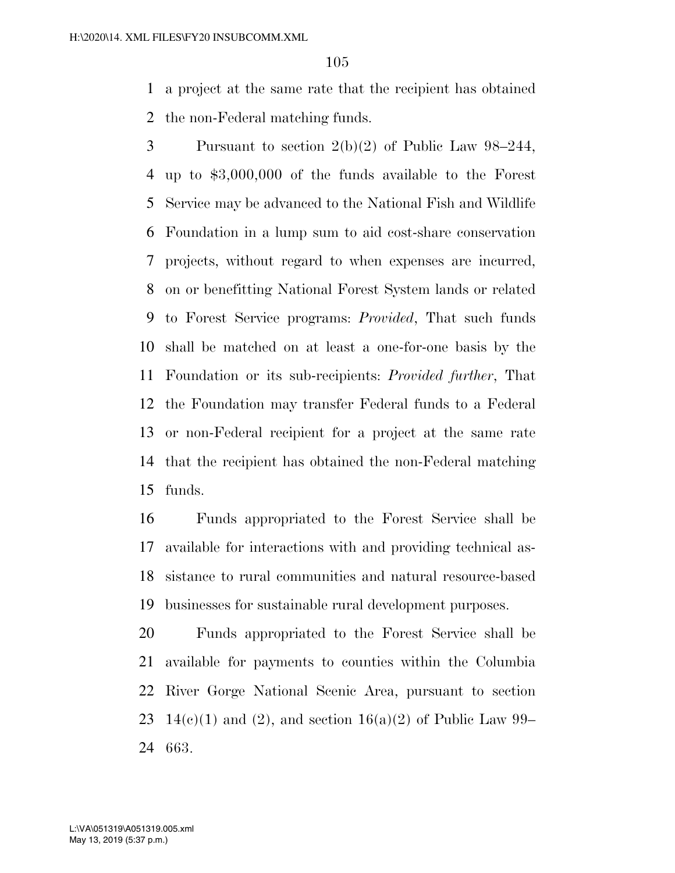a project at the same rate that the recipient has obtained the non-Federal matching funds.

 Pursuant to section 2(b)(2) of Public Law 98–244, up to \$3,000,000 of the funds available to the Forest Service may be advanced to the National Fish and Wildlife Foundation in a lump sum to aid cost-share conservation projects, without regard to when expenses are incurred, on or benefitting National Forest System lands or related to Forest Service programs: *Provided*, That such funds shall be matched on at least a one-for-one basis by the Foundation or its sub-recipients: *Provided further*, That the Foundation may transfer Federal funds to a Federal or non-Federal recipient for a project at the same rate that the recipient has obtained the non-Federal matching funds.

 Funds appropriated to the Forest Service shall be available for interactions with and providing technical as- sistance to rural communities and natural resource-based businesses for sustainable rural development purposes.

 Funds appropriated to the Forest Service shall be available for payments to counties within the Columbia River Gorge National Scenic Area, pursuant to section 23 14(c)(1) and (2), and section 16(a)(2) of Public Law 99– 663.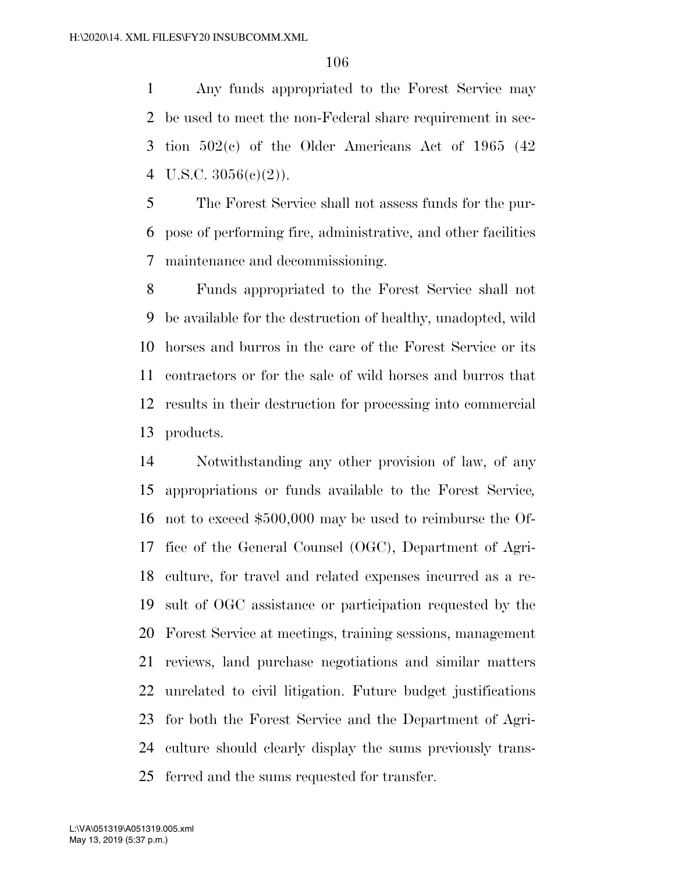Any funds appropriated to the Forest Service may be used to meet the non-Federal share requirement in sec- tion 502(c) of the Older Americans Act of 1965 (42 4 U.S.C.  $3056(e)(2)$ ).

 The Forest Service shall not assess funds for the pur- pose of performing fire, administrative, and other facilities maintenance and decommissioning.

 Funds appropriated to the Forest Service shall not be available for the destruction of healthy, unadopted, wild horses and burros in the care of the Forest Service or its contractors or for the sale of wild horses and burros that results in their destruction for processing into commercial products.

 Notwithstanding any other provision of law, of any appropriations or funds available to the Forest Service*,*  not to exceed \$500,000 may be used to reimburse the Of- fice of the General Counsel (OGC), Department of Agri- culture, for travel and related expenses incurred as a re- sult of OGC assistance or participation requested by the Forest Service at meetings, training sessions, management reviews, land purchase negotiations and similar matters unrelated to civil litigation. Future budget justifications for both the Forest Service and the Department of Agri- culture should clearly display the sums previously trans-ferred and the sums requested for transfer.

May 13, 2019 (5:37 p.m.) L:\VA\051319\A051319.005.xml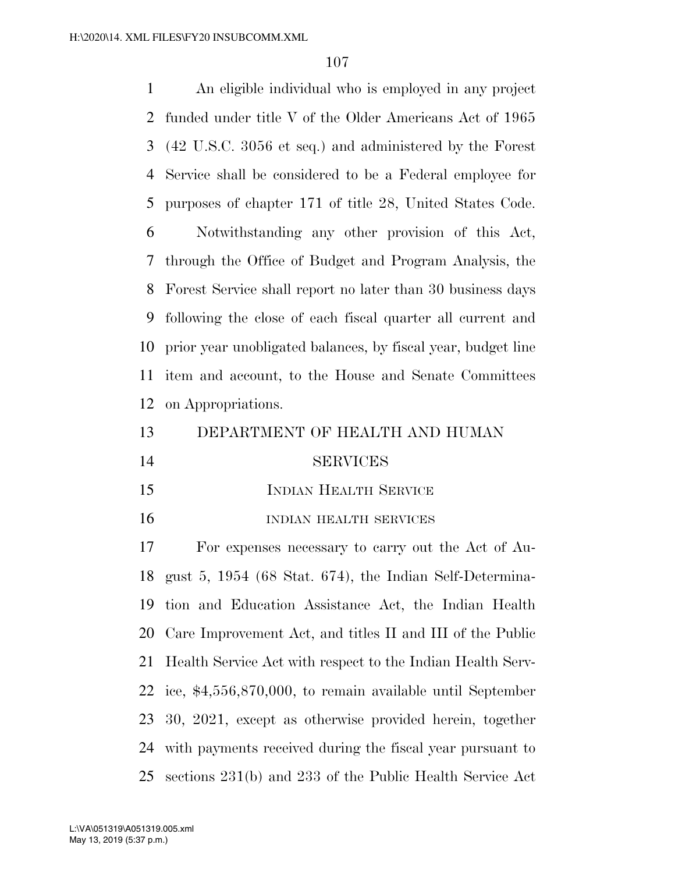An eligible individual who is employed in any project funded under title V of the Older Americans Act of 1965 (42 U.S.C. 3056 et seq.) and administered by the Forest Service shall be considered to be a Federal employee for purposes of chapter 171 of title 28, United States Code. Notwithstanding any other provision of this Act,

 through the Office of Budget and Program Analysis, the Forest Service shall report no later than 30 business days following the close of each fiscal quarter all current and prior year unobligated balances, by fiscal year, budget line item and account, to the House and Senate Committees on Appropriations.

DEPARTMENT OF HEALTH AND HUMAN

- SERVICES
- 15 INDIAN HEALTH SERVICE
- 16 INDIAN HEALTH SERVICES

 For expenses necessary to carry out the Act of Au- gust 5, 1954 (68 Stat. 674), the Indian Self-Determina- tion and Education Assistance Act, the Indian Health Care Improvement Act, and titles II and III of the Public Health Service Act with respect to the Indian Health Serv- ice, \$4,556,870,000, to remain available until September 30, 2021, except as otherwise provided herein, together with payments received during the fiscal year pursuant to sections 231(b) and 233 of the Public Health Service Act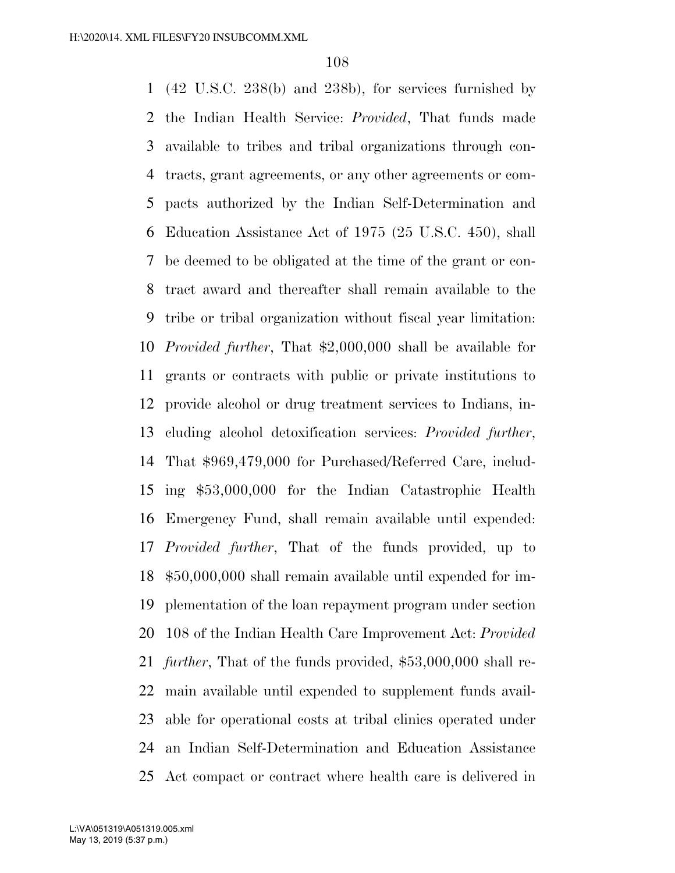(42 U.S.C. 238(b) and 238b), for services furnished by the Indian Health Service: *Provided*, That funds made available to tribes and tribal organizations through con- tracts, grant agreements, or any other agreements or com- pacts authorized by the Indian Self-Determination and Education Assistance Act of 1975 (25 U.S.C. 450), shall be deemed to be obligated at the time of the grant or con- tract award and thereafter shall remain available to the tribe or tribal organization without fiscal year limitation: *Provided further*, That \$2,000,000 shall be available for grants or contracts with public or private institutions to provide alcohol or drug treatment services to Indians, in- cluding alcohol detoxification services: *Provided further*, That \$969,479,000 for Purchased/Referred Care, includ- ing \$53,000,000 for the Indian Catastrophic Health Emergency Fund, shall remain available until expended: *Provided further*, That of the funds provided, up to \$50,000,000 shall remain available until expended for im- plementation of the loan repayment program under section 108 of the Indian Health Care Improvement Act: *Provided further*, That of the funds provided, \$53,000,000 shall re- main available until expended to supplement funds avail- able for operational costs at tribal clinics operated under an Indian Self-Determination and Education Assistance Act compact or contract where health care is delivered in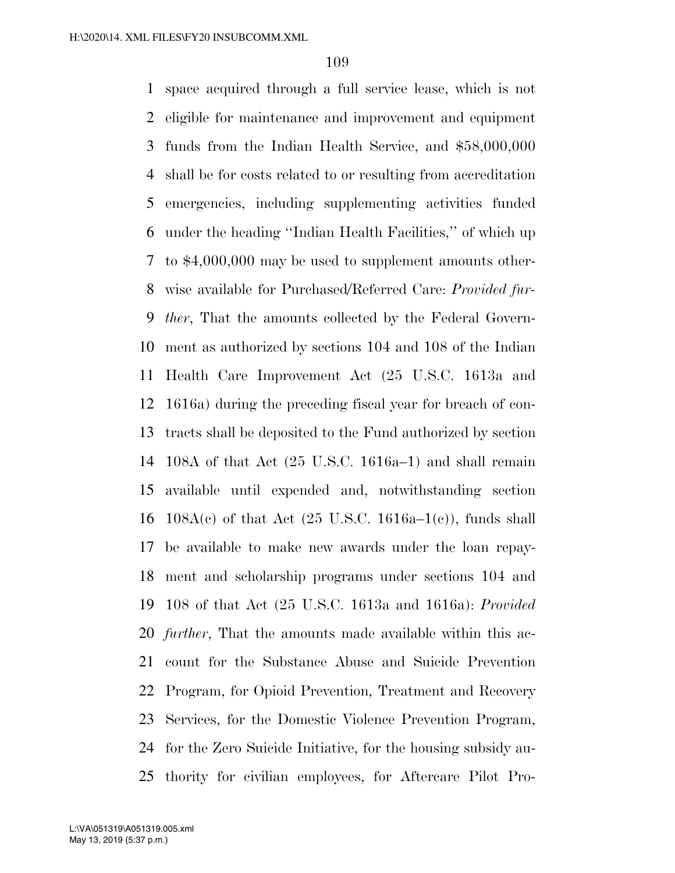space acquired through a full service lease, which is not eligible for maintenance and improvement and equipment funds from the Indian Health Service, and \$58,000,000 shall be for costs related to or resulting from accreditation emergencies, including supplementing activities funded under the heading ''Indian Health Facilities,'' of which up to \$4,000,000 may be used to supplement amounts other- wise available for Purchased/Referred Care: *Provided fur- ther*, That the amounts collected by the Federal Govern- ment as authorized by sections 104 and 108 of the Indian Health Care Improvement Act (25 U.S.C. 1613a and 1616a) during the preceding fiscal year for breach of con- tracts shall be deposited to the Fund authorized by section 108A of that Act (25 U.S.C. 1616a–1) and shall remain available until expended and, notwithstanding section 16 108A(c) of that Act  $(25 \text{ U.S.C. } 1616a-1(c))$ , funds shall be available to make new awards under the loan repay- ment and scholarship programs under sections 104 and 108 of that Act (25 U.S.C. 1613a and 1616a): *Provided further*, That the amounts made available within this ac- count for the Substance Abuse and Suicide Prevention Program, for Opioid Prevention, Treatment and Recovery Services, for the Domestic Violence Prevention Program, for the Zero Suicide Initiative, for the housing subsidy au-thority for civilian employees, for Aftercare Pilot Pro-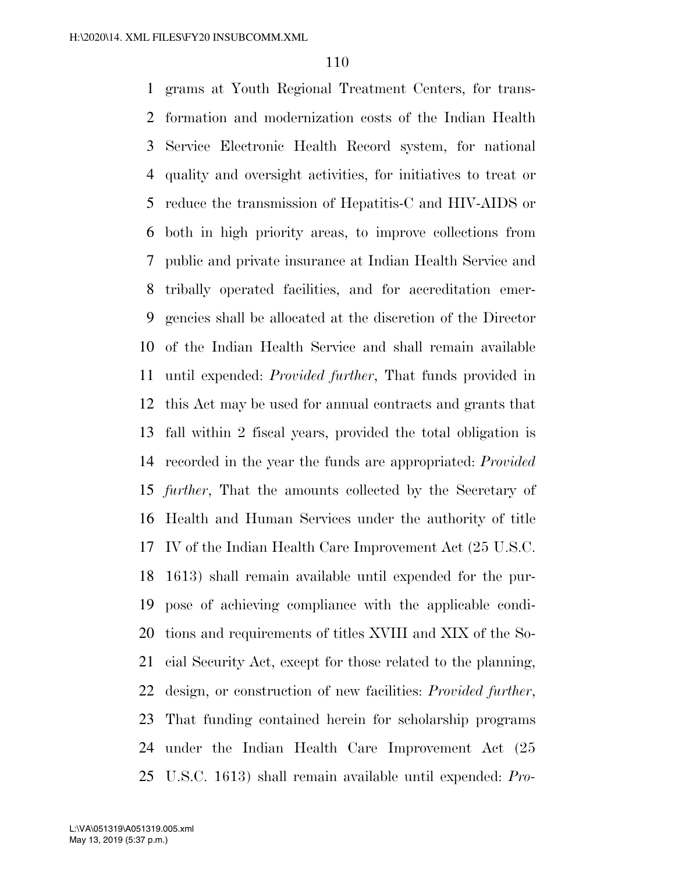grams at Youth Regional Treatment Centers, for trans- formation and modernization costs of the Indian Health Service Electronic Health Record system, for national quality and oversight activities, for initiatives to treat or reduce the transmission of Hepatitis-C and HIV-AIDS or both in high priority areas, to improve collections from public and private insurance at Indian Health Service and tribally operated facilities, and for accreditation emer- gencies shall be allocated at the discretion of the Director of the Indian Health Service and shall remain available until expended: *Provided further*, That funds provided in this Act may be used for annual contracts and grants that fall within 2 fiscal years, provided the total obligation is recorded in the year the funds are appropriated: *Provided further*, That the amounts collected by the Secretary of Health and Human Services under the authority of title IV of the Indian Health Care Improvement Act (25 U.S.C. 1613) shall remain available until expended for the pur- pose of achieving compliance with the applicable condi- tions and requirements of titles XVIII and XIX of the So- cial Security Act, except for those related to the planning, design, or construction of new facilities: *Provided further*, That funding contained herein for scholarship programs under the Indian Health Care Improvement Act (25 U.S.C. 1613) shall remain available until expended: *Pro-*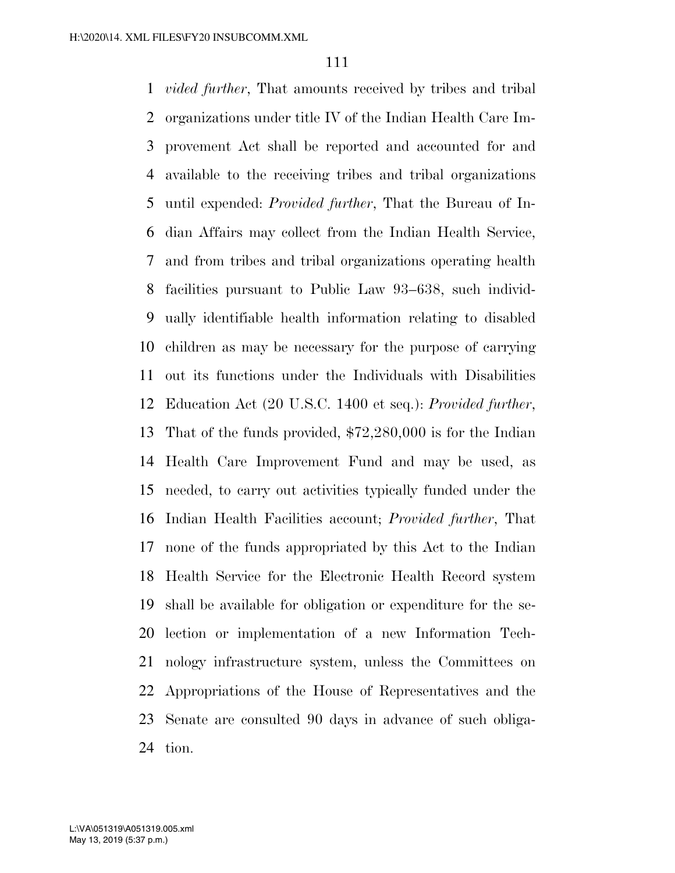*vided further*, That amounts received by tribes and tribal organizations under title IV of the Indian Health Care Im- provement Act shall be reported and accounted for and available to the receiving tribes and tribal organizations until expended: *Provided further*, That the Bureau of In- dian Affairs may collect from the Indian Health Service, and from tribes and tribal organizations operating health facilities pursuant to Public Law 93–638, such individ- ually identifiable health information relating to disabled children as may be necessary for the purpose of carrying out its functions under the Individuals with Disabilities Education Act (20 U.S.C. 1400 et seq.): *Provided further*, That of the funds provided, \$72,280,000 is for the Indian Health Care Improvement Fund and may be used, as needed, to carry out activities typically funded under the Indian Health Facilities account; *Provided further*, That none of the funds appropriated by this Act to the Indian Health Service for the Electronic Health Record system shall be available for obligation or expenditure for the se- lection or implementation of a new Information Tech- nology infrastructure system, unless the Committees on Appropriations of the House of Representatives and the Senate are consulted 90 days in advance of such obliga-tion.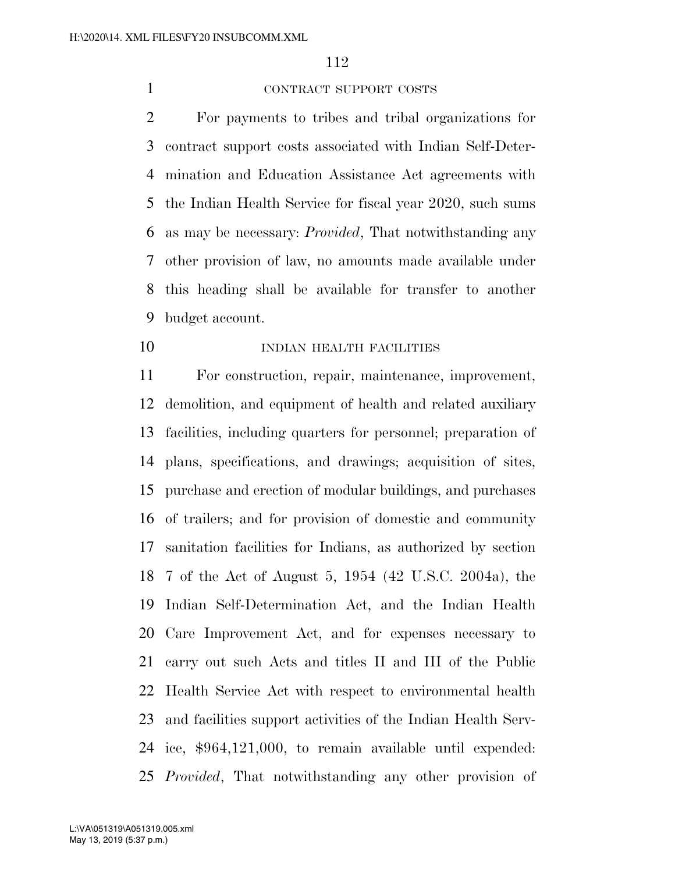#### CONTRACT SUPPORT COSTS

 For payments to tribes and tribal organizations for contract support costs associated with Indian Self-Deter- mination and Education Assistance Act agreements with the Indian Health Service for fiscal year 2020, such sums as may be necessary: *Provided*, That notwithstanding any other provision of law, no amounts made available under this heading shall be available for transfer to another budget account.

### 10 INDIAN HEALTH FACILITIES

 For construction, repair, maintenance, improvement, demolition, and equipment of health and related auxiliary facilities, including quarters for personnel; preparation of plans, specifications, and drawings; acquisition of sites, purchase and erection of modular buildings, and purchases of trailers; and for provision of domestic and community sanitation facilities for Indians, as authorized by section 7 of the Act of August 5, 1954 (42 U.S.C. 2004a), the Indian Self-Determination Act, and the Indian Health Care Improvement Act, and for expenses necessary to carry out such Acts and titles II and III of the Public Health Service Act with respect to environmental health and facilities support activities of the Indian Health Serv- ice, \$964,121,000, to remain available until expended: *Provided*, That notwithstanding any other provision of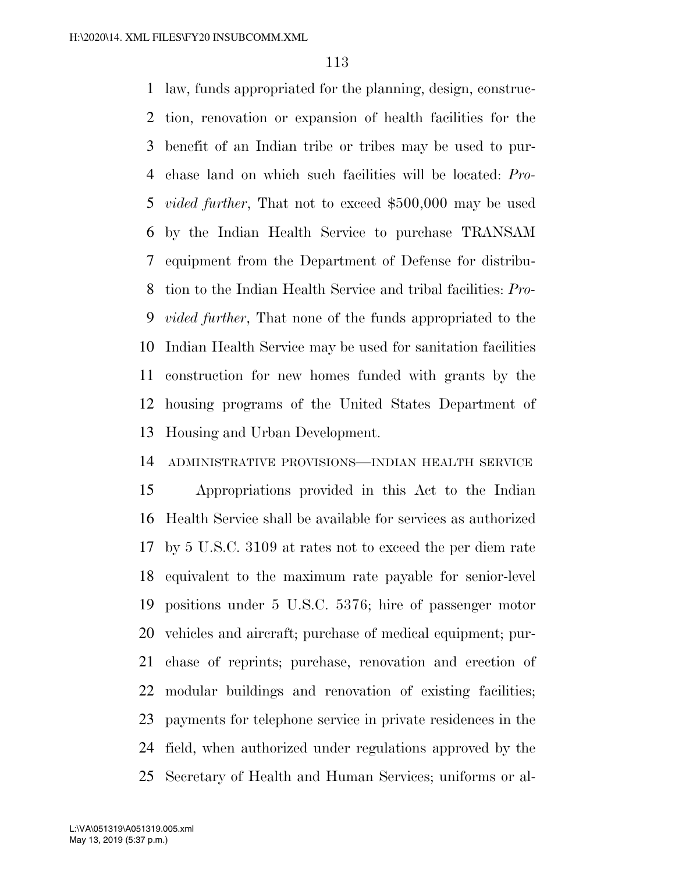law, funds appropriated for the planning, design, construc- tion, renovation or expansion of health facilities for the benefit of an Indian tribe or tribes may be used to pur- chase land on which such facilities will be located: *Pro- vided further*, That not to exceed \$500,000 may be used by the Indian Health Service to purchase TRANSAM equipment from the Department of Defense for distribu- tion to the Indian Health Service and tribal facilities: *Pro- vided further*, That none of the funds appropriated to the Indian Health Service may be used for sanitation facilities construction for new homes funded with grants by the housing programs of the United States Department of Housing and Urban Development.

### ADMINISTRATIVE PROVISIONS—INDIAN HEALTH SERVICE

 Appropriations provided in this Act to the Indian Health Service shall be available for services as authorized by 5 U.S.C. 3109 at rates not to exceed the per diem rate equivalent to the maximum rate payable for senior-level positions under 5 U.S.C. 5376; hire of passenger motor vehicles and aircraft; purchase of medical equipment; pur- chase of reprints; purchase, renovation and erection of modular buildings and renovation of existing facilities; payments for telephone service in private residences in the field, when authorized under regulations approved by the Secretary of Health and Human Services; uniforms or al-

May 13, 2019 (5:37 p.m.) L:\VA\051319\A051319.005.xml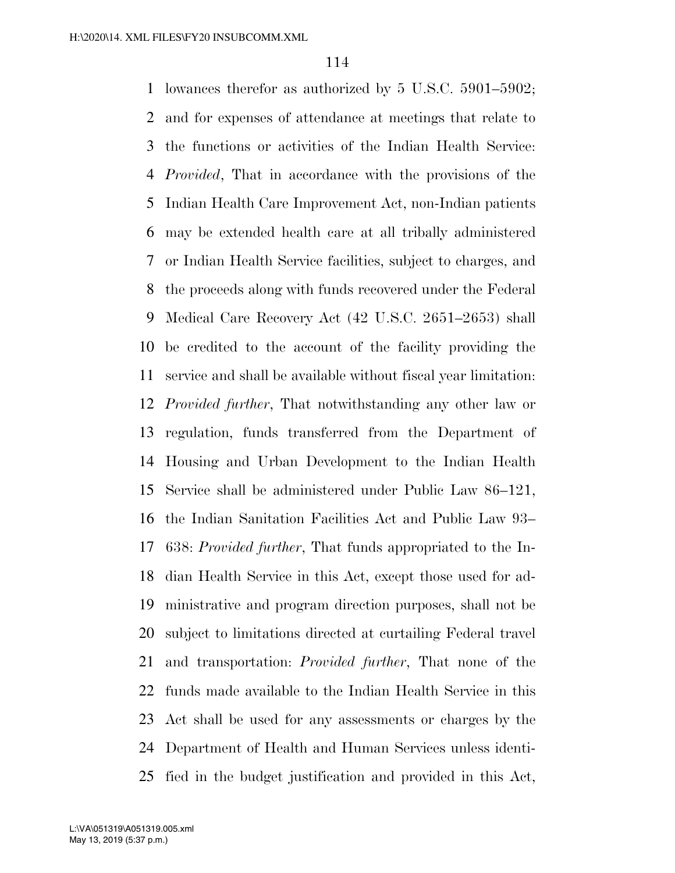lowances therefor as authorized by 5 U.S.C. 5901–5902; and for expenses of attendance at meetings that relate to the functions or activities of the Indian Health Service: *Provided*, That in accordance with the provisions of the Indian Health Care Improvement Act, non-Indian patients may be extended health care at all tribally administered or Indian Health Service facilities, subject to charges, and the proceeds along with funds recovered under the Federal Medical Care Recovery Act (42 U.S.C. 2651–2653) shall be credited to the account of the facility providing the service and shall be available without fiscal year limitation: *Provided further*, That notwithstanding any other law or regulation, funds transferred from the Department of Housing and Urban Development to the Indian Health Service shall be administered under Public Law 86–121, the Indian Sanitation Facilities Act and Public Law 93– 638: *Provided further*, That funds appropriated to the In- dian Health Service in this Act, except those used for ad- ministrative and program direction purposes, shall not be subject to limitations directed at curtailing Federal travel and transportation: *Provided further*, That none of the funds made available to the Indian Health Service in this Act shall be used for any assessments or charges by the Department of Health and Human Services unless identi-fied in the budget justification and provided in this Act,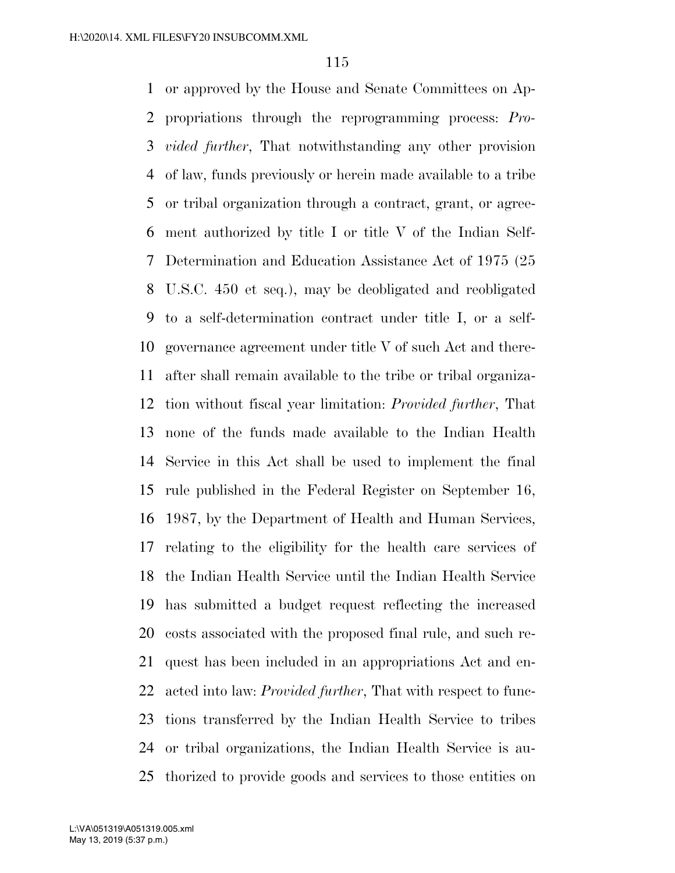or approved by the House and Senate Committees on Ap- propriations through the reprogramming process: *Pro- vided further*, That notwithstanding any other provision of law, funds previously or herein made available to a tribe or tribal organization through a contract, grant, or agree- ment authorized by title I or title V of the Indian Self- Determination and Education Assistance Act of 1975 (25 U.S.C. 450 et seq.), may be deobligated and reobligated to a self-determination contract under title I, or a self- governance agreement under title V of such Act and there- after shall remain available to the tribe or tribal organiza- tion without fiscal year limitation: *Provided further*, That none of the funds made available to the Indian Health Service in this Act shall be used to implement the final rule published in the Federal Register on September 16, 1987, by the Department of Health and Human Services, relating to the eligibility for the health care services of the Indian Health Service until the Indian Health Service has submitted a budget request reflecting the increased costs associated with the proposed final rule, and such re- quest has been included in an appropriations Act and en- acted into law: *Provided further*, That with respect to func- tions transferred by the Indian Health Service to tribes or tribal organizations, the Indian Health Service is au-thorized to provide goods and services to those entities on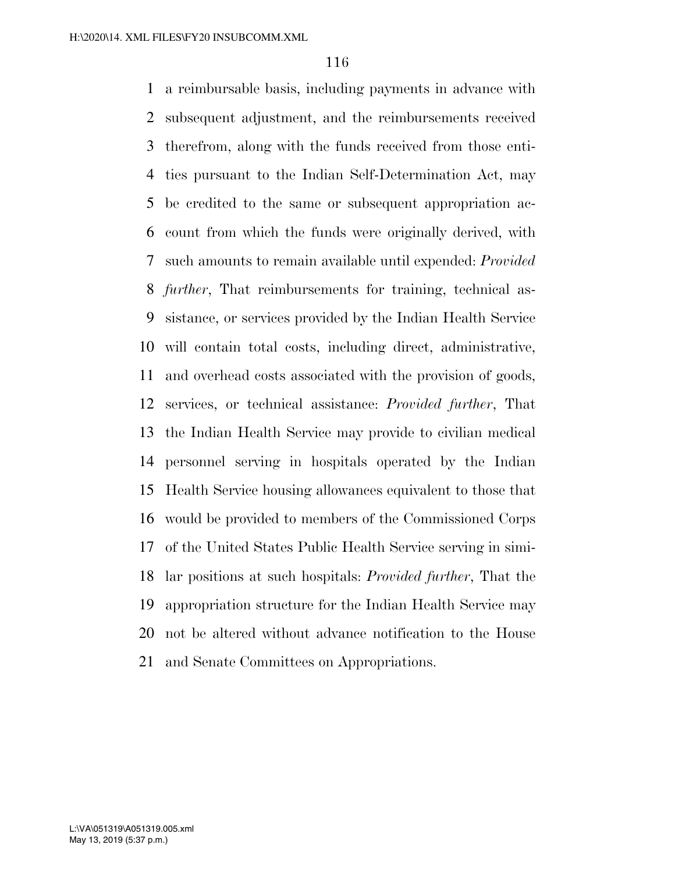a reimbursable basis, including payments in advance with subsequent adjustment, and the reimbursements received therefrom, along with the funds received from those enti- ties pursuant to the Indian Self-Determination Act, may be credited to the same or subsequent appropriation ac- count from which the funds were originally derived, with such amounts to remain available until expended: *Provided further*, That reimbursements for training, technical as- sistance, or services provided by the Indian Health Service will contain total costs, including direct, administrative, and overhead costs associated with the provision of goods, services, or technical assistance: *Provided further*, That the Indian Health Service may provide to civilian medical personnel serving in hospitals operated by the Indian Health Service housing allowances equivalent to those that would be provided to members of the Commissioned Corps of the United States Public Health Service serving in simi- lar positions at such hospitals: *Provided further*, That the appropriation structure for the Indian Health Service may not be altered without advance notification to the House and Senate Committees on Appropriations.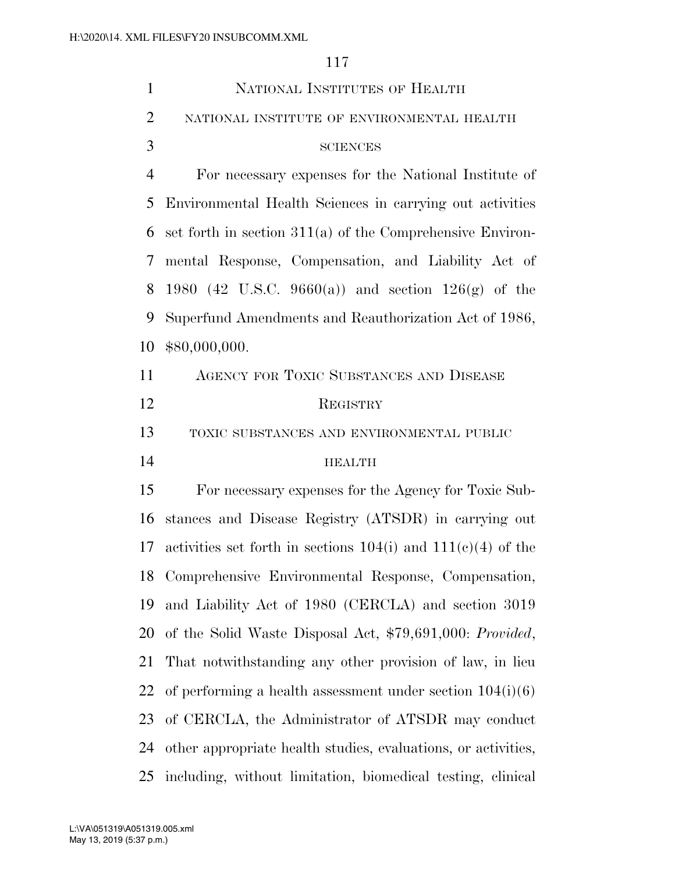| $\mathbf{1}$   | NATIONAL INSTITUTES OF HEALTH                                    |
|----------------|------------------------------------------------------------------|
| $\overline{2}$ | NATIONAL INSTITUTE OF ENVIRONMENTAL HEALTH                       |
| 3              | <b>SCIENCES</b>                                                  |
| $\overline{4}$ | For necessary expenses for the National Institute of             |
| 5              | Environmental Health Sciences in carrying out activities         |
| 6              | set forth in section $311(a)$ of the Comprehensive Environ-      |
| 7              | mental Response, Compensation, and Liability Act of              |
| 8              | 1980 (42 U.S.C. 9660(a)) and section $126(g)$ of the             |
| 9              | Superfund Amendments and Reauthorization Act of 1986,            |
| 10             | \$80,000,000.                                                    |
| 11             | AGENCY FOR TOXIC SUBSTANCES AND DISEASE                          |
| 12             | REGISTRY                                                         |
| 13             | TOXIC SUBSTANCES AND ENVIRONMENTAL PUBLIC                        |
| 14             | <b>HEALTH</b>                                                    |
| 15             | For necessary expenses for the Agency for Toxic Sub-             |
| 16             | stances and Disease Registry (ATSDR) in carrying out             |
| 17             | activities set forth in sections $104(i)$ and $111(e)(4)$ of the |
| 18             | Comprehensive Environmental Response, Compensation,              |
| 19             | and Liability Act of 1980 (CERCLA) and section 3019              |
| 20             | of the Solid Waste Disposal Act, \$79,691,000: Provided,         |
| 21             | That notwithstanding any other provision of law, in lieu         |
| 22             | of performing a health assessment under section $104(i)(6)$      |
| 23             | of CERCLA, the Administrator of ATSDR may conduct                |
| 24             | other appropriate health studies, evaluations, or activities,    |
| 25             | including, without limitation, biomedical testing, clinical      |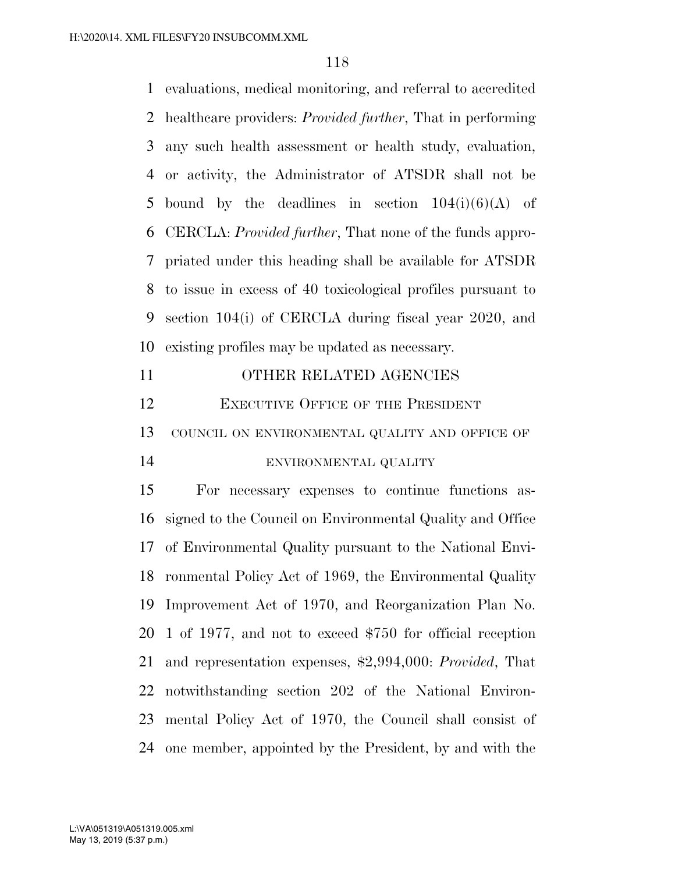evaluations, medical monitoring, and referral to accredited healthcare providers: *Provided further*, That in performing any such health assessment or health study, evaluation, or activity, the Administrator of ATSDR shall not be 5 bound by the deadlines in section  $104(i)(6)(A)$  of CERCLA: *Provided further*, That none of the funds appro- priated under this heading shall be available for ATSDR to issue in excess of 40 toxicological profiles pursuant to section 104(i) of CERCLA during fiscal year 2020, and existing profiles may be updated as necessary.

| 11 | OTHER RELATED AGENCIES                            |
|----|---------------------------------------------------|
| 12 | <b>EXECUTIVE OFFICE OF THE PRESIDENT</b>          |
|    | 13 COUNCIL ON ENVIRONMENTAL QUALITY AND OFFICE OF |
| 14 | ENVIRONMENTAL QUALITY                             |
| 15 | For necessary expenses to continue functions as-  |

 signed to the Council on Environmental Quality and Office of Environmental Quality pursuant to the National Envi- ronmental Policy Act of 1969, the Environmental Quality Improvement Act of 1970, and Reorganization Plan No. 1 of 1977, and not to exceed \$750 for official reception and representation expenses, \$2,994,000: *Provided*, That notwithstanding section 202 of the National Environ- mental Policy Act of 1970, the Council shall consist of one member, appointed by the President, by and with the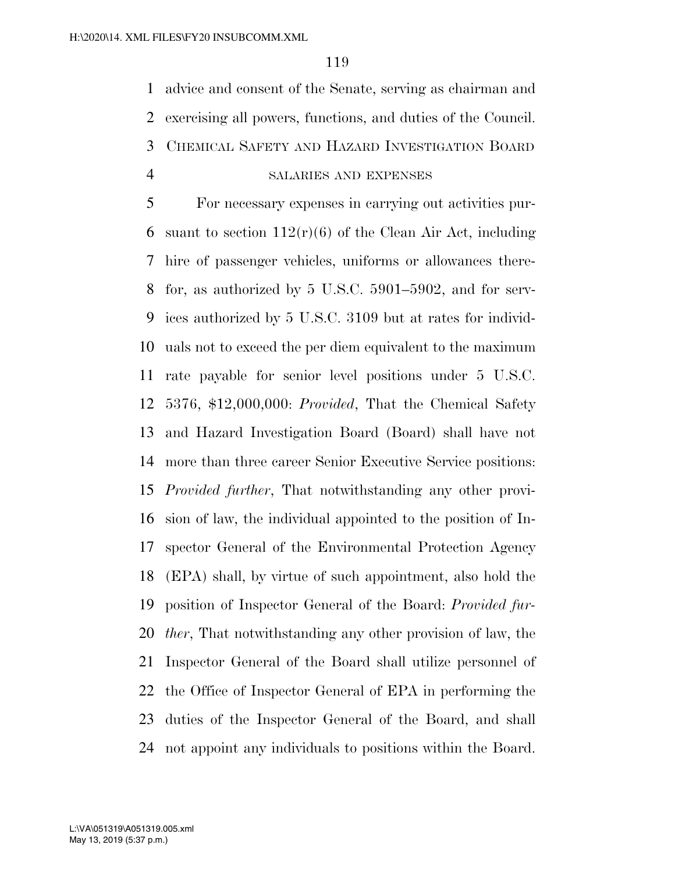advice and consent of the Senate, serving as chairman and exercising all powers, functions, and duties of the Council. CHEMICAL SAFETY AND HAZARD INVESTIGATION BOARD SALARIES AND EXPENSES

 For necessary expenses in carrying out activities pur-6 suant to section  $112(r)(6)$  of the Clean Air Act, including hire of passenger vehicles, uniforms or allowances there- for, as authorized by 5 U.S.C. 5901–5902, and for serv- ices authorized by 5 U.S.C. 3109 but at rates for individ- uals not to exceed the per diem equivalent to the maximum rate payable for senior level positions under 5 U.S.C. 5376, \$12,000,000: *Provided*, That the Chemical Safety and Hazard Investigation Board (Board) shall have not more than three career Senior Executive Service positions: *Provided further*, That notwithstanding any other provi- sion of law, the individual appointed to the position of In- spector General of the Environmental Protection Agency (EPA) shall, by virtue of such appointment, also hold the position of Inspector General of the Board: *Provided fur- ther*, That notwithstanding any other provision of law, the Inspector General of the Board shall utilize personnel of the Office of Inspector General of EPA in performing the duties of the Inspector General of the Board, and shall not appoint any individuals to positions within the Board.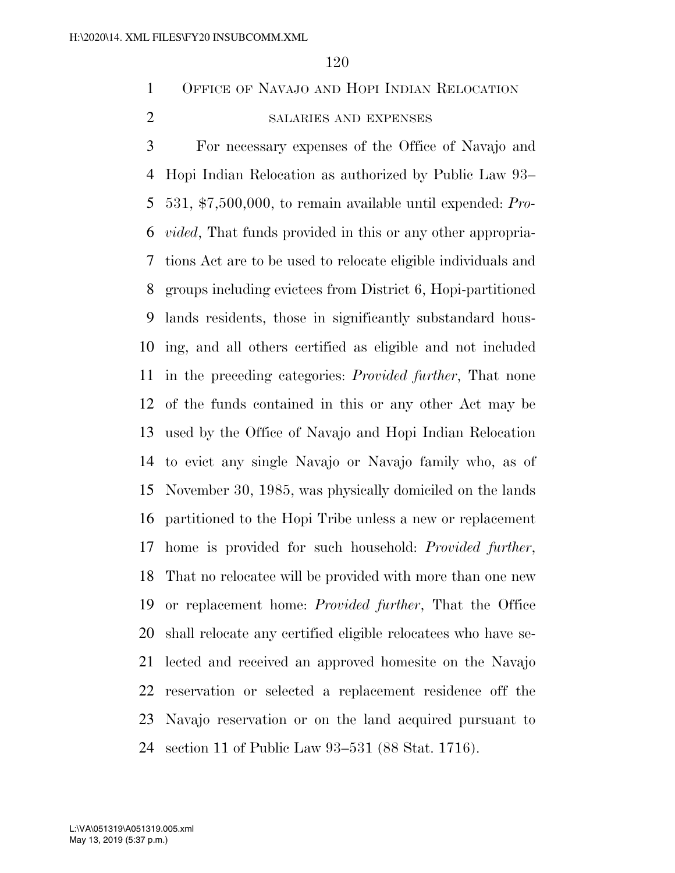OFFICE OF NAVAJO AND HOPI INDIAN RELOCATION

## SALARIES AND EXPENSES

 For necessary expenses of the Office of Navajo and Hopi Indian Relocation as authorized by Public Law 93– 531, \$7,500,000, to remain available until expended: *Pro- vided*, That funds provided in this or any other appropria- tions Act are to be used to relocate eligible individuals and groups including evictees from District 6, Hopi-partitioned lands residents, those in significantly substandard hous- ing, and all others certified as eligible and not included in the preceding categories: *Provided further*, That none of the funds contained in this or any other Act may be used by the Office of Navajo and Hopi Indian Relocation to evict any single Navajo or Navajo family who, as of November 30, 1985, was physically domiciled on the lands partitioned to the Hopi Tribe unless a new or replacement home is provided for such household: *Provided further*, That no relocatee will be provided with more than one new or replacement home: *Provided further*, That the Office shall relocate any certified eligible relocatees who have se- lected and received an approved homesite on the Navajo reservation or selected a replacement residence off the Navajo reservation or on the land acquired pursuant to section 11 of Public Law 93–531 (88 Stat. 1716).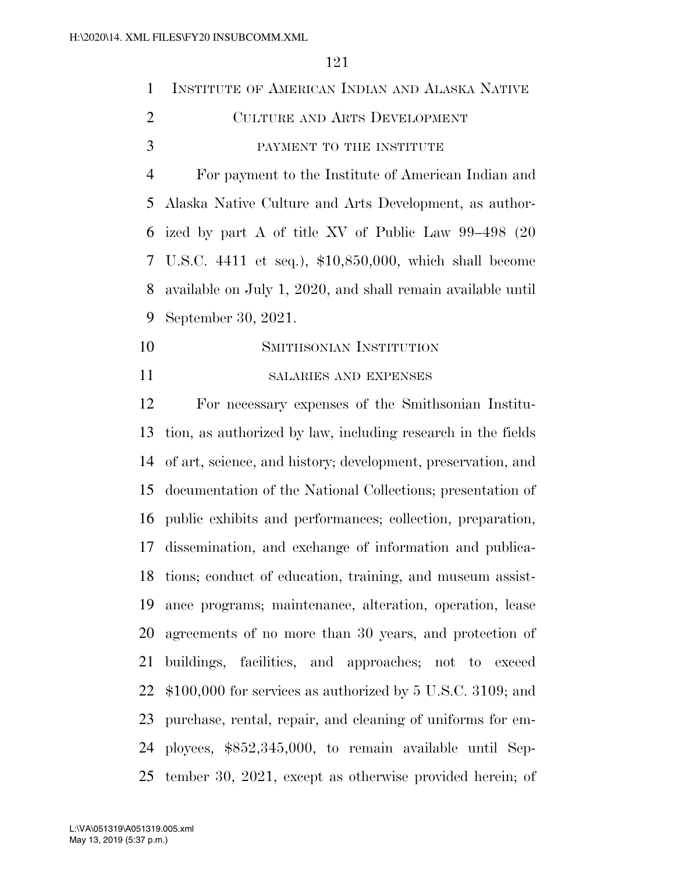| 1  | INSTITUTE OF AMERICAN INDIAN AND ALASKA NATIVE              |
|----|-------------------------------------------------------------|
| 2  | <b>CULTURE AND ARTS DEVELOPMENT</b>                         |
| 3  | PAYMENT TO THE INSTITUTE                                    |
| 4  | For payment to the Institute of American Indian and         |
|    | 5 Alaska Native Culture and Arts Development, as author-    |
|    | 6 ized by part A of title XV of Public Law 99–498 (20       |
|    | 7 U.S.C. 4411 et seq.), \$10,850,000, which shall become    |
| 8  | available on July 1, 2020, and shall remain available until |
| 9  | September 30, 2021.                                         |
| 10 | SMITHSONIAN INSTITUTION                                     |
|    |                                                             |

#### SALARIES AND EXPENSES

 For necessary expenses of the Smithsonian Institu- tion, as authorized by law, including research in the fields of art, science, and history; development, preservation, and documentation of the National Collections; presentation of public exhibits and performances; collection, preparation, dissemination, and exchange of information and publica- tions; conduct of education, training, and museum assist- ance programs; maintenance, alteration, operation, lease agreements of no more than 30 years, and protection of buildings, facilities, and approaches; not to exceed \$100,000 for services as authorized by 5 U.S.C. 3109; and purchase, rental, repair, and cleaning of uniforms for em- ployees, \$852,345,000, to remain available until Sep-tember 30, 2021, except as otherwise provided herein; of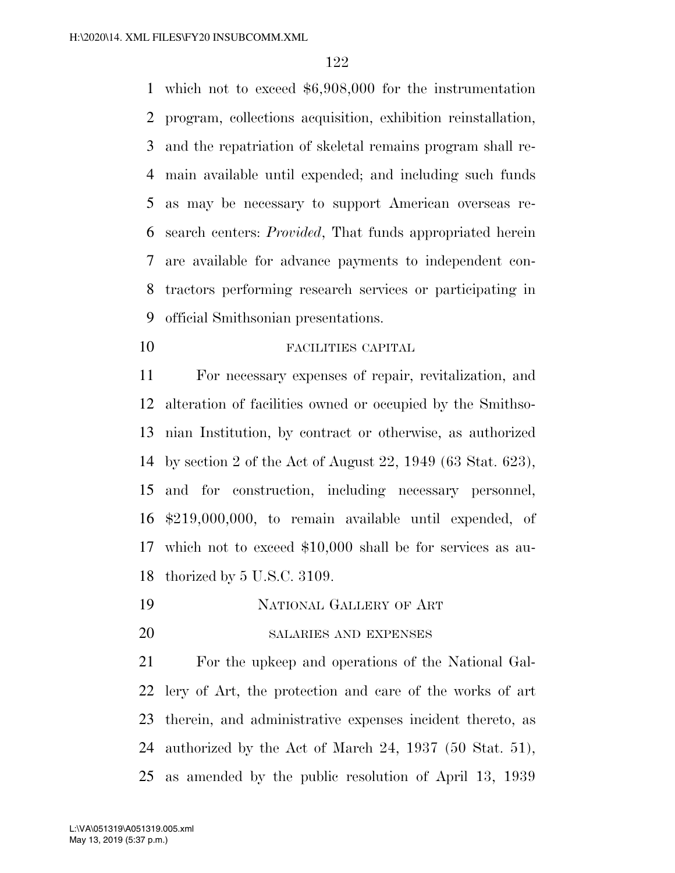which not to exceed \$6,908,000 for the instrumentation program, collections acquisition, exhibition reinstallation, and the repatriation of skeletal remains program shall re- main available until expended; and including such funds as may be necessary to support American overseas re- search centers: *Provided*, That funds appropriated herein are available for advance payments to independent con- tractors performing research services or participating in official Smithsonian presentations.

FACILITIES CAPITAL

 For necessary expenses of repair, revitalization, and alteration of facilities owned or occupied by the Smithso- nian Institution, by contract or otherwise, as authorized by section 2 of the Act of August 22, 1949 (63 Stat. 623), and for construction, including necessary personnel, \$219,000,000, to remain available until expended, of which not to exceed \$10,000 shall be for services as au-thorized by 5 U.S.C. 3109.

- NATIONAL GALLERY OF ART
- 20 SALARIES AND EXPENSES

 For the upkeep and operations of the National Gal- lery of Art, the protection and care of the works of art therein, and administrative expenses incident thereto, as authorized by the Act of March 24, 1937 (50 Stat. 51), as amended by the public resolution of April 13, 1939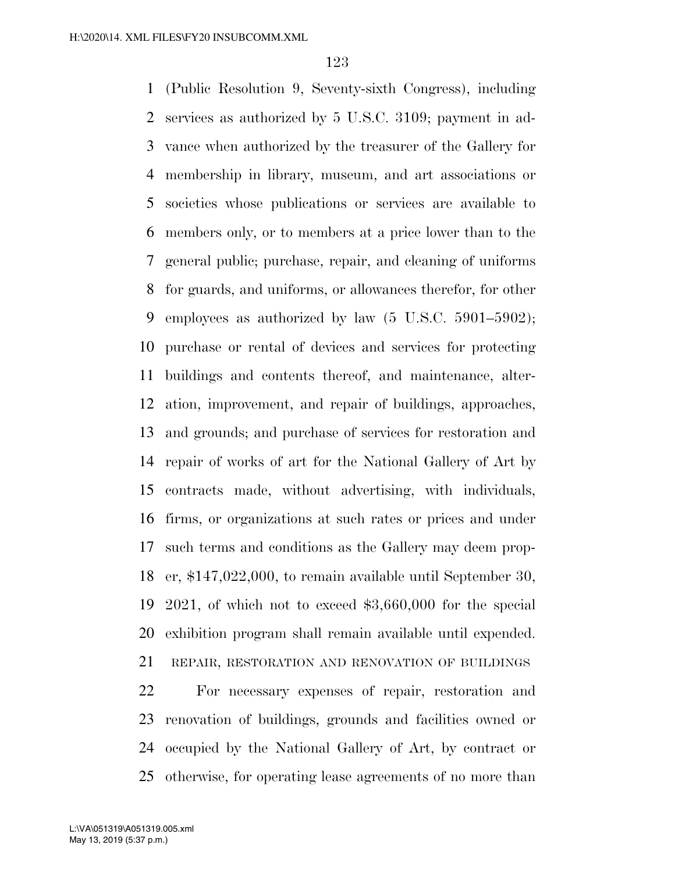(Public Resolution 9, Seventy-sixth Congress), including services as authorized by 5 U.S.C. 3109; payment in ad- vance when authorized by the treasurer of the Gallery for membership in library, museum, and art associations or societies whose publications or services are available to members only, or to members at a price lower than to the general public; purchase, repair, and cleaning of uniforms for guards, and uniforms, or allowances therefor, for other employees as authorized by law (5 U.S.C. 5901–5902); purchase or rental of devices and services for protecting buildings and contents thereof, and maintenance, alter- ation, improvement, and repair of buildings, approaches, and grounds; and purchase of services for restoration and repair of works of art for the National Gallery of Art by contracts made, without advertising, with individuals, firms, or organizations at such rates or prices and under such terms and conditions as the Gallery may deem prop- er, \$147,022,000, to remain available until September 30, 2021, of which not to exceed \$3,660,000 for the special exhibition program shall remain available until expended. REPAIR, RESTORATION AND RENOVATION OF BUILDINGS For necessary expenses of repair, restoration and

 renovation of buildings, grounds and facilities owned or occupied by the National Gallery of Art, by contract or otherwise, for operating lease agreements of no more than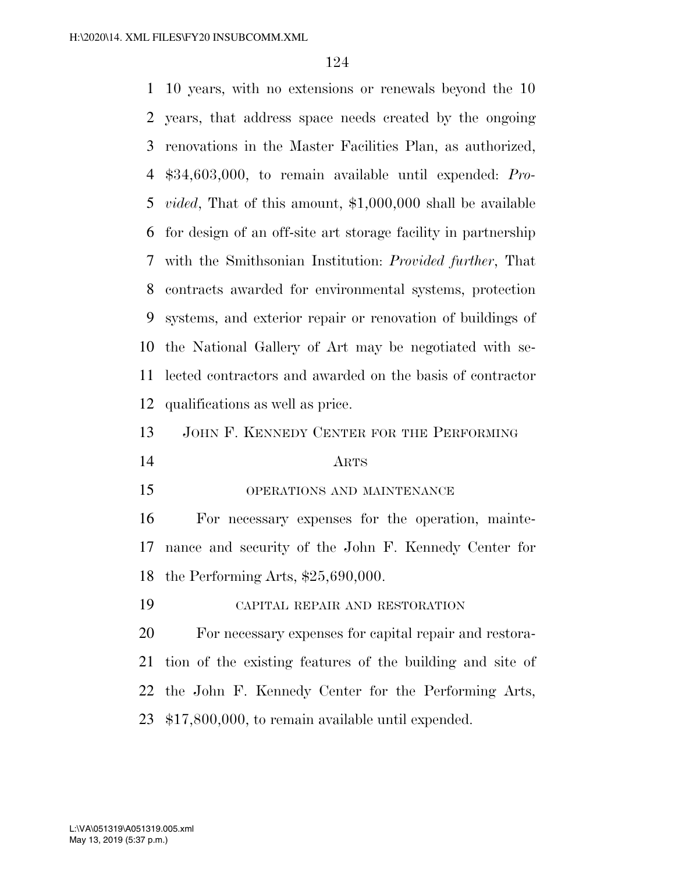10 years, with no extensions or renewals beyond the 10 years, that address space needs created by the ongoing renovations in the Master Facilities Plan, as authorized, \$34,603,000, to remain available until expended: *Pro- vided*, That of this amount, \$1,000,000 shall be available for design of an off-site art storage facility in partnership with the Smithsonian Institution: *Provided further*, That contracts awarded for environmental systems, protection systems, and exterior repair or renovation of buildings of the National Gallery of Art may be negotiated with se- lected contractors and awarded on the basis of contractor qualifications as well as price. JOHN F. KENNEDY CENTER FOR THE PERFORMING ARTS OPERATIONS AND MAINTENANCE For necessary expenses for the operation, mainte- nance and security of the John F. Kennedy Center for the Performing Arts, \$25,690,000. CAPITAL REPAIR AND RESTORATION For necessary expenses for capital repair and restora- tion of the existing features of the building and site of the John F. Kennedy Center for the Performing Arts,

\$17,800,000, to remain available until expended.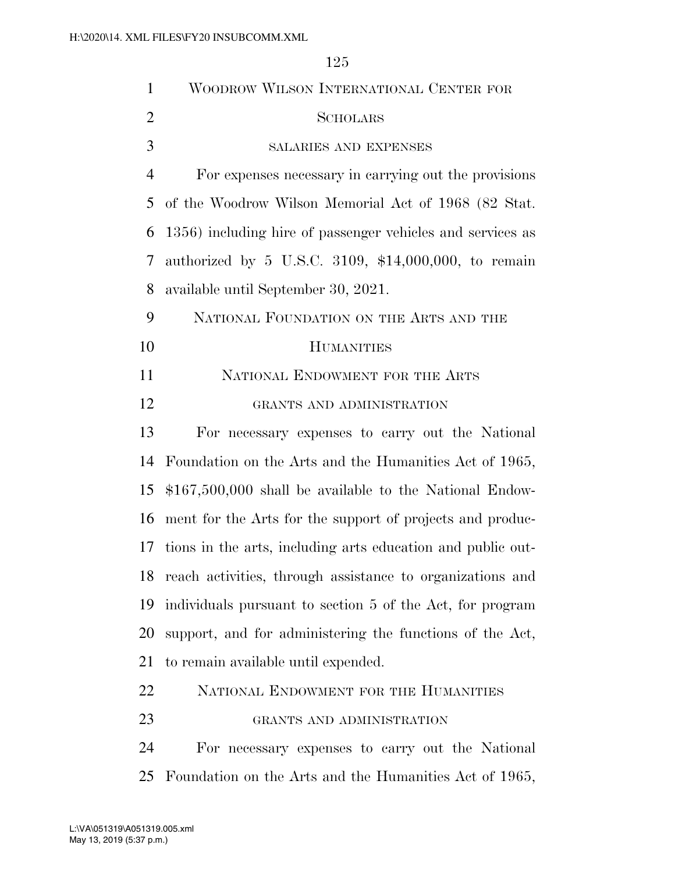WOODROW WILSON INTERNATIONAL CENTER FOR SCHOLARS SALARIES AND EXPENSES For expenses necessary in carrying out the provisions of the Woodrow Wilson Memorial Act of 1968 (82 Stat. 1356) including hire of passenger vehicles and services as authorized by 5 U.S.C. 3109, \$14,000,000, to remain available until September 30, 2021. NATIONAL FOUNDATION ON THE ARTS AND THE HUMANITIES 11 NATIONAL ENDOWMENT FOR THE ARTS GRANTS AND ADMINISTRATION For necessary expenses to carry out the National Foundation on the Arts and the Humanities Act of 1965, \$167,500,000 shall be available to the National Endow- ment for the Arts for the support of projects and produc- tions in the arts, including arts education and public out- reach activities, through assistance to organizations and individuals pursuant to section 5 of the Act, for program support, and for administering the functions of the Act,

to remain available until expended.

| 22 |  | NATIONAL ENDOWMENT FOR THE HUMANITIES |
|----|--|---------------------------------------|
|    |  |                                       |

# GRANTS AND ADMINISTRATION

 For necessary expenses to carry out the National Foundation on the Arts and the Humanities Act of 1965,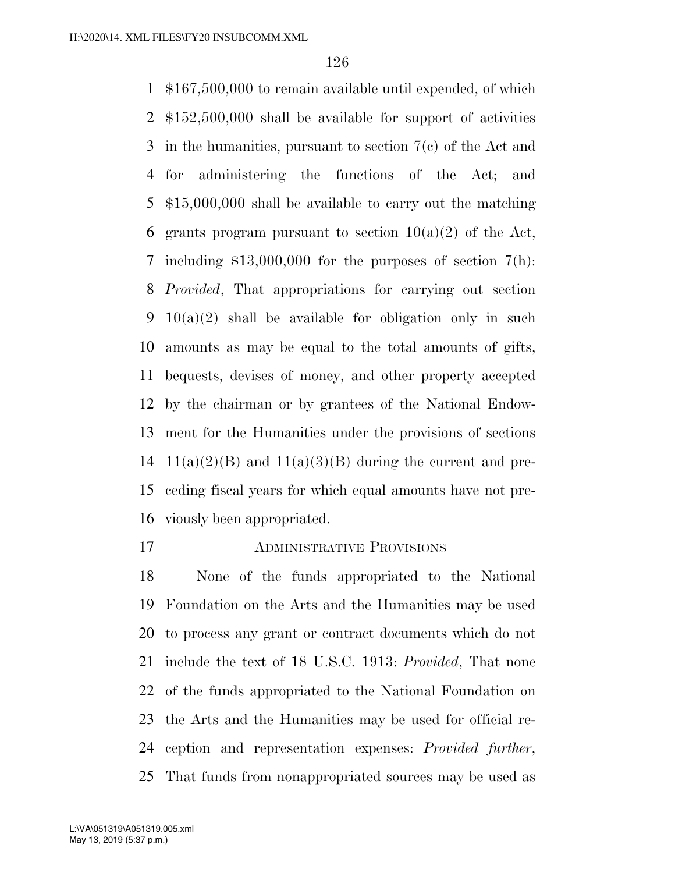\$167,500,000 to remain available until expended, of which \$152,500,000 shall be available for support of activities in the humanities, pursuant to section 7(c) of the Act and for administering the functions of the Act; and \$15,000,000 shall be available to carry out the matching 6 grants program pursuant to section  $10(a)(2)$  of the Act, including \$13,000,000 for the purposes of section 7(h): *Provided*, That appropriations for carrying out section 10(a)(2) shall be available for obligation only in such amounts as may be equal to the total amounts of gifts, bequests, devises of money, and other property accepted by the chairman or by grantees of the National Endow- ment for the Humanities under the provisions of sections 14 11(a)(2)(B) and 11(a)(3)(B) during the current and pre- ceding fiscal years for which equal amounts have not pre-viously been appropriated.

ADMINISTRATIVE PROVISIONS

 None of the funds appropriated to the National Foundation on the Arts and the Humanities may be used to process any grant or contract documents which do not include the text of 18 U.S.C. 1913: *Provided*, That none of the funds appropriated to the National Foundation on the Arts and the Humanities may be used for official re- ception and representation expenses: *Provided further*, That funds from nonappropriated sources may be used as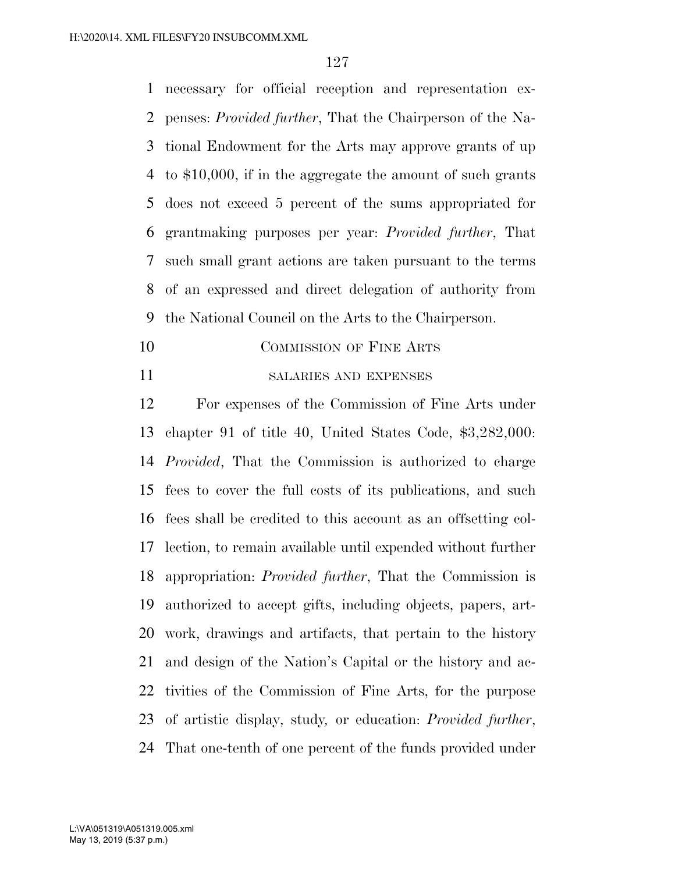necessary for official reception and representation ex- penses: *Provided further*, That the Chairperson of the Na- tional Endowment for the Arts may approve grants of up to \$10,000, if in the aggregate the amount of such grants does not exceed 5 percent of the sums appropriated for grantmaking purposes per year: *Provided further*, That such small grant actions are taken pursuant to the terms of an expressed and direct delegation of authority from the National Council on the Arts to the Chairperson.

- 10 COMMISSION OF FINE ARTS
- SALARIES AND EXPENSES

 For expenses of the Commission of Fine Arts under chapter 91 of title 40, United States Code, \$3,282,000: *Provided*, That the Commission is authorized to charge fees to cover the full costs of its publications, and such fees shall be credited to this account as an offsetting col- lection, to remain available until expended without further appropriation: *Provided further*, That the Commission is authorized to accept gifts, including objects, papers, art- work, drawings and artifacts, that pertain to the history and design of the Nation's Capital or the history and ac- tivities of the Commission of Fine Arts, for the purpose of artistic display, study*,* or education: *Provided further*, That one-tenth of one percent of the funds provided under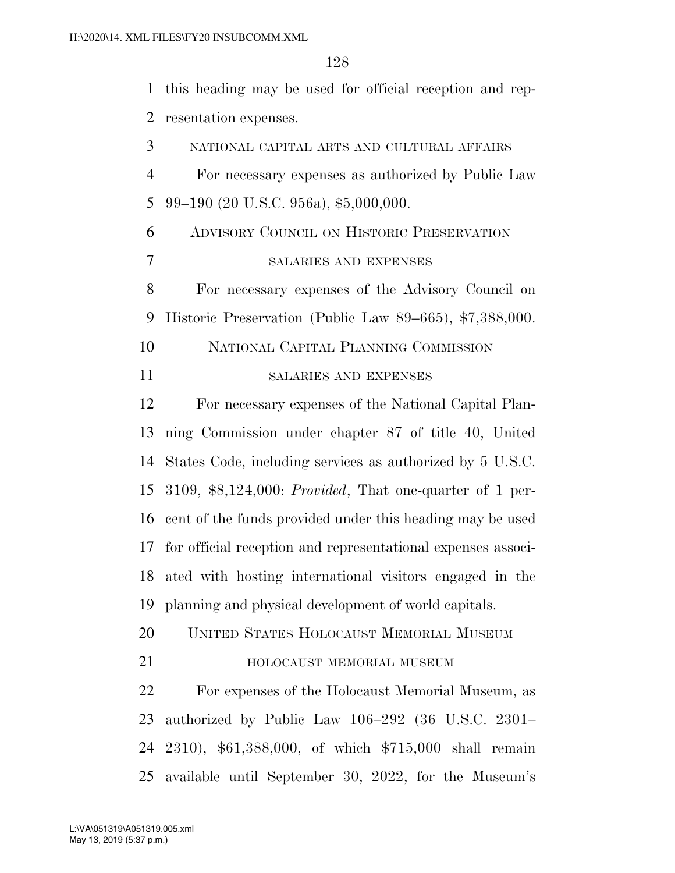this heading may be used for official reception and rep- resentation expenses. NATIONAL CAPITAL ARTS AND CULTURAL AFFAIRS For necessary expenses as authorized by Public Law 99–190 (20 U.S.C. 956a), \$5,000,000. ADVISORY COUNCIL ON HISTORIC PRESERVATION SALARIES AND EXPENSES For necessary expenses of the Advisory Council on Historic Preservation (Public Law 89–665), \$7,388,000. NATIONAL CAPITAL PLANNING COMMISSION SALARIES AND EXPENSES For necessary expenses of the National Capital Plan- ning Commission under chapter 87 of title 40, United States Code, including services as authorized by 5 U.S.C. 3109, \$8,124,000: *Provided*, That one-quarter of 1 per- cent of the funds provided under this heading may be used for official reception and representational expenses associ- ated with hosting international visitors engaged in the planning and physical development of world capitals. UNITED STATES HOLOCAUST MEMORIAL MUSEUM **HOLOCAUST MEMORIAL MUSEUM**  For expenses of the Holocaust Memorial Museum, as authorized by Public Law 106–292 (36 U.S.C. 2301– 2310), \$61,388,000, of which \$715,000 shall remain available until September 30, 2022, for the Museum's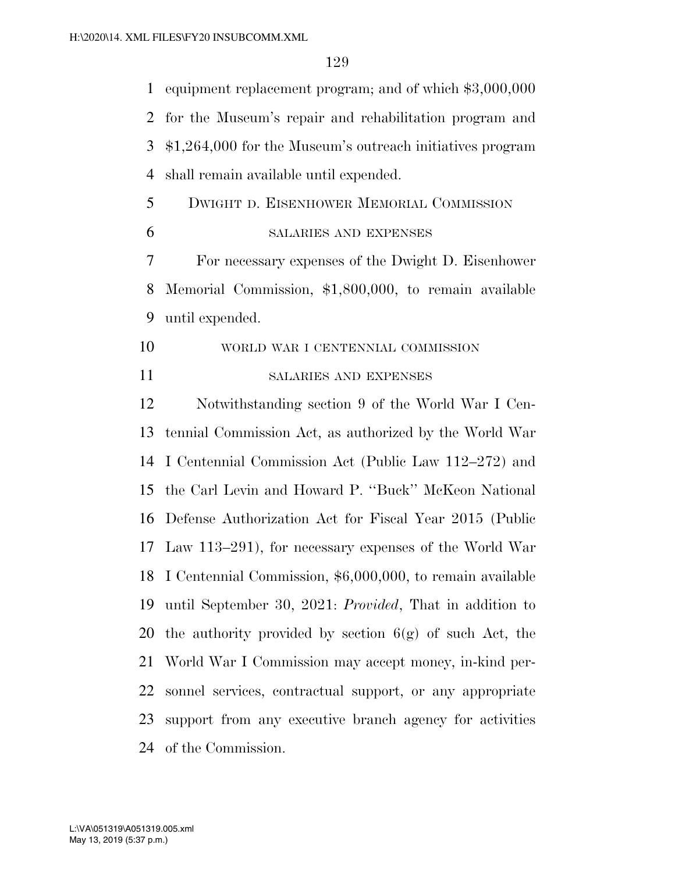equipment replacement program; and of which \$3,000,000 for the Museum's repair and rehabilitation program and \$1,264,000 for the Museum's outreach initiatives program shall remain available until expended. DWIGHT D. EISENHOWER MEMORIAL COMMISSION SALARIES AND EXPENSES For necessary expenses of the Dwight D. Eisenhower Memorial Commission, \$1,800,000, to remain available until expended. WORLD WAR I CENTENNIAL COMMISSION SALARIES AND EXPENSES Notwithstanding section 9 of the World War I Cen- tennial Commission Act, as authorized by the World War I Centennial Commission Act (Public Law 112–272) and the Carl Levin and Howard P. ''Buck'' McKeon National Defense Authorization Act for Fiscal Year 2015 (Public Law 113–291), for necessary expenses of the World War I Centennial Commission, \$6,000,000, to remain available until September 30, 2021: *Provided*, That in addition to 20 the authority provided by section  $6(g)$  of such Act, the World War I Commission may accept money, in-kind per- sonnel services, contractual support, or any appropriate support from any executive branch agency for activities of the Commission.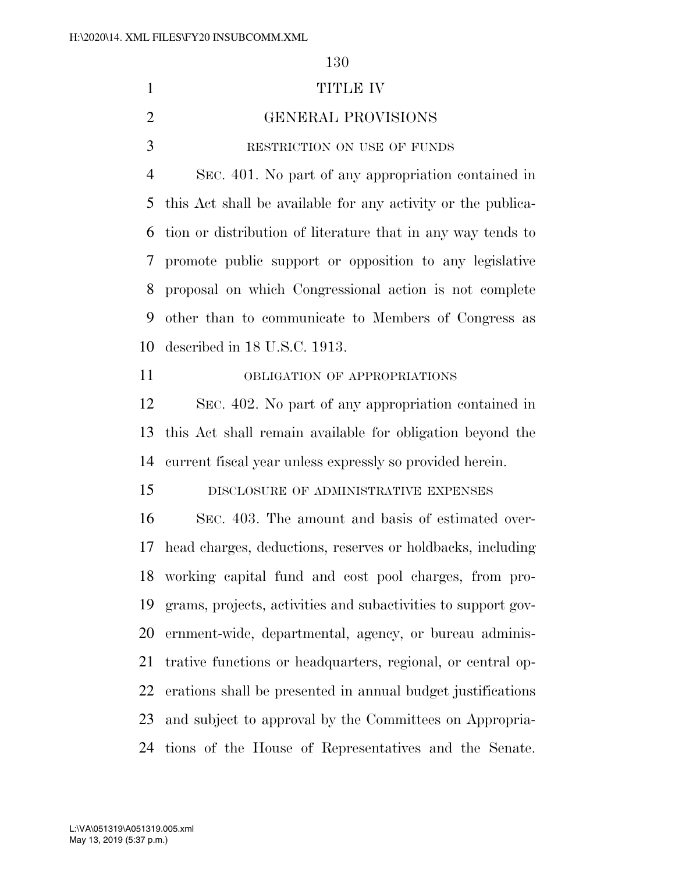1 TITLE IV GENERAL PROVISIONS RESTRICTION ON USE OF FUNDS SEC. 401. No part of any appropriation contained in this Act shall be available for any activity or the publica- tion or distribution of literature that in any way tends to promote public support or opposition to any legislative proposal on which Congressional action is not complete other than to communicate to Members of Congress as described in 18 U.S.C. 1913. OBLIGATION OF APPROPRIATIONS SEC. 402. No part of any appropriation contained in this Act shall remain available for obligation beyond the current fiscal year unless expressly so provided herein. DISCLOSURE OF ADMINISTRATIVE EXPENSES SEC. 403. The amount and basis of estimated over- head charges, deductions, reserves or holdbacks, including working capital fund and cost pool charges, from pro- grams, projects, activities and subactivities to support gov- ernment-wide, departmental, agency, or bureau adminis- trative functions or headquarters, regional, or central op- erations shall be presented in annual budget justifications and subject to approval by the Committees on Appropria-tions of the House of Representatives and the Senate.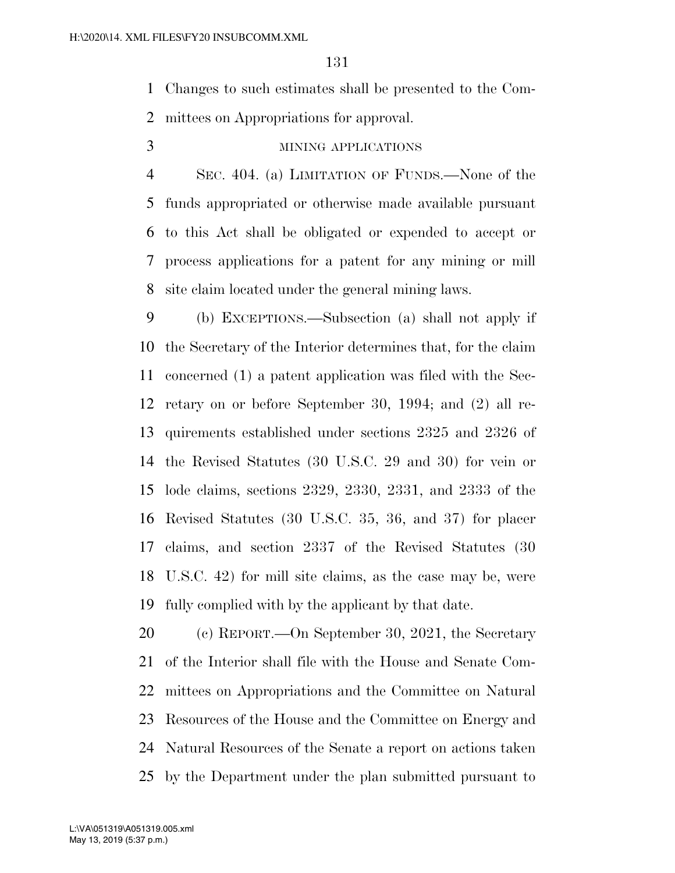Changes to such estimates shall be presented to the Com-mittees on Appropriations for approval.

## MINING APPLICATIONS

 SEC. 404. (a) LIMITATION OF FUNDS.—None of the funds appropriated or otherwise made available pursuant to this Act shall be obligated or expended to accept or process applications for a patent for any mining or mill site claim located under the general mining laws.

 (b) EXCEPTIONS.—Subsection (a) shall not apply if the Secretary of the Interior determines that, for the claim concerned (1) a patent application was filed with the Sec- retary on or before September 30, 1994; and (2) all re- quirements established under sections 2325 and 2326 of the Revised Statutes (30 U.S.C. 29 and 30) for vein or lode claims, sections 2329, 2330, 2331, and 2333 of the Revised Statutes (30 U.S.C. 35, 36, and 37) for placer claims, and section 2337 of the Revised Statutes (30 U.S.C. 42) for mill site claims, as the case may be, were fully complied with by the applicant by that date.

 (c) REPORT.—On September 30, 2021, the Secretary of the Interior shall file with the House and Senate Com- mittees on Appropriations and the Committee on Natural Resources of the House and the Committee on Energy and Natural Resources of the Senate a report on actions taken by the Department under the plan submitted pursuant to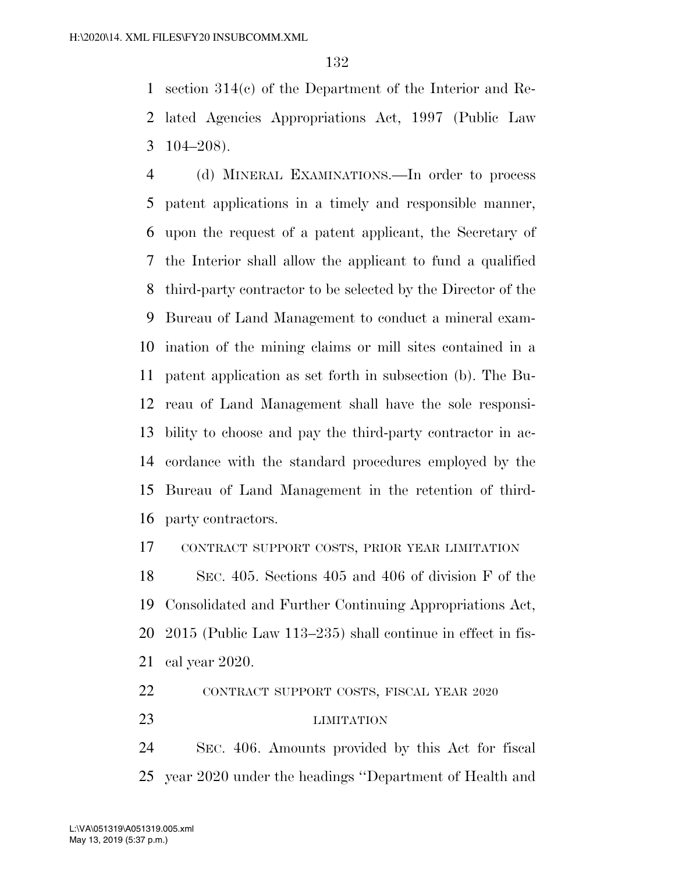section 314(c) of the Department of the Interior and Re- lated Agencies Appropriations Act, 1997 (Public Law 104–208).

 (d) MINERAL EXAMINATIONS.—In order to process patent applications in a timely and responsible manner, upon the request of a patent applicant, the Secretary of the Interior shall allow the applicant to fund a qualified third-party contractor to be selected by the Director of the Bureau of Land Management to conduct a mineral exam- ination of the mining claims or mill sites contained in a patent application as set forth in subsection (b). The Bu- reau of Land Management shall have the sole responsi- bility to choose and pay the third-party contractor in ac- cordance with the standard procedures employed by the Bureau of Land Management in the retention of third-party contractors.

CONTRACT SUPPORT COSTS, PRIOR YEAR LIMITATION

 SEC. 405. Sections 405 and 406 of division F of the Consolidated and Further Continuing Appropriations Act, 2015 (Public Law 113–235) shall continue in effect in fis-cal year 2020.

CONTRACT SUPPORT COSTS, FISCAL YEAR 2020

LIMITATION

 SEC. 406. Amounts provided by this Act for fiscal year 2020 under the headings ''Department of Health and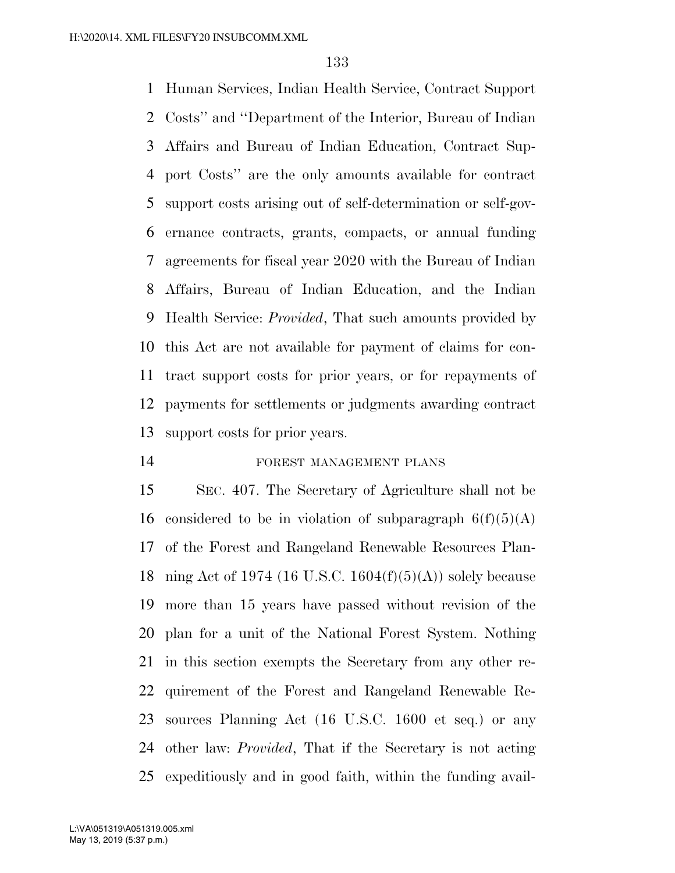Human Services, Indian Health Service, Contract Support Costs'' and ''Department of the Interior, Bureau of Indian Affairs and Bureau of Indian Education, Contract Sup- port Costs'' are the only amounts available for contract support costs arising out of self-determination or self-gov- ernance contracts, grants, compacts, or annual funding agreements for fiscal year 2020 with the Bureau of Indian Affairs, Bureau of Indian Education, and the Indian Health Service: *Provided*, That such amounts provided by this Act are not available for payment of claims for con- tract support costs for prior years, or for repayments of payments for settlements or judgments awarding contract support costs for prior years.

### FOREST MANAGEMENT PLANS

 SEC. 407. The Secretary of Agriculture shall not be 16 considered to be in violation of subparagraph  $6(f)(5)(A)$  of the Forest and Rangeland Renewable Resources Plan-18 ning Act of 1974 (16 U.S.C. 1604 $(f)(5)(A)$ ) solely because more than 15 years have passed without revision of the plan for a unit of the National Forest System. Nothing in this section exempts the Secretary from any other re- quirement of the Forest and Rangeland Renewable Re- sources Planning Act (16 U.S.C. 1600 et seq.) or any other law: *Provided*, That if the Secretary is not acting expeditiously and in good faith, within the funding avail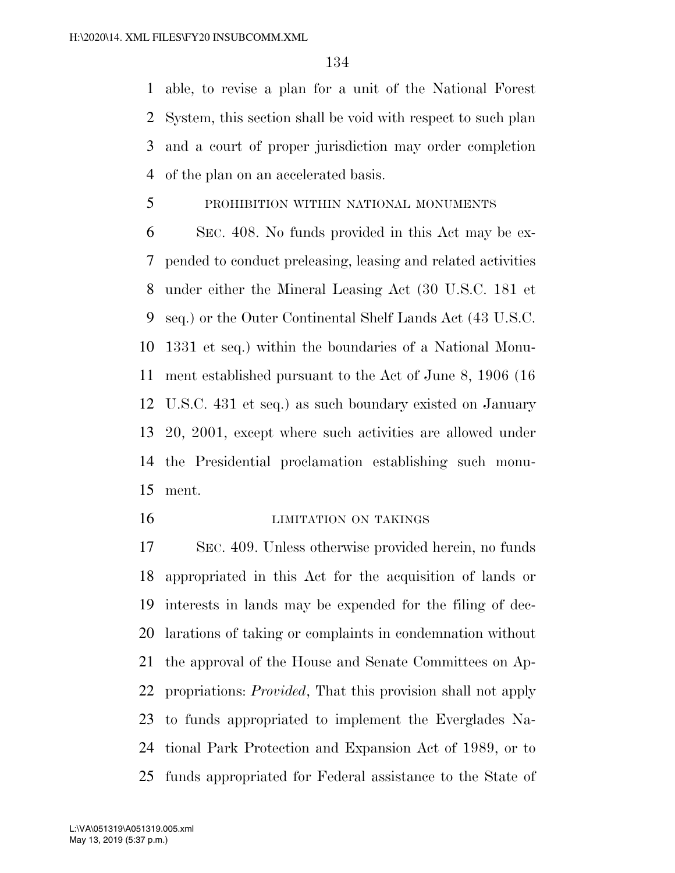able, to revise a plan for a unit of the National Forest System, this section shall be void with respect to such plan and a court of proper jurisdiction may order completion of the plan on an accelerated basis.

PROHIBITION WITHIN NATIONAL MONUMENTS

 SEC. 408. No funds provided in this Act may be ex- pended to conduct preleasing, leasing and related activities under either the Mineral Leasing Act (30 U.S.C. 181 et seq.) or the Outer Continental Shelf Lands Act (43 U.S.C. 1331 et seq.) within the boundaries of a National Monu- ment established pursuant to the Act of June 8, 1906 (16 U.S.C. 431 et seq.) as such boundary existed on January 20, 2001, except where such activities are allowed under the Presidential proclamation establishing such monu-ment.

#### LIMITATION ON TAKINGS

 SEC. 409. Unless otherwise provided herein, no funds appropriated in this Act for the acquisition of lands or interests in lands may be expended for the filing of dec- larations of taking or complaints in condemnation without the approval of the House and Senate Committees on Ap- propriations: *Provided*, That this provision shall not apply to funds appropriated to implement the Everglades Na- tional Park Protection and Expansion Act of 1989, or to funds appropriated for Federal assistance to the State of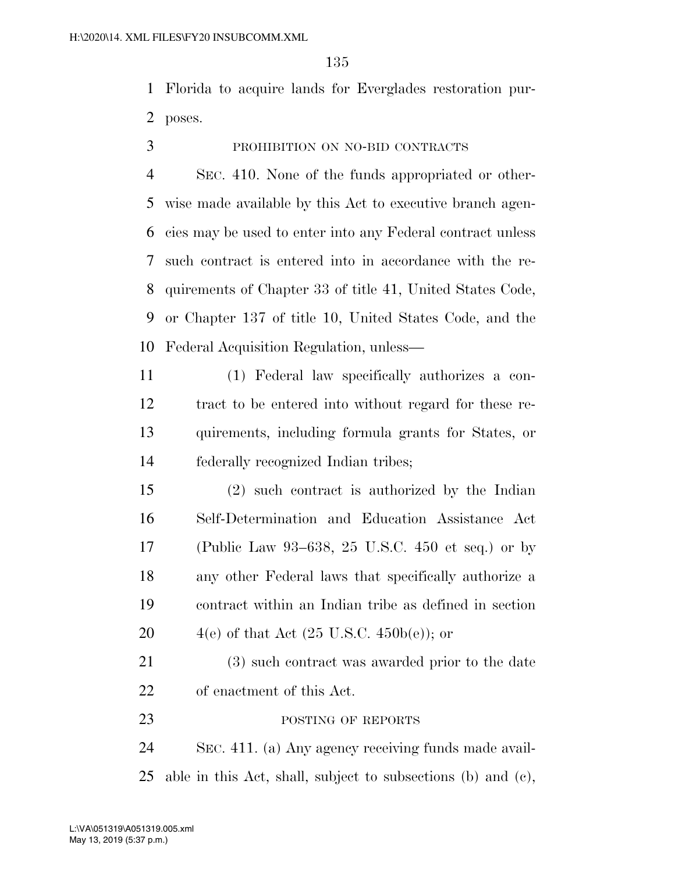Florida to acquire lands for Everglades restoration pur-poses.

# PROHIBITION ON NO-BID CONTRACTS

 SEC. 410. None of the funds appropriated or other- wise made available by this Act to executive branch agen- cies may be used to enter into any Federal contract unless such contract is entered into in accordance with the re- quirements of Chapter 33 of title 41, United States Code, or Chapter 137 of title 10, United States Code, and the Federal Acquisition Regulation, unless—

 (1) Federal law specifically authorizes a con- tract to be entered into without regard for these re- quirements, including formula grants for States, or federally recognized Indian tribes;

 (2) such contract is authorized by the Indian Self-Determination and Education Assistance Act (Public Law 93–638, 25 U.S.C. 450 et seq.) or by any other Federal laws that specifically authorize a contract within an Indian tribe as defined in section  $4(e)$  of that Act  $(25 \text{ U.S.C. } 450b(e))$ ; or

 (3) such contract was awarded prior to the date of enactment of this Act.

23 POSTING OF REPORTS

 SEC. 411. (a) Any agency receiving funds made avail-able in this Act, shall, subject to subsections (b) and (c),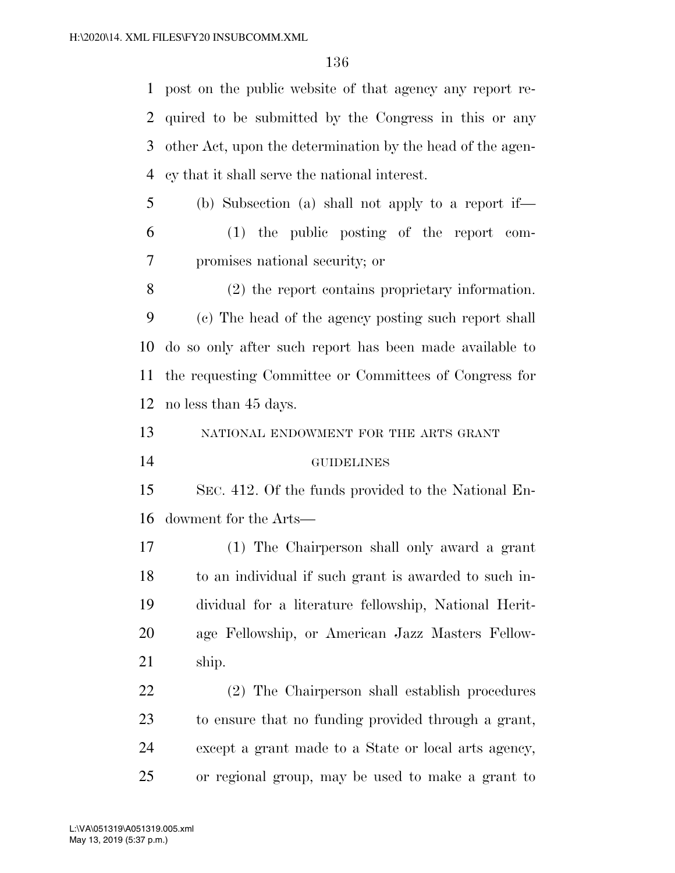post on the public website of that agency any report re- quired to be submitted by the Congress in this or any other Act, upon the determination by the head of the agen-cy that it shall serve the national interest.

 (b) Subsection (a) shall not apply to a report if— (1) the public posting of the report com-promises national security; or

 (2) the report contains proprietary information. (c) The head of the agency posting such report shall do so only after such report has been made available to the requesting Committee or Committees of Congress for no less than 45 days.

NATIONAL ENDOWMENT FOR THE ARTS GRANT

GUIDELINES

 SEC. 412. Of the funds provided to the National En-dowment for the Arts—

 (1) The Chairperson shall only award a grant to an individual if such grant is awarded to such in- dividual for a literature fellowship, National Herit- age Fellowship, or American Jazz Masters Fellow-ship.

 (2) The Chairperson shall establish procedures to ensure that no funding provided through a grant, except a grant made to a State or local arts agency, or regional group, may be used to make a grant to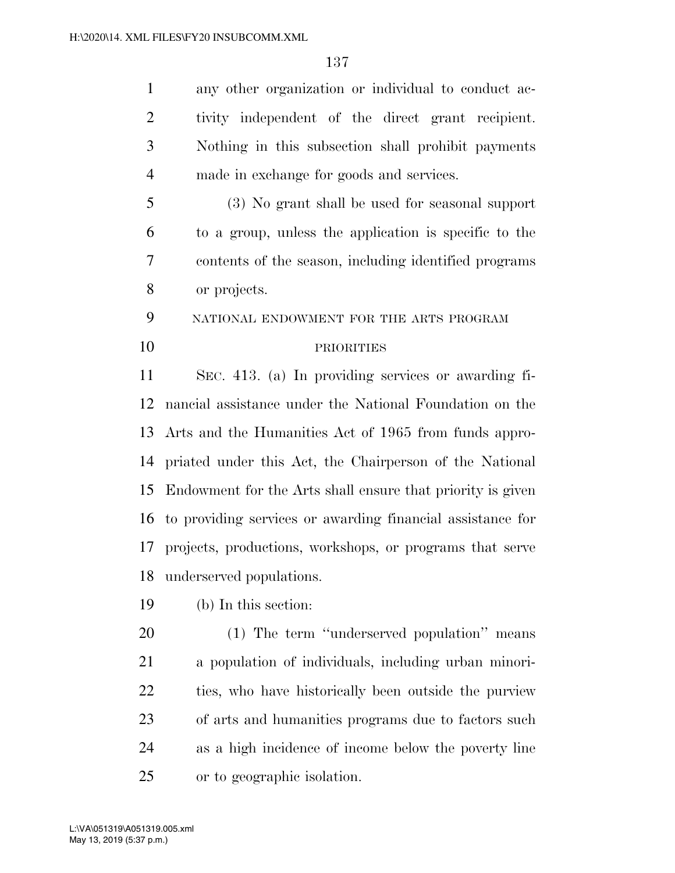any other organization or individual to conduct ac- tivity independent of the direct grant recipient. Nothing in this subsection shall prohibit payments made in exchange for goods and services. (3) No grant shall be used for seasonal support

 to a group, unless the application is specific to the contents of the season, including identified programs or projects.

NATIONAL ENDOWMENT FOR THE ARTS PROGRAM

## PRIORITIES

 SEC. 413. (a) In providing services or awarding fi- nancial assistance under the National Foundation on the Arts and the Humanities Act of 1965 from funds appro- priated under this Act, the Chairperson of the National Endowment for the Arts shall ensure that priority is given to providing services or awarding financial assistance for projects, productions, workshops, or programs that serve underserved populations.

(b) In this section:

 (1) The term ''underserved population'' means a population of individuals, including urban minori- ties, who have historically been outside the purview of arts and humanities programs due to factors such as a high incidence of income below the poverty line or to geographic isolation.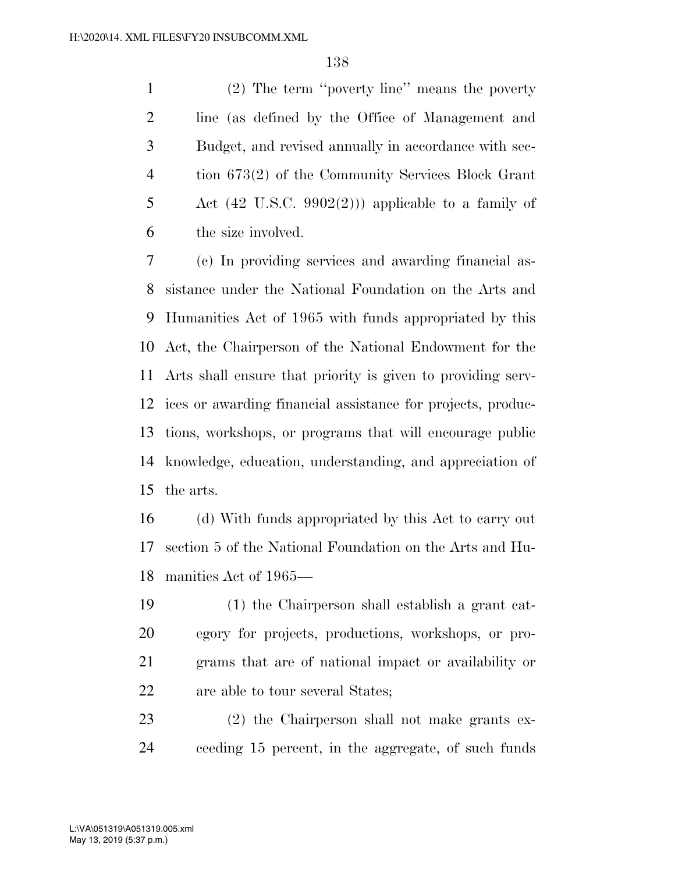(2) The term ''poverty line'' means the poverty line (as defined by the Office of Management and Budget, and revised annually in accordance with sec- tion 673(2) of the Community Services Block Grant 5 Act  $(42 \text{ U.S.C. } 9902(2))$  applicable to a family of the size involved.

 (c) In providing services and awarding financial as- sistance under the National Foundation on the Arts and Humanities Act of 1965 with funds appropriated by this Act, the Chairperson of the National Endowment for the Arts shall ensure that priority is given to providing serv- ices or awarding financial assistance for projects, produc- tions, workshops, or programs that will encourage public knowledge, education, understanding, and appreciation of the arts.

 (d) With funds appropriated by this Act to carry out section 5 of the National Foundation on the Arts and Hu-manities Act of 1965—

 (1) the Chairperson shall establish a grant cat- egory for projects, productions, workshops, or pro- grams that are of national impact or availability or are able to tour several States;

 (2) the Chairperson shall not make grants ex-ceeding 15 percent, in the aggregate, of such funds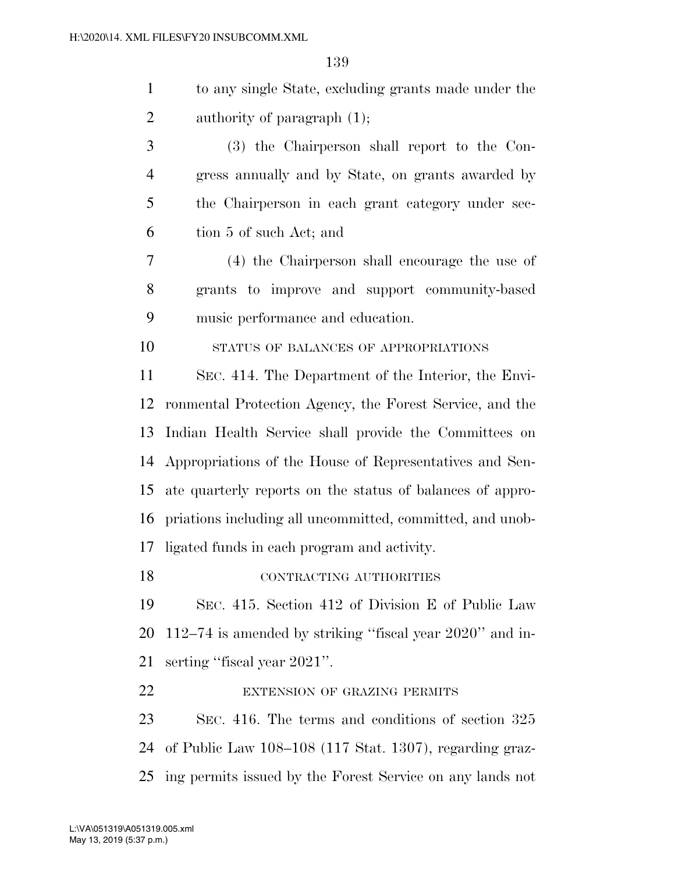| 1              | to any single State, excluding grants made under the        |
|----------------|-------------------------------------------------------------|
| $\overline{2}$ | authority of paragraph $(1)$ ;                              |
| 3              | (3) the Chairperson shall report to the Con-                |
| $\overline{4}$ | gress annually and by State, on grants awarded by           |
| 5              | the Chairperson in each grant category under sec-           |
| 6              | tion 5 of such Act; and                                     |
| 7              | (4) the Chairperson shall encourage the use of              |
| 8              | grants to improve and support community-based               |
| 9              | music performance and education.                            |
| 10             | STATUS OF BALANCES OF APPROPRIATIONS                        |
| 11             | SEC. 414. The Department of the Interior, the Envi-         |
| 12             | ronmental Protection Agency, the Forest Service, and the    |
| 13             | Indian Health Service shall provide the Committees on       |
| 14             | Appropriations of the House of Representatives and Sen-     |
| 15             | ate quarterly reports on the status of balances of appro-   |
| 16             | priations including all uncommitted, committed, and unob-   |
| 17             | ligated funds in each program and activity.                 |
| 18             | CONTRACTING AUTHORITIES                                     |
| 19             | SEC. 415. Section 412 of Division E of Public Law           |
| 20             | 112–74 is amended by striking "fiscal year $2020$ " and in- |
| 21             | serting "fiscal year 2021".                                 |
| 22             | <b>EXTENSION OF GRAZING PERMITS</b>                         |
|                |                                                             |

 SEC. 416. The terms and conditions of section 325 of Public Law 108–108 (117 Stat. 1307), regarding graz-ing permits issued by the Forest Service on any lands not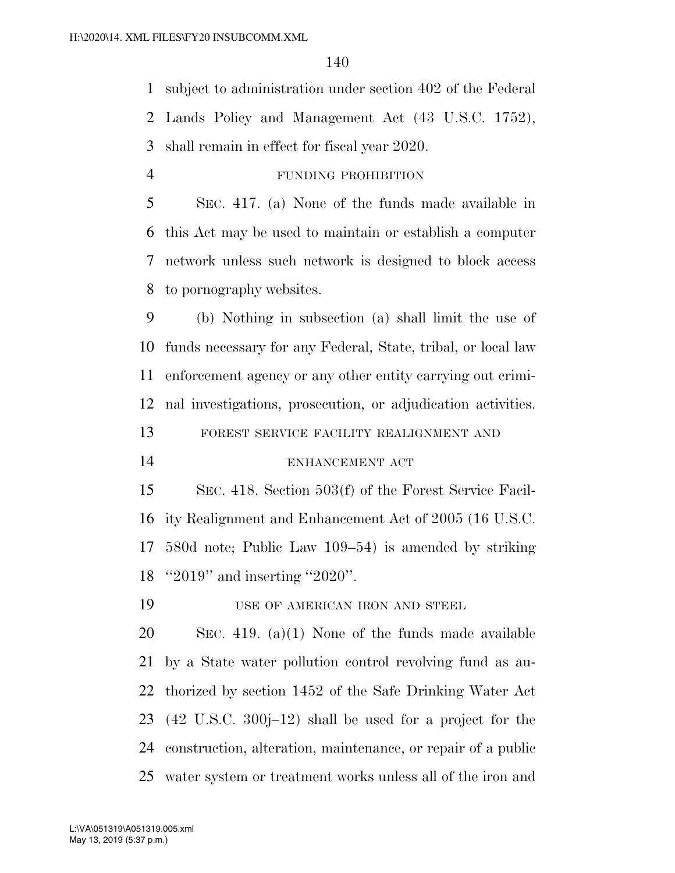subject to administration under section 402 of the Federal Lands Policy and Management Act (43 U.S.C. 1752), shall remain in effect for fiscal year 2020.

FUNDING PROHIBITION

 SEC. 417. (a) None of the funds made available in this Act may be used to maintain or establish a computer network unless such network is designed to block access to pornography websites.

 (b) Nothing in subsection (a) shall limit the use of funds necessary for any Federal, State, tribal, or local law enforcement agency or any other entity carrying out crimi-nal investigations, prosecution, or adjudication activities.

FOREST SERVICE FACILITY REALIGNMENT AND

14 ENHANCEMENT ACT

 SEC. 418. Section 503(f) of the Forest Service Facil- ity Realignment and Enhancement Act of 2005 (16 U.S.C. 580d note; Public Law 109–54) is amended by striking ''2019'' and inserting ''2020''.

19 USE OF AMERICAN IRON AND STEEL

 SEC. 419. (a)(1) None of the funds made available by a State water pollution control revolving fund as au- thorized by section 1452 of the Safe Drinking Water Act (42 U.S.C. 300j–12) shall be used for a project for the construction, alteration, maintenance, or repair of a public water system or treatment works unless all of the iron and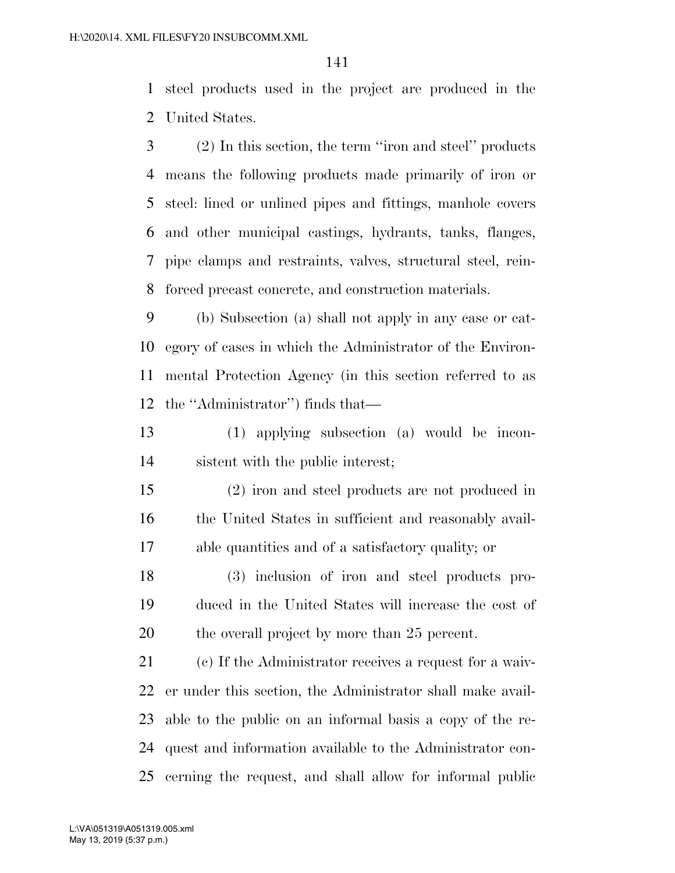steel products used in the project are produced in the United States.

 (2) In this section, the term ''iron and steel'' products means the following products made primarily of iron or steel: lined or unlined pipes and fittings, manhole covers and other municipal castings, hydrants, tanks, flanges, pipe clamps and restraints, valves, structural steel, rein-forced precast concrete, and construction materials.

 (b) Subsection (a) shall not apply in any case or cat- egory of cases in which the Administrator of the Environ- mental Protection Agency (in this section referred to as the ''Administrator'') finds that—

 (1) applying subsection (a) would be incon-sistent with the public interest;

 (2) iron and steel products are not produced in 16 the United States in sufficient and reasonably avail-able quantities and of a satisfactory quality; or

 (3) inclusion of iron and steel products pro- duced in the United States will increase the cost of 20 the overall project by more than 25 percent.

 (c) If the Administrator receives a request for a waiv- er under this section, the Administrator shall make avail- able to the public on an informal basis a copy of the re- quest and information available to the Administrator con-cerning the request, and shall allow for informal public

May 13, 2019 (5:37 p.m.) L:\VA\051319\A051319.005.xml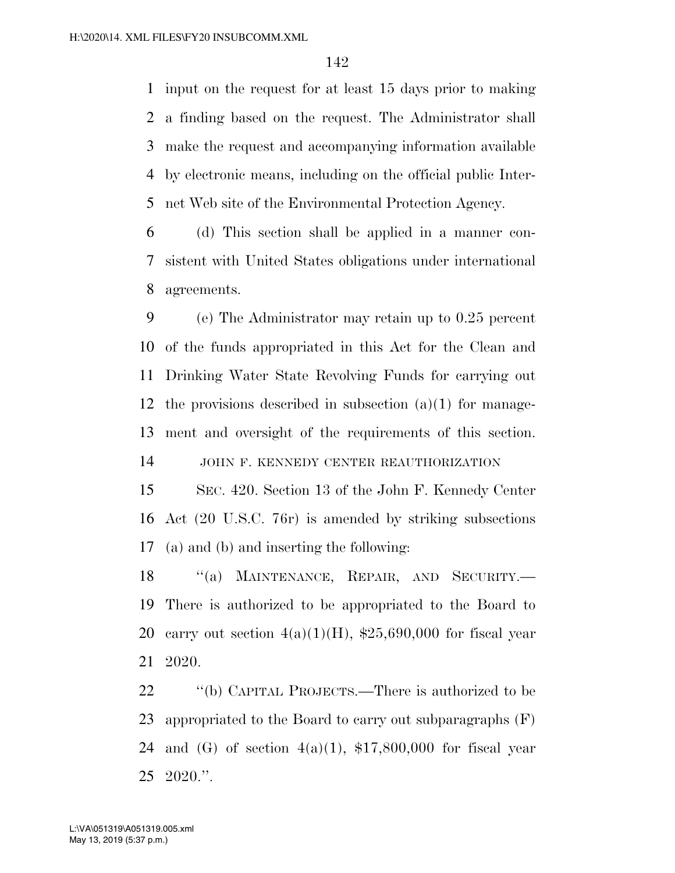input on the request for at least 15 days prior to making a finding based on the request. The Administrator shall make the request and accompanying information available by electronic means, including on the official public Inter-net Web site of the Environmental Protection Agency.

 (d) This section shall be applied in a manner con- sistent with United States obligations under international agreements.

 (e) The Administrator may retain up to 0.25 percent of the funds appropriated in this Act for the Clean and Drinking Water State Revolving Funds for carrying out the provisions described in subsection (a)(1) for manage-ment and oversight of the requirements of this section.

JOHN F. KENNEDY CENTER REAUTHORIZATION

 SEC. 420. Section 13 of the John F. Kennedy Center Act (20 U.S.C. 76r) is amended by striking subsections (a) and (b) and inserting the following:

18 "(a) MAINTENANCE, REPAIR, AND SECURITY.— There is authorized to be appropriated to the Board to 20 carry out section  $4(a)(1)(H)$ , \$25,690,000 for fiscal year 2020.

 ''(b) CAPITAL PROJECTS.—There is authorized to be appropriated to the Board to carry out subparagraphs (F) 24 and (G) of section  $4(a)(1)$ , \$17,800,000 for fiscal year 2020.''.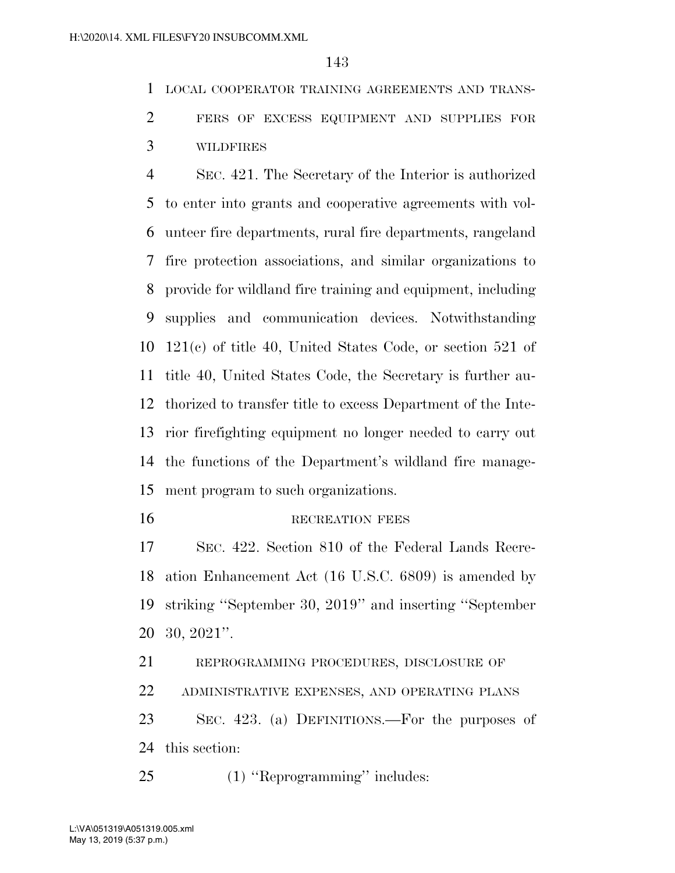LOCAL COOPERATOR TRAINING AGREEMENTS AND TRANS-FERS OF EXCESS EQUIPMENT AND SUPPLIES FOR

WILDFIRES

 SEC. 421. The Secretary of the Interior is authorized to enter into grants and cooperative agreements with vol- unteer fire departments, rural fire departments, rangeland fire protection associations, and similar organizations to provide for wildland fire training and equipment, including supplies and communication devices. Notwithstanding 121(c) of title 40, United States Code, or section 521 of title 40, United States Code, the Secretary is further au- thorized to transfer title to excess Department of the Inte- rior firefighting equipment no longer needed to carry out the functions of the Department's wildland fire manage-ment program to such organizations.

#### 16 RECREATION FEES

 SEC. 422. Section 810 of the Federal Lands Recre- ation Enhancement Act (16 U.S.C. 6809) is amended by striking ''September 30, 2019'' and inserting ''September 30, 2021''.

REPROGRAMMING PROCEDURES, DISCLOSURE OF

ADMINISTRATIVE EXPENSES, AND OPERATING PLANS

 SEC. 423. (a) DEFINITIONS.—For the purposes of this section:

(1) ''Reprogramming'' includes: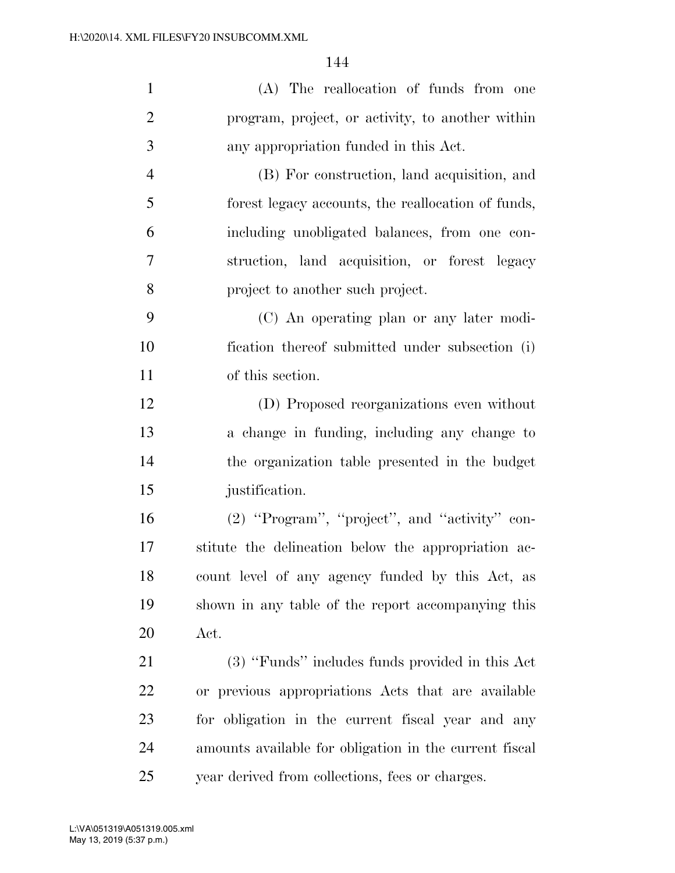| $\mathbf{1}$   | (A) The reallocation of funds from one                 |
|----------------|--------------------------------------------------------|
| $\overline{2}$ | program, project, or activity, to another within       |
| 3              | any appropriation funded in this Act.                  |
| $\overline{4}$ | (B) For construction, land acquisition, and            |
| 5              | forest legacy accounts, the reallocation of funds,     |
| 6              | including unobligated balances, from one con-          |
| $\overline{7}$ | struction, land acquisition, or forest legacy          |
| 8              | project to another such project.                       |
| 9              | (C) An operating plan or any later modi-               |
| 10             | fication thereof submitted under subsection (i)        |
| 11             | of this section.                                       |
| 12             | (D) Proposed reorganizations even without              |
| 13             | a change in funding, including any change to           |
| 14             | the organization table presented in the budget         |
| 15             | justification.                                         |
| 16             | (2) "Program", "project", and "activity" con-          |
| 17             | stitute the delineation below the appropriation ac-    |
| 18             | count level of any agency funded by this Act, as       |
| 19             | shown in any table of the report accompanying this     |
| 20             | Act.                                                   |
| 21             | (3) "Funds" includes funds provided in this Act        |
| 22             | or previous appropriations Acts that are available     |
| 23             | for obligation in the current fiscal year and any      |
| 24             | amounts available for obligation in the current fiscal |
| 25             | year derived from collections, fees or charges.        |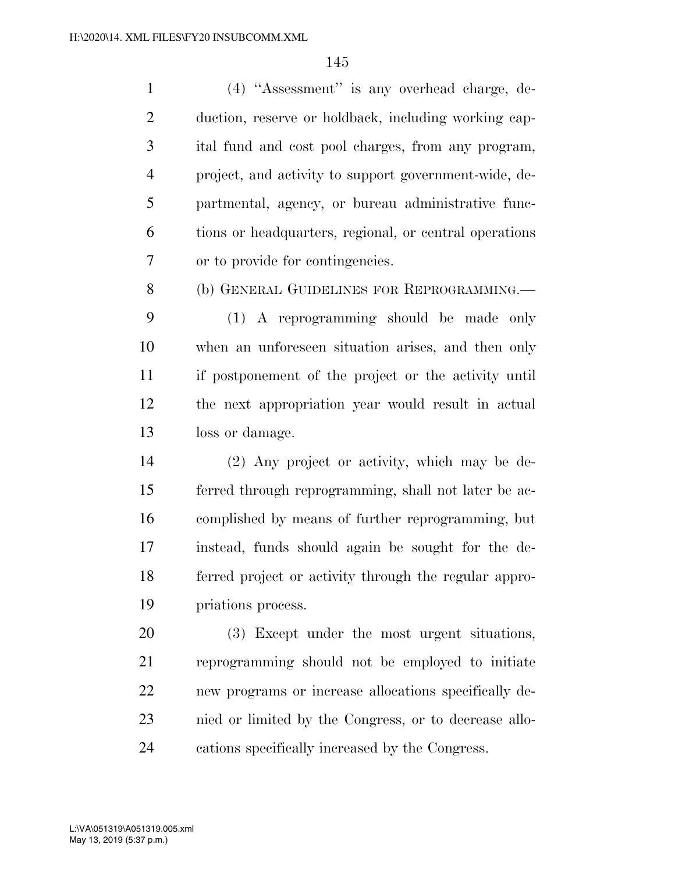(4) ''Assessment'' is any overhead charge, de- duction, reserve or holdback, including working cap- ital fund and cost pool charges, from any program, project, and activity to support government-wide, de- partmental, agency, or bureau administrative func- tions or headquarters, regional, or central operations or to provide for contingencies.

(b) GENERAL GUIDELINES FOR REPROGRAMMING.—

 (1) A reprogramming should be made only when an unforeseen situation arises, and then only if postponement of the project or the activity until the next appropriation year would result in actual loss or damage.

 (2) Any project or activity, which may be de- ferred through reprogramming, shall not later be ac- complished by means of further reprogramming, but instead, funds should again be sought for the de- ferred project or activity through the regular appro-priations process.

 (3) Except under the most urgent situations, reprogramming should not be employed to initiate new programs or increase allocations specifically de- nied or limited by the Congress, or to decrease allo-cations specifically increased by the Congress.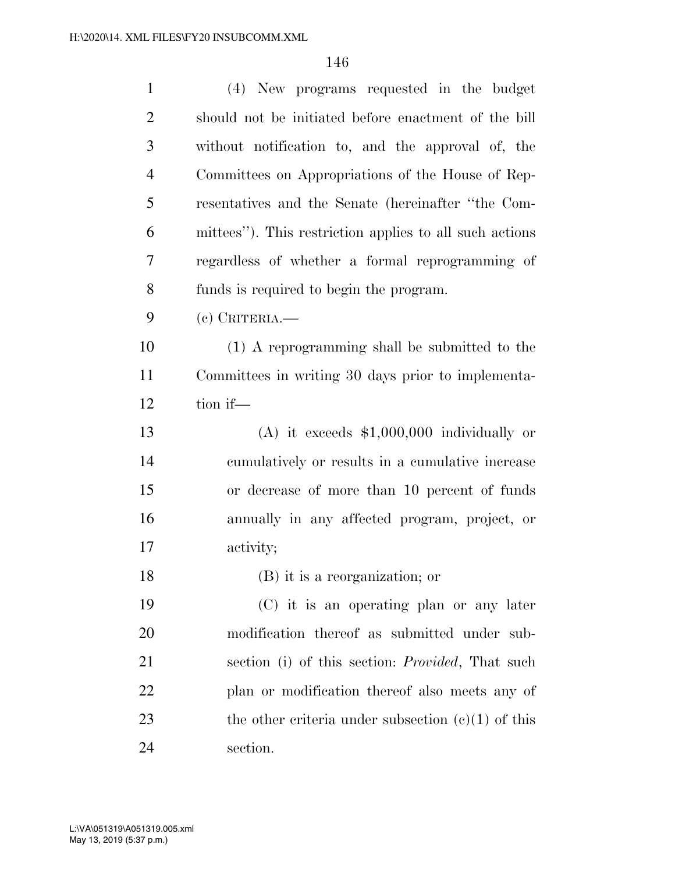| $\mathbf{1}$   | (4) New programs requested in the budget                 |
|----------------|----------------------------------------------------------|
| $\overline{2}$ | should not be initiated before enactment of the bill     |
| 3              | without notification to, and the approval of, the        |
| $\overline{4}$ | Committees on Appropriations of the House of Rep-        |
| 5              | resentatives and the Senate (hereinafter "the Com-       |
| 6              | mittees"). This restriction applies to all such actions  |
| 7              | regardless of whether a formal reprogramming of          |
| 8              | funds is required to begin the program.                  |
| 9              | $(e)$ Criteria.                                          |
| 10             | (1) A reprogramming shall be submitted to the            |
| 11             | Committees in writing 30 days prior to implementa-       |
| 12             | tion if-                                                 |
| 13             | (A) it exceeds $$1,000,000$ individually or              |
| 14             | eumulatively or results in a cumulative increase         |
| 15             | or decrease of more than 10 percent of funds             |
| 16             | annually in any affected program, project, or            |
| 17             | activity;                                                |
| 18             | (B) it is a reorganization; or                           |
| 19             | (C) it is an operating plan or any later                 |
| 20             | modification thereof as submitted under sub-             |
| 21             | section (i) of this section: <i>Provided</i> , That such |
| 22             | plan or modification thereof also meets any of           |
| 23             | the other criteria under subsection $(c)(1)$ of this     |
| 24             | section.                                                 |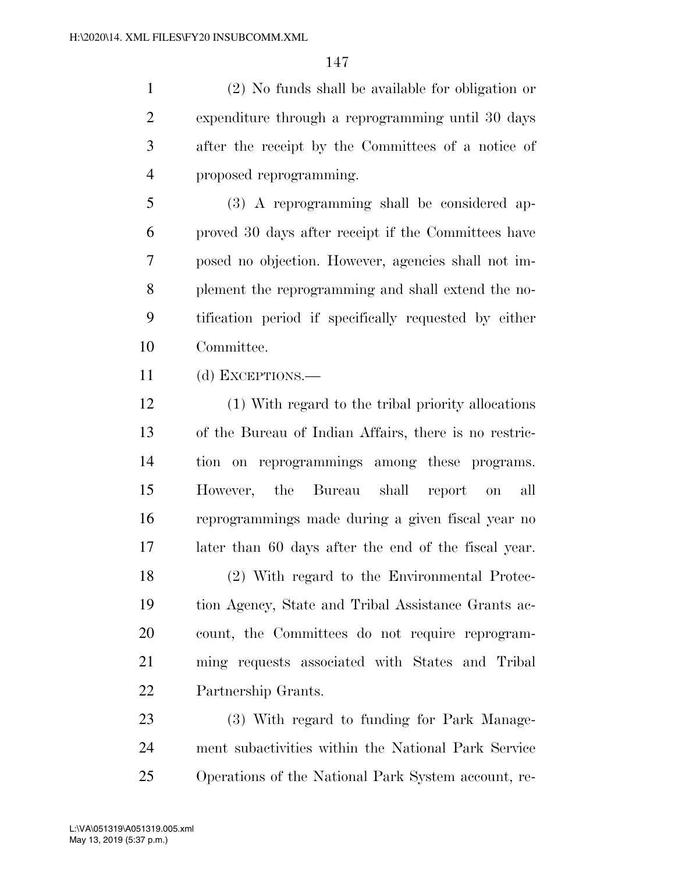(2) No funds shall be available for obligation or expenditure through a reprogramming until 30 days after the receipt by the Committees of a notice of proposed reprogramming.

 (3) A reprogramming shall be considered ap- proved 30 days after receipt if the Committees have posed no objection. However, agencies shall not im- plement the reprogramming and shall extend the no- tification period if specifically requested by either Committee.

(d) EXCEPTIONS.—

 (1) With regard to the tribal priority allocations of the Bureau of Indian Affairs, there is no restric- tion on reprogrammings among these programs. However, the Bureau shall report on all reprogrammings made during a given fiscal year no later than 60 days after the end of the fiscal year. (2) With regard to the Environmental Protec- tion Agency, State and Tribal Assistance Grants ac- count, the Committees do not require reprogram- ming requests associated with States and Tribal Partnership Grants.

 (3) With regard to funding for Park Manage- ment subactivities within the National Park Service Operations of the National Park System account, re-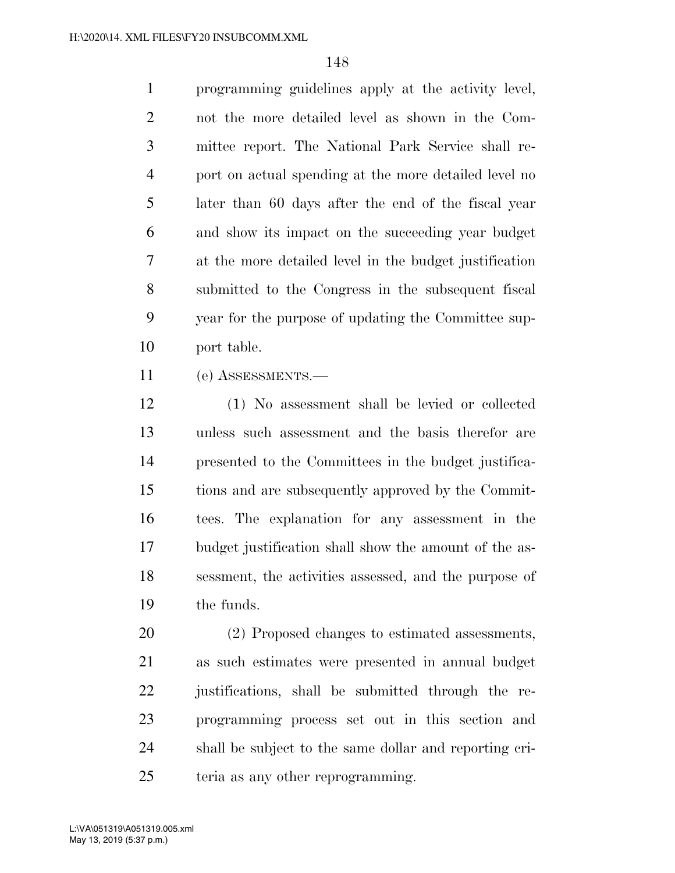programming guidelines apply at the activity level, not the more detailed level as shown in the Com- mittee report. The National Park Service shall re- port on actual spending at the more detailed level no later than 60 days after the end of the fiscal year and show its impact on the succeeding year budget at the more detailed level in the budget justification submitted to the Congress in the subsequent fiscal year for the purpose of updating the Committee sup-port table.

(e) ASSESSMENTS.—

 (1) No assessment shall be levied or collected unless such assessment and the basis therefor are presented to the Committees in the budget justifica- tions and are subsequently approved by the Commit- tees. The explanation for any assessment in the budget justification shall show the amount of the as- sessment, the activities assessed, and the purpose of the funds.

 (2) Proposed changes to estimated assessments, as such estimates were presented in annual budget justifications, shall be submitted through the re- programming process set out in this section and shall be subject to the same dollar and reporting cri-teria as any other reprogramming.

May 13, 2019 (5:37 p.m.) L:\VA\051319\A051319.005.xml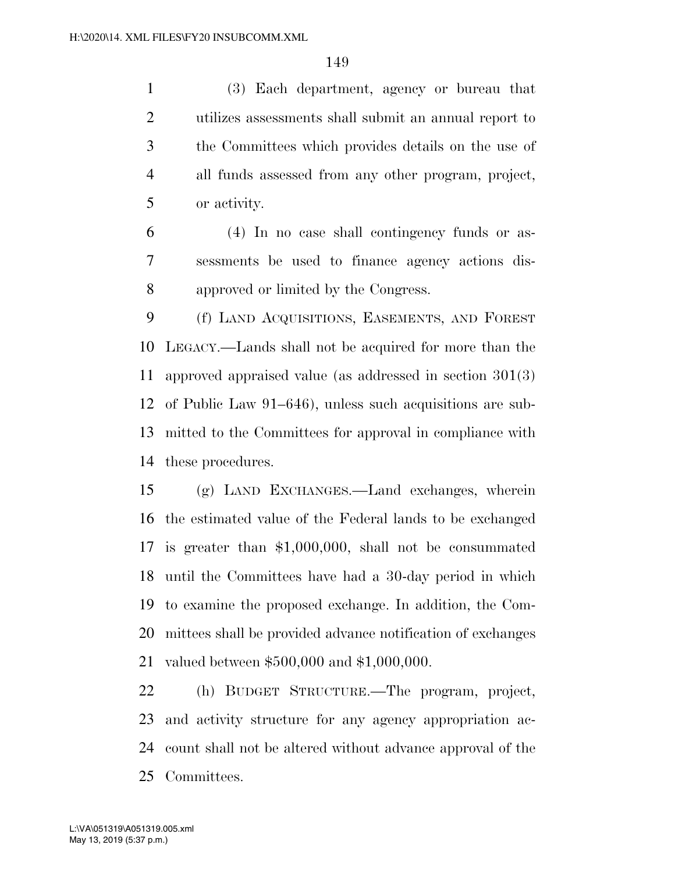(3) Each department, agency or bureau that utilizes assessments shall submit an annual report to the Committees which provides details on the use of all funds assessed from any other program, project, or activity.

 (4) In no case shall contingency funds or as- sessments be used to finance agency actions dis-approved or limited by the Congress.

 (f) LAND ACQUISITIONS, EASEMENTS, AND FOREST LEGACY.—Lands shall not be acquired for more than the approved appraised value (as addressed in section 301(3) of Public Law 91–646), unless such acquisitions are sub- mitted to the Committees for approval in compliance with these procedures.

 (g) LAND EXCHANGES.—Land exchanges, wherein the estimated value of the Federal lands to be exchanged is greater than \$1,000,000, shall not be consummated until the Committees have had a 30-day period in which to examine the proposed exchange. In addition, the Com- mittees shall be provided advance notification of exchanges valued between \$500,000 and \$1,000,000.

 (h) BUDGET STRUCTURE.—The program, project, and activity structure for any agency appropriation ac- count shall not be altered without advance approval of the Committees.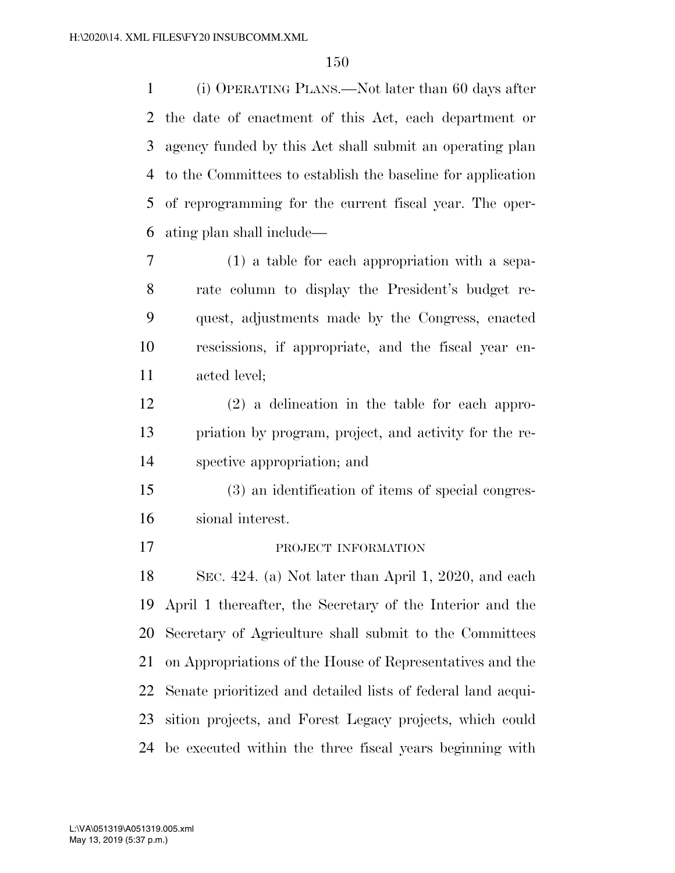(i) OPERATING PLANS.—Not later than 60 days after the date of enactment of this Act, each department or agency funded by this Act shall submit an operating plan to the Committees to establish the baseline for application of reprogramming for the current fiscal year. The oper-ating plan shall include—

- (1) a table for each appropriation with a sepa- rate column to display the President's budget re- quest, adjustments made by the Congress, enacted rescissions, if appropriate, and the fiscal year en-acted level;
- (2) a delineation in the table for each appro- priation by program, project, and activity for the re-spective appropriation; and
- (3) an identification of items of special congres-sional interest.
- 

17 PROJECT INFORMATION

 SEC. 424. (a) Not later than April 1, 2020, and each April 1 thereafter, the Secretary of the Interior and the Secretary of Agriculture shall submit to the Committees on Appropriations of the House of Representatives and the Senate prioritized and detailed lists of federal land acqui- sition projects, and Forest Legacy projects, which could be executed within the three fiscal years beginning with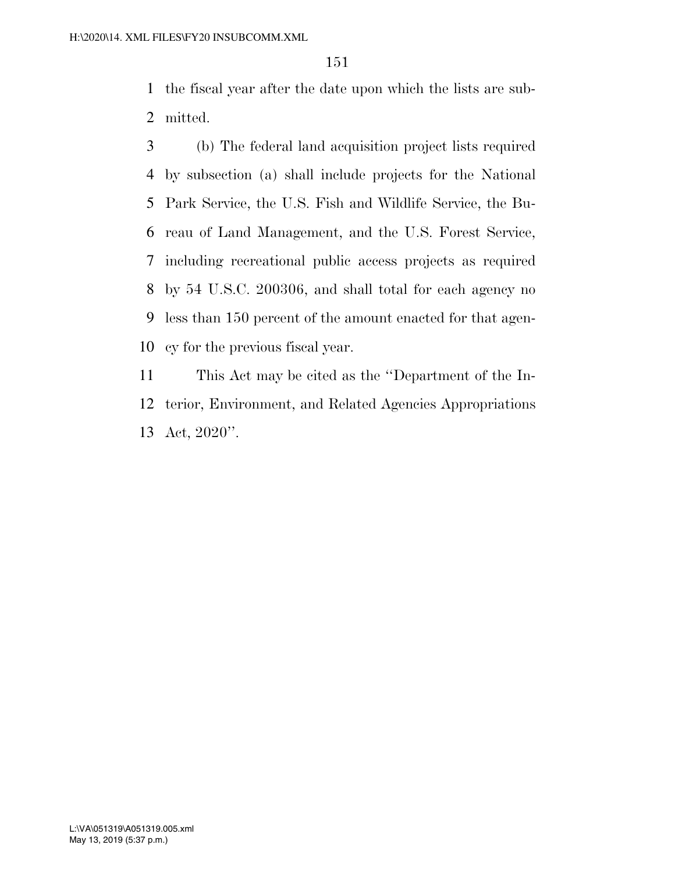the fiscal year after the date upon which the lists are sub-mitted.

 (b) The federal land acquisition project lists required by subsection (a) shall include projects for the National Park Service, the U.S. Fish and Wildlife Service, the Bu- reau of Land Management, and the U.S. Forest Service, including recreational public access projects as required by 54 U.S.C. 200306, and shall total for each agency no less than 150 percent of the amount enacted for that agen-cy for the previous fiscal year.

 This Act may be cited as the ''Department of the In- terior, Environment, and Related Agencies Appropriations Act, 2020''.